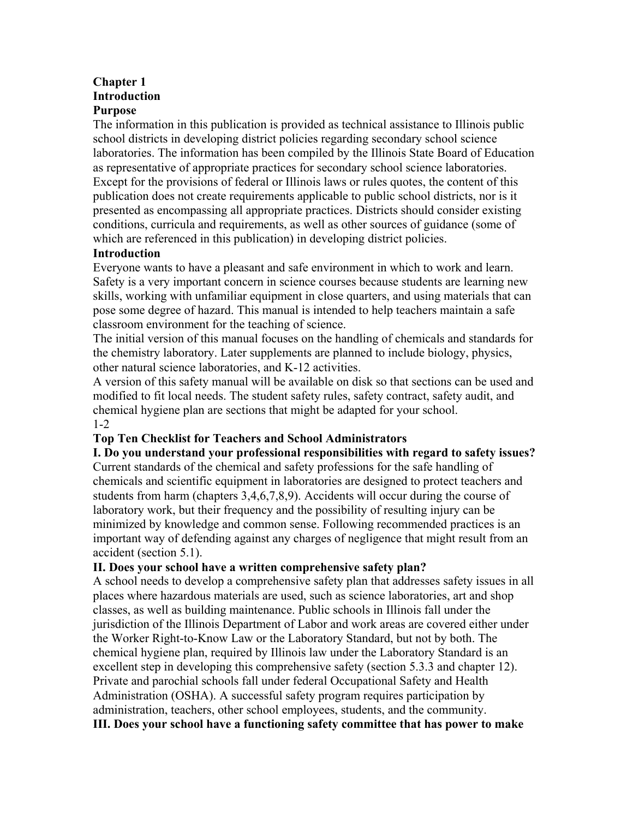#### **Chapter 1 Introduction Purpose**

The information in this publication is provided as technical assistance to Illinois public school districts in developing district policies regarding secondary school science laboratories. The information has been compiled by the Illinois State Board of Education as representative of appropriate practices for secondary school science laboratories. Except for the provisions of federal or Illinois laws or rules quotes, the content of this publication does not create requirements applicable to public school districts, nor is it presented as encompassing all appropriate practices. Districts should consider existing conditions, curricula and requirements, as well as other sources of guidance (some of which are referenced in this publication) in developing district policies.

## **Introduction**

Everyone wants to have a pleasant and safe environment in which to work and learn. Safety is a very important concern in science courses because students are learning new skills, working with unfamiliar equipment in close quarters, and using materials that can pose some degree of hazard. This manual is intended to help teachers maintain a safe classroom environment for the teaching of science.

The initial version of this manual focuses on the handling of chemicals and standards for the chemistry laboratory. Later supplements are planned to include biology, physics, other natural science laboratories, and K-12 activities.

A version of this safety manual will be available on disk so that sections can be used and modified to fit local needs. The student safety rules, safety contract, safety audit, and chemical hygiene plan are sections that might be adapted for your school.  $1 - 2$ 

## **Top Ten Checklist for Teachers and School Administrators**

**I. Do you understand your professional responsibilities with regard to safety issues?**  Current standards of the chemical and safety professions for the safe handling of chemicals and scientific equipment in laboratories are designed to protect teachers and students from harm (chapters 3,4,6,7,8,9). Accidents will occur during the course of laboratory work, but their frequency and the possibility of resulting injury can be minimized by knowledge and common sense. Following recommended practices is an important way of defending against any charges of negligence that might result from an accident (section 5.1).

## **II. Does your school have a written comprehensive safety plan?**

A school needs to develop a comprehensive safety plan that addresses safety issues in all places where hazardous materials are used, such as science laboratories, art and shop classes, as well as building maintenance. Public schools in Illinois fall under the jurisdiction of the Illinois Department of Labor and work areas are covered either under the Worker Right-to-Know Law or the Laboratory Standard, but not by both. The chemical hygiene plan, required by Illinois law under the Laboratory Standard is an excellent step in developing this comprehensive safety (section 5.3.3 and chapter 12). Private and parochial schools fall under federal Occupational Safety and Health Administration (OSHA). A successful safety program requires participation by administration, teachers, other school employees, students, and the community. **III. Does your school have a functioning safety committee that has power to make**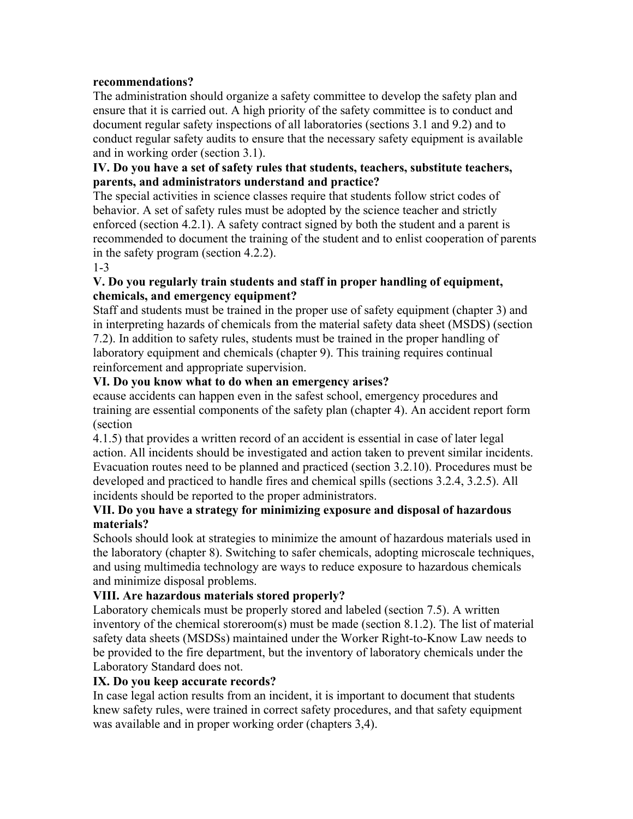## **recommendations?**

The administration should organize a safety committee to develop the safety plan and ensure that it is carried out. A high priority of the safety committee is to conduct and document regular safety inspections of all laboratories (sections 3.1 and 9.2) and to conduct regular safety audits to ensure that the necessary safety equipment is available and in working order (section 3.1).

## **IV. Do you have a set of safety rules that students, teachers, substitute teachers, parents, and administrators understand and practice?**

The special activities in science classes require that students follow strict codes of behavior. A set of safety rules must be adopted by the science teacher and strictly enforced (section 4.2.1). A safety contract signed by both the student and a parent is recommended to document the training of the student and to enlist cooperation of parents in the safety program (section 4.2.2).

1-3

## **V. Do you regularly train students and staff in proper handling of equipment, chemicals, and emergency equipment?**

Staff and students must be trained in the proper use of safety equipment (chapter 3) and in interpreting hazards of chemicals from the material safety data sheet (MSDS) (section 7.2). In addition to safety rules, students must be trained in the proper handling of laboratory equipment and chemicals (chapter 9). This training requires continual reinforcement and appropriate supervision.

## **VI. Do you know what to do when an emergency arises?**

ecause accidents can happen even in the safest school, emergency procedures and training are essential components of the safety plan (chapter 4). An accident report form (section

4.1.5) that provides a written record of an accident is essential in case of later legal action. All incidents should be investigated and action taken to prevent similar incidents. Evacuation routes need to be planned and practiced (section 3.2.10). Procedures must be developed and practiced to handle fires and chemical spills (sections 3.2.4, 3.2.5). All incidents should be reported to the proper administrators.

## **VII. Do you have a strategy for minimizing exposure and disposal of hazardous materials?**

Schools should look at strategies to minimize the amount of hazardous materials used in the laboratory (chapter 8). Switching to safer chemicals, adopting microscale techniques, and using multimedia technology are ways to reduce exposure to hazardous chemicals and minimize disposal problems.

## **VIII. Are hazardous materials stored properly?**

Laboratory chemicals must be properly stored and labeled (section 7.5). A written inventory of the chemical storeroom(s) must be made (section  $8.1.2$ ). The list of material safety data sheets (MSDSs) maintained under the Worker Right-to-Know Law needs to be provided to the fire department, but the inventory of laboratory chemicals under the Laboratory Standard does not.

## **IX. Do you keep accurate records?**

In case legal action results from an incident, it is important to document that students knew safety rules, were trained in correct safety procedures, and that safety equipment was available and in proper working order (chapters 3,4).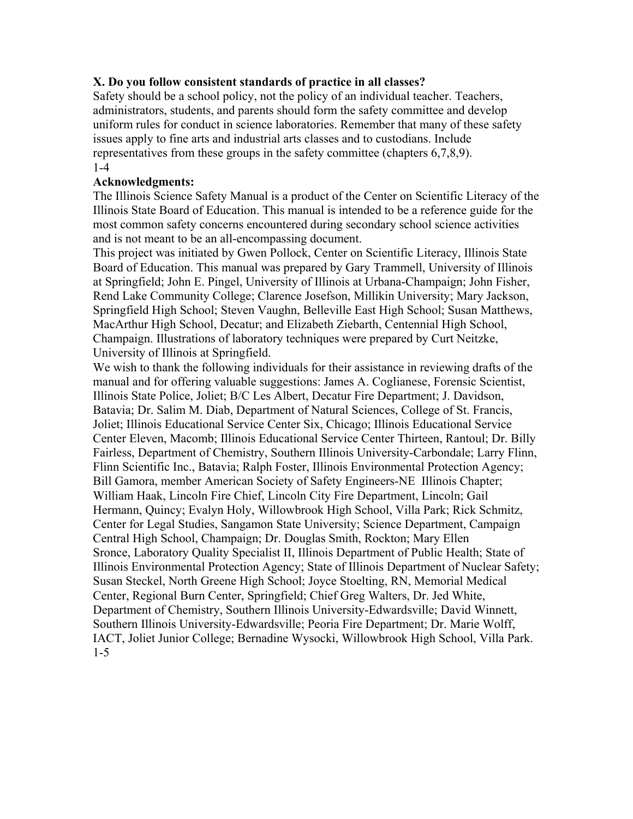## **X. Do you follow consistent standards of practice in all classes?**

Safety should be a school policy, not the policy of an individual teacher. Teachers, administrators, students, and parents should form the safety committee and develop uniform rules for conduct in science laboratories. Remember that many of these safety issues apply to fine arts and industrial arts classes and to custodians. Include representatives from these groups in the safety committee (chapters 6,7,8,9). 1-4

#### **Acknowledgments:**

The Illinois Science Safety Manual is a product of the Center on Scientific Literacy of the Illinois State Board of Education. This manual is intended to be a reference guide for the most common safety concerns encountered during secondary school science activities and is not meant to be an all-encompassing document.

This project was initiated by Gwen Pollock, Center on Scientific Literacy, Illinois State Board of Education. This manual was prepared by Gary Trammell, University of Illinois at Springfield; John E. Pingel, University of Illinois at Urbana-Champaign; John Fisher, Rend Lake Community College; Clarence Josefson, Millikin University; Mary Jackson, Springfield High School; Steven Vaughn, Belleville East High School; Susan Matthews, MacArthur High School, Decatur; and Elizabeth Ziebarth, Centennial High School, Champaign. Illustrations of laboratory techniques were prepared by Curt Neitzke, University of Illinois at Springfield.

We wish to thank the following individuals for their assistance in reviewing drafts of the manual and for offering valuable suggestions: James A. Coglianese, Forensic Scientist, Illinois State Police, Joliet; B/C Les Albert, Decatur Fire Department; J. Davidson, Batavia; Dr. Salim M. Diab, Department of Natural Sciences, College of St. Francis, Joliet; Illinois Educational Service Center Six, Chicago; Illinois Educational Service Center Eleven, Macomb; Illinois Educational Service Center Thirteen, Rantoul; Dr. Billy Fairless, Department of Chemistry, Southern Illinois University-Carbondale; Larry Flinn, Flinn Scientific Inc., Batavia; Ralph Foster, Illinois Environmental Protection Agency; Bill Gamora, member American Society of Safety Engineers-NE Illinois Chapter; William Haak, Lincoln Fire Chief, Lincoln City Fire Department, Lincoln; Gail Hermann, Quincy; Evalyn Holy, Willowbrook High School, Villa Park; Rick Schmitz, Center for Legal Studies, Sangamon State University; Science Department, Campaign Central High School, Champaign; Dr. Douglas Smith, Rockton; Mary Ellen Sronce, Laboratory Quality Specialist II, Illinois Department of Public Health; State of Illinois Environmental Protection Agency; State of Illinois Department of Nuclear Safety; Susan Steckel, North Greene High School; Joyce Stoelting, RN, Memorial Medical Center, Regional Burn Center, Springfield; Chief Greg Walters, Dr. Jed White, Department of Chemistry, Southern Illinois University-Edwardsville; David Winnett, Southern Illinois University-Edwardsville; Peoria Fire Department; Dr. Marie Wolff, IACT, Joliet Junior College; Bernadine Wysocki, Willowbrook High School, Villa Park. 1-5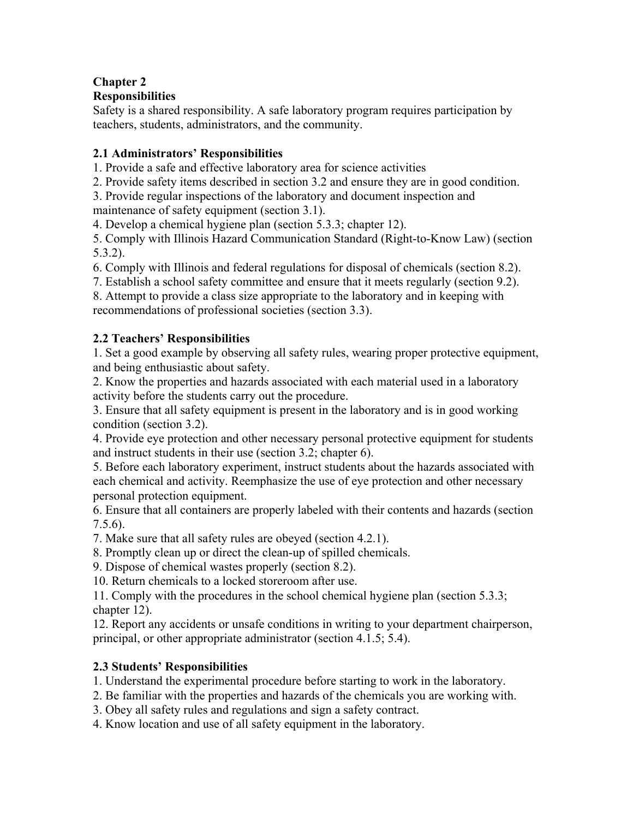## **Chapter 2 Responsibilities**

Safety is a shared responsibility. A safe laboratory program requires participation by teachers, students, administrators, and the community.

# **2.1 Administrators' Responsibilities**

1. Provide a safe and effective laboratory area for science activities

2. Provide safety items described in section 3.2 and ensure they are in good condition.

3. Provide regular inspections of the laboratory and document inspection and maintenance of safety equipment (section 3.1).

4. Develop a chemical hygiene plan (section 5.3.3; chapter 12).

5. Comply with Illinois Hazard Communication Standard (Right-to-Know Law) (section 5.3.2).

6. Comply with Illinois and federal regulations for disposal of chemicals (section 8.2).

7. Establish a school safety committee and ensure that it meets regularly (section 9.2).

8. Attempt to provide a class size appropriate to the laboratory and in keeping with recommendations of professional societies (section 3.3).

# **2.2 Teachers' Responsibilities**

1. Set a good example by observing all safety rules, wearing proper protective equipment, and being enthusiastic about safety.

2. Know the properties and hazards associated with each material used in a laboratory activity before the students carry out the procedure.

3. Ensure that all safety equipment is present in the laboratory and is in good working condition (section 3.2).

4. Provide eye protection and other necessary personal protective equipment for students and instruct students in their use (section 3.2; chapter 6).

5. Before each laboratory experiment, instruct students about the hazards associated with each chemical and activity. Reemphasize the use of eye protection and other necessary personal protection equipment.

6. Ensure that all containers are properly labeled with their contents and hazards (section 7.5.6).

7. Make sure that all safety rules are obeyed (section 4.2.1).

8. Promptly clean up or direct the clean-up of spilled chemicals.

9. Dispose of chemical wastes properly (section 8.2).

10. Return chemicals to a locked storeroom after use.

11. Comply with the procedures in the school chemical hygiene plan (section 5.3.3; chapter 12).

12. Report any accidents or unsafe conditions in writing to your department chairperson, principal, or other appropriate administrator (section 4.1.5; 5.4).

# **2.3 Students' Responsibilities**

1. Understand the experimental procedure before starting to work in the laboratory.

2. Be familiar with the properties and hazards of the chemicals you are working with.

3. Obey all safety rules and regulations and sign a safety contract.

4. Know location and use of all safety equipment in the laboratory.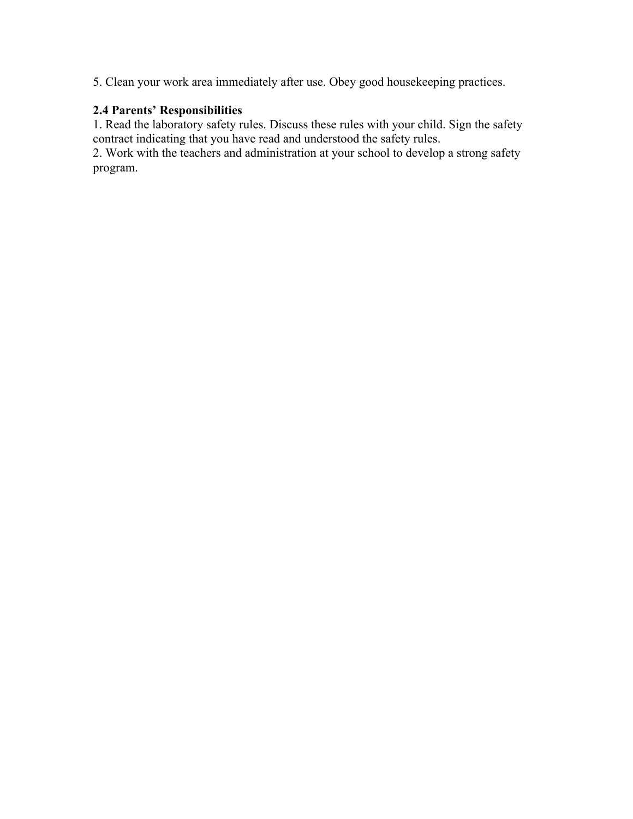5. Clean your work area immediately after use. Obey good housekeeping practices.

## **2.4 Parents' Responsibilities**

1. Read the laboratory safety rules. Discuss these rules with your child. Sign the safety contract indicating that you have read and understood the safety rules.

2. Work with the teachers and administration at your school to develop a strong safety program.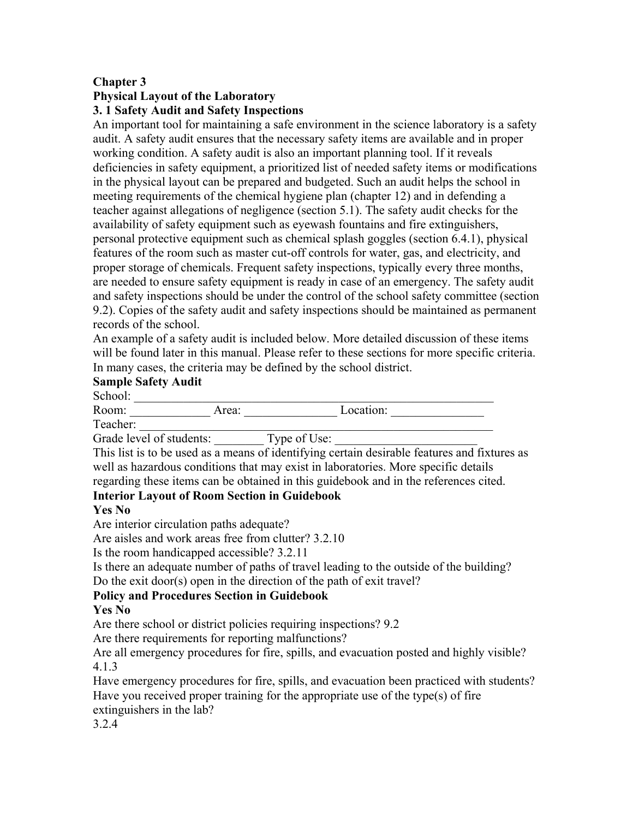# **Chapter 3**

# **Physical Layout of the Laboratory**

## **3. 1 Safety Audit and Safety Inspections**

An important tool for maintaining a safe environment in the science laboratory is a safety audit. A safety audit ensures that the necessary safety items are available and in proper working condition. A safety audit is also an important planning tool. If it reveals deficiencies in safety equipment, a prioritized list of needed safety items or modifications in the physical layout can be prepared and budgeted. Such an audit helps the school in meeting requirements of the chemical hygiene plan (chapter 12) and in defending a teacher against allegations of negligence (section 5.1). The safety audit checks for the availability of safety equipment such as eyewash fountains and fire extinguishers, personal protective equipment such as chemical splash goggles (section 6.4.1), physical features of the room such as master cut-off controls for water, gas, and electricity, and proper storage of chemicals. Frequent safety inspections, typically every three months, are needed to ensure safety equipment is ready in case of an emergency. The safety audit and safety inspections should be under the control of the school safety committee (section 9.2). Copies of the safety audit and safety inspections should be maintained as permanent records of the school.

An example of a safety audit is included below. More detailed discussion of these items will be found later in this manual. Please refer to these sections for more specific criteria. In many cases, the criteria may be defined by the school district.

## **Sample Safety Audit**

School: \_\_\_\_\_\_\_\_\_\_\_\_\_\_\_\_\_\_\_\_\_\_\_\_\_\_\_\_\_\_\_\_\_\_\_\_\_\_\_\_\_\_\_\_\_\_\_\_\_\_\_\_\_\_\_\_\_\_

Room: <u>None and Area: Note and Area: Note and Area: Note and Area: Note and Area: Note and Area: Note and Area: Note and Area: Note and Area: Note and Area: Note and Area: Note and Area: Note and Area: Note and Area: Note </u>

Teacher:

Grade level of students: Type of Use:

This list is to be used as a means of identifying certain desirable features and fixtures as well as hazardous conditions that may exist in laboratories. More specific details regarding these items can be obtained in this guidebook and in the references cited.

## **Interior Layout of Room Section in Guidebook**

## **Yes No**

Are interior circulation paths adequate?

Are aisles and work areas free from clutter? 3.2.10

Is the room handicapped accessible? 3.2.11

Is there an adequate number of paths of travel leading to the outside of the building? Do the exit door(s) open in the direction of the path of exit travel?

## **Policy and Procedures Section in Guidebook**

## **Yes No**

Are there school or district policies requiring inspections? 9.2

Are there requirements for reporting malfunctions?

Are all emergency procedures for fire, spills, and evacuation posted and highly visible? 4.1.3

Have emergency procedures for fire, spills, and evacuation been practiced with students? Have you received proper training for the appropriate use of the type(s) of fire extinguishers in the lab?

3.2.4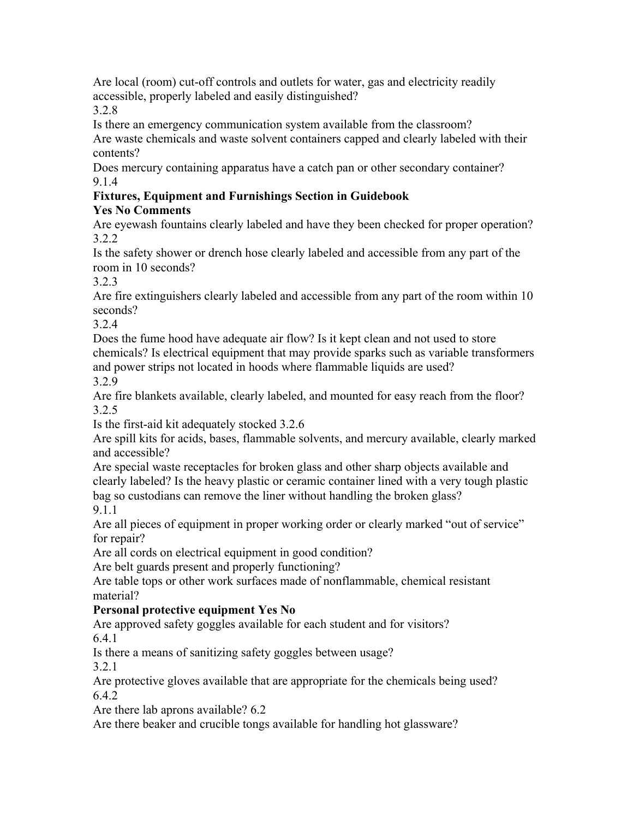Are local (room) cut-off controls and outlets for water, gas and electricity readily accessible, properly labeled and easily distinguished?

3.2.8

Is there an emergency communication system available from the classroom?

Are waste chemicals and waste solvent containers capped and clearly labeled with their contents?

Does mercury containing apparatus have a catch pan or other secondary container? 9.1.4

## **Fixtures, Equipment and Furnishings Section in Guidebook Yes No Comments**

Are eyewash fountains clearly labeled and have they been checked for proper operation? 3.2.2

Is the safety shower or drench hose clearly labeled and accessible from any part of the room in 10 seconds?

3.2.3

Are fire extinguishers clearly labeled and accessible from any part of the room within 10 seconds?

3.2.4

Does the fume hood have adequate air flow? Is it kept clean and not used to store chemicals? Is electrical equipment that may provide sparks such as variable transformers and power strips not located in hoods where flammable liquids are used? 3.2.9

Are fire blankets available, clearly labeled, and mounted for easy reach from the floor? 3.2.5

Is the first-aid kit adequately stocked 3.2.6

Are spill kits for acids, bases, flammable solvents, and mercury available, clearly marked and accessible?

Are special waste receptacles for broken glass and other sharp objects available and clearly labeled? Is the heavy plastic or ceramic container lined with a very tough plastic bag so custodians can remove the liner without handling the broken glass? 9.1.1

Are all pieces of equipment in proper working order or clearly marked "out of service" for repair?

Are all cords on electrical equipment in good condition?

Are belt guards present and properly functioning?

Are table tops or other work surfaces made of nonflammable, chemical resistant material?

# **Personal protective equipment Yes No**

Are approved safety goggles available for each student and for visitors? 6.4.1

Is there a means of sanitizing safety goggles between usage?

3.2.1

Are protective gloves available that are appropriate for the chemicals being used? 6.4.2

Are there lab aprons available? 6.2

Are there beaker and crucible tongs available for handling hot glassware?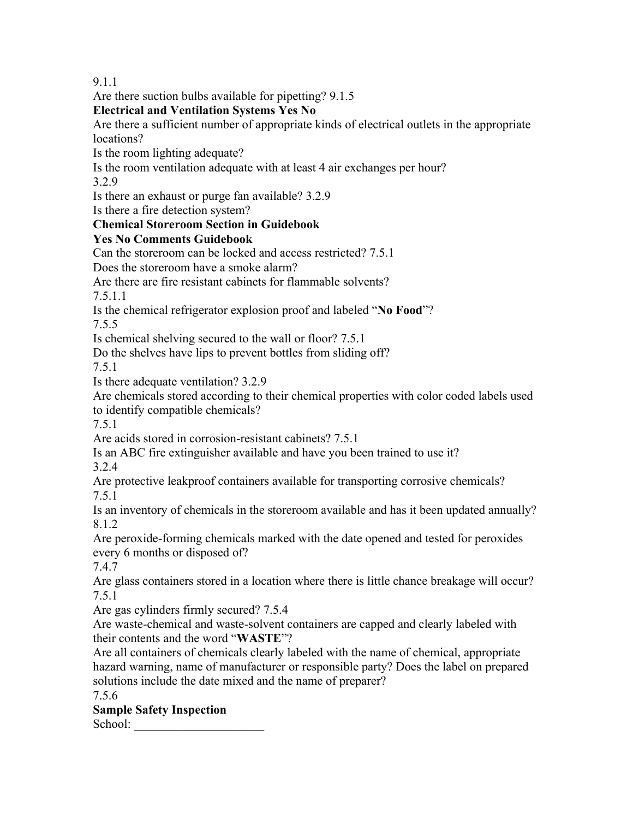9.1.1

Are there suction bulbs available for pipetting? 9.1.5

## **Electrical and Ventilation Systems Yes No**

Are there a sufficient number of appropriate kinds of electrical outlets in the appropriate locations?

Is the room lighting adequate?

Is the room ventilation adequate with at least 4 air exchanges per hour?

3.2.9

Is there an exhaust or purge fan available? 3.2.9

Is there a fire detection system?

## **Chemical Storeroom Section in Guidebook**

## **Yes No Comments Guidebook**

Can the storeroom can be locked and access restricted? 7.5.1

Does the storeroom have a smoke alarm?

Are there are fire resistant cabinets for flammable solvents?

7.5.1.1

Is the chemical refrigerator explosion proof and labeled "**No Food**"?

7.5.5

Is chemical shelving secured to the wall or floor? 7.5.1

Do the shelves have lips to prevent bottles from sliding off?

7.5.1

Is there adequate ventilation? 3.2.9

Are chemicals stored according to their chemical properties with color coded labels used to identify compatible chemicals?

7.5.1

Are acids stored in corrosion-resistant cabinets? 7.5.1

Is an ABC fire extinguisher available and have you been trained to use it?

3.2.4

Are protective leakproof containers available for transporting corrosive chemicals? 7.5.1

Is an inventory of chemicals in the storeroom available and has it been updated annually? 8.1.2

Are peroxide-forming chemicals marked with the date opened and tested for peroxides every 6 months or disposed of?

7.4.7

Are glass containers stored in a location where there is little chance breakage will occur? 7.5.1

Are gas cylinders firmly secured? 7.5.4

Are waste-chemical and waste-solvent containers are capped and clearly labeled with their contents and the word "**WASTE**"?

Are all containers of chemicals clearly labeled with the name of chemical, appropriate hazard warning, name of manufacturer or responsible party? Does the label on prepared solutions include the date mixed and the name of preparer?

7.5.6

## **Sample Safety Inspection**

School: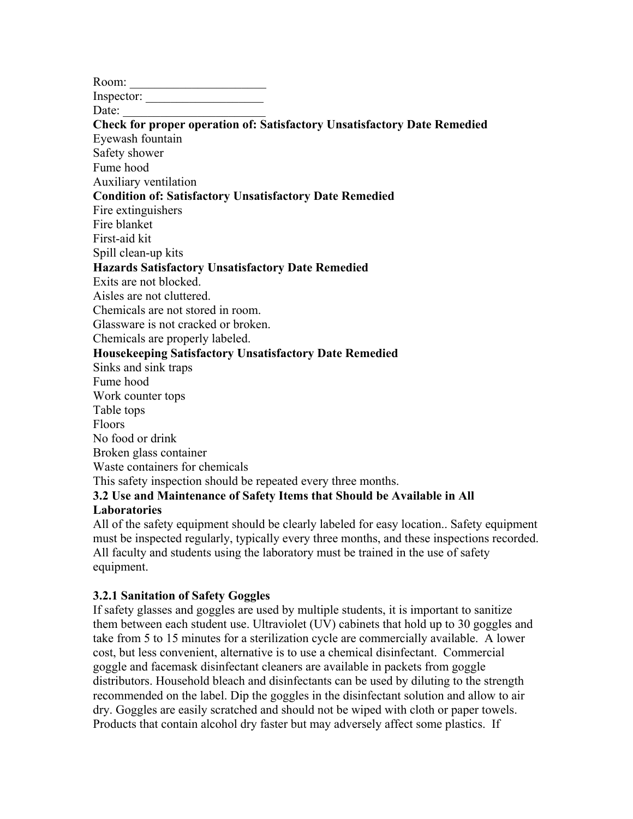Room: \_\_\_\_\_\_\_\_\_\_\_\_\_\_\_\_\_\_\_\_\_\_ Inspector: Date: **Check for proper operation of: Satisfactory Unsatisfactory Date Remedied**  Eyewash fountain Safety shower Fume hood Auxiliary ventilation **Condition of: Satisfactory Unsatisfactory Date Remedied**  Fire extinguishers Fire blanket First-aid kit Spill clean-up kits **Hazards Satisfactory Unsatisfactory Date Remedied**  Exits are not blocked. Aisles are not cluttered. Chemicals are not stored in room. Glassware is not cracked or broken. Chemicals are properly labeled. **Housekeeping Satisfactory Unsatisfactory Date Remedied**  Sinks and sink traps Fume hood Work counter tops Table tops Floors No food or drink Broken glass container Waste containers for chemicals This safety inspection should be repeated every three months. **3.2 Use and Maintenance of Safety Items that Should be Available in All Laboratories** 

All of the safety equipment should be clearly labeled for easy location.. Safety equipment must be inspected regularly, typically every three months, and these inspections recorded. All faculty and students using the laboratory must be trained in the use of safety equipment.

## **3.2.1 Sanitation of Safety Goggles**

If safety glasses and goggles are used by multiple students, it is important to sanitize them between each student use. Ultraviolet (UV) cabinets that hold up to 30 goggles and take from 5 to 15 minutes for a sterilization cycle are commercially available. A lower cost, but less convenient, alternative is to use a chemical disinfectant. Commercial goggle and facemask disinfectant cleaners are available in packets from goggle distributors. Household bleach and disinfectants can be used by diluting to the strength recommended on the label. Dip the goggles in the disinfectant solution and allow to air dry. Goggles are easily scratched and should not be wiped with cloth or paper towels. Products that contain alcohol dry faster but may adversely affect some plastics. If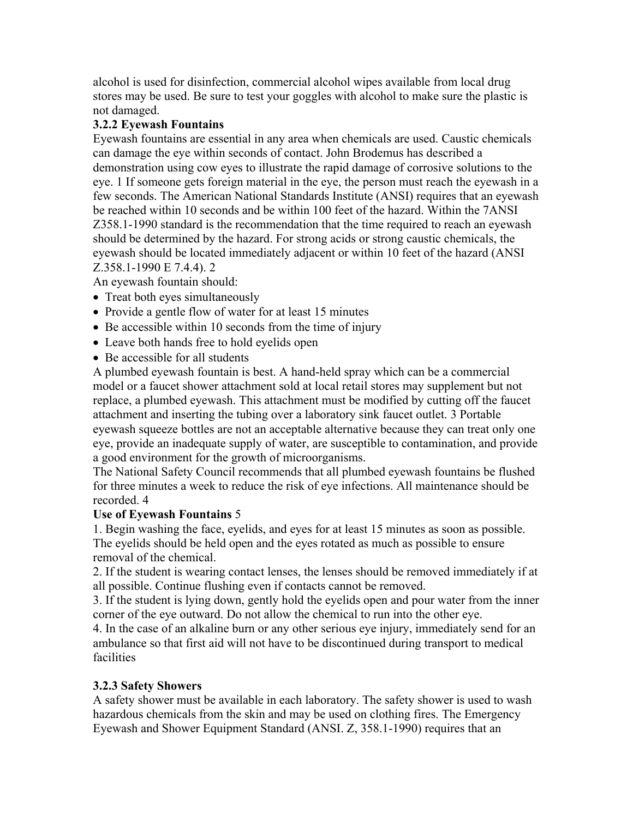alcohol is used for disinfection, commercial alcohol wipes available from local drug stores may be used. Be sure to test your goggles with alcohol to make sure the plastic is not damaged.

## **3.2.2 Eyewash Fountains**

Eyewash fountains are essential in any area when chemicals are used. Caustic chemicals can damage the eye within seconds of contact. John Brodemus has described a demonstration using cow eyes to illustrate the rapid damage of corrosive solutions to the eye. 1 If someone gets foreign material in the eye, the person must reach the eyewash in a few seconds. The American National Standards Institute (ANSI) requires that an eyewash be reached within 10 seconds and be within 100 feet of the hazard. Within the 7ANSI Z358.1-1990 standard is the recommendation that the time required to reach an eyewash should be determined by the hazard. For strong acids or strong caustic chemicals, the eyewash should be located immediately adjacent or within 10 feet of the hazard (ANSI Z.358.1-1990 E 7.4.4). 2

An eyewash fountain should:

- Treat both eyes simultaneously
- Provide a gentle flow of water for at least 15 minutes
- Be accessible within 10 seconds from the time of injury
- Leave both hands free to hold eyelids open
- Be accessible for all students

A plumbed eyewash fountain is best. A hand-held spray which can be a commercial model or a faucet shower attachment sold at local retail stores may supplement but not replace, a plumbed eyewash. This attachment must be modified by cutting off the faucet attachment and inserting the tubing over a laboratory sink faucet outlet. 3 Portable eyewash squeeze bottles are not an acceptable alternative because they can treat only one eye, provide an inadequate supply of water, are susceptible to contamination, and provide a good environment for the growth of microorganisms.

The National Safety Council recommends that all plumbed eyewash fountains be flushed for three minutes a week to reduce the risk of eye infections. All maintenance should be recorded. 4

## **Use of Eyewash Fountains** 5

1. Begin washing the face, eyelids, and eyes for at least 15 minutes as soon as possible. The eyelids should be held open and the eyes rotated as much as possible to ensure removal of the chemical.

2. If the student is wearing contact lenses, the lenses should be removed immediately if at all possible. Continue flushing even if contacts cannot be removed.

3. If the student is lying down, gently hold the eyelids open and pour water from the inner corner of the eye outward. Do not allow the chemical to run into the other eye.

4. In the case of an alkaline burn or any other serious eye injury, immediately send for an ambulance so that first aid will not have to be discontinued during transport to medical facilities

## **3.2.3 Safety Showers**

A safety shower must be available in each laboratory. The safety shower is used to wash hazardous chemicals from the skin and may be used on clothing fires. The Emergency Eyewash and Shower Equipment Standard (ANSI. Z, 358.1-1990) requires that an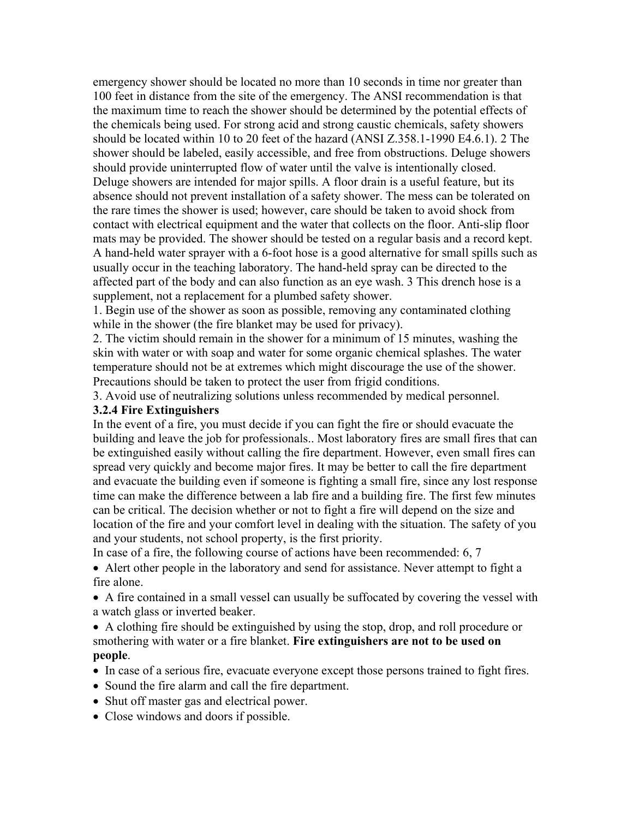emergency shower should be located no more than 10 seconds in time nor greater than 100 feet in distance from the site of the emergency. The ANSI recommendation is that the maximum time to reach the shower should be determined by the potential effects of the chemicals being used. For strong acid and strong caustic chemicals, safety showers should be located within 10 to 20 feet of the hazard (ANSI Z.358.1-1990 E4.6.1). 2 The shower should be labeled, easily accessible, and free from obstructions. Deluge showers should provide uninterrupted flow of water until the valve is intentionally closed. Deluge showers are intended for major spills. A floor drain is a useful feature, but its absence should not prevent installation of a safety shower. The mess can be tolerated on the rare times the shower is used; however, care should be taken to avoid shock from contact with electrical equipment and the water that collects on the floor. Anti-slip floor mats may be provided. The shower should be tested on a regular basis and a record kept. A hand-held water sprayer with a 6-foot hose is a good alternative for small spills such as usually occur in the teaching laboratory. The hand-held spray can be directed to the affected part of the body and can also function as an eye wash. 3 This drench hose is a supplement, not a replacement for a plumbed safety shower.

1. Begin use of the shower as soon as possible, removing any contaminated clothing while in the shower (the fire blanket may be used for privacy).

2. The victim should remain in the shower for a minimum of 15 minutes, washing the skin with water or with soap and water for some organic chemical splashes. The water temperature should not be at extremes which might discourage the use of the shower. Precautions should be taken to protect the user from frigid conditions.

3. Avoid use of neutralizing solutions unless recommended by medical personnel.

#### **3.2.4 Fire Extinguishers**

In the event of a fire, you must decide if you can fight the fire or should evacuate the building and leave the job for professionals.. Most laboratory fires are small fires that can be extinguished easily without calling the fire department. However, even small fires can spread very quickly and become major fires. It may be better to call the fire department and evacuate the building even if someone is fighting a small fire, since any lost response time can make the difference between a lab fire and a building fire. The first few minutes can be critical. The decision whether or not to fight a fire will depend on the size and location of the fire and your comfort level in dealing with the situation. The safety of you and your students, not school property, is the first priority.

In case of a fire, the following course of actions have been recommended: 6, 7

• Alert other people in the laboratory and send for assistance. Never attempt to fight a fire alone.

- A fire contained in a small vessel can usually be suffocated by covering the vessel with a watch glass or inverted beaker.
- A clothing fire should be extinguished by using the stop, drop, and roll procedure or smothering with water or a fire blanket. **Fire extinguishers are not to be used on people**.
- In case of a serious fire, evacuate everyone except those persons trained to fight fires.
- Sound the fire alarm and call the fire department.
- Shut off master gas and electrical power.
- Close windows and doors if possible.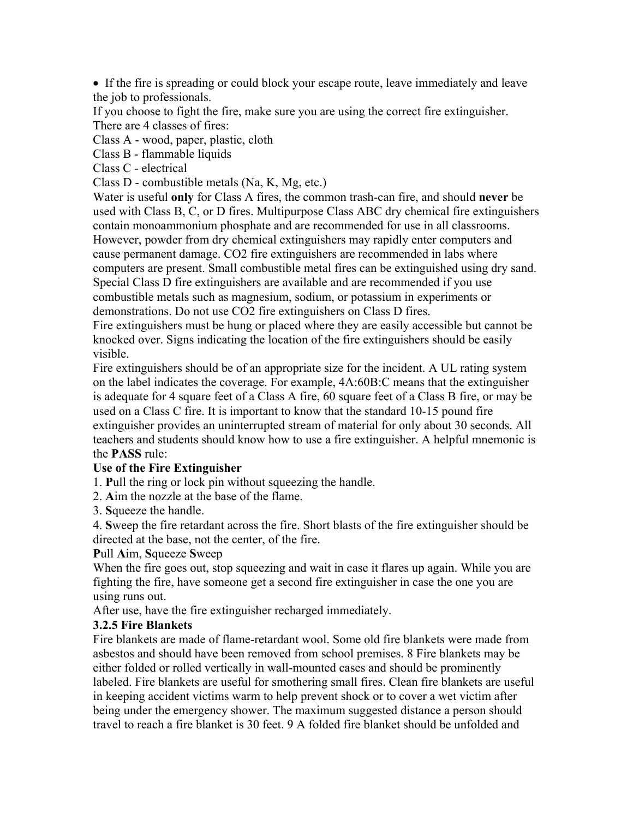• If the fire is spreading or could block your escape route, leave immediately and leave the job to professionals.

If you choose to fight the fire, make sure you are using the correct fire extinguisher. There are 4 classes of fires:

Class A - wood, paper, plastic, cloth

Class B - flammable liquids

Class C - electrical

Class D - combustible metals (Na, K, Mg, etc.)

Water is useful **only** for Class A fires, the common trash-can fire, and should **never** be used with Class B, C, or D fires. Multipurpose Class ABC dry chemical fire extinguishers contain monoammonium phosphate and are recommended for use in all classrooms. However, powder from dry chemical extinguishers may rapidly enter computers and cause permanent damage. CO2 fire extinguishers are recommended in labs where computers are present. Small combustible metal fires can be extinguished using dry sand. Special Class D fire extinguishers are available and are recommended if you use combustible metals such as magnesium, sodium, or potassium in experiments or demonstrations. Do not use CO2 fire extinguishers on Class D fires.

Fire extinguishers must be hung or placed where they are easily accessible but cannot be knocked over. Signs indicating the location of the fire extinguishers should be easily visible.

Fire extinguishers should be of an appropriate size for the incident. A UL rating system on the label indicates the coverage. For example, 4A:60B:C means that the extinguisher is adequate for 4 square feet of a Class A fire, 60 square feet of a Class B fire, or may be used on a Class C fire. It is important to know that the standard 10-15 pound fire extinguisher provides an uninterrupted stream of material for only about 30 seconds. All teachers and students should know how to use a fire extinguisher. A helpful mnemonic is the **PASS** rule:

#### **Use of the Fire Extinguisher**

1. **P**ull the ring or lock pin without squeezing the handle.

2. **A**im the nozzle at the base of the flame.

3. **S**queeze the handle.

4. **S**weep the fire retardant across the fire. Short blasts of the fire extinguisher should be directed at the base, not the center, of the fire.

**P**ull **A**im, **S**queeze **S**weep

When the fire goes out, stop squeezing and wait in case it flares up again. While you are fighting the fire, have someone get a second fire extinguisher in case the one you are using runs out.

After use, have the fire extinguisher recharged immediately.

## **3.2.5 Fire Blankets**

Fire blankets are made of flame-retardant wool. Some old fire blankets were made from asbestos and should have been removed from school premises. 8 Fire blankets may be either folded or rolled vertically in wall-mounted cases and should be prominently labeled. Fire blankets are useful for smothering small fires. Clean fire blankets are useful in keeping accident victims warm to help prevent shock or to cover a wet victim after being under the emergency shower. The maximum suggested distance a person should travel to reach a fire blanket is 30 feet. 9 A folded fire blanket should be unfolded and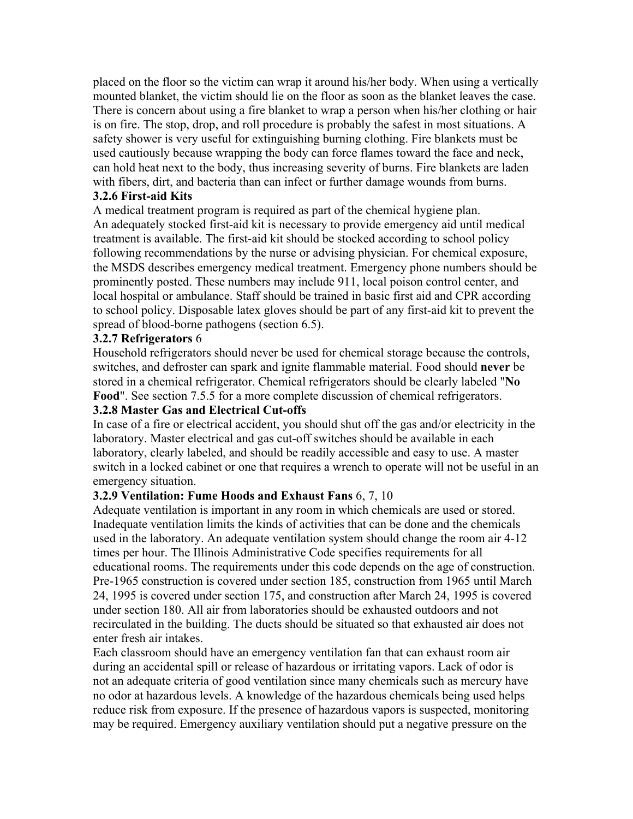placed on the floor so the victim can wrap it around his/her body. When using a vertically mounted blanket, the victim should lie on the floor as soon as the blanket leaves the case. There is concern about using a fire blanket to wrap a person when his/her clothing or hair is on fire. The stop, drop, and roll procedure is probably the safest in most situations. A safety shower is very useful for extinguishing burning clothing. Fire blankets must be used cautiously because wrapping the body can force flames toward the face and neck, can hold heat next to the body, thus increasing severity of burns. Fire blankets are laden with fibers, dirt, and bacteria than can infect or further damage wounds from burns.

#### **3.2.6 First-aid Kits**

A medical treatment program is required as part of the chemical hygiene plan. An adequately stocked first-aid kit is necessary to provide emergency aid until medical treatment is available. The first-aid kit should be stocked according to school policy following recommendations by the nurse or advising physician. For chemical exposure, the MSDS describes emergency medical treatment. Emergency phone numbers should be prominently posted. These numbers may include 911, local poison control center, and local hospital or ambulance. Staff should be trained in basic first aid and CPR according to school policy. Disposable latex gloves should be part of any first-aid kit to prevent the spread of blood-borne pathogens (section 6.5).

## **3.2.7 Refrigerators** 6

Household refrigerators should never be used for chemical storage because the controls, switches, and defroster can spark and ignite flammable material. Food should **never** be stored in a chemical refrigerator. Chemical refrigerators should be clearly labeled "**No Food**". See section 7.5.5 for a more complete discussion of chemical refrigerators.

## **3.2.8 Master Gas and Electrical Cut-offs**

In case of a fire or electrical accident, you should shut off the gas and/or electricity in the laboratory. Master electrical and gas cut-off switches should be available in each laboratory, clearly labeled, and should be readily accessible and easy to use. A master switch in a locked cabinet or one that requires a wrench to operate will not be useful in an emergency situation.

#### **3.2.9 Ventilation: Fume Hoods and Exhaust Fans** 6, 7, 10

Adequate ventilation is important in any room in which chemicals are used or stored. Inadequate ventilation limits the kinds of activities that can be done and the chemicals used in the laboratory. An adequate ventilation system should change the room air 4-12 times per hour. The Illinois Administrative Code specifies requirements for all educational rooms. The requirements under this code depends on the age of construction. Pre-1965 construction is covered under section 185, construction from 1965 until March 24, 1995 is covered under section 175, and construction after March 24, 1995 is covered under section 180. All air from laboratories should be exhausted outdoors and not recirculated in the building. The ducts should be situated so that exhausted air does not enter fresh air intakes.

Each classroom should have an emergency ventilation fan that can exhaust room air during an accidental spill or release of hazardous or irritating vapors. Lack of odor is not an adequate criteria of good ventilation since many chemicals such as mercury have no odor at hazardous levels. A knowledge of the hazardous chemicals being used helps reduce risk from exposure. If the presence of hazardous vapors is suspected, monitoring may be required. Emergency auxiliary ventilation should put a negative pressure on the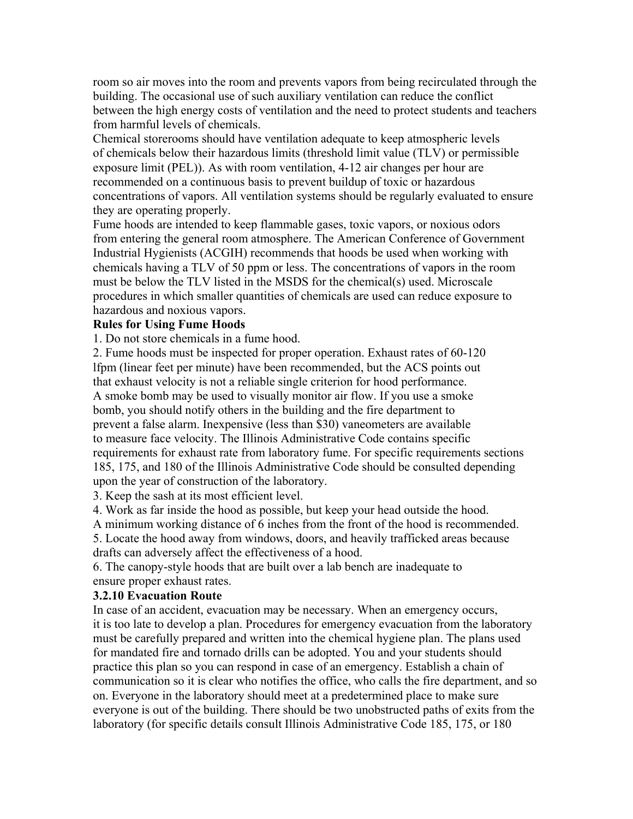room so air moves into the room and prevents vapors from being recirculated through the building. The occasional use of such auxiliary ventilation can reduce the conflict between the high energy costs of ventilation and the need to protect students and teachers from harmful levels of chemicals.

Chemical storerooms should have ventilation adequate to keep atmospheric levels of chemicals below their hazardous limits (threshold limit value (TLV) or permissible exposure limit (PEL)). As with room ventilation, 4-12 air changes per hour are recommended on a continuous basis to prevent buildup of toxic or hazardous concentrations of vapors. All ventilation systems should be regularly evaluated to ensure they are operating properly.

Fume hoods are intended to keep flammable gases, toxic vapors, or noxious odors from entering the general room atmosphere. The American Conference of Government Industrial Hygienists (ACGIH) recommends that hoods be used when working with chemicals having a TLV of 50 ppm or less. The concentrations of vapors in the room must be below the TLV listed in the MSDS for the chemical(s) used. Microscale procedures in which smaller quantities of chemicals are used can reduce exposure to hazardous and noxious vapors.

## **Rules for Using Fume Hoods**

1. Do not store chemicals in a fume hood.

2. Fume hoods must be inspected for proper operation. Exhaust rates of 60-120 lfpm (linear feet per minute) have been recommended, but the ACS points out that exhaust velocity is not a reliable single criterion for hood performance. A smoke bomb may be used to visually monitor air flow. If you use a smoke bomb, you should notify others in the building and the fire department to prevent a false alarm. Inexpensive (less than \$30) vaneometers are available to measure face velocity. The Illinois Administrative Code contains specific requirements for exhaust rate from laboratory fume. For specific requirements sections 185, 175, and 180 of the Illinois Administrative Code should be consulted depending upon the year of construction of the laboratory.

3. Keep the sash at its most efficient level.

4. Work as far inside the hood as possible, but keep your head outside the hood.

A minimum working distance of 6 inches from the front of the hood is recommended.

5. Locate the hood away from windows, doors, and heavily trafficked areas because drafts can adversely affect the effectiveness of a hood.

6. The canopy-style hoods that are built over a lab bench are inadequate to ensure proper exhaust rates.

## **3.2.10 Evacuation Route**

In case of an accident, evacuation may be necessary. When an emergency occurs, it is too late to develop a plan. Procedures for emergency evacuation from the laboratory must be carefully prepared and written into the chemical hygiene plan. The plans used for mandated fire and tornado drills can be adopted. You and your students should practice this plan so you can respond in case of an emergency. Establish a chain of communication so it is clear who notifies the office, who calls the fire department, and so on. Everyone in the laboratory should meet at a predetermined place to make sure everyone is out of the building. There should be two unobstructed paths of exits from the laboratory (for specific details consult Illinois Administrative Code 185, 175, or 180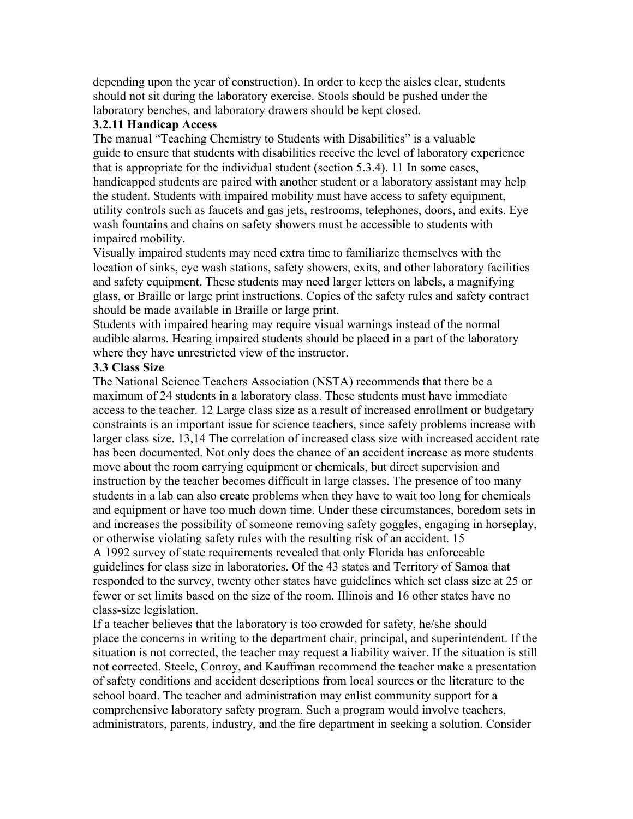depending upon the year of construction). In order to keep the aisles clear, students should not sit during the laboratory exercise. Stools should be pushed under the laboratory benches, and laboratory drawers should be kept closed.

#### **3.2.11 Handicap Access**

The manual "Teaching Chemistry to Students with Disabilities" is a valuable guide to ensure that students with disabilities receive the level of laboratory experience that is appropriate for the individual student (section 5.3.4). 11 In some cases, handicapped students are paired with another student or a laboratory assistant may help the student. Students with impaired mobility must have access to safety equipment, utility controls such as faucets and gas jets, restrooms, telephones, doors, and exits. Eye wash fountains and chains on safety showers must be accessible to students with impaired mobility.

Visually impaired students may need extra time to familiarize themselves with the location of sinks, eye wash stations, safety showers, exits, and other laboratory facilities and safety equipment. These students may need larger letters on labels, a magnifying glass, or Braille or large print instructions. Copies of the safety rules and safety contract should be made available in Braille or large print.

Students with impaired hearing may require visual warnings instead of the normal audible alarms. Hearing impaired students should be placed in a part of the laboratory where they have unrestricted view of the instructor.

#### **3.3 Class Size**

The National Science Teachers Association (NSTA) recommends that there be a maximum of 24 students in a laboratory class. These students must have immediate access to the teacher. 12 Large class size as a result of increased enrollment or budgetary constraints is an important issue for science teachers, since safety problems increase with larger class size. 13,14 The correlation of increased class size with increased accident rate has been documented. Not only does the chance of an accident increase as more students move about the room carrying equipment or chemicals, but direct supervision and instruction by the teacher becomes difficult in large classes. The presence of too many students in a lab can also create problems when they have to wait too long for chemicals and equipment or have too much down time. Under these circumstances, boredom sets in and increases the possibility of someone removing safety goggles, engaging in horseplay, or otherwise violating safety rules with the resulting risk of an accident. 15

A 1992 survey of state requirements revealed that only Florida has enforceable guidelines for class size in laboratories. Of the 43 states and Territory of Samoa that responded to the survey, twenty other states have guidelines which set class size at 25 or fewer or set limits based on the size of the room. Illinois and 16 other states have no class-size legislation.

If a teacher believes that the laboratory is too crowded for safety, he/she should place the concerns in writing to the department chair, principal, and superintendent. If the situation is not corrected, the teacher may request a liability waiver. If the situation is still not corrected, Steele, Conroy, and Kauffman recommend the teacher make a presentation of safety conditions and accident descriptions from local sources or the literature to the school board. The teacher and administration may enlist community support for a comprehensive laboratory safety program. Such a program would involve teachers, administrators, parents, industry, and the fire department in seeking a solution. Consider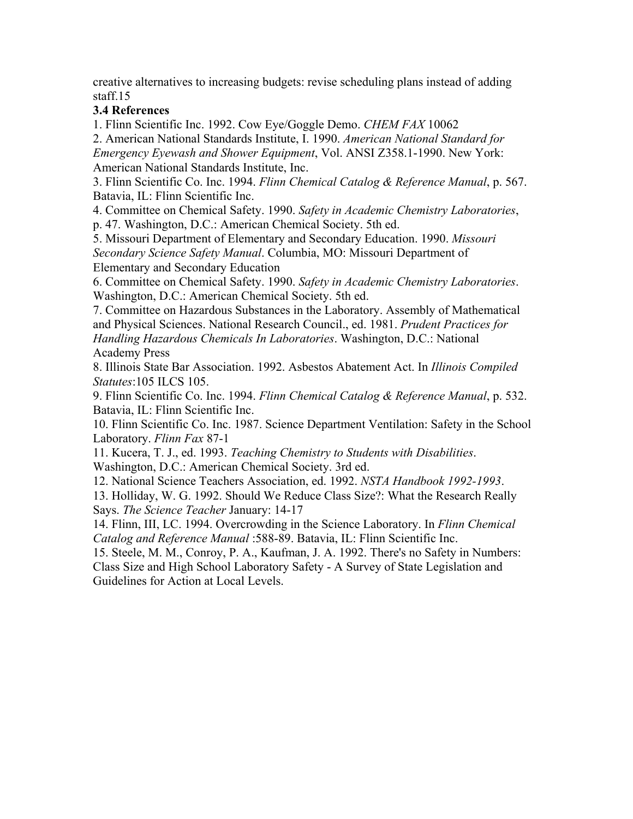creative alternatives to increasing budgets: revise scheduling plans instead of adding staff.15

## **3.4 References**

1. Flinn Scientific Inc. 1992. Cow Eye/Goggle Demo. *CHEM FAX* 10062

2. American National Standards Institute, I. 1990. *American National Standard for Emergency Eyewash and Shower Equipment*, Vol. ANSI Z358.1-1990. New York: American National Standards Institute, Inc.

3. Flinn Scientific Co. Inc. 1994. *Flinn Chemical Catalog & Reference Manual*, p. 567. Batavia, IL: Flinn Scientific Inc.

4. Committee on Chemical Safety. 1990. *Safety in Academic Chemistry Laboratories*, p. 47. Washington, D.C.: American Chemical Society. 5th ed.

5. Missouri Department of Elementary and Secondary Education. 1990. *Missouri Secondary Science Safety Manual*. Columbia, MO: Missouri Department of Elementary and Secondary Education

6. Committee on Chemical Safety. 1990. *Safety in Academic Chemistry Laboratories*. Washington, D.C.: American Chemical Society. 5th ed.

7. Committee on Hazardous Substances in the Laboratory. Assembly of Mathematical and Physical Sciences. National Research Council., ed. 1981. *Prudent Practices for Handling Hazardous Chemicals In Laboratories*. Washington, D.C.: National Academy Press

8. Illinois State Bar Association. 1992. Asbestos Abatement Act. In *Illinois Compiled Statutes*:105 ILCS 105.

9. Flinn Scientific Co. Inc. 1994. *Flinn Chemical Catalog & Reference Manual*, p. 532. Batavia, IL: Flinn Scientific Inc.

10. Flinn Scientific Co. Inc. 1987. Science Department Ventilation: Safety in the School Laboratory. *Flinn Fax* 87-1

11. Kucera, T. J., ed. 1993. *Teaching Chemistry to Students with Disabilities*. Washington, D.C.: American Chemical Society. 3rd ed.

12. National Science Teachers Association, ed. 1992. *NSTA Handbook 1992-1993*.

13. Holliday, W. G. 1992. Should We Reduce Class Size?: What the Research Really Says. *The Science Teacher* January: 14-17

14. Flinn, III, LC. 1994. Overcrowding in the Science Laboratory. In *Flinn Chemical Catalog and Reference Manual* :588-89. Batavia, IL: Flinn Scientific Inc.

15. Steele, M. M., Conroy, P. A., Kaufman, J. A. 1992. There's no Safety in Numbers: Class Size and High School Laboratory Safety - A Survey of State Legislation and Guidelines for Action at Local Levels.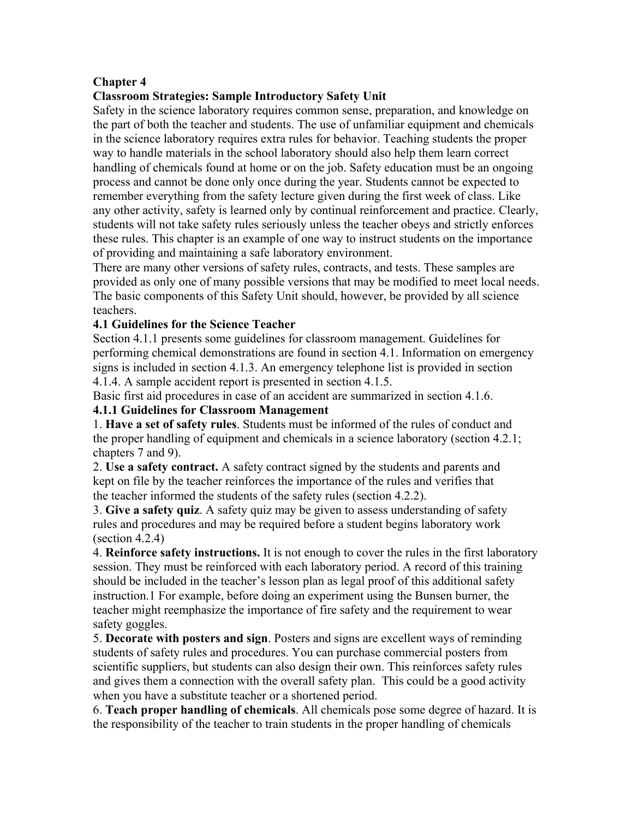## **Chapter 4**

## **Classroom Strategies: Sample Introductory Safety Unit**

Safety in the science laboratory requires common sense, preparation, and knowledge on the part of both the teacher and students. The use of unfamiliar equipment and chemicals in the science laboratory requires extra rules for behavior. Teaching students the proper way to handle materials in the school laboratory should also help them learn correct handling of chemicals found at home or on the job. Safety education must be an ongoing process and cannot be done only once during the year. Students cannot be expected to remember everything from the safety lecture given during the first week of class. Like any other activity, safety is learned only by continual reinforcement and practice. Clearly, students will not take safety rules seriously unless the teacher obeys and strictly enforces these rules. This chapter is an example of one way to instruct students on the importance of providing and maintaining a safe laboratory environment.

There are many other versions of safety rules, contracts, and tests. These samples are provided as only one of many possible versions that may be modified to meet local needs. The basic components of this Safety Unit should, however, be provided by all science teachers.

## **4.1 Guidelines for the Science Teacher**

Section 4.1.1 presents some guidelines for classroom management. Guidelines for performing chemical demonstrations are found in section 4.1. Information on emergency signs is included in section 4.1.3. An emergency telephone list is provided in section 4.1.4. A sample accident report is presented in section 4.1.5.

Basic first aid procedures in case of an accident are summarized in section 4.1.6.

#### **4.1.1 Guidelines for Classroom Management**

1. **Have a set of safety rules**. Students must be informed of the rules of conduct and the proper handling of equipment and chemicals in a science laboratory (section 4.2.1; chapters 7 and 9).

2. **Use a safety contract.** A safety contract signed by the students and parents and kept on file by the teacher reinforces the importance of the rules and verifies that the teacher informed the students of the safety rules (section 4.2.2).

3. **Give a safety quiz**. A safety quiz may be given to assess understanding of safety rules and procedures and may be required before a student begins laboratory work  $(section 4.2.4)$ 

4. **Reinforce safety instructions.** It is not enough to cover the rules in the first laboratory session. They must be reinforced with each laboratory period. A record of this training should be included in the teacher's lesson plan as legal proof of this additional safety instruction.1 For example, before doing an experiment using the Bunsen burner, the teacher might reemphasize the importance of fire safety and the requirement to wear safety goggles.

5. **Decorate with posters and sign**. Posters and signs are excellent ways of reminding students of safety rules and procedures. You can purchase commercial posters from scientific suppliers, but students can also design their own. This reinforces safety rules and gives them a connection with the overall safety plan. This could be a good activity when you have a substitute teacher or a shortened period.

6. **Teach proper handling of chemicals**. All chemicals pose some degree of hazard. It is the responsibility of the teacher to train students in the proper handling of chemicals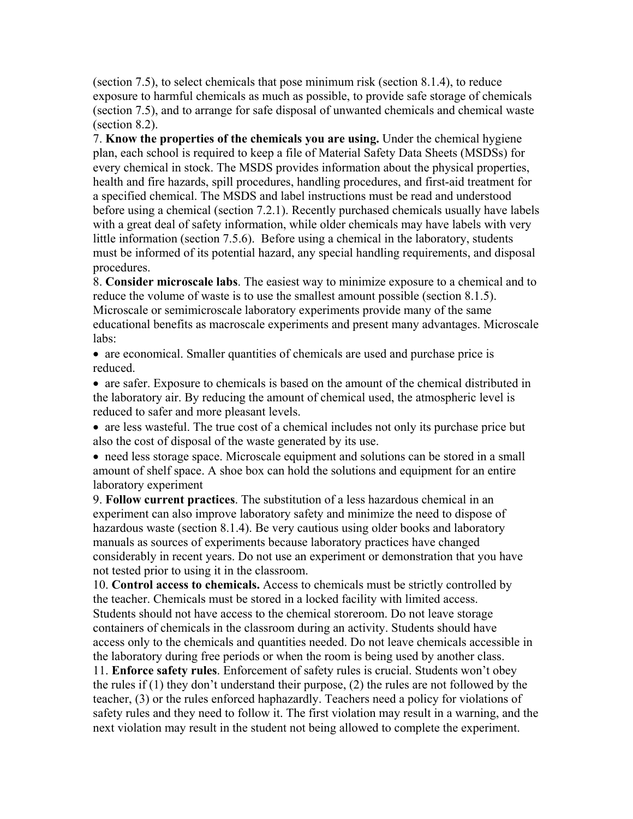(section 7.5), to select chemicals that pose minimum risk (section 8.1.4), to reduce exposure to harmful chemicals as much as possible, to provide safe storage of chemicals (section 7.5), and to arrange for safe disposal of unwanted chemicals and chemical waste (section 8.2).

7. **Know the properties of the chemicals you are using.** Under the chemical hygiene plan, each school is required to keep a file of Material Safety Data Sheets (MSDSs) for every chemical in stock. The MSDS provides information about the physical properties, health and fire hazards, spill procedures, handling procedures, and first-aid treatment for a specified chemical. The MSDS and label instructions must be read and understood before using a chemical (section 7.2.1). Recently purchased chemicals usually have labels with a great deal of safety information, while older chemicals may have labels with very little information (section 7.5.6). Before using a chemical in the laboratory, students must be informed of its potential hazard, any special handling requirements, and disposal procedures.

8. **Consider microscale labs**. The easiest way to minimize exposure to a chemical and to reduce the volume of waste is to use the smallest amount possible (section 8.1.5). Microscale or semimicroscale laboratory experiments provide many of the same educational benefits as macroscale experiments and present many advantages. Microscale labs:

• are economical. Smaller quantities of chemicals are used and purchase price is reduced.

• are safer. Exposure to chemicals is based on the amount of the chemical distributed in the laboratory air. By reducing the amount of chemical used, the atmospheric level is reduced to safer and more pleasant levels.

• are less wasteful. The true cost of a chemical includes not only its purchase price but also the cost of disposal of the waste generated by its use.

• need less storage space. Microscale equipment and solutions can be stored in a small amount of shelf space. A shoe box can hold the solutions and equipment for an entire laboratory experiment

9. **Follow current practices**. The substitution of a less hazardous chemical in an experiment can also improve laboratory safety and minimize the need to dispose of hazardous waste (section 8.1.4). Be very cautious using older books and laboratory manuals as sources of experiments because laboratory practices have changed considerably in recent years. Do not use an experiment or demonstration that you have not tested prior to using it in the classroom.

10. **Control access to chemicals.** Access to chemicals must be strictly controlled by the teacher. Chemicals must be stored in a locked facility with limited access. Students should not have access to the chemical storeroom. Do not leave storage containers of chemicals in the classroom during an activity. Students should have access only to the chemicals and quantities needed. Do not leave chemicals accessible in the laboratory during free periods or when the room is being used by another class.

11. **Enforce safety rules**. Enforcement of safety rules is crucial. Students won't obey the rules if (1) they don't understand their purpose, (2) the rules are not followed by the teacher, (3) or the rules enforced haphazardly. Teachers need a policy for violations of safety rules and they need to follow it. The first violation may result in a warning, and the next violation may result in the student not being allowed to complete the experiment.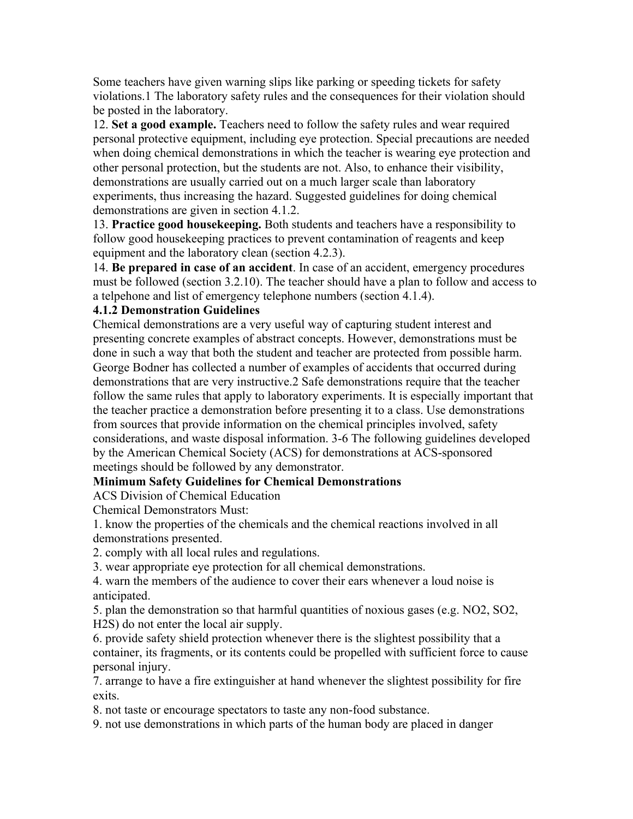Some teachers have given warning slips like parking or speeding tickets for safety violations.1 The laboratory safety rules and the consequences for their violation should be posted in the laboratory.

12. **Set a good example.** Teachers need to follow the safety rules and wear required personal protective equipment, including eye protection. Special precautions are needed when doing chemical demonstrations in which the teacher is wearing eye protection and other personal protection, but the students are not. Also, to enhance their visibility, demonstrations are usually carried out on a much larger scale than laboratory experiments, thus increasing the hazard. Suggested guidelines for doing chemical demonstrations are given in section 4.1.2.

13. **Practice good housekeeping.** Both students and teachers have a responsibility to follow good housekeeping practices to prevent contamination of reagents and keep equipment and the laboratory clean (section 4.2.3).

14. **Be prepared in case of an accident**. In case of an accident, emergency procedures must be followed (section 3.2.10). The teacher should have a plan to follow and access to a telpehone and list of emergency telephone numbers (section 4.1.4).

## **4.1.2 Demonstration Guidelines**

Chemical demonstrations are a very useful way of capturing student interest and presenting concrete examples of abstract concepts. However, demonstrations must be done in such a way that both the student and teacher are protected from possible harm. George Bodner has collected a number of examples of accidents that occurred during demonstrations that are very instructive.2 Safe demonstrations require that the teacher follow the same rules that apply to laboratory experiments. It is especially important that the teacher practice a demonstration before presenting it to a class. Use demonstrations from sources that provide information on the chemical principles involved, safety considerations, and waste disposal information. 3-6 The following guidelines developed by the American Chemical Society (ACS) for demonstrations at ACS-sponsored meetings should be followed by any demonstrator.

## **Minimum Safety Guidelines for Chemical Demonstrations**

ACS Division of Chemical Education

Chemical Demonstrators Must:

1. know the properties of the chemicals and the chemical reactions involved in all demonstrations presented.

2. comply with all local rules and regulations.

3. wear appropriate eye protection for all chemical demonstrations.

4. warn the members of the audience to cover their ears whenever a loud noise is anticipated.

5. plan the demonstration so that harmful quantities of noxious gases (e.g. NO2, SO2, H2S) do not enter the local air supply.

6. provide safety shield protection whenever there is the slightest possibility that a container, its fragments, or its contents could be propelled with sufficient force to cause personal injury.

7. arrange to have a fire extinguisher at hand whenever the slightest possibility for fire exits.

8. not taste or encourage spectators to taste any non-food substance.

9. not use demonstrations in which parts of the human body are placed in danger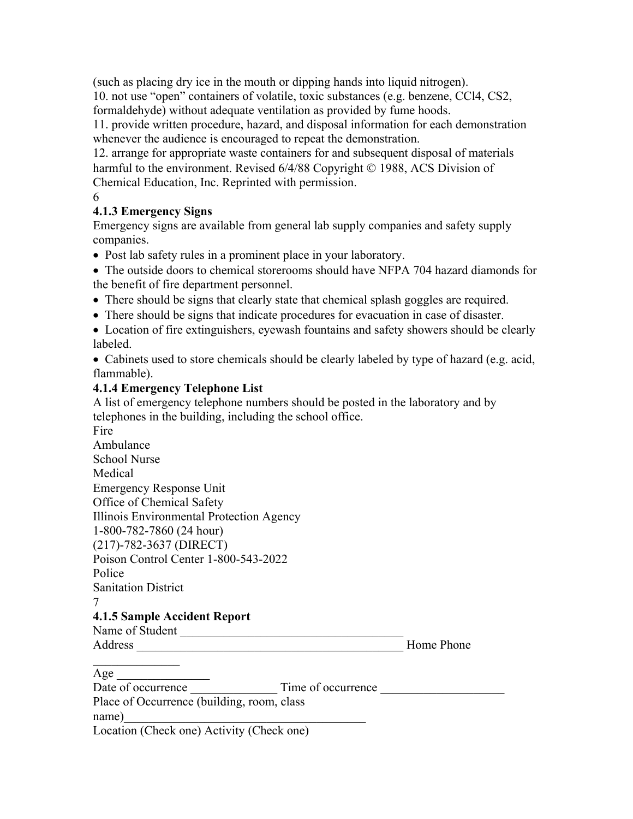(such as placing dry ice in the mouth or dipping hands into liquid nitrogen). 10. not use "open" containers of volatile, toxic substances (e.g. benzene, CCl4, CS2, formaldehyde) without adequate ventilation as provided by fume hoods.

11. provide written procedure, hazard, and disposal information for each demonstration whenever the audience is encouraged to repeat the demonstration.

12. arrange for appropriate waste containers for and subsequent disposal of materials harmful to the environment. Revised  $6/4/88$  Copyright  $\odot$  1988, ACS Division of Chemical Education, Inc. Reprinted with permission.

6

# **4.1.3 Emergency Signs**

Emergency signs are available from general lab supply companies and safety supply companies.

• Post lab safety rules in a prominent place in your laboratory.

• The outside doors to chemical storerooms should have NFPA 704 hazard diamonds for the benefit of fire department personnel.

• There should be signs that clearly state that chemical splash goggles are required.

• There should be signs that indicate procedures for evacuation in case of disaster.

• Location of fire extinguishers, eyewash fountains and safety showers should be clearly labeled.

• Cabinets used to store chemicals should be clearly labeled by type of hazard (e.g. acid, flammable).

## **4.1.4 Emergency Telephone List**

A list of emergency telephone numbers should be posted in the laboratory and by telephones in the building, including the school office.

| Fire                                                                                                                                                                                                                           |            |
|--------------------------------------------------------------------------------------------------------------------------------------------------------------------------------------------------------------------------------|------------|
| Ambulance                                                                                                                                                                                                                      |            |
| <b>School Nurse</b>                                                                                                                                                                                                            |            |
| Medical                                                                                                                                                                                                                        |            |
| <b>Emergency Response Unit</b>                                                                                                                                                                                                 |            |
| Office of Chemical Safety                                                                                                                                                                                                      |            |
| Illinois Environmental Protection Agency                                                                                                                                                                                       |            |
| $1-800-782-7860$ (24 hour)                                                                                                                                                                                                     |            |
| $(217)$ -782-3637 (DIRECT)                                                                                                                                                                                                     |            |
| Poison Control Center 1-800-543-2022                                                                                                                                                                                           |            |
| Police                                                                                                                                                                                                                         |            |
| <b>Sanitation District</b>                                                                                                                                                                                                     |            |
| 7                                                                                                                                                                                                                              |            |
| 4.1.5 Sample Accident Report                                                                                                                                                                                                   |            |
| Name of Student                                                                                                                                                                                                                |            |
| Address and the state of the state of the state of the state of the state of the state of the state of the state of the state of the state of the state of the state of the state of the state of the state of the state of th | Home Phone |
| Age                                                                                                                                                                                                                            |            |
| Date of occurrence Time of occurrence                                                                                                                                                                                          |            |
| Place of Occurrence (building, room, class                                                                                                                                                                                     |            |
| name)                                                                                                                                                                                                                          |            |

Location (Check one) Activity (Check one)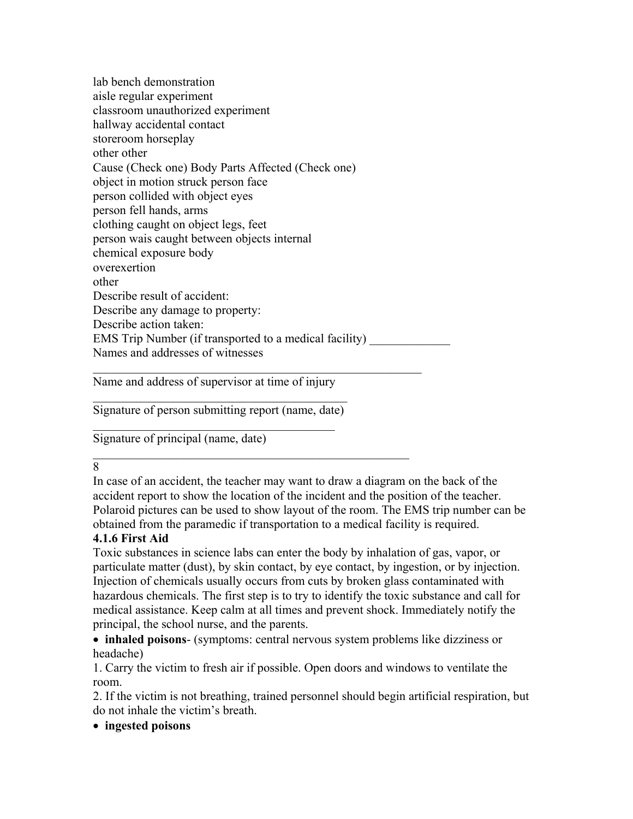lab bench demonstration aisle regular experiment classroom unauthorized experiment hallway accidental contact storeroom horseplay other other Cause (Check one) Body Parts Affected (Check one) object in motion struck person face person collided with object eyes person fell hands, arms clothing caught on object legs, feet person wais caught between objects internal chemical exposure body overexertion other Describe result of accident: Describe any damage to property: Describe action taken: EMS Trip Number (if transported to a medical facility) \_\_\_\_\_\_\_\_\_\_\_\_\_ Names and addresses of witnesses

 $\mathcal{L}_\text{max}$  , and the contract of the contract of the contract of the contract of the contract of the contract of the contract of the contract of the contract of the contract of the contract of the contract of the contr

Name and address of supervisor at time of injury

 $\mathcal{L}_\text{max}$  , and the set of the set of the set of the set of the set of the set of the set of the set of the set of the set of the set of the set of the set of the set of the set of the set of the set of the set of the Signature of person submitting report (name, date)  $\mathcal{L}_\text{max}$ 

Signature of principal (name, date)

#### $\mathcal{L}_\text{max}$  , and the contract of the contract of the contract of the contract of the contract of the contract of the contract of the contract of the contract of the contract of the contract of the contract of the contr 8

In case of an accident, the teacher may want to draw a diagram on the back of the accident report to show the location of the incident and the position of the teacher. Polaroid pictures can be used to show layout of the room. The EMS trip number can be obtained from the paramedic if transportation to a medical facility is required.

## **4.1.6 First Aid**

Toxic substances in science labs can enter the body by inhalation of gas, vapor, or particulate matter (dust), by skin contact, by eye contact, by ingestion, or by injection. Injection of chemicals usually occurs from cuts by broken glass contaminated with hazardous chemicals. The first step is to try to identify the toxic substance and call for medical assistance. Keep calm at all times and prevent shock. Immediately notify the principal, the school nurse, and the parents.

• **inhaled poisons**- (symptoms: central nervous system problems like dizziness or headache)

1. Carry the victim to fresh air if possible. Open doors and windows to ventilate the room.

2. If the victim is not breathing, trained personnel should begin artificial respiration, but do not inhale the victim's breath.

## • **ingested poisons**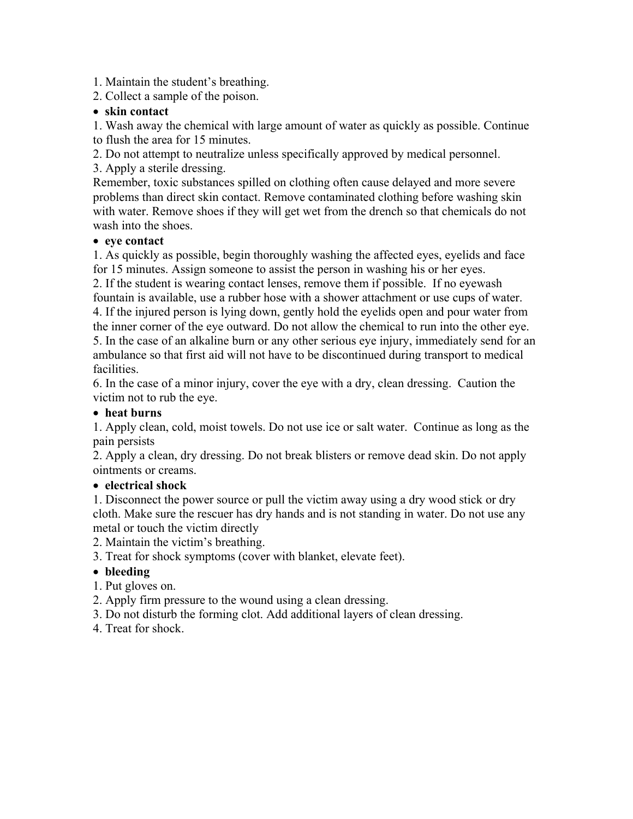1. Maintain the student's breathing.

2. Collect a sample of the poison.

## • **skin contact**

1. Wash away the chemical with large amount of water as quickly as possible. Continue to flush the area for 15 minutes.

2. Do not attempt to neutralize unless specifically approved by medical personnel.

3. Apply a sterile dressing.

Remember, toxic substances spilled on clothing often cause delayed and more severe problems than direct skin contact. Remove contaminated clothing before washing skin with water. Remove shoes if they will get wet from the drench so that chemicals do not wash into the shoes.

## • **eye contact**

1. As quickly as possible, begin thoroughly washing the affected eyes, eyelids and face for 15 minutes. Assign someone to assist the person in washing his or her eyes.

2. If the student is wearing contact lenses, remove them if possible. If no eyewash fountain is available, use a rubber hose with a shower attachment or use cups of water. 4. If the injured person is lying down, gently hold the eyelids open and pour water from the inner corner of the eye outward. Do not allow the chemical to run into the other eye. 5. In the case of an alkaline burn or any other serious eye injury, immediately send for an ambulance so that first aid will not have to be discontinued during transport to medical **facilities** 

6. In the case of a minor injury, cover the eye with a dry, clean dressing. Caution the victim not to rub the eye.

## • **heat burns**

1. Apply clean, cold, moist towels. Do not use ice or salt water. Continue as long as the pain persists

2. Apply a clean, dry dressing. Do not break blisters or remove dead skin. Do not apply ointments or creams.

## • **electrical shock**

1. Disconnect the power source or pull the victim away using a dry wood stick or dry cloth. Make sure the rescuer has dry hands and is not standing in water. Do not use any metal or touch the victim directly

2. Maintain the victim's breathing.

3. Treat for shock symptoms (cover with blanket, elevate feet).

## • **bleeding**

1. Put gloves on.

2. Apply firm pressure to the wound using a clean dressing.

3. Do not disturb the forming clot. Add additional layers of clean dressing.

4. Treat for shock.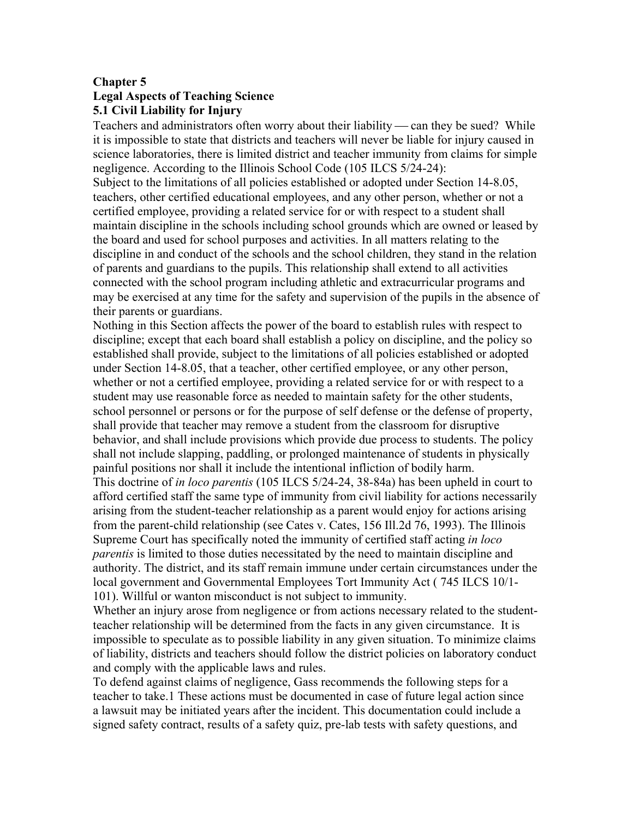## **Chapter 5 Legal Aspects of Teaching Science 5.1 Civil Liability for Injury**

Teachers and administrators often worry about their liability — can they be sued? While it is impossible to state that districts and teachers will never be liable for injury caused in science laboratories, there is limited district and teacher immunity from claims for simple negligence. According to the Illinois School Code (105 ILCS 5/24-24): Subject to the limitations of all policies established or adopted under Section 14-8.05,

teachers, other certified educational employees, and any other person, whether or not a certified employee, providing a related service for or with respect to a student shall maintain discipline in the schools including school grounds which are owned or leased by the board and used for school purposes and activities. In all matters relating to the discipline in and conduct of the schools and the school children, they stand in the relation of parents and guardians to the pupils. This relationship shall extend to all activities connected with the school program including athletic and extracurricular programs and may be exercised at any time for the safety and supervision of the pupils in the absence of their parents or guardians.

Nothing in this Section affects the power of the board to establish rules with respect to discipline; except that each board shall establish a policy on discipline, and the policy so established shall provide, subject to the limitations of all policies established or adopted under Section 14-8.05, that a teacher, other certified employee, or any other person, whether or not a certified employee, providing a related service for or with respect to a student may use reasonable force as needed to maintain safety for the other students, school personnel or persons or for the purpose of self defense or the defense of property, shall provide that teacher may remove a student from the classroom for disruptive behavior, and shall include provisions which provide due process to students. The policy shall not include slapping, paddling, or prolonged maintenance of students in physically painful positions nor shall it include the intentional infliction of bodily harm.

This doctrine of *in loco parentis* (105 ILCS 5/24-24, 38-84a) has been upheld in court to afford certified staff the same type of immunity from civil liability for actions necessarily arising from the student-teacher relationship as a parent would enjoy for actions arising from the parent-child relationship (see Cates v. Cates, 156 Ill.2d 76, 1993). The Illinois Supreme Court has specifically noted the immunity of certified staff acting *in loco parentis* is limited to those duties necessitated by the need to maintain discipline and authority. The district, and its staff remain immune under certain circumstances under the local government and Governmental Employees Tort Immunity Act ( 745 ILCS 10/1- 101). Willful or wanton misconduct is not subject to immunity.

Whether an injury arose from negligence or from actions necessary related to the studentteacher relationship will be determined from the facts in any given circumstance. It is impossible to speculate as to possible liability in any given situation. To minimize claims of liability, districts and teachers should follow the district policies on laboratory conduct and comply with the applicable laws and rules.

To defend against claims of negligence, Gass recommends the following steps for a teacher to take.1 These actions must be documented in case of future legal action since a lawsuit may be initiated years after the incident. This documentation could include a signed safety contract, results of a safety quiz, pre-lab tests with safety questions, and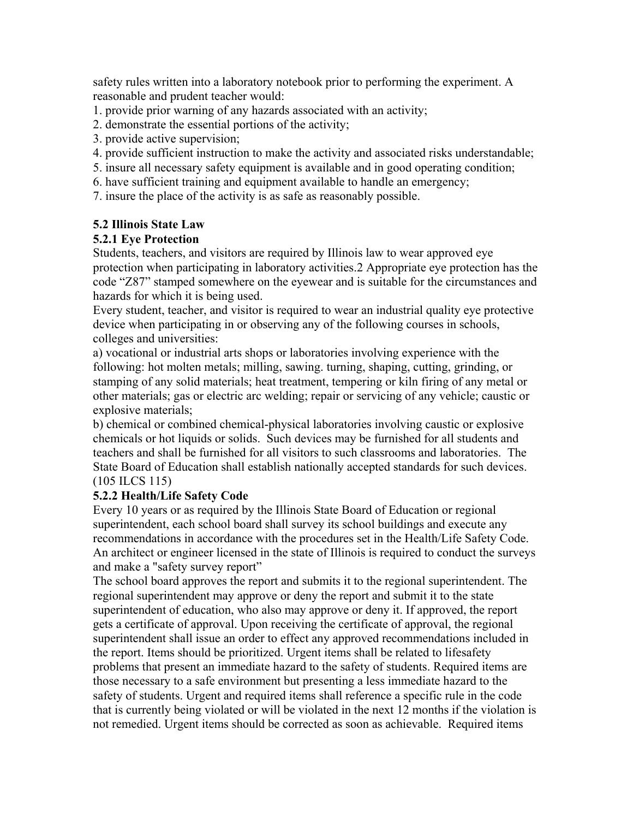safety rules written into a laboratory notebook prior to performing the experiment. A reasonable and prudent teacher would:

- 1. provide prior warning of any hazards associated with an activity;
- 2. demonstrate the essential portions of the activity;
- 3. provide active supervision;
- 4. provide sufficient instruction to make the activity and associated risks understandable;
- 5. insure all necessary safety equipment is available and in good operating condition;
- 6. have sufficient training and equipment available to handle an emergency;
- 7. insure the place of the activity is as safe as reasonably possible.

## **5.2 Illinois State Law**

## **5.2.1 Eye Protection**

Students, teachers, and visitors are required by Illinois law to wear approved eye protection when participating in laboratory activities.2 Appropriate eye protection has the code "Z87" stamped somewhere on the eyewear and is suitable for the circumstances and hazards for which it is being used.

Every student, teacher, and visitor is required to wear an industrial quality eye protective device when participating in or observing any of the following courses in schools, colleges and universities:

a) vocational or industrial arts shops or laboratories involving experience with the following: hot molten metals; milling, sawing. turning, shaping, cutting, grinding, or stamping of any solid materials; heat treatment, tempering or kiln firing of any metal or other materials; gas or electric arc welding; repair or servicing of any vehicle; caustic or explosive materials;

b) chemical or combined chemical-physical laboratories involving caustic or explosive chemicals or hot liquids or solids. Such devices may be furnished for all students and teachers and shall be furnished for all visitors to such classrooms and laboratories. The State Board of Education shall establish nationally accepted standards for such devices. (105 ILCS 115)

## **5.2.2 Health/Life Safety Code**

Every 10 years or as required by the Illinois State Board of Education or regional superintendent, each school board shall survey its school buildings and execute any recommendations in accordance with the procedures set in the Health/Life Safety Code. An architect or engineer licensed in the state of Illinois is required to conduct the surveys and make a "safety survey report"

The school board approves the report and submits it to the regional superintendent. The regional superintendent may approve or deny the report and submit it to the state superintendent of education, who also may approve or deny it. If approved, the report gets a certificate of approval. Upon receiving the certificate of approval, the regional superintendent shall issue an order to effect any approved recommendations included in the report. Items should be prioritized. Urgent items shall be related to lifesafety problems that present an immediate hazard to the safety of students. Required items are those necessary to a safe environment but presenting a less immediate hazard to the safety of students. Urgent and required items shall reference a specific rule in the code that is currently being violated or will be violated in the next 12 months if the violation is not remedied. Urgent items should be corrected as soon as achievable. Required items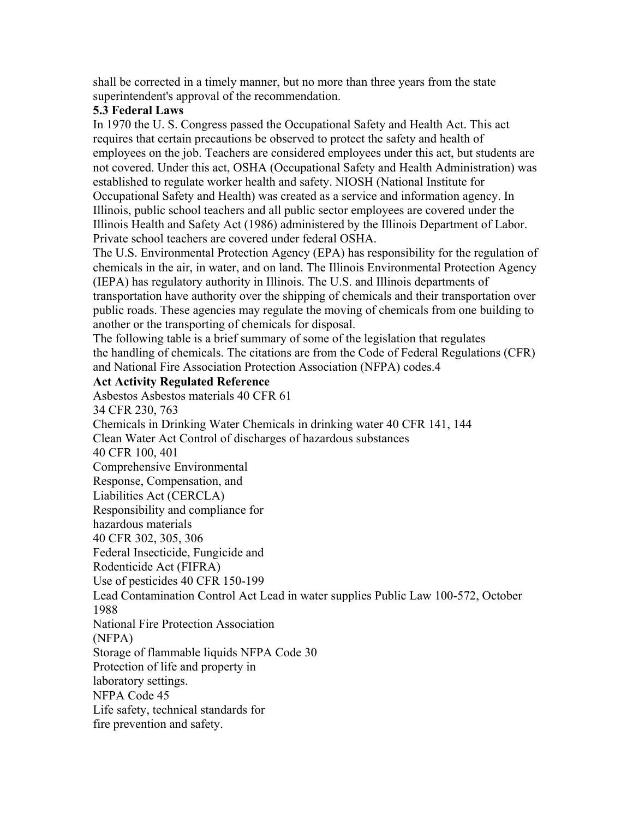shall be corrected in a timely manner, but no more than three years from the state superintendent's approval of the recommendation.

## **5.3 Federal Laws**

In 1970 the U. S. Congress passed the Occupational Safety and Health Act. This act requires that certain precautions be observed to protect the safety and health of employees on the job. Teachers are considered employees under this act, but students are not covered. Under this act, OSHA (Occupational Safety and Health Administration) was established to regulate worker health and safety. NIOSH (National Institute for Occupational Safety and Health) was created as a service and information agency. In Illinois, public school teachers and all public sector employees are covered under the Illinois Health and Safety Act (1986) administered by the Illinois Department of Labor. Private school teachers are covered under federal OSHA.

The U.S. Environmental Protection Agency (EPA) has responsibility for the regulation of chemicals in the air, in water, and on land. The Illinois Environmental Protection Agency (IEPA) has regulatory authority in Illinois. The U.S. and Illinois departments of transportation have authority over the shipping of chemicals and their transportation over public roads. These agencies may regulate the moving of chemicals from one building to another or the transporting of chemicals for disposal.

The following table is a brief summary of some of the legislation that regulates the handling of chemicals. The citations are from the Code of Federal Regulations (CFR) and National Fire Association Protection Association (NFPA) codes.4

## **Act Activity Regulated Reference**

Asbestos Asbestos materials 40 CFR 61 34 CFR 230, 763 Chemicals in Drinking Water Chemicals in drinking water 40 CFR 141, 144 Clean Water Act Control of discharges of hazardous substances 40 CFR 100, 401 Comprehensive Environmental Response, Compensation, and Liabilities Act (CERCLA) Responsibility and compliance for hazardous materials 40 CFR 302, 305, 306 Federal Insecticide, Fungicide and Rodenticide Act (FIFRA) Use of pesticides 40 CFR 150-199 Lead Contamination Control Act Lead in water supplies Public Law 100-572, October 1988 National Fire Protection Association (NFPA) Storage of flammable liquids NFPA Code 30 Protection of life and property in laboratory settings. NFPA Code 45 Life safety, technical standards for fire prevention and safety.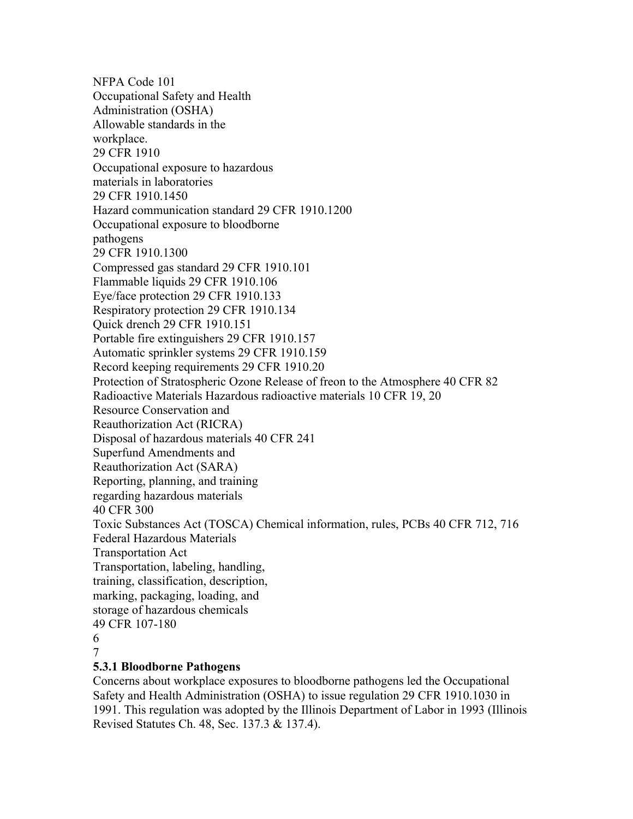NFPA Code 101 Occupational Safety and Health Administration (OSHA) Allowable standards in the workplace. 29 CFR 1910 Occupational exposure to hazardous materials in laboratories 29 CFR 1910.1450 Hazard communication standard 29 CFR 1910.1200 Occupational exposure to bloodborne pathogens 29 CFR 1910.1300 Compressed gas standard 29 CFR 1910.101 Flammable liquids 29 CFR 1910.106 Eye/face protection 29 CFR 1910.133 Respiratory protection 29 CFR 1910.134 Quick drench 29 CFR 1910.151 Portable fire extinguishers 29 CFR 1910.157 Automatic sprinkler systems 29 CFR 1910.159 Record keeping requirements 29 CFR 1910.20 Protection of Stratospheric Ozone Release of freon to the Atmosphere 40 CFR 82 Radioactive Materials Hazardous radioactive materials 10 CFR 19, 20 Resource Conservation and Reauthorization Act (RICRA) Disposal of hazardous materials 40 CFR 241 Superfund Amendments and Reauthorization Act (SARA) Reporting, planning, and training regarding hazardous materials 40 CFR 300 Toxic Substances Act (TOSCA) Chemical information, rules, PCBs 40 CFR 712, 716 Federal Hazardous Materials Transportation Act Transportation, labeling, handling, training, classification, description, marking, packaging, loading, and storage of hazardous chemicals 49 CFR 107-180 6 7

## **5.3.1 Bloodborne Pathogens**

Concerns about workplace exposures to bloodborne pathogens led the Occupational Safety and Health Administration (OSHA) to issue regulation 29 CFR 1910.1030 in 1991. This regulation was adopted by the Illinois Department of Labor in 1993 (Illinois Revised Statutes Ch. 48, Sec. 137.3 & 137.4).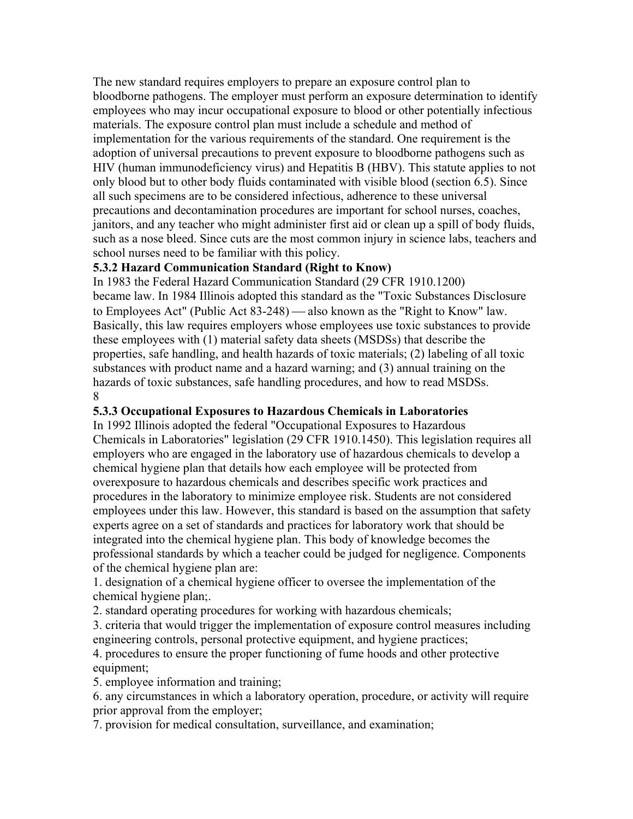The new standard requires employers to prepare an exposure control plan to bloodborne pathogens. The employer must perform an exposure determination to identify employees who may incur occupational exposure to blood or other potentially infectious materials. The exposure control plan must include a schedule and method of implementation for the various requirements of the standard. One requirement is the adoption of universal precautions to prevent exposure to bloodborne pathogens such as HIV (human immunodeficiency virus) and Hepatitis B (HBV). This statute applies to not only blood but to other body fluids contaminated with visible blood (section 6.5). Since all such specimens are to be considered infectious, adherence to these universal precautions and decontamination procedures are important for school nurses, coaches, janitors, and any teacher who might administer first aid or clean up a spill of body fluids, such as a nose bleed. Since cuts are the most common injury in science labs, teachers and school nurses need to be familiar with this policy.

## **5.3.2 Hazard Communication Standard (Right to Know)**

In 1983 the Federal Hazard Communication Standard (29 CFR 1910.1200) became law. In 1984 Illinois adopted this standard as the "Toxic Substances Disclosure to Employees Act" (Public Act  $83-248$ ) — also known as the "Right to Know" law. Basically, this law requires employers whose employees use toxic substances to provide these employees with (1) material safety data sheets (MSDSs) that describe the properties, safe handling, and health hazards of toxic materials; (2) labeling of all toxic substances with product name and a hazard warning; and (3) annual training on the hazards of toxic substances, safe handling procedures, and how to read MSDSs. 8

#### **5.3.3 Occupational Exposures to Hazardous Chemicals in Laboratories**

In 1992 Illinois adopted the federal "Occupational Exposures to Hazardous Chemicals in Laboratories" legislation (29 CFR 1910.1450). This legislation requires all employers who are engaged in the laboratory use of hazardous chemicals to develop a chemical hygiene plan that details how each employee will be protected from overexposure to hazardous chemicals and describes specific work practices and procedures in the laboratory to minimize employee risk. Students are not considered employees under this law. However, this standard is based on the assumption that safety experts agree on a set of standards and practices for laboratory work that should be integrated into the chemical hygiene plan. This body of knowledge becomes the professional standards by which a teacher could be judged for negligence. Components of the chemical hygiene plan are:

1. designation of a chemical hygiene officer to oversee the implementation of the chemical hygiene plan;.

2. standard operating procedures for working with hazardous chemicals;

3. criteria that would trigger the implementation of exposure control measures including engineering controls, personal protective equipment, and hygiene practices;

4. procedures to ensure the proper functioning of fume hoods and other protective equipment;

5. employee information and training;

6. any circumstances in which a laboratory operation, procedure, or activity will require prior approval from the employer;

7. provision for medical consultation, surveillance, and examination;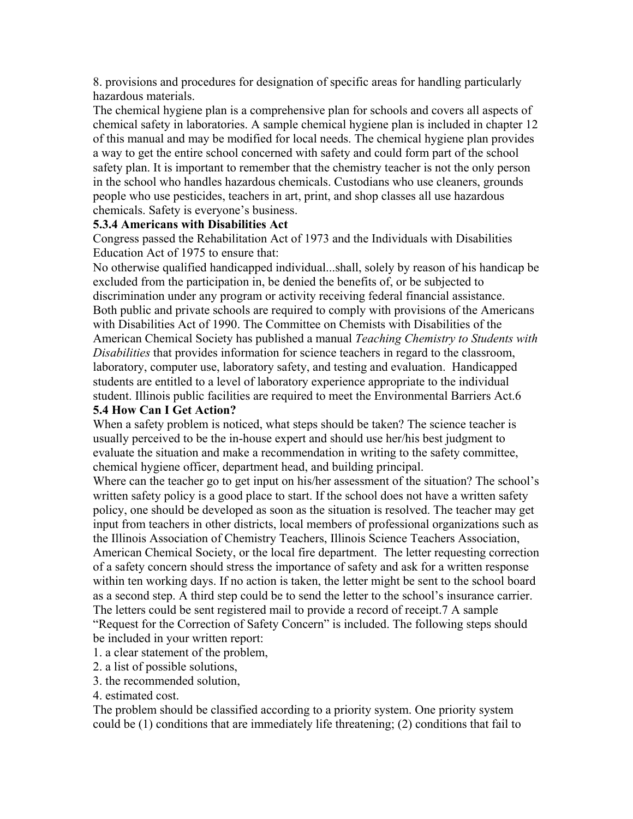8. provisions and procedures for designation of specific areas for handling particularly hazardous materials.

The chemical hygiene plan is a comprehensive plan for schools and covers all aspects of chemical safety in laboratories. A sample chemical hygiene plan is included in chapter 12 of this manual and may be modified for local needs. The chemical hygiene plan provides a way to get the entire school concerned with safety and could form part of the school safety plan. It is important to remember that the chemistry teacher is not the only person in the school who handles hazardous chemicals. Custodians who use cleaners, grounds people who use pesticides, teachers in art, print, and shop classes all use hazardous chemicals. Safety is everyone's business.

## **5.3.4 Americans with Disabilities Act**

Congress passed the Rehabilitation Act of 1973 and the Individuals with Disabilities Education Act of 1975 to ensure that:

No otherwise qualified handicapped individual...shall, solely by reason of his handicap be excluded from the participation in, be denied the benefits of, or be subjected to discrimination under any program or activity receiving federal financial assistance. Both public and private schools are required to comply with provisions of the Americans with Disabilities Act of 1990. The Committee on Chemists with Disabilities of the American Chemical Society has published a manual *Teaching Chemistry to Students with Disabilities* that provides information for science teachers in regard to the classroom, laboratory, computer use, laboratory safety, and testing and evaluation. Handicapped students are entitled to a level of laboratory experience appropriate to the individual student. Illinois public facilities are required to meet the Environmental Barriers Act.6 **5.4 How Can I Get Action?** 

When a safety problem is noticed, what steps should be taken? The science teacher is usually perceived to be the in-house expert and should use her/his best judgment to evaluate the situation and make a recommendation in writing to the safety committee, chemical hygiene officer, department head, and building principal.

Where can the teacher go to get input on his/her assessment of the situation? The school's written safety policy is a good place to start. If the school does not have a written safety policy, one should be developed as soon as the situation is resolved. The teacher may get input from teachers in other districts, local members of professional organizations such as the Illinois Association of Chemistry Teachers, Illinois Science Teachers Association, American Chemical Society, or the local fire department. The letter requesting correction of a safety concern should stress the importance of safety and ask for a written response within ten working days. If no action is taken, the letter might be sent to the school board as a second step. A third step could be to send the letter to the school's insurance carrier. The letters could be sent registered mail to provide a record of receipt.7 A sample "Request for the Correction of Safety Concern" is included. The following steps should be included in your written report:

#### 1. a clear statement of the problem,

- 2. a list of possible solutions,
- 3. the recommended solution,
- 4. estimated cost.

The problem should be classified according to a priority system. One priority system could be (1) conditions that are immediately life threatening; (2) conditions that fail to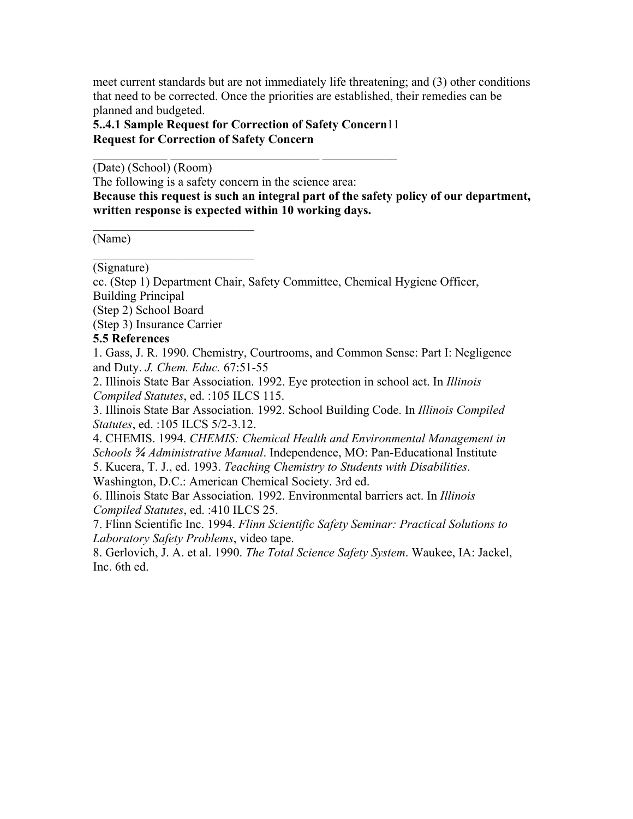meet current standards but are not immediately life threatening; and (3) other conditions that need to be corrected. Once the priorities are established, their remedies can be planned and budgeted.

## **5..4.1 Sample Request for Correction of Safety Concern**11 **Request for Correction of Safety Concern**

 $\_$  , and the set of the set of the set of the set of the set of the set of the set of the set of the set of the set of the set of the set of the set of the set of the set of the set of the set of the set of the set of th

(Date) (School) (Room)

 $\mathcal{L}_\text{max}$  , where  $\mathcal{L}_\text{max}$  and  $\mathcal{L}_\text{max}$ 

The following is a safety concern in the science area:

**Because this request is such an integral part of the safety policy of our department, written response is expected within 10 working days.** 

(Name)

 $\mathcal{L}_\text{max}$  , where  $\mathcal{L}_\text{max}$  and  $\mathcal{L}_\text{max}$ (Signature)

cc. (Step 1) Department Chair, Safety Committee, Chemical Hygiene Officer, Building Principal

(Step 2) School Board

(Step 3) Insurance Carrier

## **5.5 References**

1. Gass, J. R. 1990. Chemistry, Courtrooms, and Common Sense: Part I: Negligence and Duty. *J. Chem. Educ.* 67:51-55

2. Illinois State Bar Association. 1992. Eye protection in school act. In *Illinois Compiled Statutes*, ed. :105 ILCS 115.

3. Illinois State Bar Association. 1992. School Building Code. In *Illinois Compiled Statutes*, ed. :105 ILCS 5/2-3.12.

4. CHEMIS. 1994. *CHEMIS: Chemical Health and Environmental Management in Schools ¾ Administrative Manual*. Independence, MO: Pan-Educational Institute

5. Kucera, T. J., ed. 1993. *Teaching Chemistry to Students with Disabilities*.

Washington, D.C.: American Chemical Society. 3rd ed.

6. Illinois State Bar Association. 1992. Environmental barriers act. In *Illinois Compiled Statutes*, ed. :410 ILCS 25.

7. Flinn Scientific Inc. 1994. *Flinn Scientific Safety Seminar: Practical Solutions to Laboratory Safety Problems*, video tape.

8. Gerlovich, J. A. et al. 1990. *The Total Science Safety System*. Waukee, IA: Jackel, Inc. 6th ed.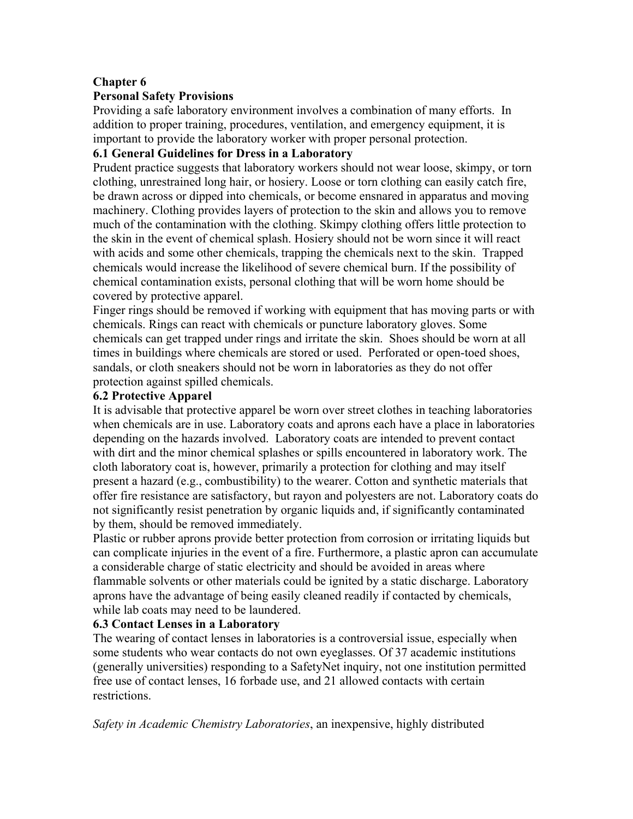## **Chapter 6**

## **Personal Safety Provisions**

Providing a safe laboratory environment involves a combination of many efforts. In addition to proper training, procedures, ventilation, and emergency equipment, it is important to provide the laboratory worker with proper personal protection.

## **6.1 General Guidelines for Dress in a Laboratory**

Prudent practice suggests that laboratory workers should not wear loose, skimpy, or torn clothing, unrestrained long hair, or hosiery. Loose or torn clothing can easily catch fire, be drawn across or dipped into chemicals, or become ensnared in apparatus and moving machinery. Clothing provides layers of protection to the skin and allows you to remove much of the contamination with the clothing. Skimpy clothing offers little protection to the skin in the event of chemical splash. Hosiery should not be worn since it will react with acids and some other chemicals, trapping the chemicals next to the skin. Trapped chemicals would increase the likelihood of severe chemical burn. If the possibility of chemical contamination exists, personal clothing that will be worn home should be covered by protective apparel.

Finger rings should be removed if working with equipment that has moving parts or with chemicals. Rings can react with chemicals or puncture laboratory gloves. Some chemicals can get trapped under rings and irritate the skin. Shoes should be worn at all times in buildings where chemicals are stored or used. Perforated or open-toed shoes, sandals, or cloth sneakers should not be worn in laboratories as they do not offer protection against spilled chemicals.

#### **6.2 Protective Apparel**

It is advisable that protective apparel be worn over street clothes in teaching laboratories when chemicals are in use. Laboratory coats and aprons each have a place in laboratories depending on the hazards involved. Laboratory coats are intended to prevent contact with dirt and the minor chemical splashes or spills encountered in laboratory work. The cloth laboratory coat is, however, primarily a protection for clothing and may itself present a hazard (e.g., combustibility) to the wearer. Cotton and synthetic materials that offer fire resistance are satisfactory, but rayon and polyesters are not. Laboratory coats do not significantly resist penetration by organic liquids and, if significantly contaminated by them, should be removed immediately.

Plastic or rubber aprons provide better protection from corrosion or irritating liquids but can complicate injuries in the event of a fire. Furthermore, a plastic apron can accumulate a considerable charge of static electricity and should be avoided in areas where flammable solvents or other materials could be ignited by a static discharge. Laboratory aprons have the advantage of being easily cleaned readily if contacted by chemicals, while lab coats may need to be laundered.

#### **6.3 Contact Lenses in a Laboratory**

The wearing of contact lenses in laboratories is a controversial issue, especially when some students who wear contacts do not own eyeglasses. Of 37 academic institutions (generally universities) responding to a SafetyNet inquiry, not one institution permitted free use of contact lenses, 16 forbade use, and 21 allowed contacts with certain restrictions.

*Safety in Academic Chemistry Laboratories*, an inexpensive, highly distributed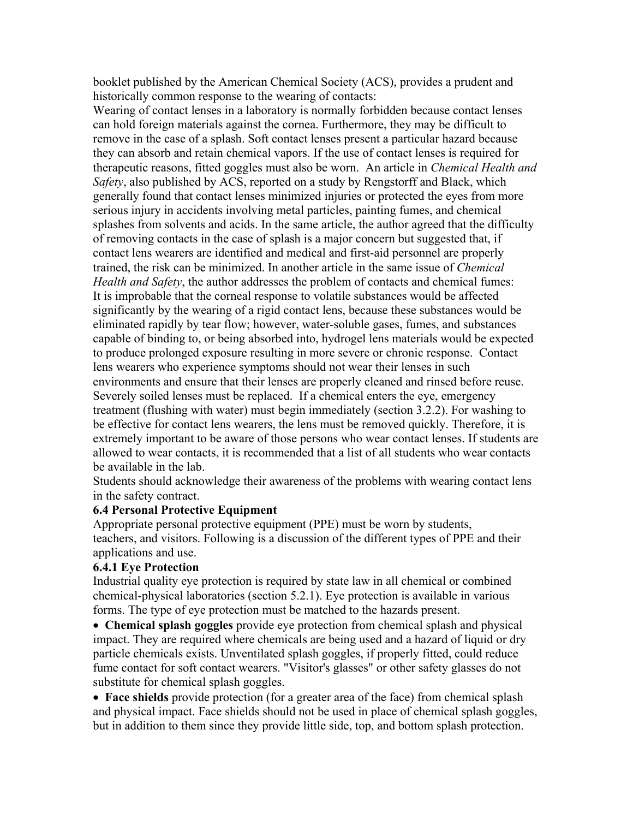booklet published by the American Chemical Society (ACS), provides a prudent and historically common response to the wearing of contacts:

Wearing of contact lenses in a laboratory is normally forbidden because contact lenses can hold foreign materials against the cornea. Furthermore, they may be difficult to remove in the case of a splash. Soft contact lenses present a particular hazard because they can absorb and retain chemical vapors. If the use of contact lenses is required for therapeutic reasons, fitted goggles must also be worn. An article in *Chemical Health and Safety*, also published by ACS, reported on a study by Rengstorff and Black, which generally found that contact lenses minimized injuries or protected the eyes from more serious injury in accidents involving metal particles, painting fumes, and chemical splashes from solvents and acids. In the same article, the author agreed that the difficulty of removing contacts in the case of splash is a major concern but suggested that, if contact lens wearers are identified and medical and first-aid personnel are properly trained, the risk can be minimized. In another article in the same issue of *Chemical Health and Safety*, the author addresses the problem of contacts and chemical fumes: It is improbable that the corneal response to volatile substances would be affected significantly by the wearing of a rigid contact lens, because these substances would be eliminated rapidly by tear flow; however, water-soluble gases, fumes, and substances capable of binding to, or being absorbed into, hydrogel lens materials would be expected to produce prolonged exposure resulting in more severe or chronic response. Contact lens wearers who experience symptoms should not wear their lenses in such environments and ensure that their lenses are properly cleaned and rinsed before reuse. Severely soiled lenses must be replaced. If a chemical enters the eye, emergency treatment (flushing with water) must begin immediately (section 3.2.2). For washing to be effective for contact lens wearers, the lens must be removed quickly. Therefore, it is extremely important to be aware of those persons who wear contact lenses. If students are allowed to wear contacts, it is recommended that a list of all students who wear contacts be available in the lab.

Students should acknowledge their awareness of the problems with wearing contact lens in the safety contract.

#### **6.4 Personal Protective Equipment**

Appropriate personal protective equipment (PPE) must be worn by students, teachers, and visitors. Following is a discussion of the different types of PPE and their applications and use.

#### **6.4.1 Eye Protection**

Industrial quality eye protection is required by state law in all chemical or combined chemical-physical laboratories (section 5.2.1). Eye protection is available in various forms. The type of eye protection must be matched to the hazards present.

• **Chemical splash goggles** provide eye protection from chemical splash and physical impact. They are required where chemicals are being used and a hazard of liquid or dry particle chemicals exists. Unventilated splash goggles, if properly fitted, could reduce fume contact for soft contact wearers. "Visitor's glasses" or other safety glasses do not substitute for chemical splash goggles.

• **Face shields** provide protection (for a greater area of the face) from chemical splash and physical impact. Face shields should not be used in place of chemical splash goggles, but in addition to them since they provide little side, top, and bottom splash protection.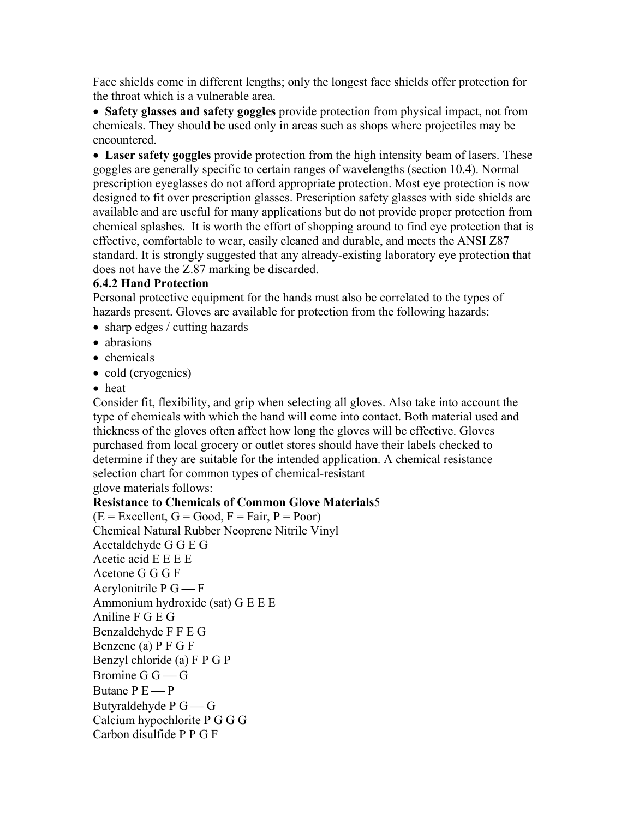Face shields come in different lengths; only the longest face shields offer protection for the throat which is a vulnerable area.

• **Safety glasses and safety goggles** provide protection from physical impact, not from chemicals. They should be used only in areas such as shops where projectiles may be encountered.

• **Laser safety goggles** provide protection from the high intensity beam of lasers. These goggles are generally specific to certain ranges of wavelengths (section 10.4). Normal prescription eyeglasses do not afford appropriate protection. Most eye protection is now designed to fit over prescription glasses. Prescription safety glasses with side shields are available and are useful for many applications but do not provide proper protection from chemical splashes. It is worth the effort of shopping around to find eye protection that is effective, comfortable to wear, easily cleaned and durable, and meets the ANSI Z87 standard. It is strongly suggested that any already-existing laboratory eye protection that does not have the Z.87 marking be discarded.

## **6.4.2 Hand Protection**

Personal protective equipment for the hands must also be correlated to the types of hazards present. Gloves are available for protection from the following hazards:

- sharp edges / cutting hazards
- abrasions
- chemicals
- cold (cryogenics)
- heat

Consider fit, flexibility, and grip when selecting all gloves. Also take into account the type of chemicals with which the hand will come into contact. Both material used and thickness of the gloves often affect how long the gloves will be effective. Gloves purchased from local grocery or outlet stores should have their labels checked to determine if they are suitable for the intended application. A chemical resistance selection chart for common types of chemical-resistant glove materials follows:

## **Resistance to Chemicals of Common Glove Materials**5

 $(E = Excellent, G = Good, F = Fair, P = Poor)$ Chemical Natural Rubber Neoprene Nitrile Vinyl Acetaldehyde G G E G Acetic acid E E E E Acetone G G G F Acrylonitrile  $P G - F$ Ammonium hydroxide (sat) G E E E Aniline F G E G Benzaldehyde F F E G Benzene (a) P F G F Benzyl chloride (a) F P G P Bromine  $G - G$ Butane  $P E = P$ Butyraldehyde  $P G - G$ Calcium hypochlorite P G G G Carbon disulfide P P G F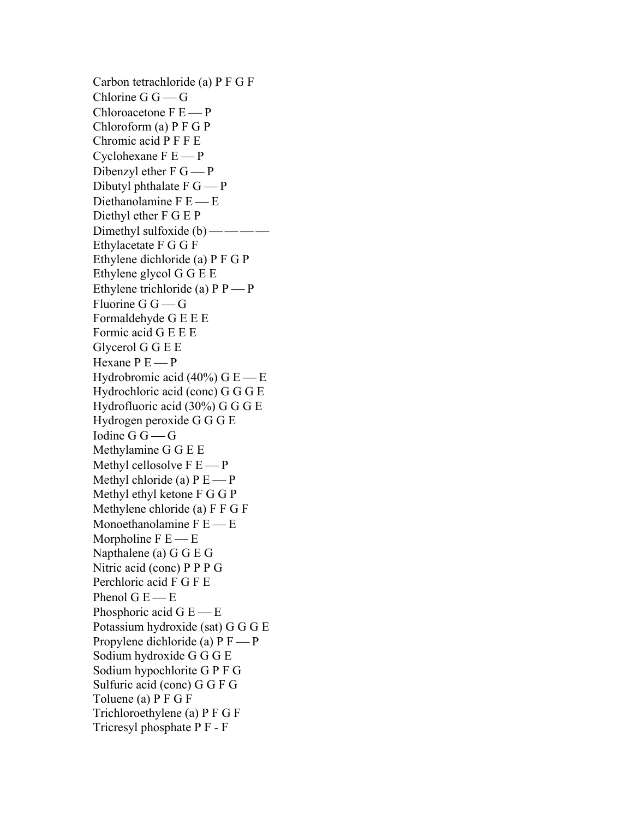Carbon tetrachloride (a) P F G F Chlorine G  $G - G$ Chloroacetone  $F E - P$ Chloroform (a) P F G P Chromic acid P F F E Cyclohexane  $F E - P$ Dibenzyl ether  $F G - P$ Dibutyl phthalate  $F G - P$ Diethanolamine  $F E$   $\rightarrow$   $E$ Diethyl ether F G E P Dimethyl sulfoxide (b) —– Ethylacetate F G G F Ethylene dichloride (a) P F G P Ethylene glycol G G E E Ethylene trichloride (a)  $P P - P$ Fluorine  $G - G$ Formaldehyde G E E E Formic acid G E E E Glycerol G G E E Hexane  $P E - P$ Hydrobromic acid  $(40\%)$  G E — E Hydrochloric acid (conc) G G G E Hydrofluoric acid (30%) G G G E Hydrogen peroxide G G G E Iodine G G — G Methylamine G G E E Methyl cellosolve  $F E - P$ Methyl chloride (a)  $P E - P$ Methyl ethyl ketone F G G P Methylene chloride (a) F F G F Monoethanolamine  $F E$   $\rightarrow$   $E$ Morpholine  $F E - E$ Napthalene (a) G G E G Nitric acid (conc) P P P G Perchloric acid F G F E Phenol G  $E$   $- E$ Phosphoric acid  $G E - E$ Potassium hydroxide (sat) G G G E Propylene dichloride (a)  $P F \rightarrow P$ Sodium hydroxide G G G E Sodium hypochlorite G P F G Sulfuric acid (conc) G G F G Toluene (a) P F G F Trichloroethylene (a) P F G F Tricresyl phosphate P F - F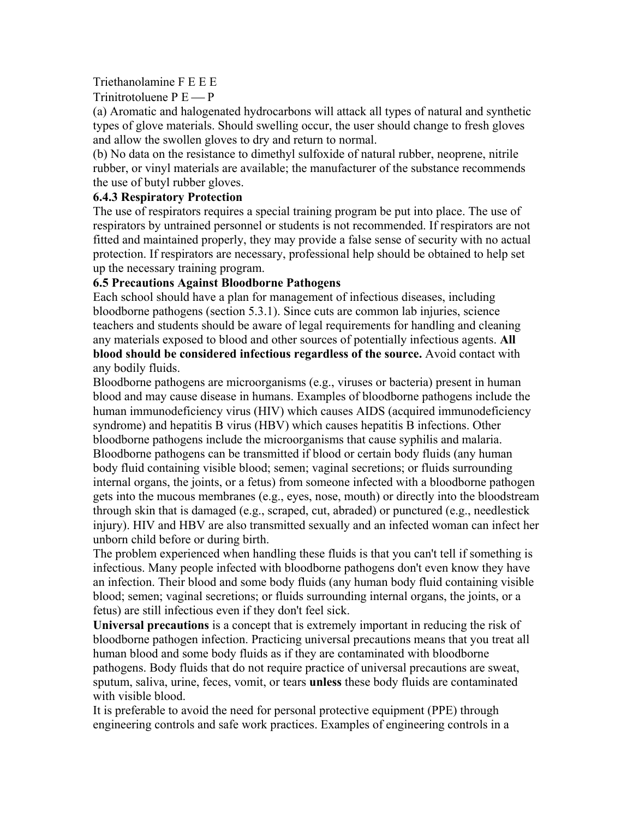Triethanolamine F E E E

Trinitrotoluene  $P E - P$ 

(a) Aromatic and halogenated hydrocarbons will attack all types of natural and synthetic types of glove materials. Should swelling occur, the user should change to fresh gloves and allow the swollen gloves to dry and return to normal.

(b) No data on the resistance to dimethyl sulfoxide of natural rubber, neoprene, nitrile rubber, or vinyl materials are available; the manufacturer of the substance recommends the use of butyl rubber gloves.

## **6.4.3 Respiratory Protection**

The use of respirators requires a special training program be put into place. The use of respirators by untrained personnel or students is not recommended. If respirators are not fitted and maintained properly, they may provide a false sense of security with no actual protection. If respirators are necessary, professional help should be obtained to help set up the necessary training program.

## **6.5 Precautions Against Bloodborne Pathogens**

Each school should have a plan for management of infectious diseases, including bloodborne pathogens (section 5.3.1). Since cuts are common lab injuries, science teachers and students should be aware of legal requirements for handling and cleaning any materials exposed to blood and other sources of potentially infectious agents. **All blood should be considered infectious regardless of the source.** Avoid contact with any bodily fluids.

Bloodborne pathogens are microorganisms (e.g., viruses or bacteria) present in human blood and may cause disease in humans. Examples of bloodborne pathogens include the human immunodeficiency virus (HIV) which causes AIDS (acquired immunodeficiency syndrome) and hepatitis B virus (HBV) which causes hepatitis B infections. Other bloodborne pathogens include the microorganisms that cause syphilis and malaria. Bloodborne pathogens can be transmitted if blood or certain body fluids (any human body fluid containing visible blood; semen; vaginal secretions; or fluids surrounding internal organs, the joints, or a fetus) from someone infected with a bloodborne pathogen gets into the mucous membranes (e.g., eyes, nose, mouth) or directly into the bloodstream through skin that is damaged (e.g., scraped, cut, abraded) or punctured (e.g., needlestick injury). HIV and HBV are also transmitted sexually and an infected woman can infect her unborn child before or during birth.

The problem experienced when handling these fluids is that you can't tell if something is infectious. Many people infected with bloodborne pathogens don't even know they have an infection. Their blood and some body fluids (any human body fluid containing visible blood; semen; vaginal secretions; or fluids surrounding internal organs, the joints, or a fetus) are still infectious even if they don't feel sick.

**Universal precautions** is a concept that is extremely important in reducing the risk of bloodborne pathogen infection. Practicing universal precautions means that you treat all human blood and some body fluids as if they are contaminated with bloodborne pathogens. Body fluids that do not require practice of universal precautions are sweat, sputum, saliva, urine, feces, vomit, or tears **unless** these body fluids are contaminated with visible blood.

It is preferable to avoid the need for personal protective equipment (PPE) through engineering controls and safe work practices. Examples of engineering controls in a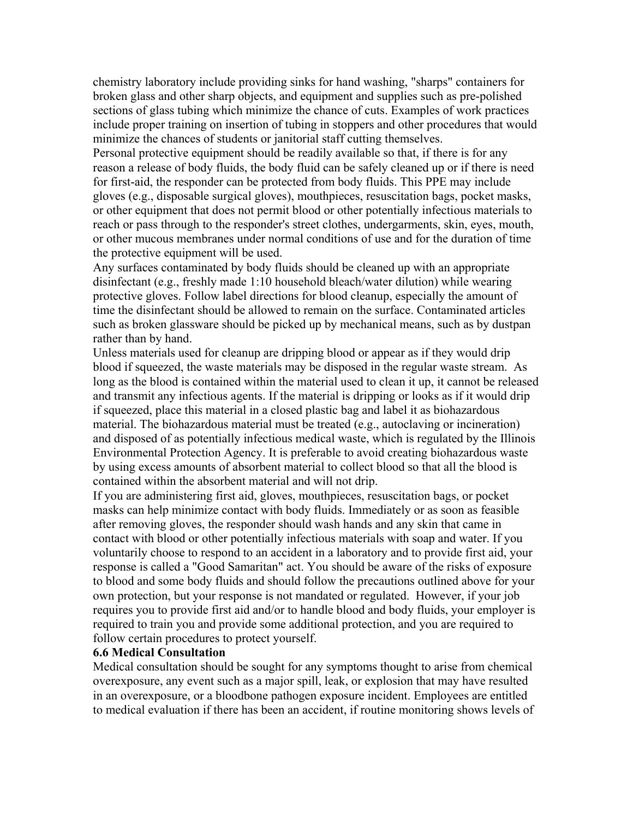chemistry laboratory include providing sinks for hand washing, "sharps" containers for broken glass and other sharp objects, and equipment and supplies such as pre-polished sections of glass tubing which minimize the chance of cuts. Examples of work practices include proper training on insertion of tubing in stoppers and other procedures that would minimize the chances of students or janitorial staff cutting themselves.

Personal protective equipment should be readily available so that, if there is for any reason a release of body fluids, the body fluid can be safely cleaned up or if there is need for first-aid, the responder can be protected from body fluids. This PPE may include gloves (e.g., disposable surgical gloves), mouthpieces, resuscitation bags, pocket masks, or other equipment that does not permit blood or other potentially infectious materials to reach or pass through to the responder's street clothes, undergarments, skin, eyes, mouth, or other mucous membranes under normal conditions of use and for the duration of time the protective equipment will be used.

Any surfaces contaminated by body fluids should be cleaned up with an appropriate disinfectant (e.g., freshly made 1:10 household bleach/water dilution) while wearing protective gloves. Follow label directions for blood cleanup, especially the amount of time the disinfectant should be allowed to remain on the surface. Contaminated articles such as broken glassware should be picked up by mechanical means, such as by dustpan rather than by hand.

Unless materials used for cleanup are dripping blood or appear as if they would drip blood if squeezed, the waste materials may be disposed in the regular waste stream. As long as the blood is contained within the material used to clean it up, it cannot be released and transmit any infectious agents. If the material is dripping or looks as if it would drip if squeezed, place this material in a closed plastic bag and label it as biohazardous material. The biohazardous material must be treated (e.g., autoclaving or incineration) and disposed of as potentially infectious medical waste, which is regulated by the Illinois Environmental Protection Agency. It is preferable to avoid creating biohazardous waste by using excess amounts of absorbent material to collect blood so that all the blood is contained within the absorbent material and will not drip.

If you are administering first aid, gloves, mouthpieces, resuscitation bags, or pocket masks can help minimize contact with body fluids. Immediately or as soon as feasible after removing gloves, the responder should wash hands and any skin that came in contact with blood or other potentially infectious materials with soap and water. If you voluntarily choose to respond to an accident in a laboratory and to provide first aid, your response is called a "Good Samaritan" act. You should be aware of the risks of exposure to blood and some body fluids and should follow the precautions outlined above for your own protection, but your response is not mandated or regulated. However, if your job requires you to provide first aid and/or to handle blood and body fluids, your employer is required to train you and provide some additional protection, and you are required to follow certain procedures to protect yourself.

#### **6.6 Medical Consultation**

Medical consultation should be sought for any symptoms thought to arise from chemical overexposure, any event such as a major spill, leak, or explosion that may have resulted in an overexposure, or a bloodbone pathogen exposure incident. Employees are entitled to medical evaluation if there has been an accident, if routine monitoring shows levels of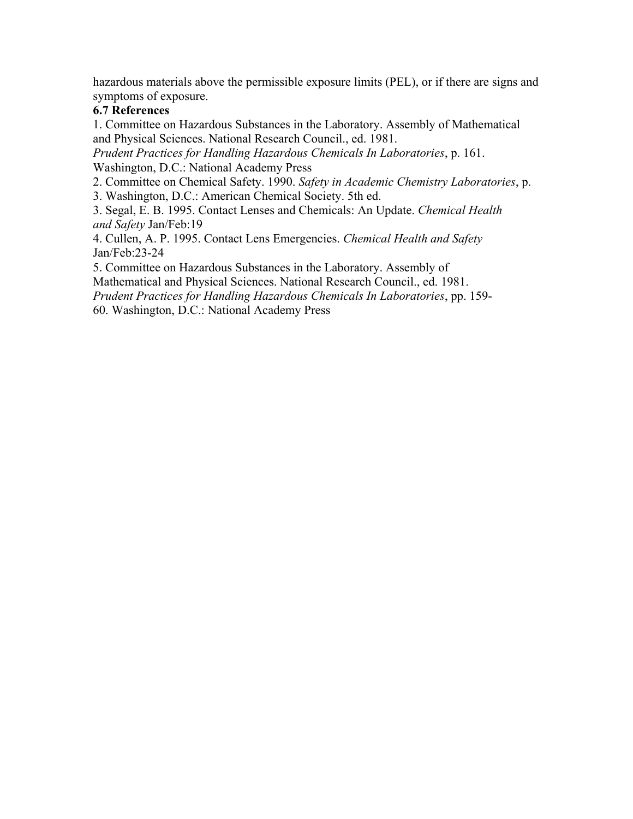hazardous materials above the permissible exposure limits (PEL), or if there are signs and symptoms of exposure.

## **6.7 References**

1. Committee on Hazardous Substances in the Laboratory. Assembly of Mathematical and Physical Sciences. National Research Council., ed. 1981.

*Prudent Practices for Handling Hazardous Chemicals In Laboratories*, p. 161. Washington, D.C.: National Academy Press

2. Committee on Chemical Safety. 1990. *Safety in Academic Chemistry Laboratories*, p.

3. Washington, D.C.: American Chemical Society. 5th ed.

3. Segal, E. B. 1995. Contact Lenses and Chemicals: An Update. *Chemical Health and Safety* Jan/Feb:19

4. Cullen, A. P. 1995. Contact Lens Emergencies. *Chemical Health and Safety*  Jan/Feb:23-24

5. Committee on Hazardous Substances in the Laboratory. Assembly of Mathematical and Physical Sciences. National Research Council., ed. 1981.

*Prudent Practices for Handling Hazardous Chemicals In Laboratories*, pp. 159-

60. Washington, D.C.: National Academy Press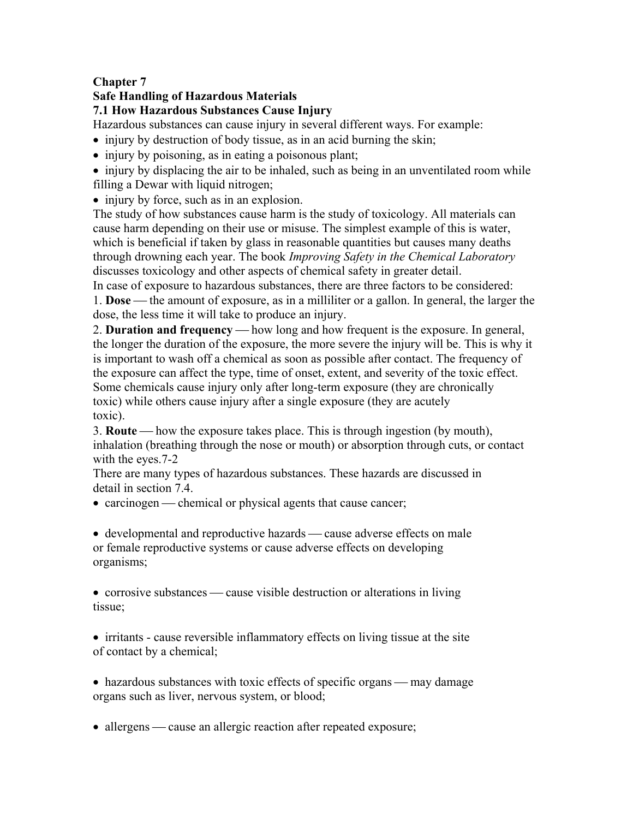## **Chapter 7**

## **Safe Handling of Hazardous Materials**

## **7.1 How Hazardous Substances Cause Injury**

Hazardous substances can cause injury in several different ways. For example:

• injury by destruction of body tissue, as in an acid burning the skin;

• injury by poisoning, as in eating a poisonous plant;

• injury by displacing the air to be inhaled, such as being in an unventilated room while filling a Dewar with liquid nitrogen;

• injury by force, such as in an explosion.

The study of how substances cause harm is the study of toxicology. All materials can cause harm depending on their use or misuse. The simplest example of this is water, which is beneficial if taken by glass in reasonable quantities but causes many deaths through drowning each year. The book *Improving Safety in the Chemical Laboratory*  discusses toxicology and other aspects of chemical safety in greater detail.

In case of exposure to hazardous substances, there are three factors to be considered: 1. **Dose** — the amount of exposure, as in a milliliter or a gallon. In general, the larger the dose, the less time it will take to produce an injury.

2. **Duration and frequency** — how long and how frequent is the exposure. In general, the longer the duration of the exposure, the more severe the injury will be. This is why it is important to wash off a chemical as soon as possible after contact. The frequency of the exposure can affect the type, time of onset, extent, and severity of the toxic effect. Some chemicals cause injury only after long-term exposure (they are chronically toxic) while others cause injury after a single exposure (they are acutely toxic).

3. **Route** — how the exposure takes place. This is through ingestion (by mouth), inhalation (breathing through the nose or mouth) or absorption through cuts, or contact with the eyes.  $7-2$ 

There are many types of hazardous substances. These hazards are discussed in detail in section 7.4.

• carcinogen — chemical or physical agents that cause cancer;

• developmental and reproductive hazards — cause adverse effects on male or female reproductive systems or cause adverse effects on developing organisms;

• corrosive substances — cause visible destruction or alterations in living tissue;

• irritants - cause reversible inflammatory effects on living tissue at the site of contact by a chemical;

• hazardous substances with toxic effects of specific organs — may damage organs such as liver, nervous system, or blood;

• allergens — cause an allergic reaction after repeated exposure;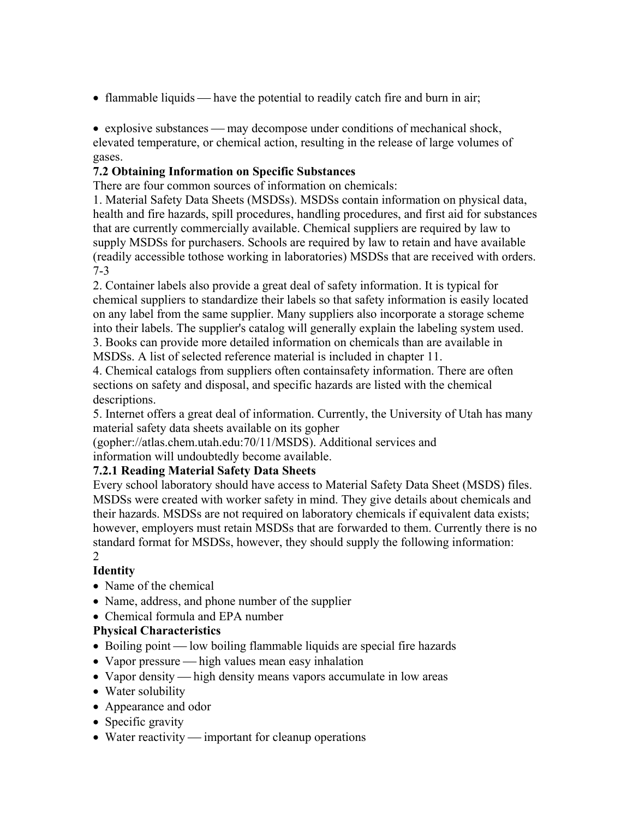• flammable liquids — have the potential to readily catch fire and burn in air;

• explosive substances — may decompose under conditions of mechanical shock, elevated temperature, or chemical action, resulting in the release of large volumes of gases.

# **7.2 Obtaining Information on Specific Substances**

There are four common sources of information on chemicals:

1. Material Safety Data Sheets (MSDSs). MSDSs contain information on physical data, health and fire hazards, spill procedures, handling procedures, and first aid for substances that are currently commercially available. Chemical suppliers are required by law to supply MSDSs for purchasers. Schools are required by law to retain and have available (readily accessible tothose working in laboratories) MSDSs that are received with orders. 7-3

2. Container labels also provide a great deal of safety information. It is typical for chemical suppliers to standardize their labels so that safety information is easily located on any label from the same supplier. Many suppliers also incorporate a storage scheme into their labels. The supplier's catalog will generally explain the labeling system used. 3. Books can provide more detailed information on chemicals than are available in

MSDSs. A list of selected reference material is included in chapter 11.

4. Chemical catalogs from suppliers often containsafety information. There are often sections on safety and disposal, and specific hazards are listed with the chemical descriptions.

5. Internet offers a great deal of information. Currently, the University of Utah has many material safety data sheets available on its gopher

(gopher://atlas.chem.utah.edu:70/11/MSDS). Additional services and

# information will undoubtedly become available.

# **7.2.1 Reading Material Safety Data Sheets**

Every school laboratory should have access to Material Safety Data Sheet (MSDS) files. MSDSs were created with worker safety in mind. They give details about chemicals and their hazards. MSDSs are not required on laboratory chemicals if equivalent data exists; however, employers must retain MSDSs that are forwarded to them. Currently there is no standard format for MSDSs, however, they should supply the following information:

# 2

# **Identity**

- Name of the chemical
- Name, address, and phone number of the supplier
- Chemical formula and EPA number

# **Physical Characteristics**

- Boiling point low boiling flammable liquids are special fire hazards
- Vapor pressure high values mean easy inhalation
- Vapor density high density means vapors accumulate in low areas
- Water solubility
- Appearance and odor
- Specific gravity
- Water reactivity important for cleanup operations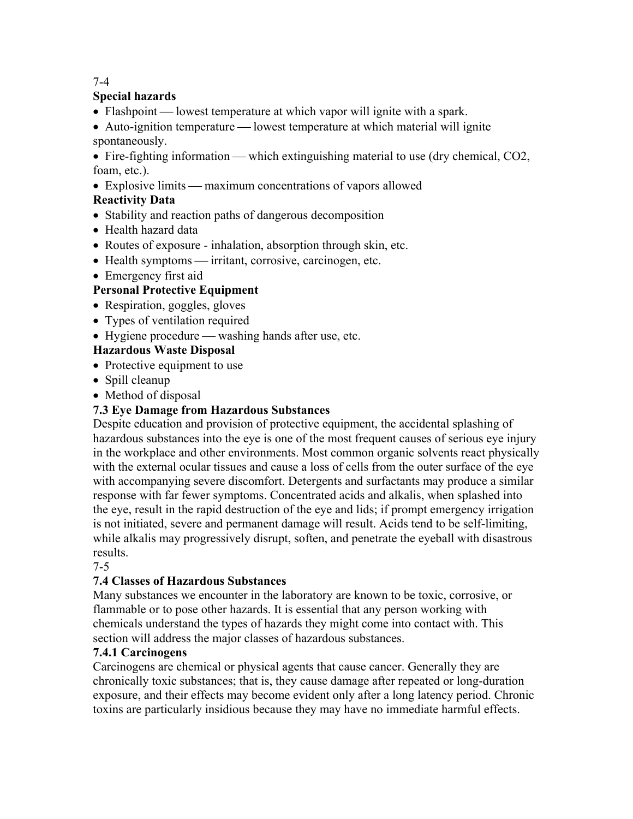7-4

## **Special hazards**

• Flashpoint — lowest temperature at which vapor will ignite with a spark.

• Auto-ignition temperature — lowest temperature at which material will ignite spontaneously.

• Fire-fighting information — which extinguishing material to use (dry chemical,  $CO2$ , foam, etc.).

• Explosive limits — maximum concentrations of vapors allowed

# **Reactivity Data**

- Stability and reaction paths of dangerous decomposition
- Health hazard data
- Routes of exposure inhalation, absorption through skin, etc.
- Health symptoms irritant, corrosive, carcinogen, etc.
- Emergency first aid

# **Personal Protective Equipment**

- Respiration, goggles, gloves
- Types of ventilation required
- Hygiene procedure washing hands after use, etc.

## **Hazardous Waste Disposal**

- Protective equipment to use
- Spill cleanup
- Method of disposal

# **7.3 Eye Damage from Hazardous Substances**

Despite education and provision of protective equipment, the accidental splashing of hazardous substances into the eye is one of the most frequent causes of serious eye injury in the workplace and other environments. Most common organic solvents react physically with the external ocular tissues and cause a loss of cells from the outer surface of the eye with accompanying severe discomfort. Detergents and surfactants may produce a similar response with far fewer symptoms. Concentrated acids and alkalis, when splashed into the eye, result in the rapid destruction of the eye and lids; if prompt emergency irrigation is not initiated, severe and permanent damage will result. Acids tend to be self-limiting, while alkalis may progressively disrupt, soften, and penetrate the eyeball with disastrous results.

7-5

# **7.4 Classes of Hazardous Substances**

Many substances we encounter in the laboratory are known to be toxic, corrosive, or flammable or to pose other hazards. It is essential that any person working with chemicals understand the types of hazards they might come into contact with. This section will address the major classes of hazardous substances.

# **7.4.1 Carcinogens**

Carcinogens are chemical or physical agents that cause cancer. Generally they are chronically toxic substances; that is, they cause damage after repeated or long-duration exposure, and their effects may become evident only after a long latency period. Chronic toxins are particularly insidious because they may have no immediate harmful effects.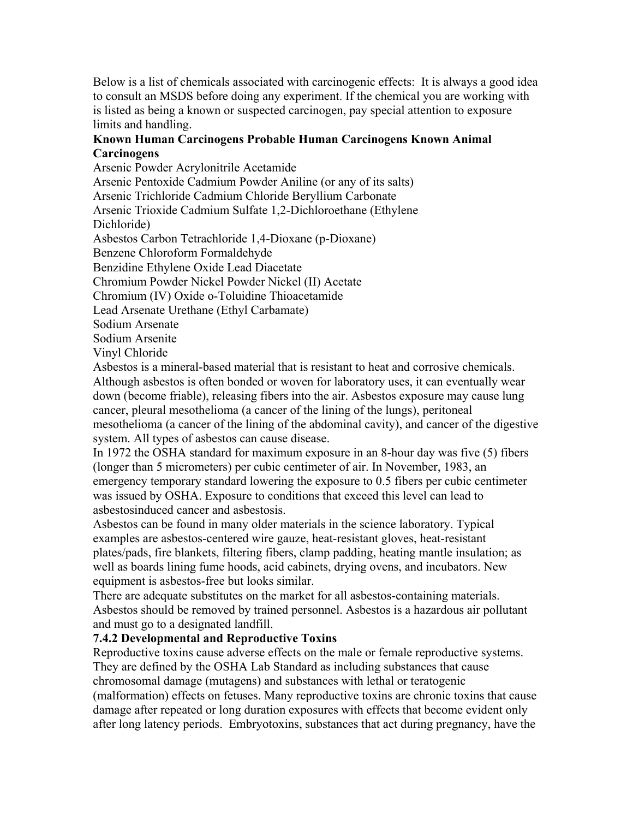Below is a list of chemicals associated with carcinogenic effects: It is always a good idea to consult an MSDS before doing any experiment. If the chemical you are working with is listed as being a known or suspected carcinogen, pay special attention to exposure limits and handling.

## **Known Human Carcinogens Probable Human Carcinogens Known Animal Carcinogens**

Arsenic Powder Acrylonitrile Acetamide

Arsenic Pentoxide Cadmium Powder Aniline (or any of its salts)

Arsenic Trichloride Cadmium Chloride Beryllium Carbonate

Arsenic Trioxide Cadmium Sulfate 1,2-Dichloroethane (Ethylene

Dichloride)

Asbestos Carbon Tetrachloride 1,4-Dioxane (p-Dioxane)

Benzene Chloroform Formaldehyde

Benzidine Ethylene Oxide Lead Diacetate

Chromium Powder Nickel Powder Nickel (II) Acetate

Chromium (IV) Oxide o-Toluidine Thioacetamide

Lead Arsenate Urethane (Ethyl Carbamate)

Sodium Arsenate

Sodium Arsenite

Vinyl Chloride

Asbestos is a mineral-based material that is resistant to heat and corrosive chemicals. Although asbestos is often bonded or woven for laboratory uses, it can eventually wear down (become friable), releasing fibers into the air. Asbestos exposure may cause lung cancer, pleural mesothelioma (a cancer of the lining of the lungs), peritoneal mesothelioma (a cancer of the lining of the abdominal cavity), and cancer of the digestive system. All types of asbestos can cause disease.

In 1972 the OSHA standard for maximum exposure in an 8-hour day was five (5) fibers (longer than 5 micrometers) per cubic centimeter of air. In November, 1983, an emergency temporary standard lowering the exposure to 0.5 fibers per cubic centimeter was issued by OSHA. Exposure to conditions that exceed this level can lead to asbestosinduced cancer and asbestosis.

Asbestos can be found in many older materials in the science laboratory. Typical examples are asbestos-centered wire gauze, heat-resistant gloves, heat-resistant plates/pads, fire blankets, filtering fibers, clamp padding, heating mantle insulation; as well as boards lining fume hoods, acid cabinets, drying ovens, and incubators. New equipment is asbestos-free but looks similar.

There are adequate substitutes on the market for all asbestos-containing materials. Asbestos should be removed by trained personnel. Asbestos is a hazardous air pollutant and must go to a designated landfill.

## **7.4.2 Developmental and Reproductive Toxins**

Reproductive toxins cause adverse effects on the male or female reproductive systems. They are defined by the OSHA Lab Standard as including substances that cause chromosomal damage (mutagens) and substances with lethal or teratogenic (malformation) effects on fetuses. Many reproductive toxins are chronic toxins that cause damage after repeated or long duration exposures with effects that become evident only after long latency periods. Embryotoxins, substances that act during pregnancy, have the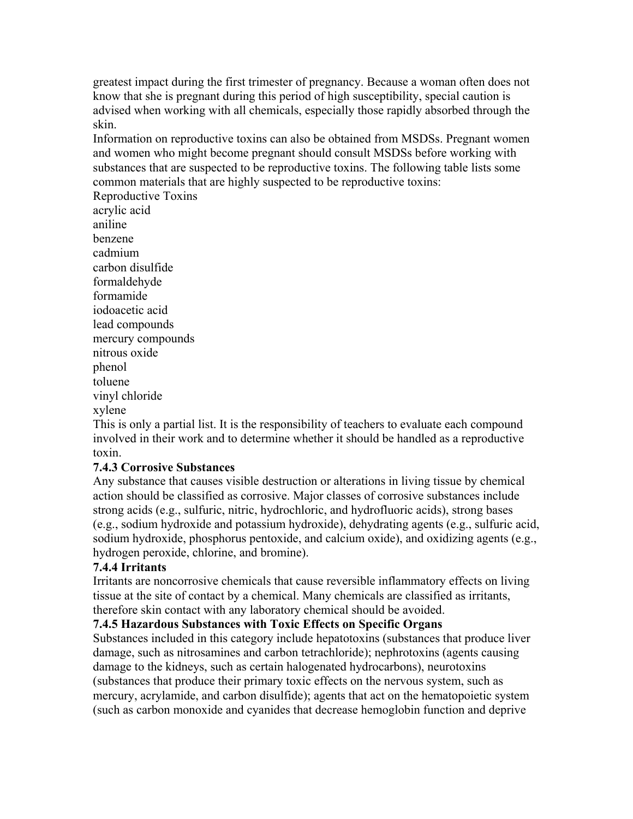greatest impact during the first trimester of pregnancy. Because a woman often does not know that she is pregnant during this period of high susceptibility, special caution is advised when working with all chemicals, especially those rapidly absorbed through the skin.

Information on reproductive toxins can also be obtained from MSDSs. Pregnant women and women who might become pregnant should consult MSDSs before working with substances that are suspected to be reproductive toxins. The following table lists some common materials that are highly suspected to be reproductive toxins:

Reproductive Toxins acrylic acid aniline benzene cadmium carbon disulfide formaldehyde formamide iodoacetic acid lead compounds mercury compounds nitrous oxide phenol toluene vinyl chloride xylene

This is only a partial list. It is the responsibility of teachers to evaluate each compound involved in their work and to determine whether it should be handled as a reproductive toxin.

## **7.4.3 Corrosive Substances**

Any substance that causes visible destruction or alterations in living tissue by chemical action should be classified as corrosive. Major classes of corrosive substances include strong acids (e.g., sulfuric, nitric, hydrochloric, and hydrofluoric acids), strong bases (e.g., sodium hydroxide and potassium hydroxide), dehydrating agents (e.g., sulfuric acid, sodium hydroxide, phosphorus pentoxide, and calcium oxide), and oxidizing agents (e.g., hydrogen peroxide, chlorine, and bromine).

## **7.4.4 Irritants**

Irritants are noncorrosive chemicals that cause reversible inflammatory effects on living tissue at the site of contact by a chemical. Many chemicals are classified as irritants, therefore skin contact with any laboratory chemical should be avoided.

#### **7.4.5 Hazardous Substances with Toxic Effects on Specific Organs**

Substances included in this category include hepatotoxins (substances that produce liver damage, such as nitrosamines and carbon tetrachloride); nephrotoxins (agents causing damage to the kidneys, such as certain halogenated hydrocarbons), neurotoxins (substances that produce their primary toxic effects on the nervous system, such as mercury, acrylamide, and carbon disulfide); agents that act on the hematopoietic system (such as carbon monoxide and cyanides that decrease hemoglobin function and deprive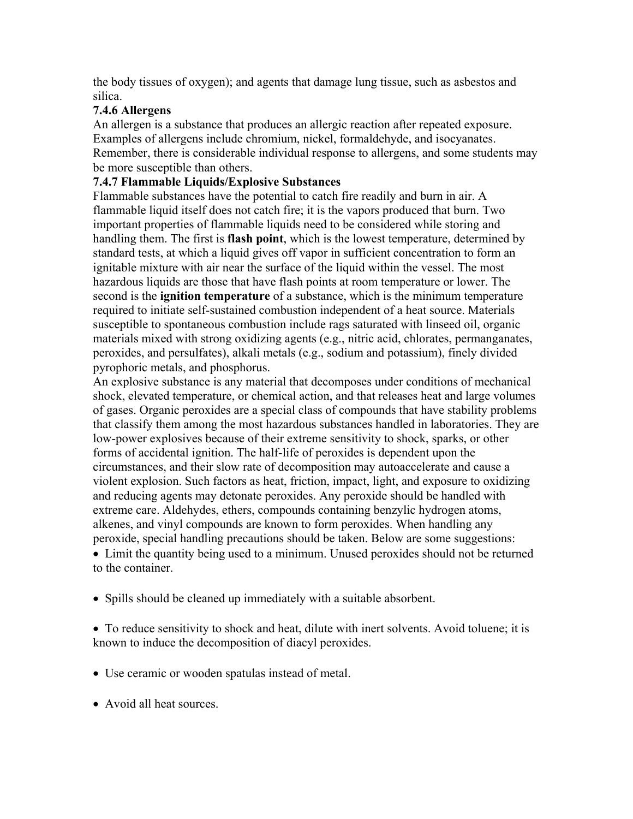the body tissues of oxygen); and agents that damage lung tissue, such as asbestos and silica.

## **7.4.6 Allergens**

An allergen is a substance that produces an allergic reaction after repeated exposure. Examples of allergens include chromium, nickel, formaldehyde, and isocyanates. Remember, there is considerable individual response to allergens, and some students may be more susceptible than others.

## **7.4.7 Flammable Liquids/Explosive Substances**

Flammable substances have the potential to catch fire readily and burn in air. A flammable liquid itself does not catch fire; it is the vapors produced that burn. Two important properties of flammable liquids need to be considered while storing and handling them. The first is **flash point**, which is the lowest temperature, determined by standard tests, at which a liquid gives off vapor in sufficient concentration to form an ignitable mixture with air near the surface of the liquid within the vessel. The most hazardous liquids are those that have flash points at room temperature or lower. The second is the **ignition temperature** of a substance, which is the minimum temperature required to initiate self-sustained combustion independent of a heat source. Materials susceptible to spontaneous combustion include rags saturated with linseed oil, organic materials mixed with strong oxidizing agents (e.g., nitric acid, chlorates, permanganates, peroxides, and persulfates), alkali metals (e.g., sodium and potassium), finely divided pyrophoric metals, and phosphorus.

An explosive substance is any material that decomposes under conditions of mechanical shock, elevated temperature, or chemical action, and that releases heat and large volumes of gases. Organic peroxides are a special class of compounds that have stability problems that classify them among the most hazardous substances handled in laboratories. They are low-power explosives because of their extreme sensitivity to shock, sparks, or other forms of accidental ignition. The half-life of peroxides is dependent upon the circumstances, and their slow rate of decomposition may autoaccelerate and cause a violent explosion. Such factors as heat, friction, impact, light, and exposure to oxidizing and reducing agents may detonate peroxides. Any peroxide should be handled with extreme care. Aldehydes, ethers, compounds containing benzylic hydrogen atoms, alkenes, and vinyl compounds are known to form peroxides. When handling any peroxide, special handling precautions should be taken. Below are some suggestions:

• Limit the quantity being used to a minimum. Unused peroxides should not be returned to the container.

• Spills should be cleaned up immediately with a suitable absorbent.

• To reduce sensitivity to shock and heat, dilute with inert solvents. Avoid toluene; it is known to induce the decomposition of diacyl peroxides.

- Use ceramic or wooden spatulas instead of metal.
- Avoid all heat sources.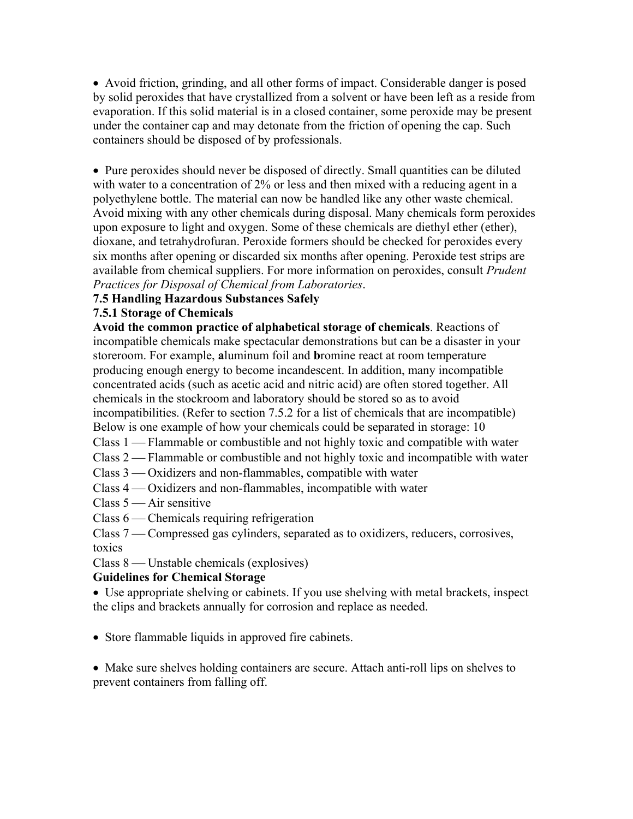• Avoid friction, grinding, and all other forms of impact. Considerable danger is posed by solid peroxides that have crystallized from a solvent or have been left as a reside from evaporation. If this solid material is in a closed container, some peroxide may be present under the container cap and may detonate from the friction of opening the cap. Such containers should be disposed of by professionals.

• Pure peroxides should never be disposed of directly. Small quantities can be diluted with water to a concentration of 2% or less and then mixed with a reducing agent in a polyethylene bottle. The material can now be handled like any other waste chemical. Avoid mixing with any other chemicals during disposal. Many chemicals form peroxides upon exposure to light and oxygen. Some of these chemicals are diethyl ether (ether), dioxane, and tetrahydrofuran. Peroxide formers should be checked for peroxides every six months after opening or discarded six months after opening. Peroxide test strips are available from chemical suppliers. For more information on peroxides, consult *Prudent Practices for Disposal of Chemical from Laboratories*.

### **7.5 Handling Hazardous Substances Safely**

#### **7.5.1 Storage of Chemicals**

**Avoid the common practice of alphabetical storage of chemicals**. Reactions of incompatible chemicals make spectacular demonstrations but can be a disaster in your storeroom. For example, **a**luminum foil and **b**romine react at room temperature producing enough energy to become incandescent. In addition, many incompatible concentrated acids (such as acetic acid and nitric acid) are often stored together. All chemicals in the stockroom and laboratory should be stored so as to avoid incompatibilities. (Refer to section 7.5.2 for a list of chemicals that are incompatible) Below is one example of how your chemicals could be separated in storage: 10

Class  $1$ —Flammable or combustible and not highly toxic and compatible with water

Class  $2$ —Flammable or combustible and not highly toxic and incompatible with water

Class  $3$  — Oxidizers and non-flammables, compatible with water

Class  $4$  — Oxidizers and non-flammables, incompatible with water

Class  $5 - Air$  sensitive

Class 6 — Chemicals requiring refrigeration

Class 7 — Compressed gas cylinders, separated as to oxidizers, reducers, corrosives, toxics

Class 8 — Unstable chemicals (explosives)

## **Guidelines for Chemical Storage**

• Use appropriate shelving or cabinets. If you use shelving with metal brackets, inspect the clips and brackets annually for corrosion and replace as needed.

• Store flammable liquids in approved fire cabinets.

• Make sure shelves holding containers are secure. Attach anti-roll lips on shelves to prevent containers from falling off.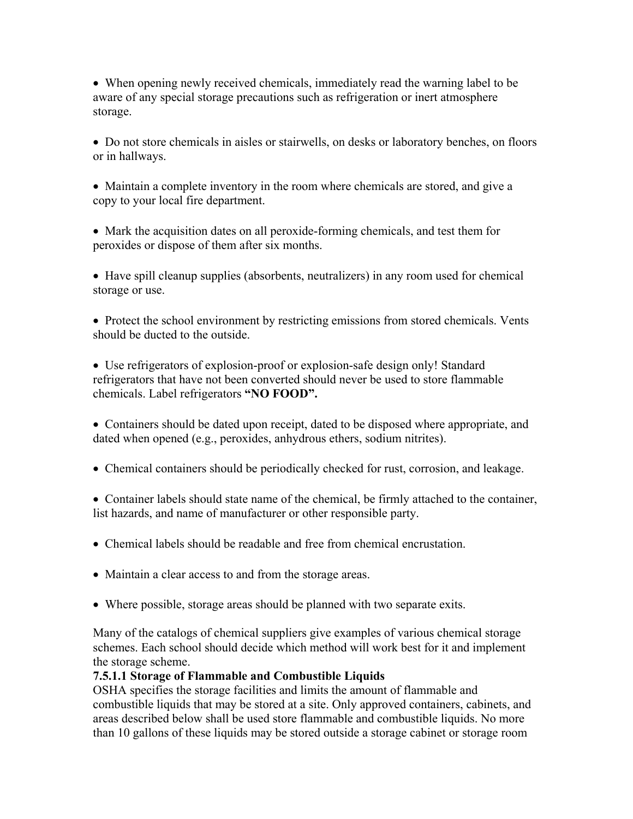• When opening newly received chemicals, immediately read the warning label to be aware of any special storage precautions such as refrigeration or inert atmosphere storage.

• Do not store chemicals in aisles or stairwells, on desks or laboratory benches, on floors or in hallways.

• Maintain a complete inventory in the room where chemicals are stored, and give a copy to your local fire department.

• Mark the acquisition dates on all peroxide-forming chemicals, and test them for peroxides or dispose of them after six months.

• Have spill cleanup supplies (absorbents, neutralizers) in any room used for chemical storage or use.

• Protect the school environment by restricting emissions from stored chemicals. Vents should be ducted to the outside.

• Use refrigerators of explosion-proof or explosion-safe design only! Standard refrigerators that have not been converted should never be used to store flammable chemicals. Label refrigerators **"NO FOOD".** 

• Containers should be dated upon receipt, dated to be disposed where appropriate, and dated when opened (e.g., peroxides, anhydrous ethers, sodium nitrites).

• Chemical containers should be periodically checked for rust, corrosion, and leakage.

• Container labels should state name of the chemical, be firmly attached to the container, list hazards, and name of manufacturer or other responsible party.

- Chemical labels should be readable and free from chemical encrustation.
- Maintain a clear access to and from the storage areas.
- Where possible, storage areas should be planned with two separate exits.

Many of the catalogs of chemical suppliers give examples of various chemical storage schemes. Each school should decide which method will work best for it and implement the storage scheme.

#### **7.5.1.1 Storage of Flammable and Combustible Liquids**

OSHA specifies the storage facilities and limits the amount of flammable and combustible liquids that may be stored at a site. Only approved containers, cabinets, and areas described below shall be used store flammable and combustible liquids. No more than 10 gallons of these liquids may be stored outside a storage cabinet or storage room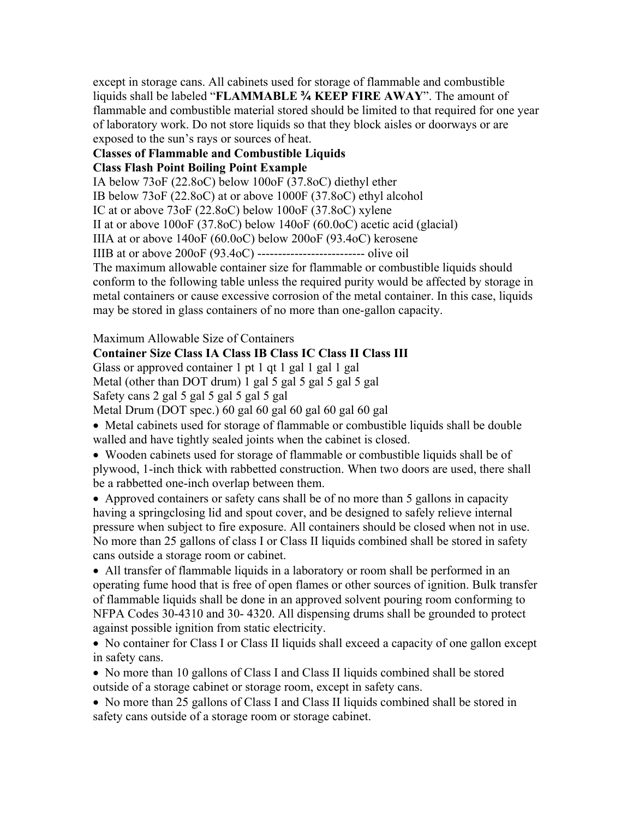except in storage cans. All cabinets used for storage of flammable and combustible liquids shall be labeled "**FLAMMABLE ¾ KEEP FIRE AWAY**". The amount of flammable and combustible material stored should be limited to that required for one year of laboratory work. Do not store liquids so that they block aisles or doorways or are exposed to the sun's rays or sources of heat.

#### **Classes of Flammable and Combustible Liquids Class Flash Point Boiling Point Example**

IA below 73oF (22.8oC) below 100oF (37.8oC) diethyl ether IB below 73oF (22.8oC) at or above 1000F (37.8oC) ethyl alcohol IC at or above 73oF (22.8oC) below 100oF (37.8oC) xylene II at or above 100oF (37.8oC) below 140oF (60.0oC) acetic acid (glacial) IIIA at or above 140oF (60.0oC) below 200oF (93.4oC) kerosene IIIB at or above 200oF (93.4oC) -------------------------- olive oil The maximum allowable container size for flammable or combustible liquids should conform to the following table unless the required purity would be affected by storage in metal containers or cause excessive corrosion of the metal container. In this case, liquids may be stored in glass containers of no more than one-gallon capacity.

## Maximum Allowable Size of Containers

## **Container Size Class IA Class IB Class IC Class II Class III**

Glass or approved container 1 pt 1 qt 1 gal 1 gal 1 gal

Metal (other than DOT drum) 1 gal 5 gal 5 gal 5 gal 5 gal

Safety cans 2 gal 5 gal 5 gal 5 gal 5 gal

Metal Drum (DOT spec.) 60 gal 60 gal 60 gal 60 gal 60 gal

• Metal cabinets used for storage of flammable or combustible liquids shall be double walled and have tightly sealed joints when the cabinet is closed.

• Wooden cabinets used for storage of flammable or combustible liquids shall be of plywood, 1-inch thick with rabbetted construction. When two doors are used, there shall be a rabbetted one-inch overlap between them.

• Approved containers or safety cans shall be of no more than 5 gallons in capacity having a springclosing lid and spout cover, and be designed to safely relieve internal pressure when subject to fire exposure. All containers should be closed when not in use. No more than 25 gallons of class I or Class II liquids combined shall be stored in safety cans outside a storage room or cabinet.

• All transfer of flammable liquids in a laboratory or room shall be performed in an operating fume hood that is free of open flames or other sources of ignition. Bulk transfer of flammable liquids shall be done in an approved solvent pouring room conforming to NFPA Codes 30-4310 and 30- 4320. All dispensing drums shall be grounded to protect against possible ignition from static electricity.

• No container for Class I or Class II liquids shall exceed a capacity of one gallon except in safety cans.

• No more than 10 gallons of Class I and Class II liquids combined shall be stored outside of a storage cabinet or storage room, except in safety cans.

• No more than 25 gallons of Class I and Class II liquids combined shall be stored in safety cans outside of a storage room or storage cabinet.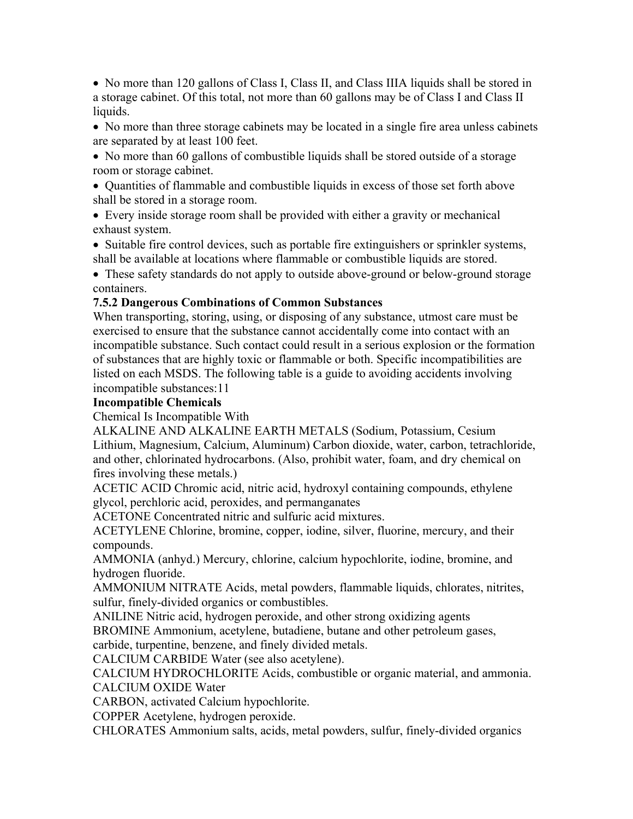• No more than 120 gallons of Class I, Class II, and Class IIIA liquids shall be stored in a storage cabinet. Of this total, not more than 60 gallons may be of Class I and Class II liquids.

• No more than three storage cabinets may be located in a single fire area unless cabinets are separated by at least 100 feet.

• No more than 60 gallons of combustible liquids shall be stored outside of a storage room or storage cabinet.

• Quantities of flammable and combustible liquids in excess of those set forth above shall be stored in a storage room.

• Every inside storage room shall be provided with either a gravity or mechanical exhaust system.

• Suitable fire control devices, such as portable fire extinguishers or sprinkler systems, shall be available at locations where flammable or combustible liquids are stored.

• These safety standards do not apply to outside above-ground or below-ground storage containers.

## **7.5.2 Dangerous Combinations of Common Substances**

When transporting, storing, using, or disposing of any substance, utmost care must be exercised to ensure that the substance cannot accidentally come into contact with an incompatible substance. Such contact could result in a serious explosion or the formation of substances that are highly toxic or flammable or both. Specific incompatibilities are listed on each MSDS. The following table is a guide to avoiding accidents involving incompatible substances:11

## **Incompatible Chemicals**

Chemical Is Incompatible With

ALKALINE AND ALKALINE EARTH METALS (Sodium, Potassium, Cesium Lithium, Magnesium, Calcium, Aluminum) Carbon dioxide, water, carbon, tetrachloride, and other, chlorinated hydrocarbons. (Also, prohibit water, foam, and dry chemical on fires involving these metals.)

ACETIC ACID Chromic acid, nitric acid, hydroxyl containing compounds, ethylene glycol, perchloric acid, peroxides, and permanganates

ACETONE Concentrated nitric and sulfuric acid mixtures.

ACETYLENE Chlorine, bromine, copper, iodine, silver, fluorine, mercury, and their compounds.

AMMONIA (anhyd.) Mercury, chlorine, calcium hypochlorite, iodine, bromine, and hydrogen fluoride.

AMMONIUM NITRATE Acids, metal powders, flammable liquids, chlorates, nitrites, sulfur, finely-divided organics or combustibles.

ANILINE Nitric acid, hydrogen peroxide, and other strong oxidizing agents

BROMINE Ammonium, acetylene, butadiene, butane and other petroleum gases,

carbide, turpentine, benzene, and finely divided metals.

CALCIUM CARBIDE Water (see also acetylene).

CALCIUM HYDROCHLORITE Acids, combustible or organic material, and ammonia. CALCIUM OXIDE Water

CARBON, activated Calcium hypochlorite.

COPPER Acetylene, hydrogen peroxide.

CHLORATES Ammonium salts, acids, metal powders, sulfur, finely-divided organics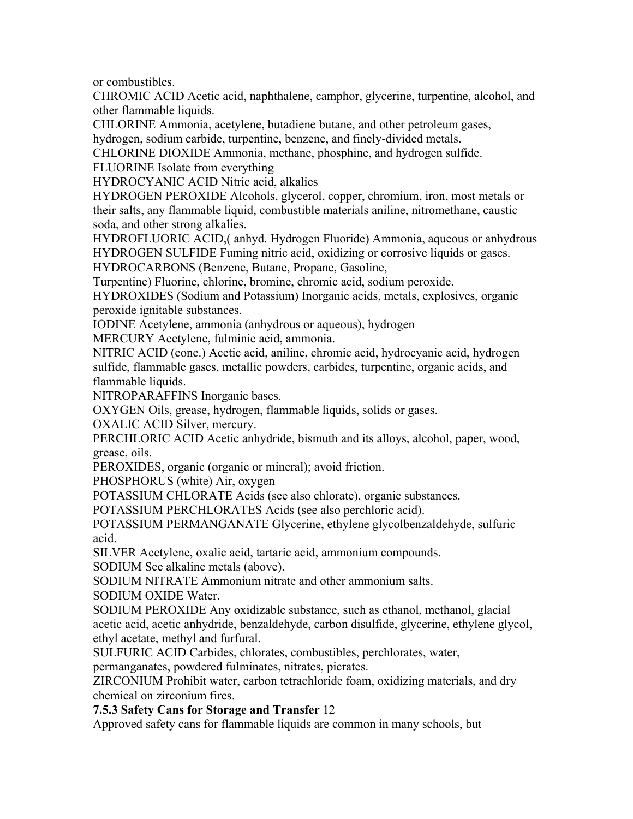or combustibles.

CHROMIC ACID Acetic acid, naphthalene, camphor, glycerine, turpentine, alcohol, and other flammable liquids.

CHLORINE Ammonia, acetylene, butadiene butane, and other petroleum gases,

hydrogen, sodium carbide, turpentine, benzene, and finely-divided metals.

CHLORINE DIOXIDE Ammonia, methane, phosphine, and hydrogen sulfide.

FLUORINE Isolate from everything

HYDROCYANIC ACID Nitric acid, alkalies

HYDROGEN PEROXIDE Alcohols, glycerol, copper, chromium, iron, most metals or their salts, any flammable liquid, combustible materials aniline, nitromethane, caustic soda, and other strong alkalies.

HYDROFLUORIC ACID,( anhyd. Hydrogen Fluoride) Ammonia, aqueous or anhydrous HYDROGEN SULFIDE Fuming nitric acid, oxidizing or corrosive liquids or gases.

HYDROCARBONS (Benzene, Butane, Propane, Gasoline,

Turpentine) Fluorine, chlorine, bromine, chromic acid, sodium peroxide.

HYDROXIDES (Sodium and Potassium) Inorganic acids, metals, explosives, organic peroxide ignitable substances.

IODINE Acetylene, ammonia (anhydrous or aqueous), hydrogen

MERCURY Acetylene, fulminic acid, ammonia.

NITRIC ACID (conc.) Acetic acid, aniline, chromic acid, hydrocyanic acid, hydrogen sulfide, flammable gases, metallic powders, carbides, turpentine, organic acids, and flammable liquids.

NITROPARAFFINS Inorganic bases.

OXYGEN Oils, grease, hydrogen, flammable liquids, solids or gases.

OXALIC ACID Silver, mercury.

PERCHLORIC ACID Acetic anhydride, bismuth and its alloys, alcohol, paper, wood, grease, oils.

PEROXIDES, organic (organic or mineral); avoid friction.

PHOSPHORUS (white) Air, oxygen

POTASSIUM CHLORATE Acids (see also chlorate), organic substances.

POTASSIUM PERCHLORATES Acids (see also perchloric acid).

POTASSIUM PERMANGANATE Glycerine, ethylene glycolbenzaldehyde, sulfuric acid.

SILVER Acetylene, oxalic acid, tartaric acid, ammonium compounds. SODIUM See alkaline metals (above).

SODIUM NITRATE Ammonium nitrate and other ammonium salts.

SODIUM OXIDE Water.

SODIUM PEROXIDE Any oxidizable substance, such as ethanol, methanol, glacial acetic acid, acetic anhydride, benzaldehyde, carbon disulfide, glycerine, ethylene glycol, ethyl acetate, methyl and furfural.

SULFURIC ACID Carbides, chlorates, combustibles, perchlorates, water,

permanganates, powdered fulminates, nitrates, picrates.

ZIRCONIUM Prohibit water, carbon tetrachloride foam, oxidizing materials, and dry chemical on zirconium fires.

## **7.5.3 Safety Cans for Storage and Transfer** 12

Approved safety cans for flammable liquids are common in many schools, but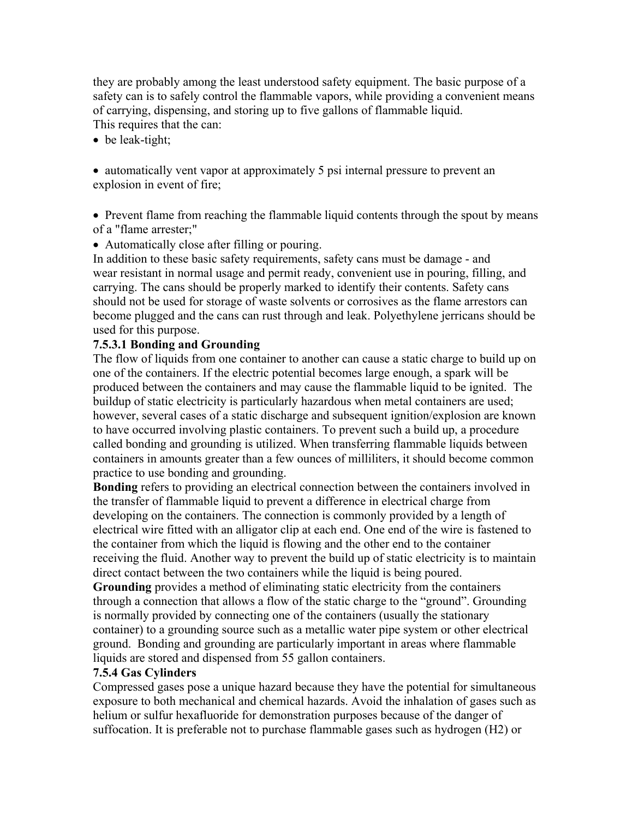they are probably among the least understood safety equipment. The basic purpose of a safety can is to safely control the flammable vapors, while providing a convenient means of carrying, dispensing, and storing up to five gallons of flammable liquid. This requires that the can:

• be leak-tight;

• automatically vent vapor at approximately 5 psi internal pressure to prevent an explosion in event of fire;

• Prevent flame from reaching the flammable liquid contents through the spout by means of a "flame arrester;"

• Automatically close after filling or pouring.

In addition to these basic safety requirements, safety cans must be damage - and wear resistant in normal usage and permit ready, convenient use in pouring, filling, and carrying. The cans should be properly marked to identify their contents. Safety cans should not be used for storage of waste solvents or corrosives as the flame arrestors can become plugged and the cans can rust through and leak. Polyethylene jerricans should be used for this purpose.

### **7.5.3.1 Bonding and Grounding**

The flow of liquids from one container to another can cause a static charge to build up on one of the containers. If the electric potential becomes large enough, a spark will be produced between the containers and may cause the flammable liquid to be ignited. The buildup of static electricity is particularly hazardous when metal containers are used; however, several cases of a static discharge and subsequent ignition/explosion are known to have occurred involving plastic containers. To prevent such a build up, a procedure called bonding and grounding is utilized. When transferring flammable liquids between containers in amounts greater than a few ounces of milliliters, it should become common practice to use bonding and grounding.

**Bonding** refers to providing an electrical connection between the containers involved in the transfer of flammable liquid to prevent a difference in electrical charge from developing on the containers. The connection is commonly provided by a length of electrical wire fitted with an alligator clip at each end. One end of the wire is fastened to the container from which the liquid is flowing and the other end to the container receiving the fluid. Another way to prevent the build up of static electricity is to maintain direct contact between the two containers while the liquid is being poured.

**Grounding** provides a method of eliminating static electricity from the containers through a connection that allows a flow of the static charge to the "ground". Grounding is normally provided by connecting one of the containers (usually the stationary container) to a grounding source such as a metallic water pipe system or other electrical ground. Bonding and grounding are particularly important in areas where flammable liquids are stored and dispensed from 55 gallon containers.

#### **7.5.4 Gas Cylinders**

Compressed gases pose a unique hazard because they have the potential for simultaneous exposure to both mechanical and chemical hazards. Avoid the inhalation of gases such as helium or sulfur hexafluoride for demonstration purposes because of the danger of suffocation. It is preferable not to purchase flammable gases such as hydrogen (H2) or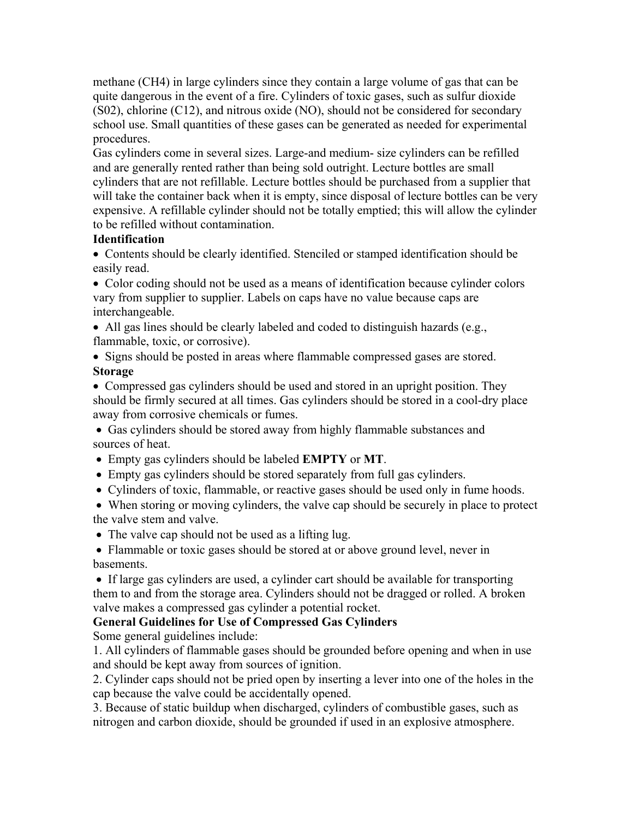methane (CH4) in large cylinders since they contain a large volume of gas that can be quite dangerous in the event of a fire. Cylinders of toxic gases, such as sulfur dioxide (S02), chlorine (C12), and nitrous oxide (NO), should not be considered for secondary school use. Small quantities of these gases can be generated as needed for experimental procedures.

Gas cylinders come in several sizes. Large-and medium- size cylinders can be refilled and are generally rented rather than being sold outright. Lecture bottles are small cylinders that are not refillable. Lecture bottles should be purchased from a supplier that will take the container back when it is empty, since disposal of lecture bottles can be very expensive. A refillable cylinder should not be totally emptied; this will allow the cylinder to be refilled without contamination.

## **Identification**

• Contents should be clearly identified. Stenciled or stamped identification should be easily read.

• Color coding should not be used as a means of identification because cylinder colors vary from supplier to supplier. Labels on caps have no value because caps are interchangeable.

• All gas lines should be clearly labeled and coded to distinguish hazards (e.g., flammable, toxic, or corrosive).

• Signs should be posted in areas where flammable compressed gases are stored. **Storage** 

• Compressed gas cylinders should be used and stored in an upright position. They should be firmly secured at all times. Gas cylinders should be stored in a cool-dry place away from corrosive chemicals or fumes.

 • Gas cylinders should be stored away from highly flammable substances and sources of heat.

- Empty gas cylinders should be labeled **EMPTY** or **MT**.
- Empty gas cylinders should be stored separately from full gas cylinders.
- Cylinders of toxic, flammable, or reactive gases should be used only in fume hoods.

• When storing or moving cylinders, the valve cap should be securely in place to protect the valve stem and valve.

• The valve cap should not be used as a lifting lug.

• Flammable or toxic gases should be stored at or above ground level, never in basements.

• If large gas cylinders are used, a cylinder cart should be available for transporting them to and from the storage area. Cylinders should not be dragged or rolled. A broken valve makes a compressed gas cylinder a potential rocket.

# **General Guidelines for Use of Compressed Gas Cylinders**

Some general guidelines include:

1. All cylinders of flammable gases should be grounded before opening and when in use and should be kept away from sources of ignition.

2. Cylinder caps should not be pried open by inserting a lever into one of the holes in the cap because the valve could be accidentally opened.

3. Because of static buildup when discharged, cylinders of combustible gases, such as nitrogen and carbon dioxide, should be grounded if used in an explosive atmosphere.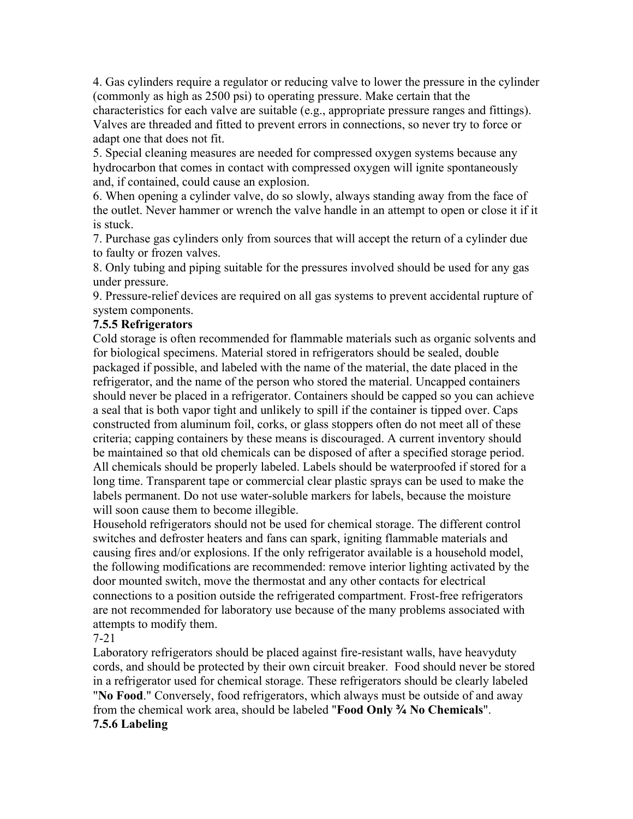4. Gas cylinders require a regulator or reducing valve to lower the pressure in the cylinder (commonly as high as 2500 psi) to operating pressure. Make certain that the characteristics for each valve are suitable (e.g., appropriate pressure ranges and fittings). Valves are threaded and fitted to prevent errors in connections, so never try to force or adapt one that does not fit.

5. Special cleaning measures are needed for compressed oxygen systems because any hydrocarbon that comes in contact with compressed oxygen will ignite spontaneously and, if contained, could cause an explosion.

6. When opening a cylinder valve, do so slowly, always standing away from the face of the outlet. Never hammer or wrench the valve handle in an attempt to open or close it if it is stuck.

7. Purchase gas cylinders only from sources that will accept the return of a cylinder due to faulty or frozen valves.

8. Only tubing and piping suitable for the pressures involved should be used for any gas under pressure.

9. Pressure-relief devices are required on all gas systems to prevent accidental rupture of system components.

## **7.5.5 Refrigerators**

Cold storage is often recommended for flammable materials such as organic solvents and for biological specimens. Material stored in refrigerators should be sealed, double packaged if possible, and labeled with the name of the material, the date placed in the refrigerator, and the name of the person who stored the material. Uncapped containers should never be placed in a refrigerator. Containers should be capped so you can achieve a seal that is both vapor tight and unlikely to spill if the container is tipped over. Caps constructed from aluminum foil, corks, or glass stoppers often do not meet all of these criteria; capping containers by these means is discouraged. A current inventory should be maintained so that old chemicals can be disposed of after a specified storage period. All chemicals should be properly labeled. Labels should be waterproofed if stored for a long time. Transparent tape or commercial clear plastic sprays can be used to make the labels permanent. Do not use water-soluble markers for labels, because the moisture will soon cause them to become illegible.

Household refrigerators should not be used for chemical storage. The different control switches and defroster heaters and fans can spark, igniting flammable materials and causing fires and/or explosions. If the only refrigerator available is a household model, the following modifications are recommended: remove interior lighting activated by the door mounted switch, move the thermostat and any other contacts for electrical connections to a position outside the refrigerated compartment. Frost-free refrigerators are not recommended for laboratory use because of the many problems associated with attempts to modify them.

7-21

Laboratory refrigerators should be placed against fire-resistant walls, have heavyduty cords, and should be protected by their own circuit breaker. Food should never be stored in a refrigerator used for chemical storage. These refrigerators should be clearly labeled "**No Food**." Conversely, food refrigerators, which always must be outside of and away from the chemical work area, should be labeled "**Food Only ¾ No Chemicals**". **7.5.6 Labeling**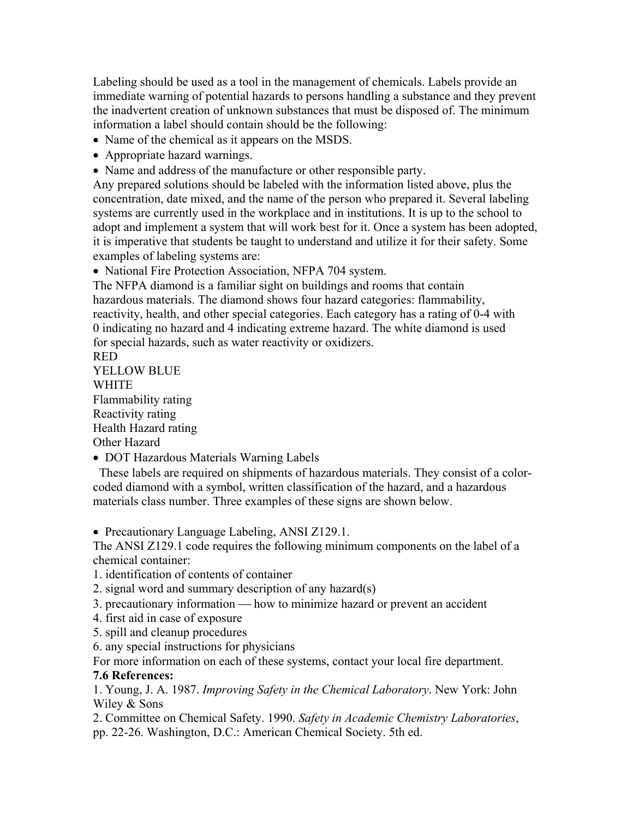Labeling should be used as a tool in the management of chemicals. Labels provide an immediate warning of potential hazards to persons handling a substance and they prevent the inadvertent creation of unknown substances that must be disposed of. The minimum information a label should contain should be the following:

- Name of the chemical as it appears on the MSDS.
- Appropriate hazard warnings.
- Name and address of the manufacture or other responsible party.

Any prepared solutions should be labeled with the information listed above, plus the concentration, date mixed, and the name of the person who prepared it. Several labeling systems are currently used in the workplace and in institutions. It is up to the school to adopt and implement a system that will work best for it. Once a system has been adopted, it is imperative that students be taught to understand and utilize it for their safety. Some examples of labeling systems are:

• National Fire Protection Association, NFPA 704 system.

The NFPA diamond is a familiar sight on buildings and rooms that contain hazardous materials. The diamond shows four hazard categories: flammability, reactivity, health, and other special categories. Each category has a rating of 0-4 with 0 indicating no hazard and 4 indicating extreme hazard. The white diamond is used for special hazards, such as water reactivity or oxidizers.

#### RED YELLOW BLUE WHITE Flammability rating Reactivity rating Health Hazard rating Other Hazard

• DOT Hazardous Materials Warning Labels

 These labels are required on shipments of hazardous materials. They consist of a colorcoded diamond with a symbol, written classification of the hazard, and a hazardous materials class number. Three examples of these signs are shown below.

• Precautionary Language Labeling, ANSI Z129.1.

The ANSI Z129.1 code requires the following minimum components on the label of a chemical container:

1. identification of contents of container

2. signal word and summary description of any hazard(s)

3. precautionary information — how to minimize hazard or prevent an accident

- 4. first aid in case of exposure
- 5. spill and cleanup procedures

6. any special instructions for physicians

For more information on each of these systems, contact your local fire department.

#### **7.6 References:**

1. Young, J. A. 1987. *Improving Safety in the Chemical Laboratory*. New York: John Wiley & Sons

2. Committee on Chemical Safety. 1990. *Safety in Academic Chemistry Laboratories*, pp. 22-26. Washington, D.C.: American Chemical Society. 5th ed.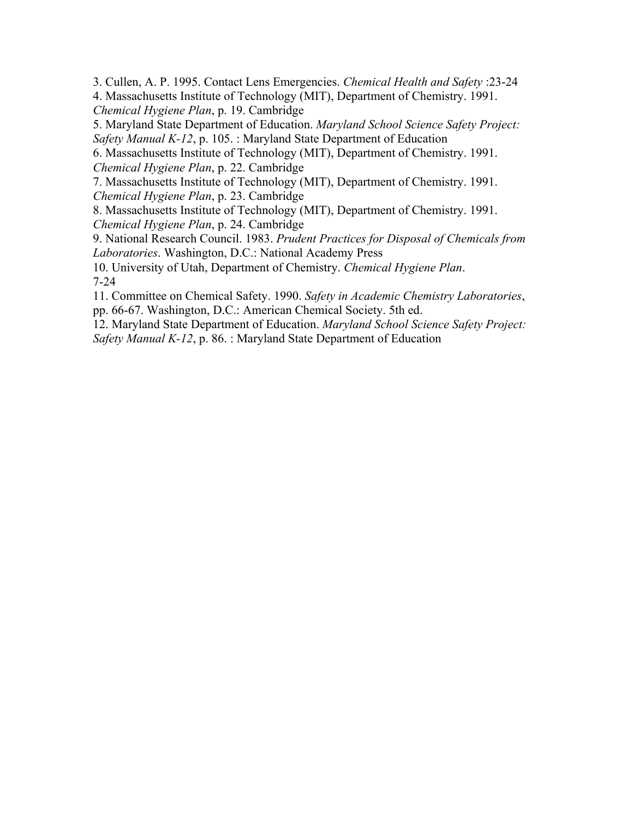3. Cullen, A. P. 1995. Contact Lens Emergencies. *Chemical Health and Safety* :23-24 4. Massachusetts Institute of Technology (MIT), Department of Chemistry. 1991. *Chemical Hygiene Plan*, p. 19. Cambridge

5. Maryland State Department of Education. *Maryland School Science Safety Project: Safety Manual K-12*, p. 105. : Maryland State Department of Education

6. Massachusetts Institute of Technology (MIT), Department of Chemistry. 1991. *Chemical Hygiene Plan*, p. 22. Cambridge

7. Massachusetts Institute of Technology (MIT), Department of Chemistry. 1991. *Chemical Hygiene Plan*, p. 23. Cambridge

8. Massachusetts Institute of Technology (MIT), Department of Chemistry. 1991. *Chemical Hygiene Plan*, p. 24. Cambridge

9. National Research Council. 1983. *Prudent Practices for Disposal of Chemicals from Laboratories*. Washington, D.C.: National Academy Press

10. University of Utah, Department of Chemistry. *Chemical Hygiene Plan*. 7-24

11. Committee on Chemical Safety. 1990. *Safety in Academic Chemistry Laboratories*, pp. 66-67. Washington, D.C.: American Chemical Society. 5th ed.

12. Maryland State Department of Education. *Maryland School Science Safety Project: Safety Manual K-12*, p. 86. : Maryland State Department of Education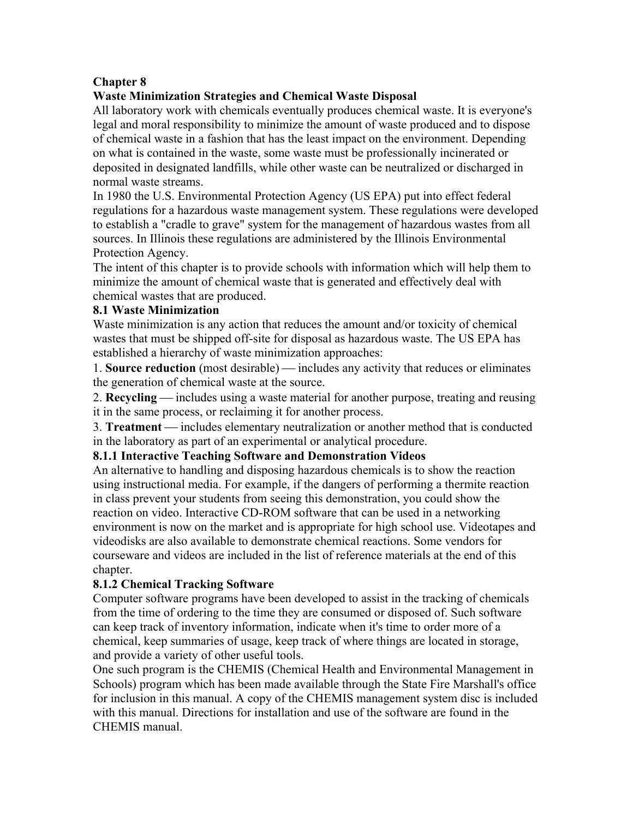# **Chapter 8**

## **Waste Minimization Strategies and Chemical Waste Disposal**

All laboratory work with chemicals eventually produces chemical waste. It is everyone's legal and moral responsibility to minimize the amount of waste produced and to dispose of chemical waste in a fashion that has the least impact on the environment. Depending on what is contained in the waste, some waste must be professionally incinerated or deposited in designated landfills, while other waste can be neutralized or discharged in normal waste streams.

In 1980 the U.S. Environmental Protection Agency (US EPA) put into effect federal regulations for a hazardous waste management system. These regulations were developed to establish a "cradle to grave" system for the management of hazardous wastes from all sources. In Illinois these regulations are administered by the Illinois Environmental Protection Agency.

The intent of this chapter is to provide schools with information which will help them to minimize the amount of chemical waste that is generated and effectively deal with chemical wastes that are produced.

### **8.1 Waste Minimization**

Waste minimization is any action that reduces the amount and/or toxicity of chemical wastes that must be shipped off-site for disposal as hazardous waste. The US EPA has established a hierarchy of waste minimization approaches:

1. **Source reduction** (most desirable) includes any activity that reduces or eliminates the generation of chemical waste at the source.

2. **Recycling** — includes using a waste material for another purpose, treating and reusing it in the same process, or reclaiming it for another process.

3. **Treatment** — includes elementary neutralization or another method that is conducted in the laboratory as part of an experimental or analytical procedure.

## **8.1.1 Interactive Teaching Software and Demonstration Videos**

An alternative to handling and disposing hazardous chemicals is to show the reaction using instructional media. For example, if the dangers of performing a thermite reaction in class prevent your students from seeing this demonstration, you could show the reaction on video. Interactive CD-ROM software that can be used in a networking environment is now on the market and is appropriate for high school use. Videotapes and videodisks are also available to demonstrate chemical reactions. Some vendors for courseware and videos are included in the list of reference materials at the end of this chapter.

## **8.1.2 Chemical Tracking Software**

Computer software programs have been developed to assist in the tracking of chemicals from the time of ordering to the time they are consumed or disposed of. Such software can keep track of inventory information, indicate when it's time to order more of a chemical, keep summaries of usage, keep track of where things are located in storage, and provide a variety of other useful tools.

One such program is the CHEMIS (Chemical Health and Environmental Management in Schools) program which has been made available through the State Fire Marshall's office for inclusion in this manual. A copy of the CHEMIS management system disc is included with this manual. Directions for installation and use of the software are found in the CHEMIS manual.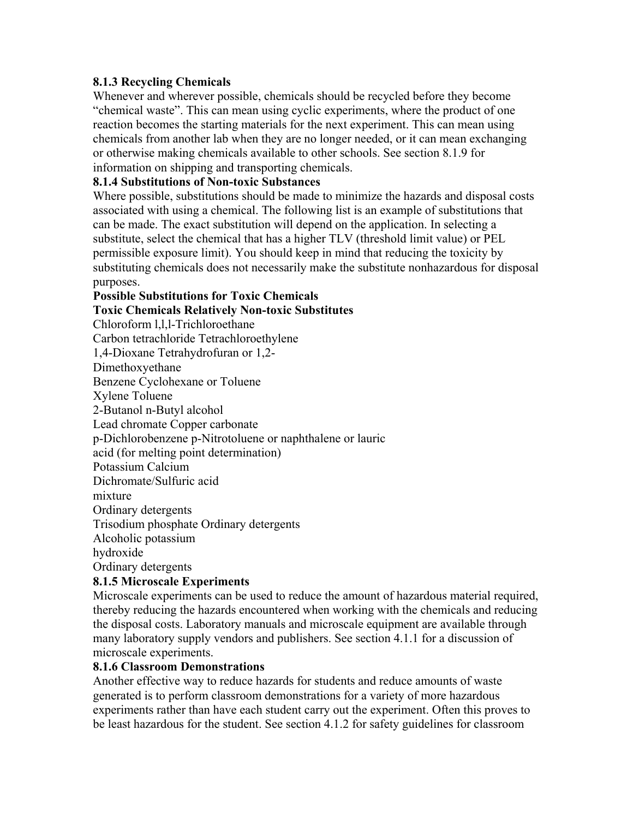## **8.1.3 Recycling Chemicals**

Whenever and wherever possible, chemicals should be recycled before they become "chemical waste". This can mean using cyclic experiments, where the product of one reaction becomes the starting materials for the next experiment. This can mean using chemicals from another lab when they are no longer needed, or it can mean exchanging or otherwise making chemicals available to other schools. See section 8.1.9 for information on shipping and transporting chemicals.

### **8.1.4 Substitutions of Non-toxic Substances**

Where possible, substitutions should be made to minimize the hazards and disposal costs associated with using a chemical. The following list is an example of substitutions that can be made. The exact substitution will depend on the application. In selecting a substitute, select the chemical that has a higher TLV (threshold limit value) or PEL permissible exposure limit). You should keep in mind that reducing the toxicity by substituting chemicals does not necessarily make the substitute nonhazardous for disposal purposes.

#### **Possible Substitutions for Toxic Chemicals Toxic Chemicals Relatively Non-toxic Substitutes**

Chloroform l,l,l-Trichloroethane Carbon tetrachloride Tetrachloroethylene 1,4-Dioxane Tetrahydrofuran or 1,2- Dimethoxyethane Benzene Cyclohexane or Toluene Xylene Toluene 2-Butanol n-Butyl alcohol Lead chromate Copper carbonate p-Dichlorobenzene p-Nitrotoluene or naphthalene or lauric acid (for melting point determination) Potassium Calcium Dichromate/Sulfuric acid mixture Ordinary detergents Trisodium phosphate Ordinary detergents Alcoholic potassium hydroxide Ordinary detergents

### **8.1.5 Microscale Experiments**

Microscale experiments can be used to reduce the amount of hazardous material required, thereby reducing the hazards encountered when working with the chemicals and reducing the disposal costs. Laboratory manuals and microscale equipment are available through many laboratory supply vendors and publishers. See section 4.1.1 for a discussion of microscale experiments.

#### **8.1.6 Classroom Demonstrations**

Another effective way to reduce hazards for students and reduce amounts of waste generated is to perform classroom demonstrations for a variety of more hazardous experiments rather than have each student carry out the experiment. Often this proves to be least hazardous for the student. See section 4.1.2 for safety guidelines for classroom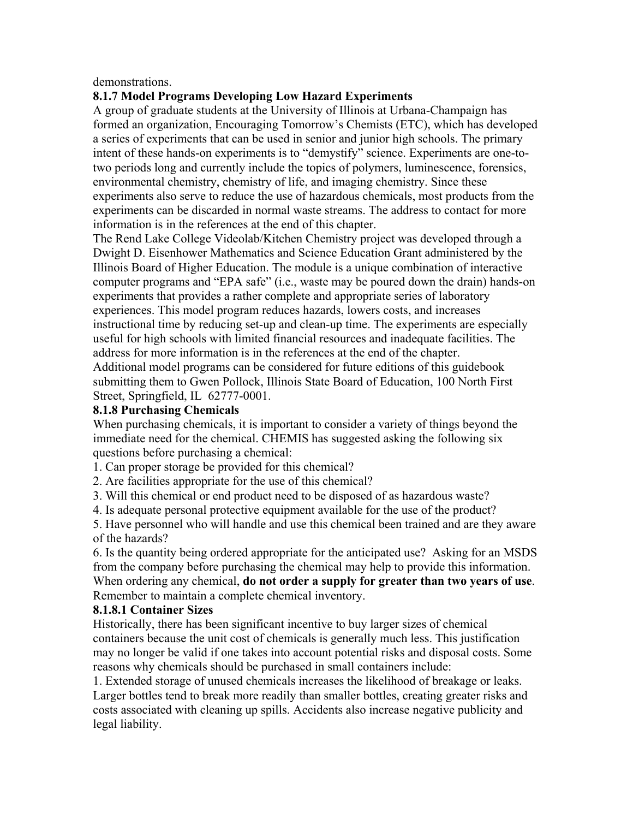#### demonstrations.

### **8.1.7 Model Programs Developing Low Hazard Experiments**

A group of graduate students at the University of Illinois at Urbana-Champaign has formed an organization, Encouraging Tomorrow's Chemists (ETC), which has developed a series of experiments that can be used in senior and junior high schools. The primary intent of these hands-on experiments is to "demystify" science. Experiments are one-totwo periods long and currently include the topics of polymers, luminescence, forensics, environmental chemistry, chemistry of life, and imaging chemistry. Since these experiments also serve to reduce the use of hazardous chemicals, most products from the experiments can be discarded in normal waste streams. The address to contact for more information is in the references at the end of this chapter.

The Rend Lake College Videolab/Kitchen Chemistry project was developed through a Dwight D. Eisenhower Mathematics and Science Education Grant administered by the Illinois Board of Higher Education. The module is a unique combination of interactive computer programs and "EPA safe" (i.e., waste may be poured down the drain) hands-on experiments that provides a rather complete and appropriate series of laboratory experiences. This model program reduces hazards, lowers costs, and increases instructional time by reducing set-up and clean-up time. The experiments are especially useful for high schools with limited financial resources and inadequate facilities. The address for more information is in the references at the end of the chapter. Additional model programs can be considered for future editions of this guidebook submitting them to Gwen Pollock, Illinois State Board of Education, 100 North First Street, Springfield, IL 62777-0001.

#### **8.1.8 Purchasing Chemicals**

When purchasing chemicals, it is important to consider a variety of things beyond the immediate need for the chemical. CHEMIS has suggested asking the following six questions before purchasing a chemical:

- 1. Can proper storage be provided for this chemical?
- 2. Are facilities appropriate for the use of this chemical?
- 3. Will this chemical or end product need to be disposed of as hazardous waste?
- 4. Is adequate personal protective equipment available for the use of the product?

5. Have personnel who will handle and use this chemical been trained and are they aware of the hazards?

6. Is the quantity being ordered appropriate for the anticipated use? Asking for an MSDS from the company before purchasing the chemical may help to provide this information. When ordering any chemical, **do not order a supply for greater than two years of use**. Remember to maintain a complete chemical inventory.

#### **8.1.8.1 Container Sizes**

Historically, there has been significant incentive to buy larger sizes of chemical containers because the unit cost of chemicals is generally much less. This justification may no longer be valid if one takes into account potential risks and disposal costs. Some reasons why chemicals should be purchased in small containers include:

1. Extended storage of unused chemicals increases the likelihood of breakage or leaks. Larger bottles tend to break more readily than smaller bottles, creating greater risks and costs associated with cleaning up spills. Accidents also increase negative publicity and legal liability.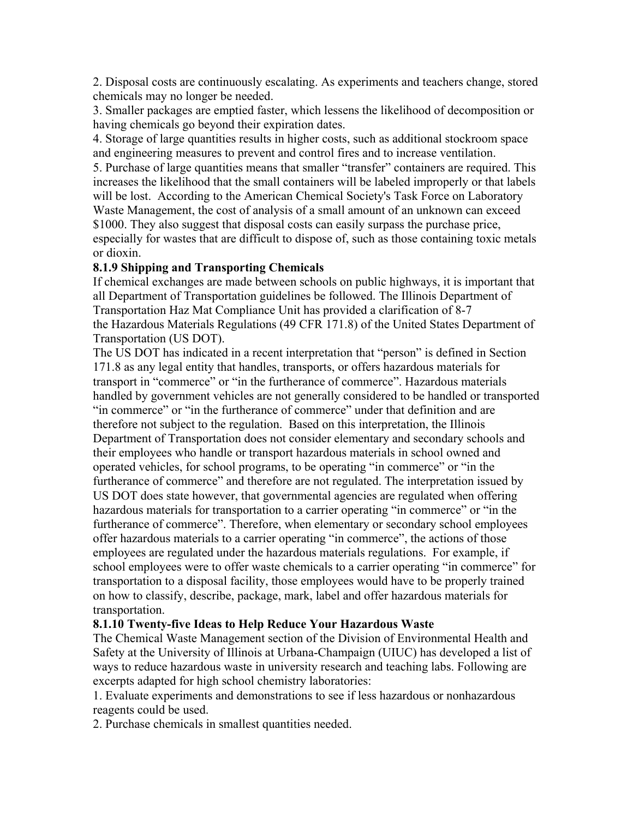2. Disposal costs are continuously escalating. As experiments and teachers change, stored chemicals may no longer be needed.

3. Smaller packages are emptied faster, which lessens the likelihood of decomposition or having chemicals go beyond their expiration dates.

4. Storage of large quantities results in higher costs, such as additional stockroom space and engineering measures to prevent and control fires and to increase ventilation.

5. Purchase of large quantities means that smaller "transfer" containers are required. This increases the likelihood that the small containers will be labeled improperly or that labels will be lost. According to the American Chemical Society's Task Force on Laboratory Waste Management, the cost of analysis of a small amount of an unknown can exceed \$1000. They also suggest that disposal costs can easily surpass the purchase price, especially for wastes that are difficult to dispose of, such as those containing toxic metals or dioxin.

#### **8.1.9 Shipping and Transporting Chemicals**

If chemical exchanges are made between schools on public highways, it is important that all Department of Transportation guidelines be followed. The Illinois Department of Transportation Haz Mat Compliance Unit has provided a clarification of 8-7 the Hazardous Materials Regulations (49 CFR 171.8) of the United States Department of Transportation (US DOT).

The US DOT has indicated in a recent interpretation that "person" is defined in Section 171.8 as any legal entity that handles, transports, or offers hazardous materials for transport in "commerce" or "in the furtherance of commerce". Hazardous materials handled by government vehicles are not generally considered to be handled or transported "in commerce" or "in the furtherance of commerce" under that definition and are therefore not subject to the regulation. Based on this interpretation, the Illinois Department of Transportation does not consider elementary and secondary schools and their employees who handle or transport hazardous materials in school owned and operated vehicles, for school programs, to be operating "in commerce" or "in the furtherance of commerce" and therefore are not regulated. The interpretation issued by US DOT does state however, that governmental agencies are regulated when offering hazardous materials for transportation to a carrier operating "in commerce" or "in the furtherance of commerce". Therefore, when elementary or secondary school employees offer hazardous materials to a carrier operating "in commerce", the actions of those employees are regulated under the hazardous materials regulations. For example, if school employees were to offer waste chemicals to a carrier operating "in commerce" for transportation to a disposal facility, those employees would have to be properly trained on how to classify, describe, package, mark, label and offer hazardous materials for transportation.

#### **8.1.10 Twenty-five Ideas to Help Reduce Your Hazardous Waste**

The Chemical Waste Management section of the Division of Environmental Health and Safety at the University of Illinois at Urbana-Champaign (UIUC) has developed a list of ways to reduce hazardous waste in university research and teaching labs. Following are excerpts adapted for high school chemistry laboratories:

1. Evaluate experiments and demonstrations to see if less hazardous or nonhazardous reagents could be used.

2. Purchase chemicals in smallest quantities needed.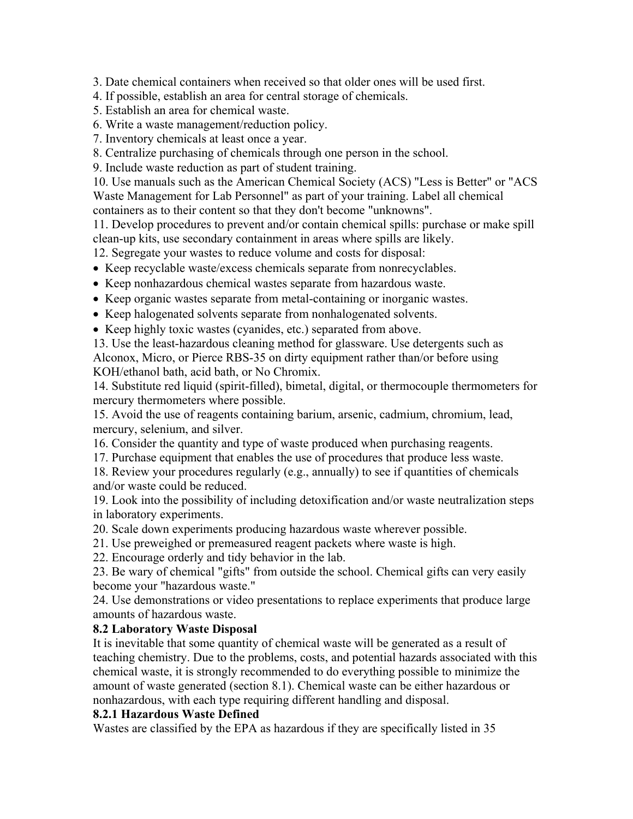3. Date chemical containers when received so that older ones will be used first.

4. If possible, establish an area for central storage of chemicals.

5. Establish an area for chemical waste.

6. Write a waste management/reduction policy.

7. Inventory chemicals at least once a year.

8. Centralize purchasing of chemicals through one person in the school.

9. Include waste reduction as part of student training.

10. Use manuals such as the American Chemical Society (ACS) "Less is Better" or "ACS Waste Management for Lab Personnel" as part of your training. Label all chemical containers as to their content so that they don't become "unknowns".

11. Develop procedures to prevent and/or contain chemical spills: purchase or make spill clean-up kits, use secondary containment in areas where spills are likely.

12. Segregate your wastes to reduce volume and costs for disposal:

- Keep recyclable waste/excess chemicals separate from nonrecyclables.
- Keep nonhazardous chemical wastes separate from hazardous waste.
- Keep organic wastes separate from metal-containing or inorganic wastes.
- Keep halogenated solvents separate from nonhalogenated solvents.

• Keep highly toxic wastes (cyanides, etc.) separated from above.

13. Use the least-hazardous cleaning method for glassware. Use detergents such as Alconox, Micro, or Pierce RBS-35 on dirty equipment rather than/or before using KOH/ethanol bath, acid bath, or No Chromix.

14. Substitute red liquid (spirit-filled), bimetal, digital, or thermocouple thermometers for mercury thermometers where possible.

15. Avoid the use of reagents containing barium, arsenic, cadmium, chromium, lead, mercury, selenium, and silver.

16. Consider the quantity and type of waste produced when purchasing reagents.

17. Purchase equipment that enables the use of procedures that produce less waste.

18. Review your procedures regularly (e.g., annually) to see if quantities of chemicals and/or waste could be reduced.

19. Look into the possibility of including detoxification and/or waste neutralization steps in laboratory experiments.

20. Scale down experiments producing hazardous waste wherever possible.

21. Use preweighed or premeasured reagent packets where waste is high.

22. Encourage orderly and tidy behavior in the lab.

23. Be wary of chemical "gifts" from outside the school. Chemical gifts can very easily become your "hazardous waste."

24. Use demonstrations or video presentations to replace experiments that produce large amounts of hazardous waste.

## **8.2 Laboratory Waste Disposal**

It is inevitable that some quantity of chemical waste will be generated as a result of teaching chemistry. Due to the problems, costs, and potential hazards associated with this chemical waste, it is strongly recommended to do everything possible to minimize the amount of waste generated (section 8.1). Chemical waste can be either hazardous or nonhazardous, with each type requiring different handling and disposal.

## **8.2.1 Hazardous Waste Defined**

Wastes are classified by the EPA as hazardous if they are specifically listed in 35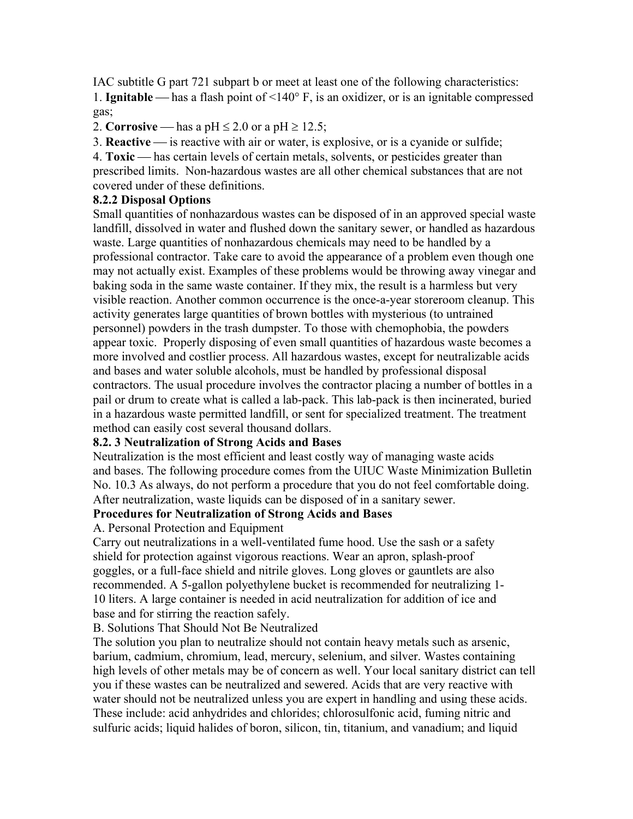IAC subtitle G part 721 subpart b or meet at least one of the following characteristics: 1. **Ignitable** — has a flash point of  $\leq 140^\circ$  F, is an oxidizer, or is an ignitable compressed gas;

2. **Corrosive** — has a pH  $\leq$  2.0 or a pH  $\geq$  12.5;

3. **Reactive** — is reactive with air or water, is explosive, or is a cyanide or sulfide;

4. **Toxic** — has certain levels of certain metals, solvents, or pesticides greater than prescribed limits. Non-hazardous wastes are all other chemical substances that are not covered under of these definitions.

### **8.2.2 Disposal Options**

Small quantities of nonhazardous wastes can be disposed of in an approved special waste landfill, dissolved in water and flushed down the sanitary sewer, or handled as hazardous waste. Large quantities of nonhazardous chemicals may need to be handled by a professional contractor. Take care to avoid the appearance of a problem even though one may not actually exist. Examples of these problems would be throwing away vinegar and baking soda in the same waste container. If they mix, the result is a harmless but very visible reaction. Another common occurrence is the once-a-year storeroom cleanup. This activity generates large quantities of brown bottles with mysterious (to untrained personnel) powders in the trash dumpster. To those with chemophobia, the powders appear toxic. Properly disposing of even small quantities of hazardous waste becomes a more involved and costlier process. All hazardous wastes, except for neutralizable acids and bases and water soluble alcohols, must be handled by professional disposal contractors. The usual procedure involves the contractor placing a number of bottles in a pail or drum to create what is called a lab-pack. This lab-pack is then incinerated, buried in a hazardous waste permitted landfill, or sent for specialized treatment. The treatment method can easily cost several thousand dollars.

#### **8.2. 3 Neutralization of Strong Acids and Bases**

Neutralization is the most efficient and least costly way of managing waste acids and bases. The following procedure comes from the UIUC Waste Minimization Bulletin No. 10.3 As always, do not perform a procedure that you do not feel comfortable doing. After neutralization, waste liquids can be disposed of in a sanitary sewer.

### **Procedures for Neutralization of Strong Acids and Bases**

A. Personal Protection and Equipment

Carry out neutralizations in a well-ventilated fume hood. Use the sash or a safety shield for protection against vigorous reactions. Wear an apron, splash-proof goggles, or a full-face shield and nitrile gloves. Long gloves or gauntlets are also recommended. A 5-gallon polyethylene bucket is recommended for neutralizing 1- 10 liters. A large container is needed in acid neutralization for addition of ice and base and for stirring the reaction safely.

B. Solutions That Should Not Be Neutralized

The solution you plan to neutralize should not contain heavy metals such as arsenic, barium, cadmium, chromium, lead, mercury, selenium, and silver. Wastes containing high levels of other metals may be of concern as well. Your local sanitary district can tell you if these wastes can be neutralized and sewered. Acids that are very reactive with water should not be neutralized unless you are expert in handling and using these acids. These include: acid anhydrides and chlorides; chlorosulfonic acid, fuming nitric and sulfuric acids; liquid halides of boron, silicon, tin, titanium, and vanadium; and liquid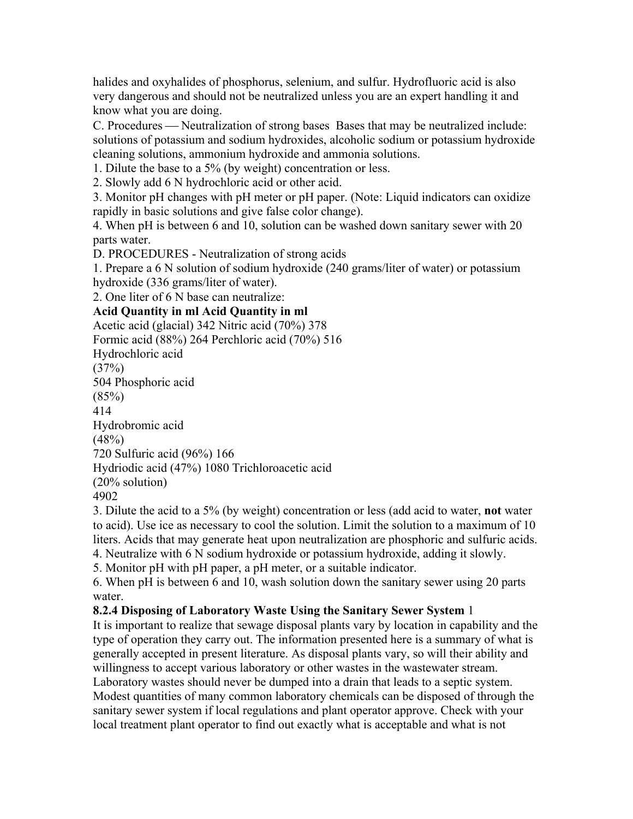halides and oxyhalides of phosphorus, selenium, and sulfur. Hydrofluoric acid is also very dangerous and should not be neutralized unless you are an expert handling it and know what you are doing.

C. Procedures — Neutralization of strong bases Bases that may be neutralized include: solutions of potassium and sodium hydroxides, alcoholic sodium or potassium hydroxide cleaning solutions, ammonium hydroxide and ammonia solutions.

1. Dilute the base to a 5% (by weight) concentration or less.

2. Slowly add 6 N hydrochloric acid or other acid.

3. Monitor pH changes with pH meter or pH paper. (Note: Liquid indicators can oxidize rapidly in basic solutions and give false color change).

4. When pH is between 6 and 10, solution can be washed down sanitary sewer with 20 parts water.

D. PROCEDURES - Neutralization of strong acids

1. Prepare a 6 N solution of sodium hydroxide (240 grams/liter of water) or potassium hydroxide (336 grams/liter of water).

2. One liter of 6 N base can neutralize:

### **Acid Quantity in ml Acid Quantity in ml**

Acetic acid (glacial) 342 Nitric acid (70%) 378 Formic acid (88%) 264 Perchloric acid (70%) 516 Hydrochloric acid  $(37%)$ 504 Phosphoric acid  $(85%)$ 414 Hydrobromic acid  $(48%)$ 720 Sulfuric acid (96%) 166 Hydriodic acid (47%) 1080 Trichloroacetic acid (20% solution) 4902

3. Dilute the acid to a 5% (by weight) concentration or less (add acid to water, **not** water to acid). Use ice as necessary to cool the solution. Limit the solution to a maximum of 10 liters. Acids that may generate heat upon neutralization are phosphoric and sulfuric acids. 4. Neutralize with 6 N sodium hydroxide or potassium hydroxide, adding it slowly.

5. Monitor pH with pH paper, a pH meter, or a suitable indicator.

6. When pH is between 6 and 10, wash solution down the sanitary sewer using 20 parts water.

#### **8.2.4 Disposing of Laboratory Waste Using the Sanitary Sewer System** 1

It is important to realize that sewage disposal plants vary by location in capability and the type of operation they carry out. The information presented here is a summary of what is generally accepted in present literature. As disposal plants vary, so will their ability and willingness to accept various laboratory or other wastes in the wastewater stream. Laboratory wastes should never be dumped into a drain that leads to a septic system. Modest quantities of many common laboratory chemicals can be disposed of through the sanitary sewer system if local regulations and plant operator approve. Check with your local treatment plant operator to find out exactly what is acceptable and what is not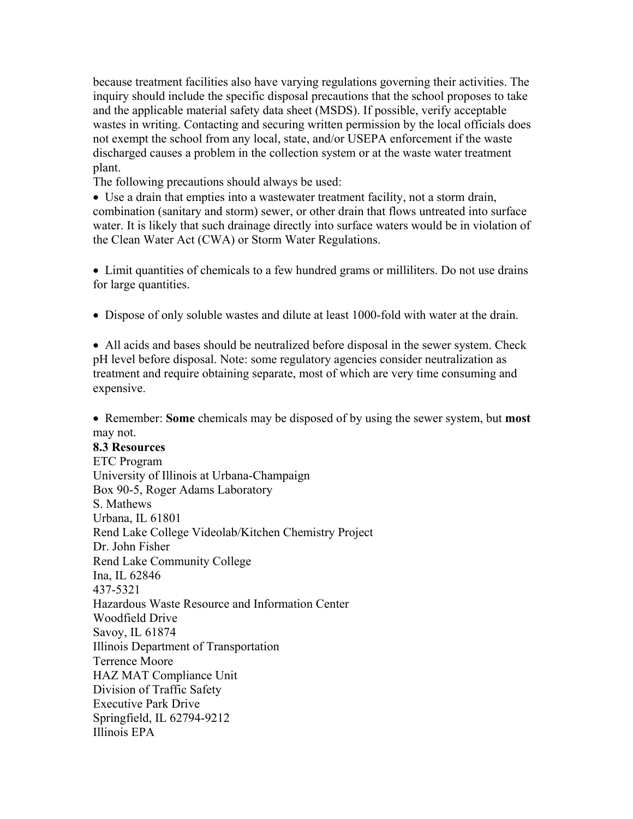because treatment facilities also have varying regulations governing their activities. The inquiry should include the specific disposal precautions that the school proposes to take and the applicable material safety data sheet (MSDS). If possible, verify acceptable wastes in writing. Contacting and securing written permission by the local officials does not exempt the school from any local, state, and/or USEPA enforcement if the waste discharged causes a problem in the collection system or at the waste water treatment plant.

The following precautions should always be used:

• Use a drain that empties into a wastewater treatment facility, not a storm drain, combination (sanitary and storm) sewer, or other drain that flows untreated into surface water. It is likely that such drainage directly into surface waters would be in violation of the Clean Water Act (CWA) or Storm Water Regulations.

• Limit quantities of chemicals to a few hundred grams or milliliters. Do not use drains for large quantities.

• Dispose of only soluble wastes and dilute at least 1000-fold with water at the drain.

• All acids and bases should be neutralized before disposal in the sewer system. Check pH level before disposal. Note: some regulatory agencies consider neutralization as treatment and require obtaining separate, most of which are very time consuming and expensive.

• Remember: **Some** chemicals may be disposed of by using the sewer system, but **most**  may not.

### **8.3 Resources**

ETC Program University of Illinois at Urbana-Champaign Box 90-5, Roger Adams Laboratory S. Mathews Urbana, IL 61801 Rend Lake College Videolab/Kitchen Chemistry Project Dr. John Fisher Rend Lake Community College Ina, IL 62846 437-5321 Hazardous Waste Resource and Information Center Woodfield Drive Savoy, IL 61874 Illinois Department of Transportation Terrence Moore HAZ MAT Compliance Unit Division of Traffic Safety Executive Park Drive Springfield, IL 62794-9212 Illinois EPA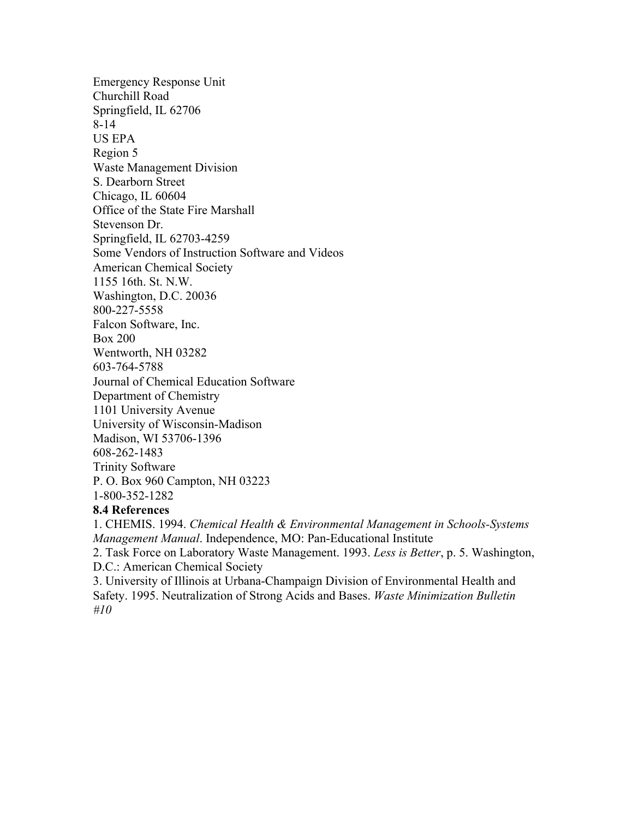Emergency Response Unit Churchill Road Springfield, IL 62706 8-14 US EPA Region 5 Waste Management Division S. Dearborn Street Chicago, IL 60604 Office of the State Fire Marshall Stevenson Dr. Springfield, IL 62703-4259 Some Vendors of Instruction Software and Videos American Chemical Society 1155 16th. St. N.W. Washington, D.C. 20036 800-227-5558 Falcon Software, Inc. Box 200 Wentworth, NH 03282 603-764-5788 Journal of Chemical Education Software Department of Chemistry 1101 University Avenue University of Wisconsin-Madison Madison, WI 53706-1396 608-262-1483 Trinity Software P. O. Box 960 Campton, NH 03223 1-800-352-1282

#### **8.4 References**

1. CHEMIS. 1994. *Chemical Health & Environmental Management in Schools-Systems Management Manual*. Independence, MO: Pan-Educational Institute 2. Task Force on Laboratory Waste Management. 1993. *Less is Better*, p. 5. Washington, D.C.: American Chemical Society

3. University of Illinois at Urbana-Champaign Division of Environmental Health and Safety. 1995. Neutralization of Strong Acids and Bases. *Waste Minimization Bulletin #10*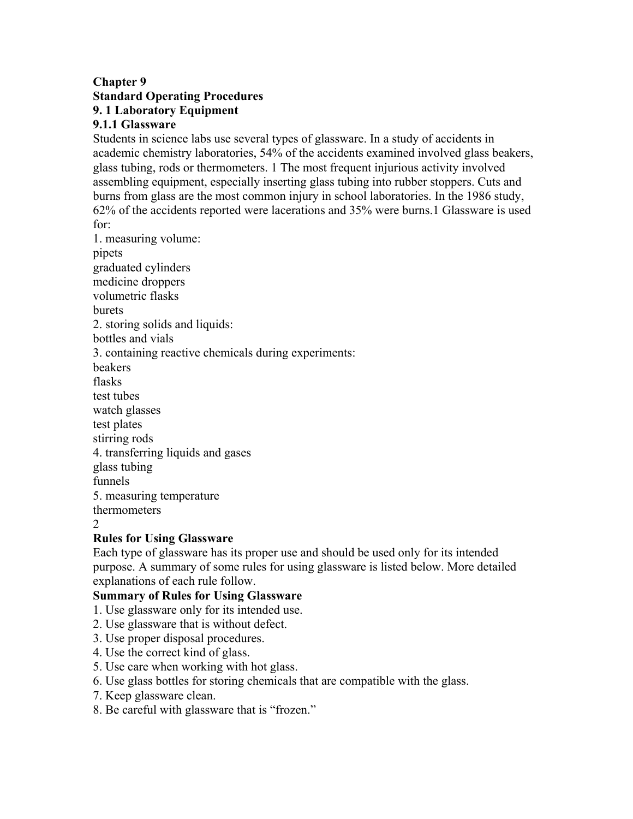# **Chapter 9 Standard Operating Procedures 9. 1 Laboratory Equipment**

### **9.1.1 Glassware**

Students in science labs use several types of glassware. In a study of accidents in academic chemistry laboratories, 54% of the accidents examined involved glass beakers, glass tubing, rods or thermometers. 1 The most frequent injurious activity involved assembling equipment, especially inserting glass tubing into rubber stoppers. Cuts and burns from glass are the most common injury in school laboratories. In the 1986 study, 62% of the accidents reported were lacerations and 35% were burns.1 Glassware is used for:

1. measuring volume: pipets

graduated cylinders medicine droppers volumetric flasks burets 2. storing solids and liquids: bottles and vials 3. containing reactive chemicals during experiments: beakers flasks test tubes watch glasses test plates stirring rods 4. transferring liquids and gases glass tubing funnels 5. measuring temperature thermometers 2

### **Rules for Using Glassware**

Each type of glassware has its proper use and should be used only for its intended purpose. A summary of some rules for using glassware is listed below. More detailed explanations of each rule follow.

## **Summary of Rules for Using Glassware**

- 1. Use glassware only for its intended use.
- 2. Use glassware that is without defect.
- 3. Use proper disposal procedures.
- 4. Use the correct kind of glass.
- 5. Use care when working with hot glass.
- 6. Use glass bottles for storing chemicals that are compatible with the glass.
- 7. Keep glassware clean.
- 8. Be careful with glassware that is "frozen."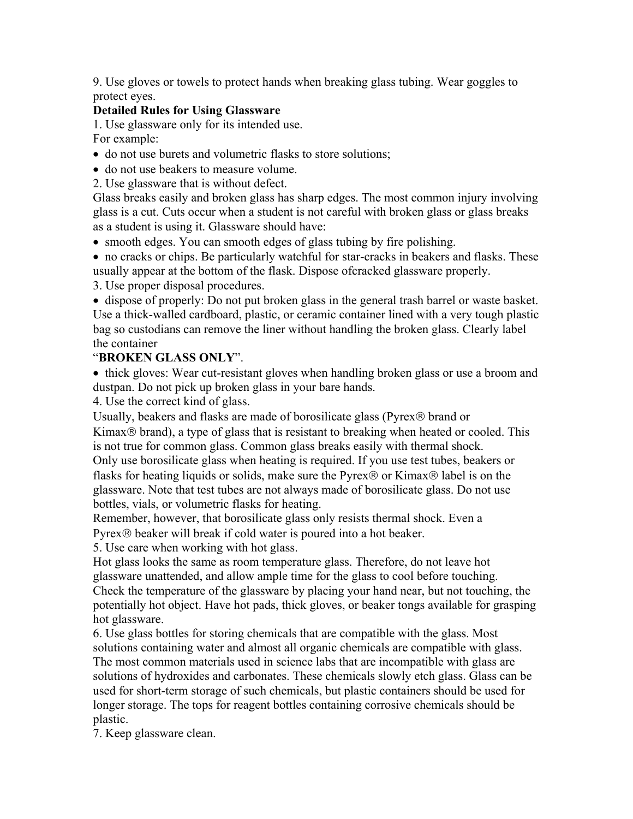9. Use gloves or towels to protect hands when breaking glass tubing. Wear goggles to protect eyes.

## **Detailed Rules for Using Glassware**

1. Use glassware only for its intended use. For example:

- do not use burets and volumetric flasks to store solutions;
- do not use beakers to measure volume.
- 2. Use glassware that is without defect.

Glass breaks easily and broken glass has sharp edges. The most common injury involving glass is a cut. Cuts occur when a student is not careful with broken glass or glass breaks as a student is using it. Glassware should have:

• smooth edges. You can smooth edges of glass tubing by fire polishing.

• no cracks or chips. Be particularly watchful for star-cracks in beakers and flasks. These usually appear at the bottom of the flask. Dispose ofcracked glassware properly.

3. Use proper disposal procedures.

• dispose of properly: Do not put broken glass in the general trash barrel or waste basket. Use a thick-walled cardboard, plastic, or ceramic container lined with a very tough plastic bag so custodians can remove the liner without handling the broken glass. Clearly label the container

## "**BROKEN GLASS ONLY**".

• thick gloves: Wear cut-resistant gloves when handling broken glass or use a broom and dustpan. Do not pick up broken glass in your bare hands.

4. Use the correct kind of glass.

Usually, beakers and flasks are made of borosilicate glass (Pyrex® brand or

Kimax $\mathcal{R}$  brand), a type of glass that is resistant to breaking when heated or cooled. This is not true for common glass. Common glass breaks easily with thermal shock.

Only use borosilicate glass when heating is required. If you use test tubes, beakers or flasks for heating liquids or solids, make sure the Pyrex  $\circledR$  or Kimax  $\circledR$  label is on the glassware. Note that test tubes are not always made of borosilicate glass. Do not use bottles, vials, or volumetric flasks for heating.

Remember, however, that borosilicate glass only resists thermal shock. Even a Pyrex<sup>®</sup> beaker will break if cold water is poured into a hot beaker.

5. Use care when working with hot glass.

Hot glass looks the same as room temperature glass. Therefore, do not leave hot glassware unattended, and allow ample time for the glass to cool before touching. Check the temperature of the glassware by placing your hand near, but not touching, the potentially hot object. Have hot pads, thick gloves, or beaker tongs available for grasping hot glassware.

6. Use glass bottles for storing chemicals that are compatible with the glass. Most solutions containing water and almost all organic chemicals are compatible with glass. The most common materials used in science labs that are incompatible with glass are solutions of hydroxides and carbonates. These chemicals slowly etch glass. Glass can be used for short-term storage of such chemicals, but plastic containers should be used for longer storage. The tops for reagent bottles containing corrosive chemicals should be plastic.

7. Keep glassware clean.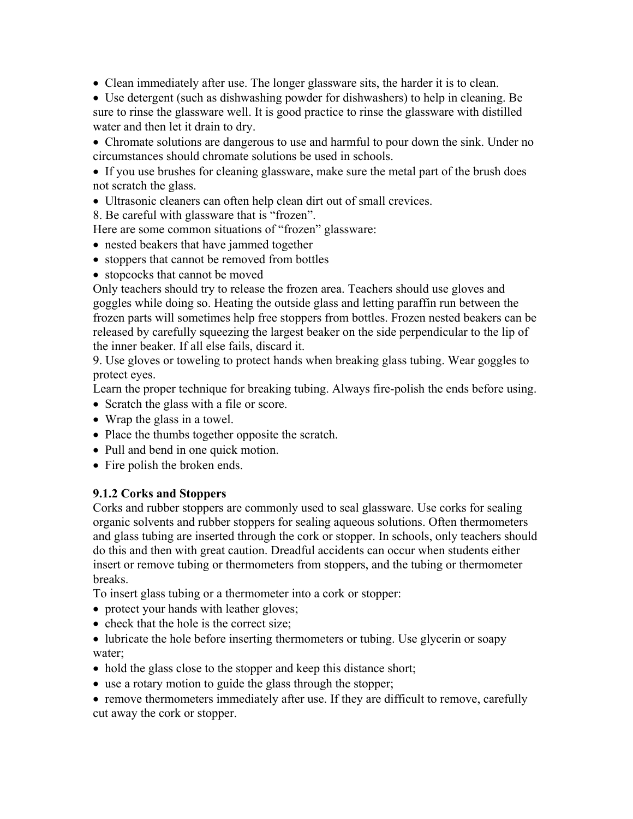• Clean immediately after use. The longer glassware sits, the harder it is to clean.

• Use detergent (such as dishwashing powder for dishwashers) to help in cleaning. Be sure to rinse the glassware well. It is good practice to rinse the glassware with distilled water and then let it drain to dry.

• Chromate solutions are dangerous to use and harmful to pour down the sink. Under no circumstances should chromate solutions be used in schools.

• If you use brushes for cleaning glassware, make sure the metal part of the brush does not scratch the glass.

• Ultrasonic cleaners can often help clean dirt out of small crevices.

8. Be careful with glassware that is "frozen".

Here are some common situations of "frozen" glassware:

- nested beakers that have jammed together
- stoppers that cannot be removed from bottles
- stopcocks that cannot be moved

Only teachers should try to release the frozen area. Teachers should use gloves and goggles while doing so. Heating the outside glass and letting paraffin run between the frozen parts will sometimes help free stoppers from bottles. Frozen nested beakers can be released by carefully squeezing the largest beaker on the side perpendicular to the lip of the inner beaker. If all else fails, discard it.

9. Use gloves or toweling to protect hands when breaking glass tubing. Wear goggles to protect eyes.

Learn the proper technique for breaking tubing. Always fire-polish the ends before using.

- Scratch the glass with a file or score.
- Wrap the glass in a towel.
- Place the thumbs together opposite the scratch.
- Pull and bend in one quick motion.
- Fire polish the broken ends.

## **9.1.2 Corks and Stoppers**

Corks and rubber stoppers are commonly used to seal glassware. Use corks for sealing organic solvents and rubber stoppers for sealing aqueous solutions. Often thermometers and glass tubing are inserted through the cork or stopper. In schools, only teachers should do this and then with great caution. Dreadful accidents can occur when students either insert or remove tubing or thermometers from stoppers, and the tubing or thermometer breaks.

To insert glass tubing or a thermometer into a cork or stopper:

- protect your hands with leather gloves;
- check that the hole is the correct size;
- lubricate the hole before inserting thermometers or tubing. Use glycerin or soapy water;
- hold the glass close to the stopper and keep this distance short;
- use a rotary motion to guide the glass through the stopper;
- remove thermometers immediately after use. If they are difficult to remove, carefully cut away the cork or stopper.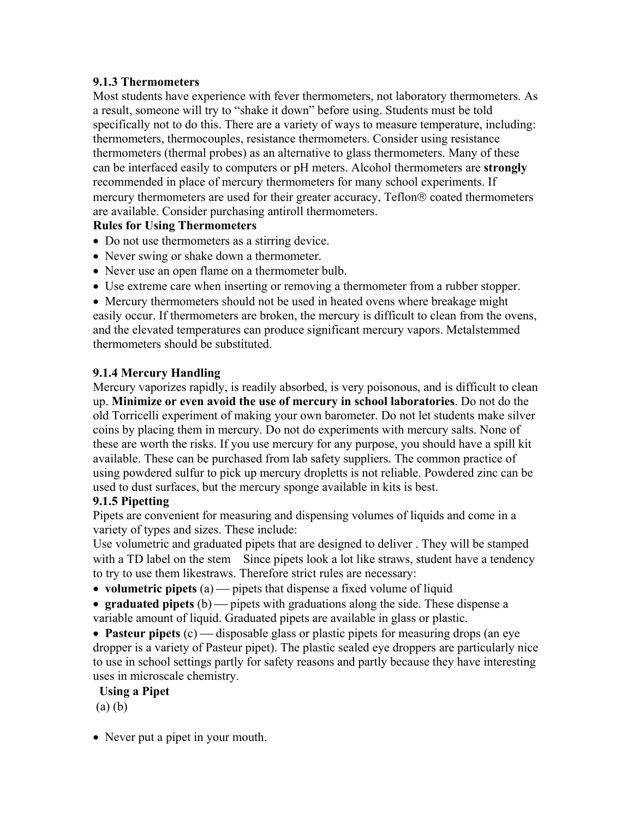## **9.1.3 Thermometers**

Most students have experience with fever thermometers, not laboratory thermometers. As a result, someone will try to "shake it down" before using. Students must be told specifically not to do this. There are a variety of ways to measure temperature, including: thermometers, thermocouples, resistance thermometers. Consider using resistance thermometers (thermal probes) as an alternative to glass thermometers. Many of these can be interfaced easily to computers or pH meters. Alcohol thermometers are **strongly**  recommended in place of mercury thermometers for many school experiments. If mercury thermometers are used for their greater accuracy, Teflon<sup>®</sup> coated thermometers are available. Consider purchasing antiroll thermometers.

## **Rules for Using Thermometers**

- Do not use thermometers as a stirring device.
- Never swing or shake down a thermometer.
- Never use an open flame on a thermometer bulb.
- Use extreme care when inserting or removing a thermometer from a rubber stopper.

• Mercury thermometers should not be used in heated ovens where breakage might easily occur. If thermometers are broken, the mercury is difficult to clean from the ovens, and the elevated temperatures can produce significant mercury vapors. Metalstemmed thermometers should be substituted.

# **9.1.4 Mercury Handling**

Mercury vaporizes rapidly, is readily absorbed, is very poisonous, and is difficult to clean up. **Minimize or even avoid the use of mercury in school laboratories**. Do not do the old Torricelli experiment of making your own barometer. Do not let students make silver coins by placing them in mercury. Do not do experiments with mercury salts. None of these are worth the risks. If you use mercury for any purpose, you should have a spill kit available. These can be purchased from lab safety suppliers. The common practice of using powdered sulfur to pick up mercury dropletts is not reliable. Powdered zinc can be used to dust surfaces, but the mercury sponge available in kits is best.

# **9.1.5 Pipetting**

Pipets are convenient for measuring and dispensing volumes of liquids and come in a variety of types and sizes. These include:

Use volumetric and graduated pipets that are designed to deliver . They will be stamped with a TD label on the stem Since pipets look a lot like straws, student have a tendency to try to use them likestraws. Therefore strict rules are necessary:

• **volumetric pipets** (a) — pipets that dispense a fixed volume of liquid

• **graduated pipets** (b) — pipets with graduations along the side. These dispense a variable amount of liquid. Graduated pipets are available in glass or plastic.

• **Pasteur pipets**  $(c)$  — disposable glass or plastic pipets for measuring drops (an eye dropper is a variety of Pasteur pipet). The plastic sealed eye droppers are particularly nice to use in school settings partly for safety reasons and partly because they have interesting uses in microscale chemistry.

# **Using a Pipet**

(a) (b)

• Never put a pipet in your mouth.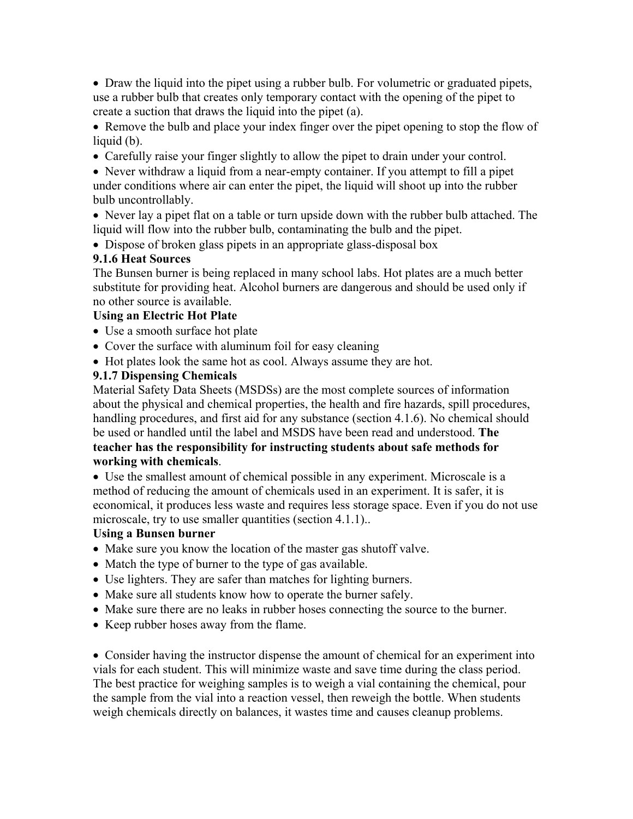• Draw the liquid into the pipet using a rubber bulb. For volumetric or graduated pipets, use a rubber bulb that creates only temporary contact with the opening of the pipet to create a suction that draws the liquid into the pipet (a).

• Remove the bulb and place your index finger over the pipet opening to stop the flow of liquid (b).

• Carefully raise your finger slightly to allow the pipet to drain under your control.

• Never withdraw a liquid from a near-empty container. If you attempt to fill a pipet under conditions where air can enter the pipet, the liquid will shoot up into the rubber bulb uncontrollably.

• Never lay a pipet flat on a table or turn upside down with the rubber bulb attached. The liquid will flow into the rubber bulb, contaminating the bulb and the pipet.

• Dispose of broken glass pipets in an appropriate glass-disposal box

## **9.1.6 Heat Sources**

The Bunsen burner is being replaced in many school labs. Hot plates are a much better substitute for providing heat. Alcohol burners are dangerous and should be used only if no other source is available.

## **Using an Electric Hot Plate**

- Use a smooth surface hot plate
- Cover the surface with aluminum foil for easy cleaning
- Hot plates look the same hot as cool. Always assume they are hot.

## **9.1.7 Dispensing Chemicals**

Material Safety Data Sheets (MSDSs) are the most complete sources of information about the physical and chemical properties, the health and fire hazards, spill procedures, handling procedures, and first aid for any substance (section 4.1.6). No chemical should be used or handled until the label and MSDS have been read and understood. **The teacher has the responsibility for instructing students about safe methods for working with chemicals**.

• Use the smallest amount of chemical possible in any experiment. Microscale is a method of reducing the amount of chemicals used in an experiment. It is safer, it is economical, it produces less waste and requires less storage space. Even if you do not use microscale, try to use smaller quantities (section 4.1.1)...

## **Using a Bunsen burner**

- Make sure you know the location of the master gas shutoff valve.
- Match the type of burner to the type of gas available.
- Use lighters. They are safer than matches for lighting burners.
- Make sure all students know how to operate the burner safely.
- Make sure there are no leaks in rubber hoses connecting the source to the burner.
- Keep rubber hoses away from the flame.

• Consider having the instructor dispense the amount of chemical for an experiment into vials for each student. This will minimize waste and save time during the class period. The best practice for weighing samples is to weigh a vial containing the chemical, pour the sample from the vial into a reaction vessel, then reweigh the bottle. When students weigh chemicals directly on balances, it wastes time and causes cleanup problems.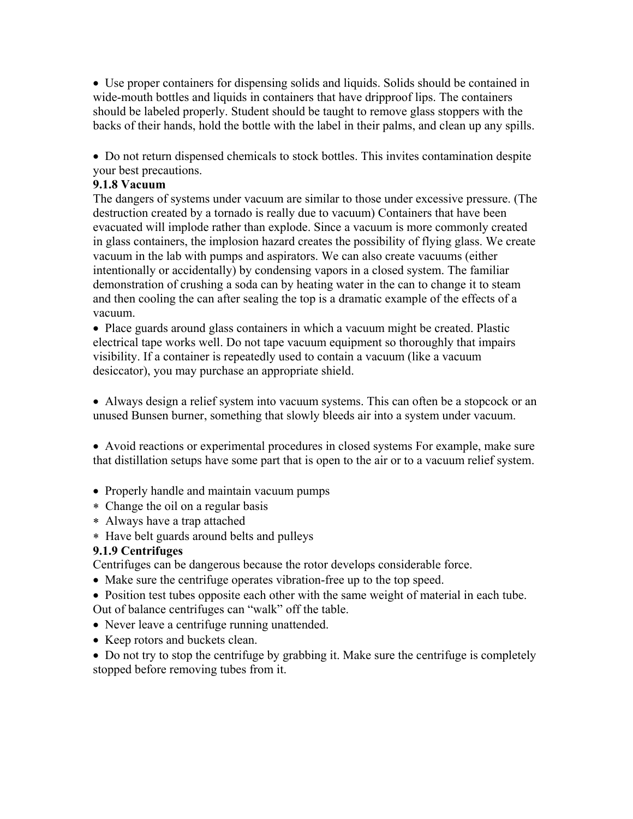• Use proper containers for dispensing solids and liquids. Solids should be contained in wide-mouth bottles and liquids in containers that have dripproof lips. The containers should be labeled properly. Student should be taught to remove glass stoppers with the backs of their hands, hold the bottle with the label in their palms, and clean up any spills.

• Do not return dispensed chemicals to stock bottles. This invites contamination despite your best precautions.

## **9.1.8 Vacuum**

The dangers of systems under vacuum are similar to those under excessive pressure. (The destruction created by a tornado is really due to vacuum) Containers that have been evacuated will implode rather than explode. Since a vacuum is more commonly created in glass containers, the implosion hazard creates the possibility of flying glass. We create vacuum in the lab with pumps and aspirators. We can also create vacuums (either intentionally or accidentally) by condensing vapors in a closed system. The familiar demonstration of crushing a soda can by heating water in the can to change it to steam and then cooling the can after sealing the top is a dramatic example of the effects of a vacuum.

• Place guards around glass containers in which a vacuum might be created. Plastic electrical tape works well. Do not tape vacuum equipment so thoroughly that impairs visibility. If a container is repeatedly used to contain a vacuum (like a vacuum desiccator), you may purchase an appropriate shield.

• Always design a relief system into vacuum systems. This can often be a stopcock or an unused Bunsen burner, something that slowly bleeds air into a system under vacuum.

• Avoid reactions or experimental procedures in closed systems For example, make sure that distillation setups have some part that is open to the air or to a vacuum relief system.

- Properly handle and maintain vacuum pumps
- ∗ Change the oil on a regular basis
- ∗ Always have a trap attached
- ∗ Have belt guards around belts and pulleys

# **9.1.9 Centrifuges**

Centrifuges can be dangerous because the rotor develops considerable force.

- Make sure the centrifuge operates vibration-free up to the top speed.
- Position test tubes opposite each other with the same weight of material in each tube. Out of balance centrifuges can "walk" off the table.
- Never leave a centrifuge running unattended.
- Keep rotors and buckets clean.

• Do not try to stop the centrifuge by grabbing it. Make sure the centrifuge is completely stopped before removing tubes from it.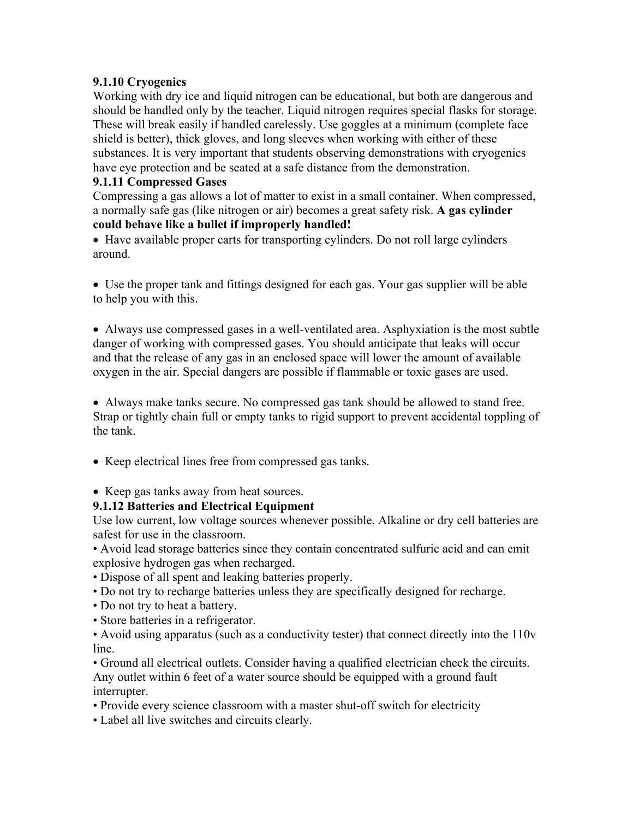## **9.1.10 Cryogenics**

Working with dry ice and liquid nitrogen can be educational, but both are dangerous and should be handled only by the teacher. Liquid nitrogen requires special flasks for storage. These will break easily if handled carelessly. Use goggles at a minimum (complete face shield is better), thick gloves, and long sleeves when working with either of these substances. It is very important that students observing demonstrations with cryogenics have eye protection and be seated at a safe distance from the demonstration.

# **9.1.11 Compressed Gases**

Compressing a gas allows a lot of matter to exist in a small container. When compressed, a normally safe gas (like nitrogen or air) becomes a great safety risk. **A gas cylinder could behave like a bullet if improperly handled!** 

• Have available proper carts for transporting cylinders. Do not roll large cylinders around.

• Use the proper tank and fittings designed for each gas. Your gas supplier will be able to help you with this.

• Always use compressed gases in a well-ventilated area. Asphyxiation is the most subtle danger of working with compressed gases. You should anticipate that leaks will occur and that the release of any gas in an enclosed space will lower the amount of available oxygen in the air. Special dangers are possible if flammable or toxic gases are used.

• Always make tanks secure. No compressed gas tank should be allowed to stand free. Strap or tightly chain full or empty tanks to rigid support to prevent accidental toppling of the tank.

• Keep electrical lines free from compressed gas tanks.

• Keep gas tanks away from heat sources.

# **9.1.12 Batteries and Electrical Equipment**

Use low current, low voltage sources whenever possible. Alkaline or dry cell batteries are safest for use in the classroom.

• Avoid lead storage batteries since they contain concentrated sulfuric acid and can emit explosive hydrogen gas when recharged.

• Dispose of all spent and leaking batteries properly.

• Do not try to recharge batteries unless they are specifically designed for recharge.

• Do not try to heat a battery.

• Store batteries in a refrigerator.

• Avoid using apparatus (such as a conductivity tester) that connect directly into the 110v line.

• Ground all electrical outlets. Consider having a qualified electrician check the circuits. Any outlet within 6 feet of a water source should be equipped with a ground fault interrupter.

• Provide every science classroom with a master shut-off switch for electricity

• Label all live switches and circuits clearly.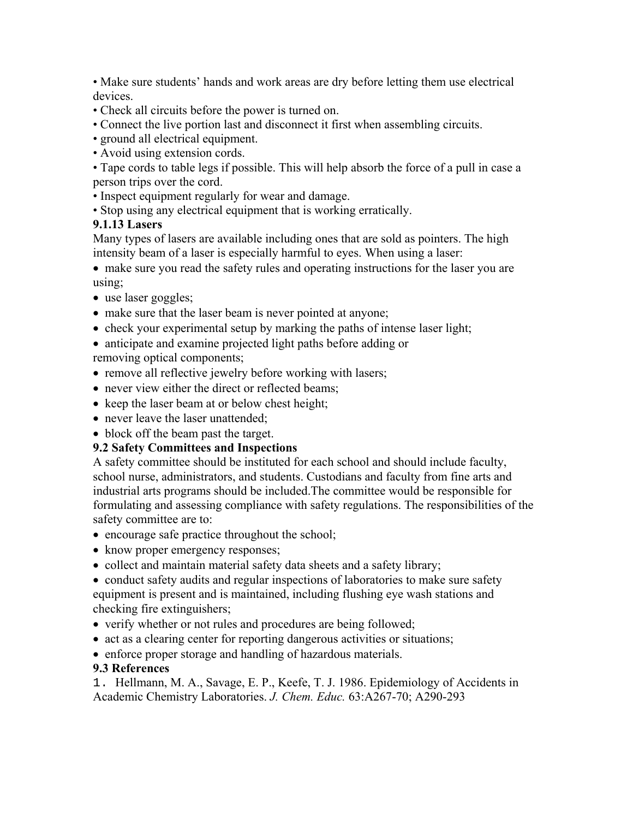• Make sure students' hands and work areas are dry before letting them use electrical devices.

- Check all circuits before the power is turned on.
- Connect the live portion last and disconnect it first when assembling circuits.
- ground all electrical equipment.
- Avoid using extension cords.
- Tape cords to table legs if possible. This will help absorb the force of a pull in case a person trips over the cord.
- Inspect equipment regularly for wear and damage.
- Stop using any electrical equipment that is working erratically.

## **9.1.13 Lasers**

Many types of lasers are available including ones that are sold as pointers. The high intensity beam of a laser is especially harmful to eyes. When using a laser:

• make sure you read the safety rules and operating instructions for the laser you are using;

- use laser goggles;
- make sure that the laser beam is never pointed at anyone;
- check your experimental setup by marking the paths of intense laser light;
- anticipate and examine projected light paths before adding or removing optical components;
- remove all reflective jewelry before working with lasers;
- never view either the direct or reflected beams;
- keep the laser beam at or below chest height;
- never leave the laser unattended;
- block off the beam past the target.

# **9.2 Safety Committees and Inspections**

A safety committee should be instituted for each school and should include faculty, school nurse, administrators, and students. Custodians and faculty from fine arts and industrial arts programs should be included.The committee would be responsible for formulating and assessing compliance with safety regulations. The responsibilities of the safety committee are to:

- encourage safe practice throughout the school;
- know proper emergency responses;
- collect and maintain material safety data sheets and a safety library;
- conduct safety audits and regular inspections of laboratories to make sure safety equipment is present and is maintained, including flushing eye wash stations and checking fire extinguishers;
- verify whether or not rules and procedures are being followed;
- act as a clearing center for reporting dangerous activities or situations;
- enforce proper storage and handling of hazardous materials.

# **9.3 References**

1. Hellmann, M. A., Savage, E. P., Keefe, T. J. 1986. Epidemiology of Accidents in Academic Chemistry Laboratories. *J. Chem. Educ.* 63:A267-70; A290-293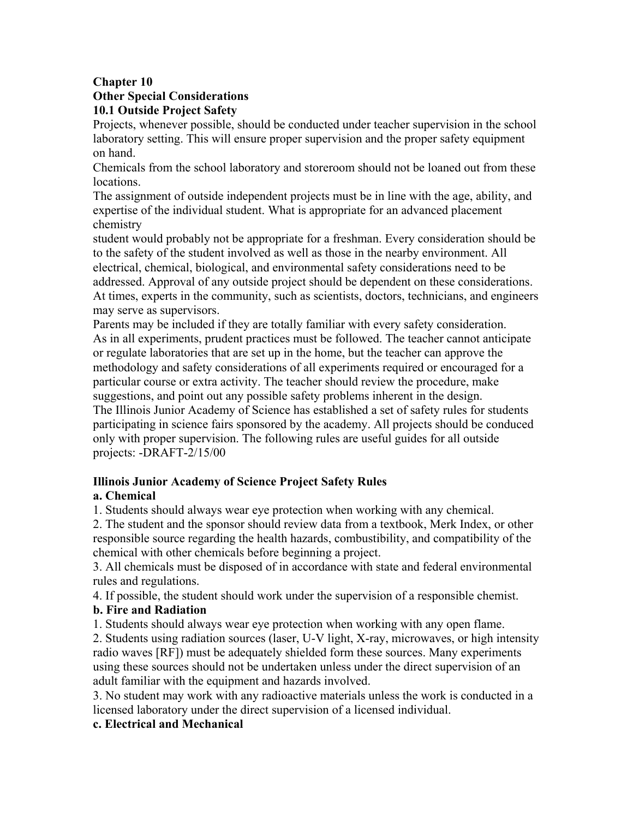# **Chapter 10**

# **Other Special Considerations**

## **10.1 Outside Project Safety**

Projects, whenever possible, should be conducted under teacher supervision in the school laboratory setting. This will ensure proper supervision and the proper safety equipment on hand.

Chemicals from the school laboratory and storeroom should not be loaned out from these locations.

The assignment of outside independent projects must be in line with the age, ability, and expertise of the individual student. What is appropriate for an advanced placement chemistry

student would probably not be appropriate for a freshman. Every consideration should be to the safety of the student involved as well as those in the nearby environment. All electrical, chemical, biological, and environmental safety considerations need to be addressed. Approval of any outside project should be dependent on these considerations. At times, experts in the community, such as scientists, doctors, technicians, and engineers may serve as supervisors.

Parents may be included if they are totally familiar with every safety consideration. As in all experiments, prudent practices must be followed. The teacher cannot anticipate or regulate laboratories that are set up in the home, but the teacher can approve the methodology and safety considerations of all experiments required or encouraged for a particular course or extra activity. The teacher should review the procedure, make suggestions, and point out any possible safety problems inherent in the design. The Illinois Junior Academy of Science has established a set of safety rules for students participating in science fairs sponsored by the academy. All projects should be conduced only with proper supervision. The following rules are useful guides for all outside projects: -DRAFT-2/15/00

# **Illinois Junior Academy of Science Project Safety Rules**

## **a. Chemical**

1. Students should always wear eye protection when working with any chemical.

2. The student and the sponsor should review data from a textbook, Merk Index, or other responsible source regarding the health hazards, combustibility, and compatibility of the chemical with other chemicals before beginning a project.

3. All chemicals must be disposed of in accordance with state and federal environmental rules and regulations.

4. If possible, the student should work under the supervision of a responsible chemist.

# **b. Fire and Radiation**

1. Students should always wear eye protection when working with any open flame.

2. Students using radiation sources (laser, U-V light, X-ray, microwaves, or high intensity radio waves [RF]) must be adequately shielded form these sources. Many experiments using these sources should not be undertaken unless under the direct supervision of an adult familiar with the equipment and hazards involved.

3. No student may work with any radioactive materials unless the work is conducted in a licensed laboratory under the direct supervision of a licensed individual.

## **c. Electrical and Mechanical**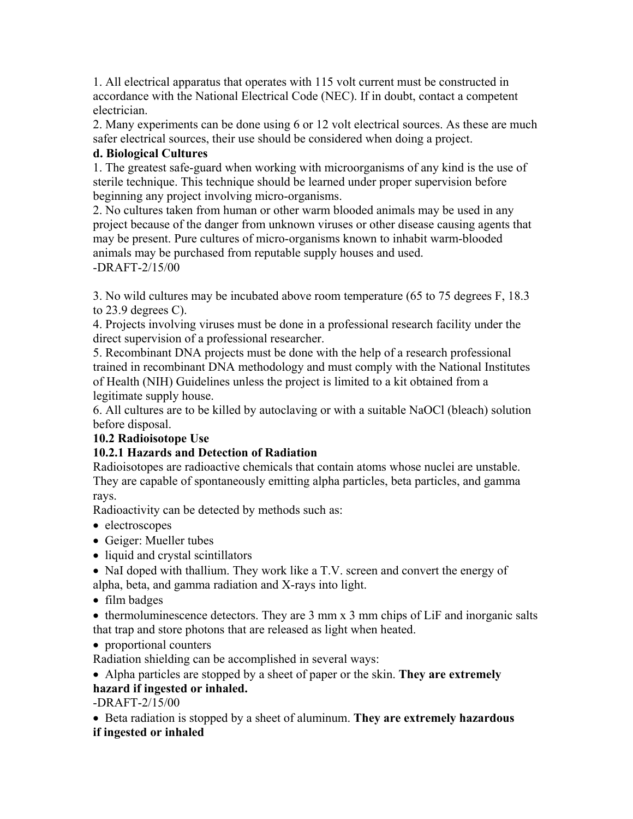1. All electrical apparatus that operates with 115 volt current must be constructed in accordance with the National Electrical Code (NEC). If in doubt, contact a competent electrician.

2. Many experiments can be done using 6 or 12 volt electrical sources. As these are much safer electrical sources, their use should be considered when doing a project.

## **d. Biological Cultures**

1. The greatest safe-guard when working with microorganisms of any kind is the use of sterile technique. This technique should be learned under proper supervision before beginning any project involving micro-organisms.

2. No cultures taken from human or other warm blooded animals may be used in any project because of the danger from unknown viruses or other disease causing agents that may be present. Pure cultures of micro-organisms known to inhabit warm-blooded animals may be purchased from reputable supply houses and used. -DRAFT-2/15/00

3. No wild cultures may be incubated above room temperature (65 to 75 degrees F, 18.3 to 23.9 degrees C).

4. Projects involving viruses must be done in a professional research facility under the direct supervision of a professional researcher.

5. Recombinant DNA projects must be done with the help of a research professional trained in recombinant DNA methodology and must comply with the National Institutes of Health (NIH) Guidelines unless the project is limited to a kit obtained from a legitimate supply house.

6. All cultures are to be killed by autoclaving or with a suitable NaOCl (bleach) solution before disposal.

# **10.2 Radioisotope Use**

# **10.2.1 Hazards and Detection of Radiation**

Radioisotopes are radioactive chemicals that contain atoms whose nuclei are unstable. They are capable of spontaneously emitting alpha particles, beta particles, and gamma rays.

Radioactivity can be detected by methods such as:

- electroscopes
- Geiger: Mueller tubes
- liquid and crystal scintillators

• NaI doped with thallium. They work like a T.V. screen and convert the energy of alpha, beta, and gamma radiation and X-rays into light.

• film badges

• thermoluminescence detectors. They are 3 mm x 3 mm chips of LiF and inorganic salts that trap and store photons that are released as light when heated.

# • proportional counters

Radiation shielding can be accomplished in several ways:

• Alpha particles are stopped by a sheet of paper or the skin. **They are extremely hazard if ingested or inhaled.** 

-DRAFT-2/15/00

• Beta radiation is stopped by a sheet of aluminum. **They are extremely hazardous if ingested or inhaled**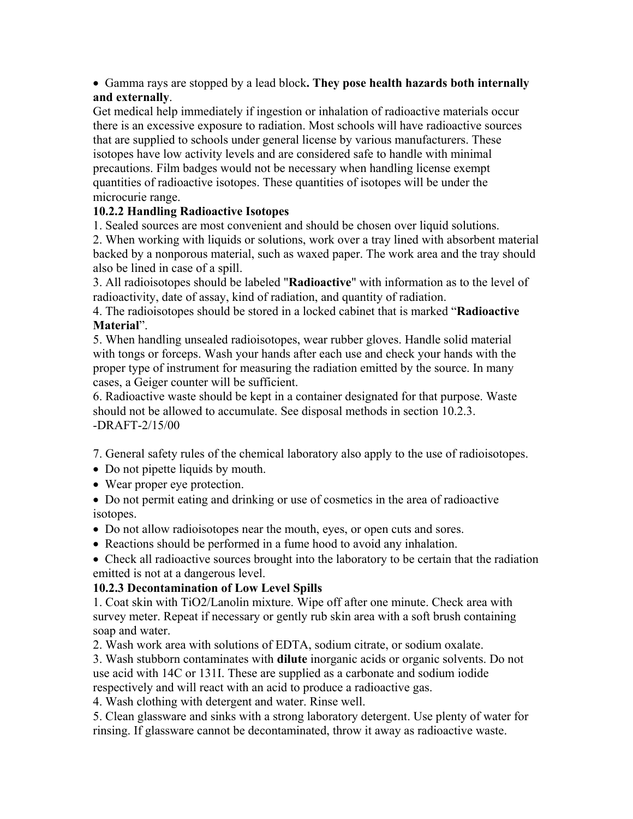• Gamma rays are stopped by a lead block**. They pose health hazards both internally and externally**.

Get medical help immediately if ingestion or inhalation of radioactive materials occur there is an excessive exposure to radiation. Most schools will have radioactive sources that are supplied to schools under general license by various manufacturers. These isotopes have low activity levels and are considered safe to handle with minimal precautions. Film badges would not be necessary when handling license exempt quantities of radioactive isotopes. These quantities of isotopes will be under the microcurie range.

# **10.2.2 Handling Radioactive Isotopes**

1. Sealed sources are most convenient and should be chosen over liquid solutions.

2. When working with liquids or solutions, work over a tray lined with absorbent material backed by a nonporous material, such as waxed paper. The work area and the tray should also be lined in case of a spill.

3. All radioisotopes should be labeled "**Radioactive**" with information as to the level of radioactivity, date of assay, kind of radiation, and quantity of radiation.

4. The radioisotopes should be stored in a locked cabinet that is marked "**Radioactive Material**".

5. When handling unsealed radioisotopes, wear rubber gloves. Handle solid material with tongs or forceps. Wash your hands after each use and check your hands with the proper type of instrument for measuring the radiation emitted by the source. In many cases, a Geiger counter will be sufficient.

6. Radioactive waste should be kept in a container designated for that purpose. Waste should not be allowed to accumulate. See disposal methods in section 10.2.3. -DRAFT-2/15/00

7. General safety rules of the chemical laboratory also apply to the use of radioisotopes.

- Do not pipette liquids by mouth.
- Wear proper eye protection.
- Do not permit eating and drinking or use of cosmetics in the area of radioactive isotopes.
- Do not allow radioisotopes near the mouth, eyes, or open cuts and sores.
- Reactions should be performed in a fume hood to avoid any inhalation.

• Check all radioactive sources brought into the laboratory to be certain that the radiation emitted is not at a dangerous level.

# **10.2.3 Decontamination of Low Level Spills**

1. Coat skin with TiO2/Lanolin mixture. Wipe off after one minute. Check area with survey meter. Repeat if necessary or gently rub skin area with a soft brush containing soap and water.

2. Wash work area with solutions of EDTA, sodium citrate, or sodium oxalate.

3. Wash stubborn contaminates with **dilute** inorganic acids or organic solvents. Do not use acid with 14C or 131I. These are supplied as a carbonate and sodium iodide respectively and will react with an acid to produce a radioactive gas.

4. Wash clothing with detergent and water. Rinse well.

5. Clean glassware and sinks with a strong laboratory detergent. Use plenty of water for rinsing. If glassware cannot be decontaminated, throw it away as radioactive waste.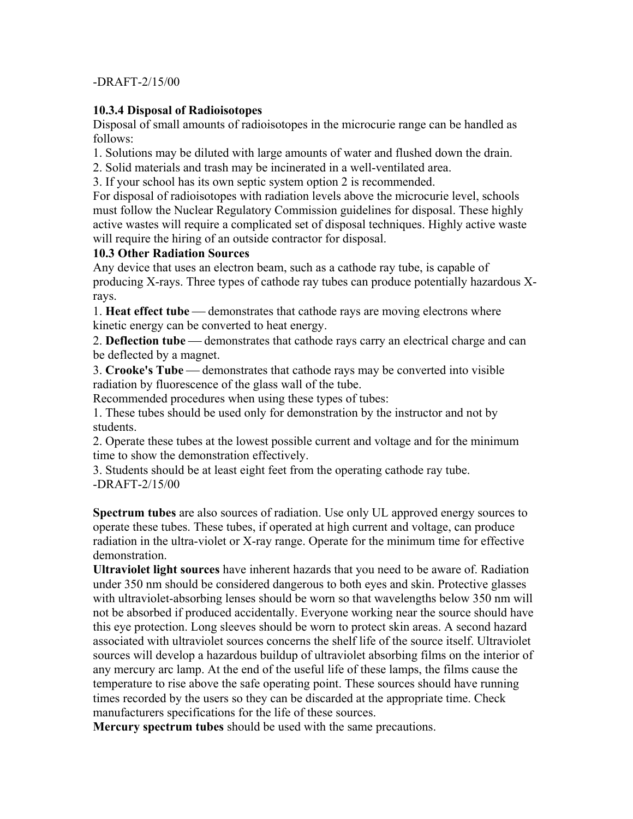-DRAFT-2/15/00

#### **10.3.4 Disposal of Radioisotopes**

Disposal of small amounts of radioisotopes in the microcurie range can be handled as follows:

1. Solutions may be diluted with large amounts of water and flushed down the drain.

2. Solid materials and trash may be incinerated in a well-ventilated area.

3. If your school has its own septic system option 2 is recommended.

For disposal of radioisotopes with radiation levels above the microcurie level, schools must follow the Nuclear Regulatory Commission guidelines for disposal. These highly active wastes will require a complicated set of disposal techniques. Highly active waste will require the hiring of an outside contractor for disposal.

#### **10.3 Other Radiation Sources**

Any device that uses an electron beam, such as a cathode ray tube, is capable of producing X-rays. Three types of cathode ray tubes can produce potentially hazardous Xrays.

1. **Heat effect tube** — demonstrates that cathode rays are moving electrons where kinetic energy can be converted to heat energy.

2. **Deflection tube** — demonstrates that cathode rays carry an electrical charge and can be deflected by a magnet.

3. **Crooke's Tube** — demonstrates that cathode rays may be converted into visible radiation by fluorescence of the glass wall of the tube.

Recommended procedures when using these types of tubes:

1. These tubes should be used only for demonstration by the instructor and not by students.

2. Operate these tubes at the lowest possible current and voltage and for the minimum time to show the demonstration effectively.

3. Students should be at least eight feet from the operating cathode ray tube. -DRAFT-2/15/00

**Spectrum tubes** are also sources of radiation. Use only UL approved energy sources to operate these tubes. These tubes, if operated at high current and voltage, can produce radiation in the ultra-violet or X-ray range. Operate for the minimum time for effective demonstration.

**Ultraviolet light sources** have inherent hazards that you need to be aware of. Radiation under 350 nm should be considered dangerous to both eyes and skin. Protective glasses with ultraviolet-absorbing lenses should be worn so that wavelengths below 350 nm will not be absorbed if produced accidentally. Everyone working near the source should have this eye protection. Long sleeves should be worn to protect skin areas. A second hazard associated with ultraviolet sources concerns the shelf life of the source itself. Ultraviolet sources will develop a hazardous buildup of ultraviolet absorbing films on the interior of any mercury arc lamp. At the end of the useful life of these lamps, the films cause the temperature to rise above the safe operating point. These sources should have running times recorded by the users so they can be discarded at the appropriate time. Check manufacturers specifications for the life of these sources.

**Mercury spectrum tubes** should be used with the same precautions.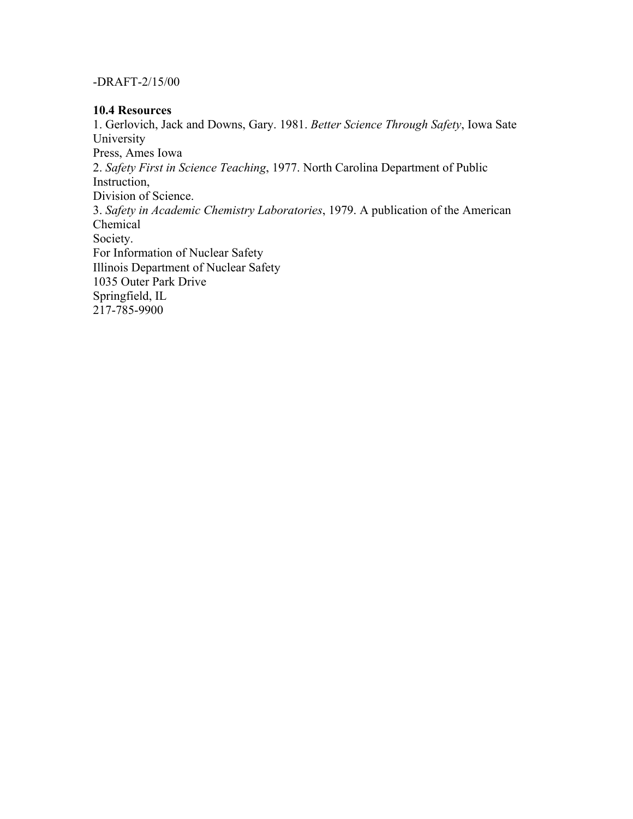#### -DRAFT-2/15/00

#### **10.4 Resources**

1. Gerlovich, Jack and Downs, Gary. 1981. *Better Science Through Safety*, Iowa Sate University Press, Ames Iowa 2. *Safety First in Science Teaching*, 1977. North Carolina Department of Public Instruction, Division of Science. 3. *Safety in Academic Chemistry Laboratories*, 1979. A publication of the American Chemical Society. For Information of Nuclear Safety Illinois Department of Nuclear Safety 1035 Outer Park Drive Springfield, IL 217-785-9900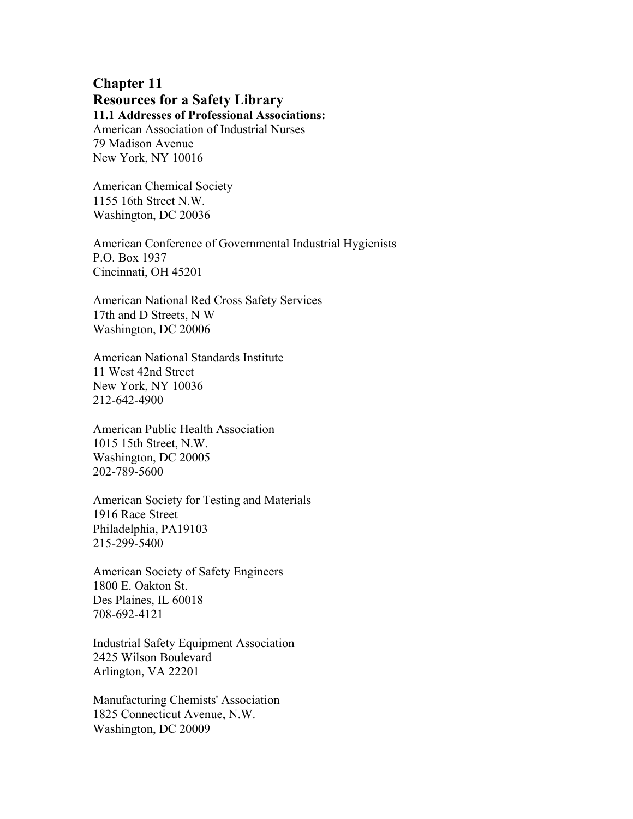### **Chapter 11 Resources for a Safety Library 11.1 Addresses of Professional Associations:**  American Association of Industrial Nurses 79 Madison Avenue

New York, NY 10016

American Chemical Society 1155 16th Street N.W. Washington, DC 20036

American Conference of Governmental Industrial Hygienists P.O. Box 1937 Cincinnati, OH 45201

American National Red Cross Safety Services 17th and D Streets, N W Washington, DC 20006

American National Standards Institute 11 West 42nd Street New York, NY 10036 212-642-4900

American Public Health Association 1015 15th Street, N.W. Washington, DC 20005 202-789-5600

American Society for Testing and Materials 1916 Race Street Philadelphia, PA19103 215-299-5400

American Society of Safety Engineers 1800 E. Oakton St. Des Plaines, IL 60018 708-692-4121

Industrial Safety Equipment Association 2425 Wilson Boulevard Arlington, VA 22201

Manufacturing Chemists' Association 1825 Connecticut Avenue, N.W. Washington, DC 20009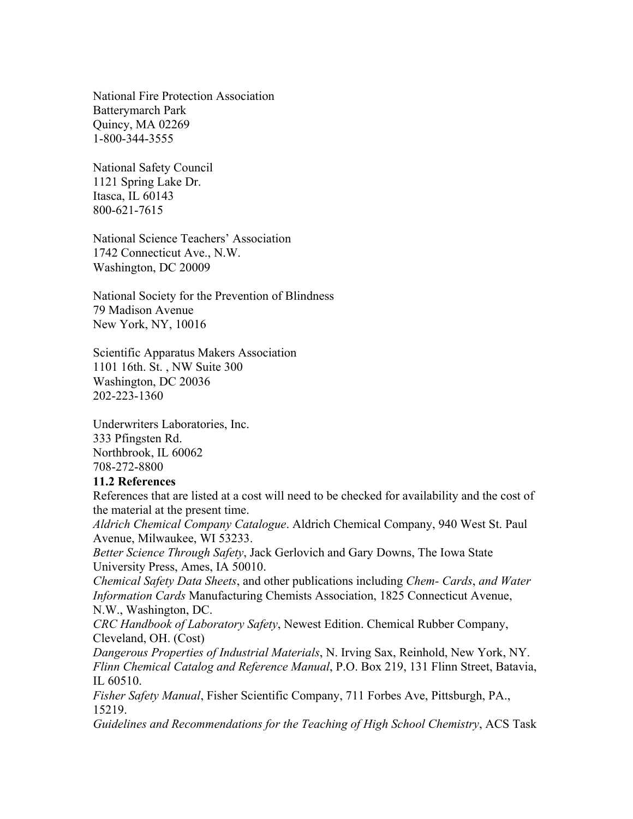National Fire Protection Association Batterymarch Park Quincy, MA 02269 1-800-344-3555

National Safety Council 1121 Spring Lake Dr. Itasca, IL 60143 800-621-7615

National Science Teachers' Association 1742 Connecticut Ave., N.W. Washington, DC 20009

National Society for the Prevention of Blindness 79 Madison Avenue New York, NY, 10016

Scientific Apparatus Makers Association 1101 16th. St. , NW Suite 300 Washington, DC 20036 202-223-1360

Underwriters Laboratories, Inc. 333 Pfingsten Rd. Northbrook, IL 60062 708-272-8800

#### **11.2 References**

References that are listed at a cost will need to be checked for availability and the cost of the material at the present time.

*Aldrich Chemical Company Catalogue*. Aldrich Chemical Company, 940 West St. Paul Avenue, Milwaukee, WI 53233.

*Better Science Through Safety*, Jack Gerlovich and Gary Downs, The Iowa State University Press, Ames, IA 50010.

*Chemical Safety Data Sheets*, and other publications including *Chem- Cards*, *and Water Information Cards* Manufacturing Chemists Association, 1825 Connecticut Avenue, N.W., Washington, DC.

*CRC Handbook of Laboratory Safety*, Newest Edition. Chemical Rubber Company, Cleveland, OH. (Cost)

*Dangerous Properties of Industrial Materials*, N. Irving Sax, Reinhold, New York, NY. *Flinn Chemical Catalog and Reference Manual*, P.O. Box 219, 131 Flinn Street, Batavia, IL 60510.

*Fisher Safety Manual*, Fisher Scientific Company, 711 Forbes Ave, Pittsburgh, PA., 15219.

*Guidelines and Recommendations for the Teaching of High School Chemistry*, ACS Task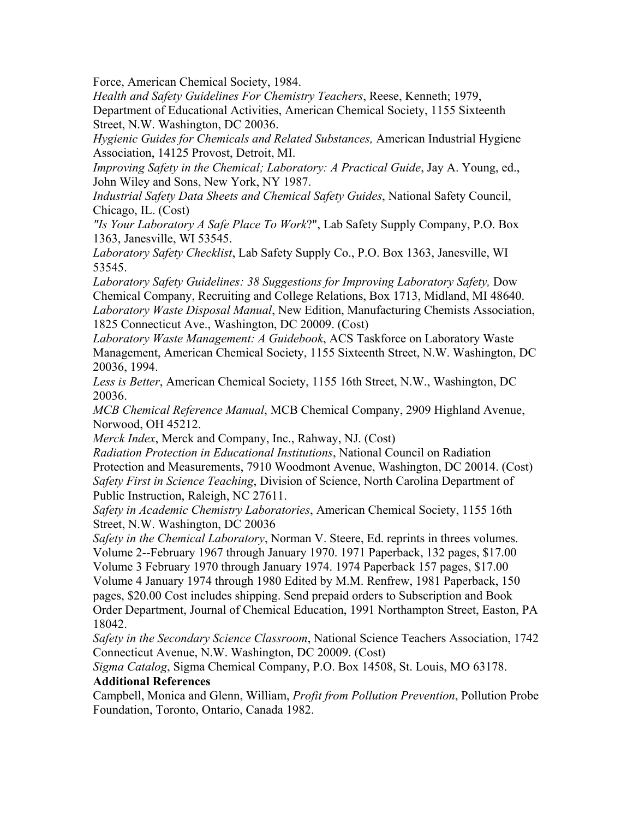Force, American Chemical Society, 1984.

*Health and Safety Guidelines For Chemistry Teachers*, Reese, Kenneth; 1979,

Department of Educational Activities, American Chemical Society, 1155 Sixteenth Street, N.W. Washington, DC 20036.

*Hygienic Guides for Chemicals and Related Substances,* American Industrial Hygiene Association, 14125 Provost, Detroit, MI.

*Improving Safety in the Chemical; Laboratory: A Practical Guide*, Jay A. Young, ed., John Wiley and Sons, New York, NY 1987.

*Industrial Safety Data Sheets and Chemical Safety Guides*, National Safety Council, Chicago, IL. (Cost)

*"Is Your Laboratory A Safe Place To Work*?", Lab Safety Supply Company, P.O. Box 1363, Janesville, WI 53545.

*Laboratory Safety Checklist*, Lab Safety Supply Co., P.O. Box 1363, Janesville, WI 53545.

*Laboratory Safety Guidelines: 38 Suggestions for Improving Laboratory Safety,* Dow Chemical Company, Recruiting and College Relations, Box 1713, Midland, MI 48640. *Laboratory Waste Disposal Manual*, New Edition, Manufacturing Chemists Association, 1825 Connecticut Ave., Washington, DC 20009. (Cost)

*Laboratory Waste Management: A Guidebook*, ACS Taskforce on Laboratory Waste Management, American Chemical Society, 1155 Sixteenth Street, N.W. Washington, DC 20036, 1994.

*Less is Better*, American Chemical Society, 1155 16th Street, N.W., Washington, DC 20036.

*MCB Chemical Reference Manual*, MCB Chemical Company, 2909 Highland Avenue, Norwood, OH 45212.

*Merck Index*, Merck and Company, Inc., Rahway, NJ. (Cost)

*Radiation Protection in Educational Institutions*, National Council on Radiation Protection and Measurements, 7910 Woodmont Avenue, Washington, DC 20014. (Cost) *Safety First in Science Teaching*, Division of Science, North Carolina Department of Public Instruction, Raleigh, NC 27611.

*Safety in Academic Chemistry Laboratories*, American Chemical Society, 1155 16th Street, N.W. Washington, DC 20036

*Safety in the Chemical Laboratory*, Norman V. Steere, Ed. reprints in threes volumes. Volume 2--February 1967 through January 1970. 1971 Paperback, 132 pages, \$17.00 Volume 3 February 1970 through January 1974. 1974 Paperback 157 pages, \$17.00 Volume 4 January 1974 through 1980 Edited by M.M. Renfrew, 1981 Paperback, 150 pages, \$20.00 Cost includes shipping. Send prepaid orders to Subscription and Book

Order Department, Journal of Chemical Education, 1991 Northampton Street, Easton, PA 18042.

*Safety in the Secondary Science Classroom*, National Science Teachers Association, 1742 Connecticut Avenue, N.W. Washington, DC 20009. (Cost)

*Sigma Catalog*, Sigma Chemical Company, P.O. Box 14508, St. Louis, MO 63178. **Additional References** 

Campbell, Monica and Glenn, William, *Profit from Pollution Prevention*, Pollution Probe Foundation, Toronto, Ontario, Canada 1982.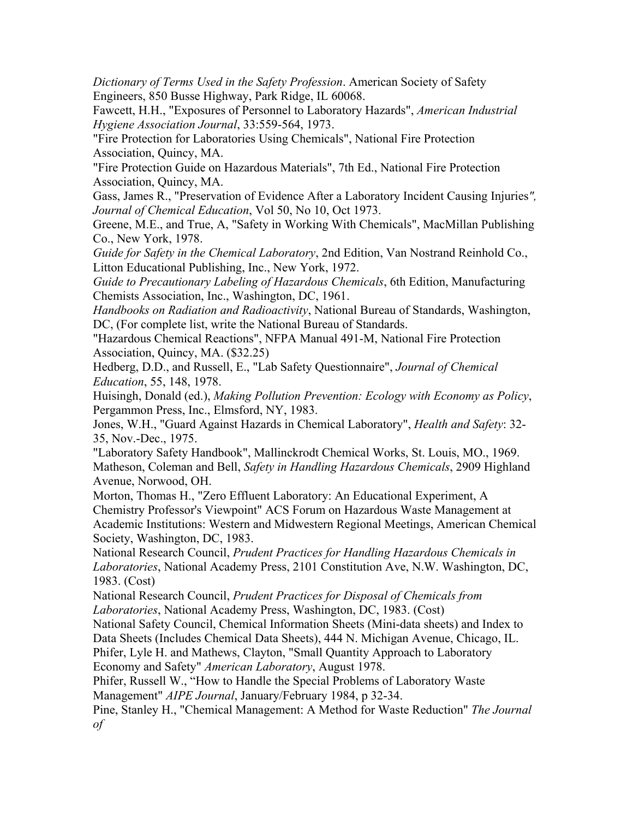*Dictionary of Terms Used in the Safety Profession*. American Society of Safety Engineers, 850 Busse Highway, Park Ridge, IL 60068.

Fawcett, H.H., "Exposures of Personnel to Laboratory Hazards", *American Industrial Hygiene Association Journal*, 33:559-564, 1973.

"Fire Protection for Laboratories Using Chemicals", National Fire Protection Association, Quincy, MA.

"Fire Protection Guide on Hazardous Materials", 7th Ed., National Fire Protection Association, Quincy, MA.

Gass, James R., "Preservation of Evidence After a Laboratory Incident Causing Injuries*", Journal of Chemical Education*, Vol 50, No 10, Oct 1973.

Greene, M.E., and True, A, "Safety in Working With Chemicals", MacMillan Publishing Co., New York, 1978.

*Guide for Safety in the Chemical Laboratory*, 2nd Edition, Van Nostrand Reinhold Co., Litton Educational Publishing, Inc., New York, 1972.

*Guide to Precautionary Labeling of Hazardous Chemicals*, 6th Edition, Manufacturing Chemists Association, Inc., Washington, DC, 1961.

*Handbooks on Radiation and Radioactivity*, National Bureau of Standards, Washington, DC, (For complete list, write the National Bureau of Standards.

"Hazardous Chemical Reactions", NFPA Manual 491-M, National Fire Protection Association, Quincy, MA. (\$32.25)

Hedberg, D.D., and Russell, E., "Lab Safety Questionnaire", *Journal of Chemical Education*, 55, 148, 1978.

Huisingh, Donald (ed.), *Making Pollution Prevention: Ecology with Economy as Policy*, Pergammon Press, Inc., Elmsford, NY, 1983.

Jones, W.H., "Guard Against Hazards in Chemical Laboratory", *Health and Safety*: 32- 35, Nov.-Dec., 1975.

"Laboratory Safety Handbook", Mallinckrodt Chemical Works, St. Louis, MO., 1969. Matheson, Coleman and Bell, *Safety in Handling Hazardous Chemicals*, 2909 Highland Avenue, Norwood, OH.

Morton, Thomas H., "Zero Effluent Laboratory: An Educational Experiment, A Chemistry Professor's Viewpoint" ACS Forum on Hazardous Waste Management at Academic Institutions: Western and Midwestern Regional Meetings, American Chemical Society, Washington, DC, 1983.

National Research Council, *Prudent Practices for Handling Hazardous Chemicals in Laboratories*, National Academy Press, 2101 Constitution Ave, N.W. Washington, DC, 1983. (Cost)

National Research Council, *Prudent Practices for Disposal of Chemicals from Laboratories*, National Academy Press, Washington, DC, 1983. (Cost)

National Safety Council, Chemical Information Sheets (Mini-data sheets) and Index to Data Sheets (Includes Chemical Data Sheets), 444 N. Michigan Avenue, Chicago, IL.

Phifer, Lyle H. and Mathews, Clayton, "Small Quantity Approach to Laboratory Economy and Safety" *American Laboratory*, August 1978.

Phifer, Russell W., "How to Handle the Special Problems of Laboratory Waste Management" *AIPE Journal*, January/February 1984, p 32-34.

Pine, Stanley H., "Chemical Management: A Method for Waste Reduction" *The Journal of*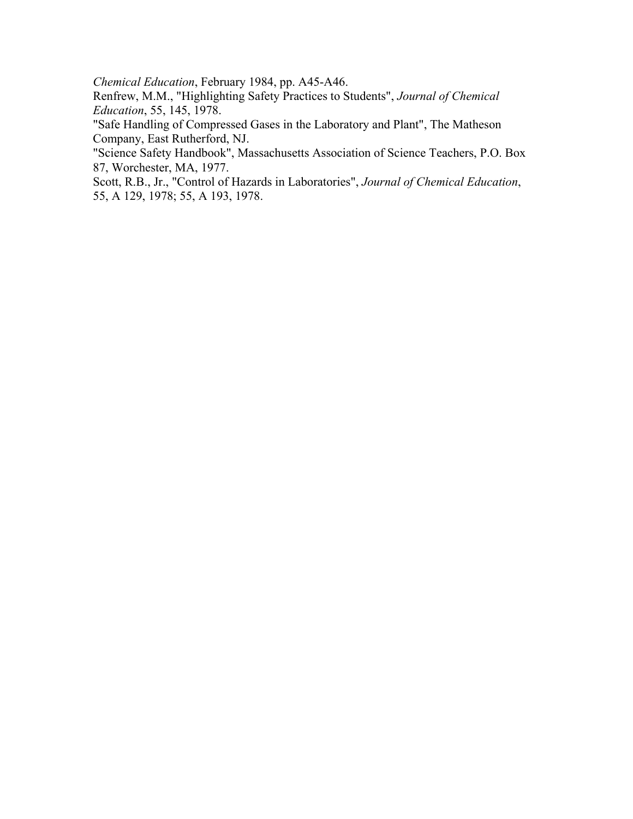*Chemical Education*, February 1984, pp. A45-A46.

Renfrew, M.M., "Highlighting Safety Practices to Students", *Journal of Chemical Education*, 55, 145, 1978.

"Safe Handling of Compressed Gases in the Laboratory and Plant", The Matheson Company, East Rutherford, NJ.

"Science Safety Handbook", Massachusetts Association of Science Teachers, P.O. Box 87, Worchester, MA, 1977.

Scott, R.B., Jr., "Control of Hazards in Laboratories", *Journal of Chemical Education*, 55, A 129, 1978; 55, A 193, 1978.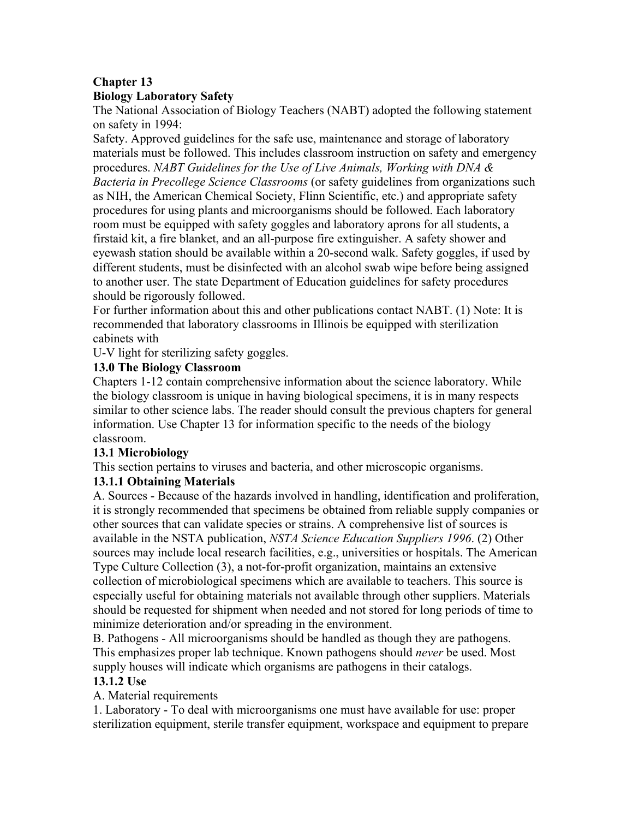### **Chapter 13 Biology Laboratory Safety**

The National Association of Biology Teachers (NABT) adopted the following statement on safety in 1994:

Safety. Approved guidelines for the safe use, maintenance and storage of laboratory materials must be followed. This includes classroom instruction on safety and emergency procedures. *NABT Guidelines for the Use of Live Animals, Working with DNA & Bacteria in Precollege Science Classrooms* (or safety guidelines from organizations such as NIH, the American Chemical Society, Flinn Scientific, etc.) and appropriate safety procedures for using plants and microorganisms should be followed. Each laboratory room must be equipped with safety goggles and laboratory aprons for all students, a firstaid kit, a fire blanket, and an all-purpose fire extinguisher. A safety shower and eyewash station should be available within a 20-second walk. Safety goggles, if used by different students, must be disinfected with an alcohol swab wipe before being assigned to another user. The state Department of Education guidelines for safety procedures should be rigorously followed.

For further information about this and other publications contact NABT. (1) Note: It is recommended that laboratory classrooms in Illinois be equipped with sterilization cabinets with

U-V light for sterilizing safety goggles.

# **13.0 The Biology Classroom**

Chapters 1-12 contain comprehensive information about the science laboratory. While the biology classroom is unique in having biological specimens, it is in many respects similar to other science labs. The reader should consult the previous chapters for general information. Use Chapter 13 for information specific to the needs of the biology classroom.

# **13.1 Microbiology**

This section pertains to viruses and bacteria, and other microscopic organisms.

# **13.1.1 Obtaining Materials**

A. Sources - Because of the hazards involved in handling, identification and proliferation, it is strongly recommended that specimens be obtained from reliable supply companies or other sources that can validate species or strains. A comprehensive list of sources is available in the NSTA publication, *NSTA Science Education Suppliers 1996*. (2) Other sources may include local research facilities, e.g., universities or hospitals. The American Type Culture Collection (3), a not-for-profit organization, maintains an extensive collection of microbiological specimens which are available to teachers. This source is especially useful for obtaining materials not available through other suppliers. Materials should be requested for shipment when needed and not stored for long periods of time to minimize deterioration and/or spreading in the environment.

B. Pathogens - All microorganisms should be handled as though they are pathogens. This emphasizes proper lab technique. Known pathogens should *never* be used. Most supply houses will indicate which organisms are pathogens in their catalogs.

# **13.1.2 Use**

A. Material requirements

1. Laboratory - To deal with microorganisms one must have available for use: proper sterilization equipment, sterile transfer equipment, workspace and equipment to prepare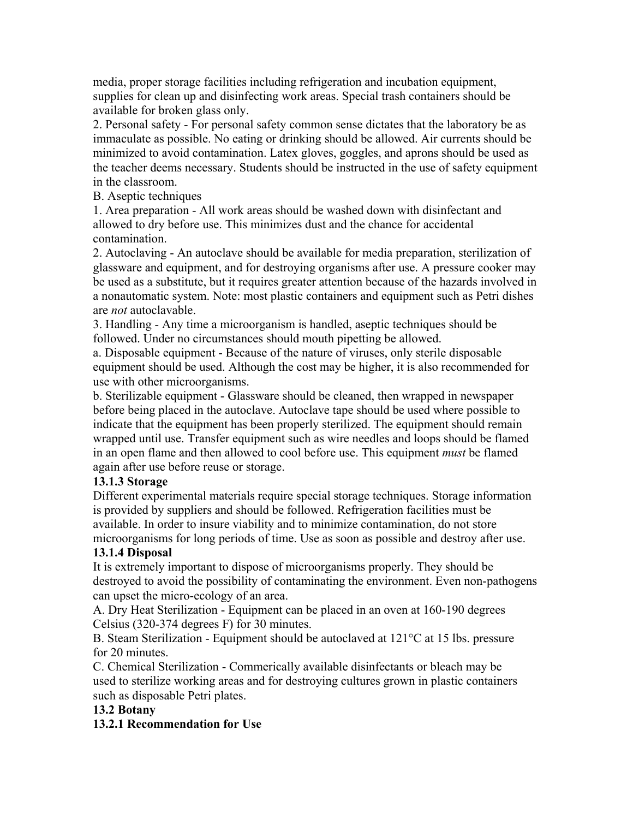media, proper storage facilities including refrigeration and incubation equipment, supplies for clean up and disinfecting work areas. Special trash containers should be available for broken glass only.

2. Personal safety - For personal safety common sense dictates that the laboratory be as immaculate as possible. No eating or drinking should be allowed. Air currents should be minimized to avoid contamination. Latex gloves, goggles, and aprons should be used as the teacher deems necessary. Students should be instructed in the use of safety equipment in the classroom.

B. Aseptic techniques

1. Area preparation - All work areas should be washed down with disinfectant and allowed to dry before use. This minimizes dust and the chance for accidental contamination.

2. Autoclaving - An autoclave should be available for media preparation, sterilization of glassware and equipment, and for destroying organisms after use. A pressure cooker may be used as a substitute, but it requires greater attention because of the hazards involved in a nonautomatic system. Note: most plastic containers and equipment such as Petri dishes are *not* autoclavable.

3. Handling - Any time a microorganism is handled, aseptic techniques should be followed. Under no circumstances should mouth pipetting be allowed.

a. Disposable equipment - Because of the nature of viruses, only sterile disposable equipment should be used. Although the cost may be higher, it is also recommended for use with other microorganisms.

b. Sterilizable equipment - Glassware should be cleaned, then wrapped in newspaper before being placed in the autoclave. Autoclave tape should be used where possible to indicate that the equipment has been properly sterilized. The equipment should remain wrapped until use. Transfer equipment such as wire needles and loops should be flamed in an open flame and then allowed to cool before use. This equipment *must* be flamed again after use before reuse or storage.

### **13.1.3 Storage**

Different experimental materials require special storage techniques. Storage information is provided by suppliers and should be followed. Refrigeration facilities must be available. In order to insure viability and to minimize contamination, do not store microorganisms for long periods of time. Use as soon as possible and destroy after use.

# **13.1.4 Disposal**

It is extremely important to dispose of microorganisms properly. They should be destroyed to avoid the possibility of contaminating the environment. Even non-pathogens can upset the micro-ecology of an area.

A. Dry Heat Sterilization - Equipment can be placed in an oven at 160-190 degrees Celsius (320-374 degrees F) for 30 minutes.

B. Steam Sterilization - Equipment should be autoclaved at 121°C at 15 lbs. pressure for 20 minutes.

C. Chemical Sterilization - Commerically available disinfectants or bleach may be used to sterilize working areas and for destroying cultures grown in plastic containers such as disposable Petri plates.

# **13.2 Botany**

# **13.2.1 Recommendation for Use**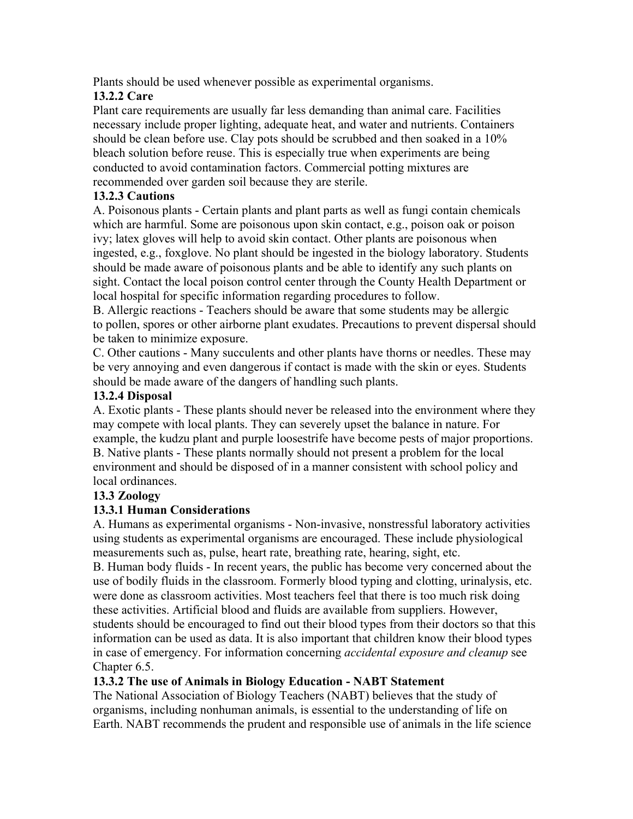Plants should be used whenever possible as experimental organisms.

# **13.2.2 Care**

Plant care requirements are usually far less demanding than animal care. Facilities necessary include proper lighting, adequate heat, and water and nutrients. Containers should be clean before use. Clay pots should be scrubbed and then soaked in a 10% bleach solution before reuse. This is especially true when experiments are being conducted to avoid contamination factors. Commercial potting mixtures are recommended over garden soil because they are sterile.

## **13.2.3 Cautions**

A. Poisonous plants - Certain plants and plant parts as well as fungi contain chemicals which are harmful. Some are poisonous upon skin contact, e.g., poison oak or poison ivy; latex gloves will help to avoid skin contact. Other plants are poisonous when ingested, e.g., foxglove. No plant should be ingested in the biology laboratory. Students should be made aware of poisonous plants and be able to identify any such plants on sight. Contact the local poison control center through the County Health Department or local hospital for specific information regarding procedures to follow.

B. Allergic reactions - Teachers should be aware that some students may be allergic to pollen, spores or other airborne plant exudates. Precautions to prevent dispersal should be taken to minimize exposure.

C. Other cautions - Many succulents and other plants have thorns or needles. These may be very annoying and even dangerous if contact is made with the skin or eyes. Students should be made aware of the dangers of handling such plants.

# **13.2.4 Disposal**

A. Exotic plants - These plants should never be released into the environment where they may compete with local plants. They can severely upset the balance in nature. For example, the kudzu plant and purple loosestrife have become pests of major proportions. B. Native plants - These plants normally should not present a problem for the local environment and should be disposed of in a manner consistent with school policy and local ordinances.

# **13.3 Zoology**

# **13.3.1 Human Considerations**

A. Humans as experimental organisms - Non-invasive, nonstressful laboratory activities using students as experimental organisms are encouraged. These include physiological measurements such as, pulse, heart rate, breathing rate, hearing, sight, etc.

B. Human body fluids - In recent years, the public has become very concerned about the use of bodily fluids in the classroom. Formerly blood typing and clotting, urinalysis, etc. were done as classroom activities. Most teachers feel that there is too much risk doing these activities. Artificial blood and fluids are available from suppliers. However, students should be encouraged to find out their blood types from their doctors so that this information can be used as data. It is also important that children know their blood types in case of emergency. For information concerning *accidental exposure and cleanup* see Chapter 6.5.

# **13.3.2 The use of Animals in Biology Education - NABT Statement**

The National Association of Biology Teachers (NABT) believes that the study of organisms, including nonhuman animals, is essential to the understanding of life on Earth. NABT recommends the prudent and responsible use of animals in the life science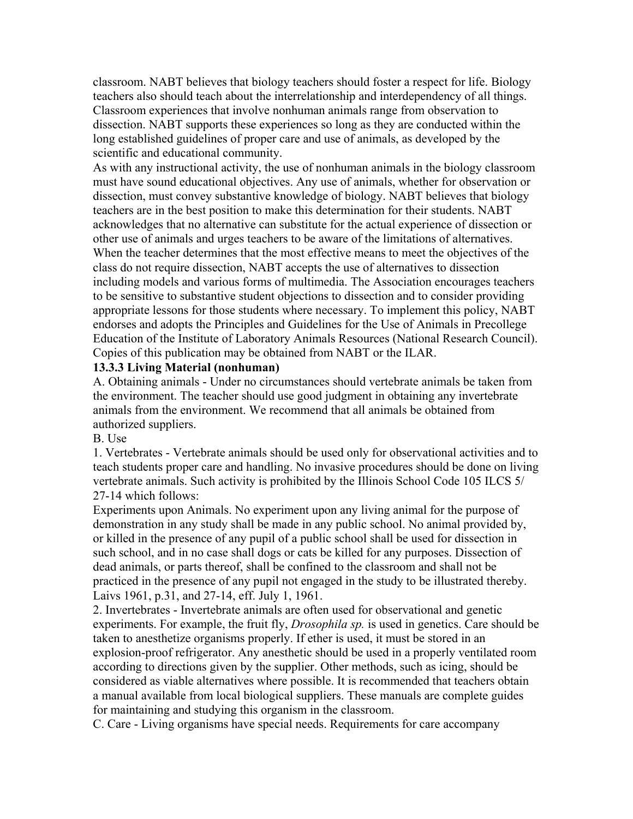classroom. NABT believes that biology teachers should foster a respect for life. Biology teachers also should teach about the interrelationship and interdependency of all things. Classroom experiences that involve nonhuman animals range from observation to dissection. NABT supports these experiences so long as they are conducted within the long established guidelines of proper care and use of animals, as developed by the scientific and educational community.

As with any instructional activity, the use of nonhuman animals in the biology classroom must have sound educational objectives. Any use of animals, whether for observation or dissection, must convey substantive knowledge of biology. NABT believes that biology teachers are in the best position to make this determination for their students. NABT acknowledges that no alternative can substitute for the actual experience of dissection or other use of animals and urges teachers to be aware of the limitations of alternatives. When the teacher determines that the most effective means to meet the objectives of the class do not require dissection, NABT accepts the use of alternatives to dissection including models and various forms of multimedia. The Association encourages teachers to be sensitive to substantive student objections to dissection and to consider providing appropriate lessons for those students where necessary. To implement this policy, NABT endorses and adopts the Principles and Guidelines for the Use of Animals in Precollege Education of the Institute of Laboratory Animals Resources (National Research Council). Copies of this publication may be obtained from NABT or the ILAR.

#### **13.3.3 Living Material (nonhuman)**

A. Obtaining animals - Under no circumstances should vertebrate animals be taken from the environment. The teacher should use good judgment in obtaining any invertebrate animals from the environment. We recommend that all animals be obtained from authorized suppliers.

B. Use

1. Vertebrates - Vertebrate animals should be used only for observational activities and to teach students proper care and handling. No invasive procedures should be done on living vertebrate animals. Such activity is prohibited by the Illinois School Code 105 ILCS 5/ 27-14 which follows:

Experiments upon Animals. No experiment upon any living animal for the purpose of demonstration in any study shall be made in any public school. No animal provided by, or killed in the presence of any pupil of a public school shall be used for dissection in such school, and in no case shall dogs or cats be killed for any purposes. Dissection of dead animals, or parts thereof, shall be confined to the classroom and shall not be practiced in the presence of any pupil not engaged in the study to be illustrated thereby. Laivs 1961, p.31, and 27-14, eff. July 1, 1961.

2. Invertebrates - Invertebrate animals are often used for observational and genetic experiments. For example, the fruit fly, *Drosophila sp.* is used in genetics. Care should be taken to anesthetize organisms properly. If ether is used, it must be stored in an explosion-proof refrigerator. Any anesthetic should be used in a properly ventilated room according to directions given by the supplier. Other methods, such as icing, should be considered as viable alternatives where possible. It is recommended that teachers obtain a manual available from local biological suppliers. These manuals are complete guides for maintaining and studying this organism in the classroom.

C. Care - Living organisms have special needs. Requirements for care accompany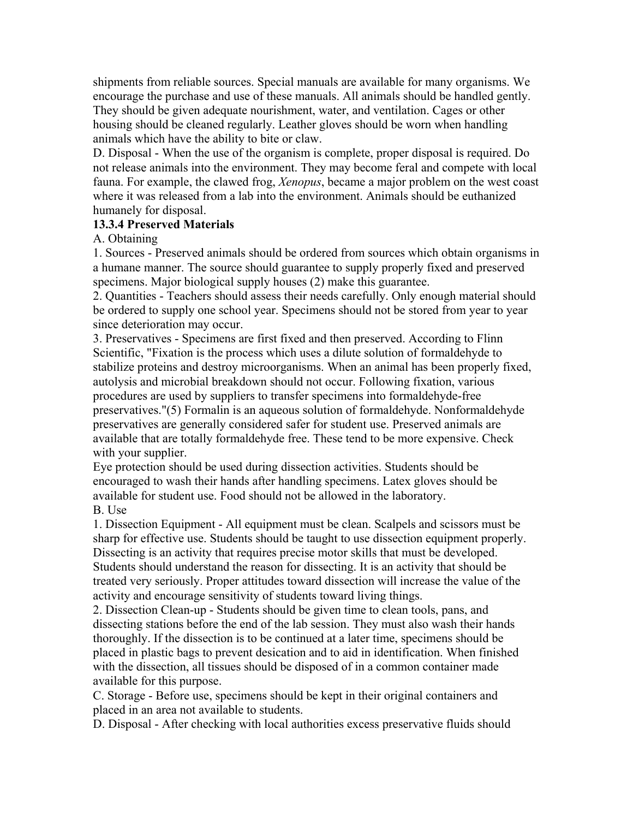shipments from reliable sources. Special manuals are available for many organisms. We encourage the purchase and use of these manuals. All animals should be handled gently. They should be given adequate nourishment, water, and ventilation. Cages or other housing should be cleaned regularly. Leather gloves should be worn when handling animals which have the ability to bite or claw.

D. Disposal - When the use of the organism is complete, proper disposal is required. Do not release animals into the environment. They may become feral and compete with local fauna. For example, the clawed frog, *Xenopus*, became a major problem on the west coast where it was released from a lab into the environment. Animals should be euthanized humanely for disposal.

#### **13.3.4 Preserved Materials**

A. Obtaining

1. Sources - Preserved animals should be ordered from sources which obtain organisms in a humane manner. The source should guarantee to supply properly fixed and preserved specimens. Major biological supply houses (2) make this guarantee.

2. Quantities - Teachers should assess their needs carefully. Only enough material should be ordered to supply one school year. Specimens should not be stored from year to year since deterioration may occur.

3. Preservatives - Specimens are first fixed and then preserved. According to Flinn Scientific, "Fixation is the process which uses a dilute solution of formaldehyde to stabilize proteins and destroy microorganisms. When an animal has been properly fixed, autolysis and microbial breakdown should not occur. Following fixation, various procedures are used by suppliers to transfer specimens into formaldehyde-free preservatives."(5) Formalin is an aqueous solution of formaldehyde. Nonformaldehyde preservatives are generally considered safer for student use. Preserved animals are available that are totally formaldehyde free. These tend to be more expensive. Check with your supplier.

Eye protection should be used during dissection activities. Students should be encouraged to wash their hands after handling specimens. Latex gloves should be available for student use. Food should not be allowed in the laboratory. B. Use

1. Dissection Equipment - All equipment must be clean. Scalpels and scissors must be sharp for effective use. Students should be taught to use dissection equipment properly. Dissecting is an activity that requires precise motor skills that must be developed. Students should understand the reason for dissecting. It is an activity that should be treated very seriously. Proper attitudes toward dissection will increase the value of the activity and encourage sensitivity of students toward living things.

2. Dissection Clean-up - Students should be given time to clean tools, pans, and dissecting stations before the end of the lab session. They must also wash their hands thoroughly. If the dissection is to be continued at a later time, specimens should be placed in plastic bags to prevent desication and to aid in identification. When finished with the dissection, all tissues should be disposed of in a common container made available for this purpose.

C. Storage - Before use, specimens should be kept in their original containers and placed in an area not available to students.

D. Disposal - After checking with local authorities excess preservative fluids should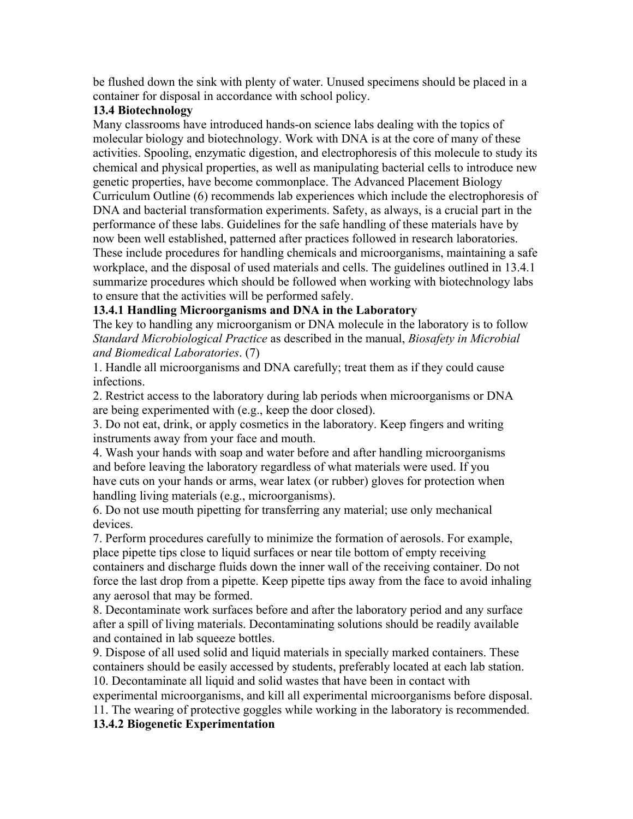be flushed down the sink with plenty of water. Unused specimens should be placed in a container for disposal in accordance with school policy.

#### **13.4 Biotechnology**

Many classrooms have introduced hands-on science labs dealing with the topics of molecular biology and biotechnology. Work with DNA is at the core of many of these activities. Spooling, enzymatic digestion, and electrophoresis of this molecule to study its chemical and physical properties, as well as manipulating bacterial cells to introduce new genetic properties, have become commonplace. The Advanced Placement Biology Curriculum Outline (6) recommends lab experiences which include the electrophoresis of DNA and bacterial transformation experiments. Safety, as always, is a crucial part in the performance of these labs. Guidelines for the safe handling of these materials have by now been well established, patterned after practices followed in research laboratories. These include procedures for handling chemicals and microorganisms, maintaining a safe workplace, and the disposal of used materials and cells. The guidelines outlined in 13.4.1 summarize procedures which should be followed when working with biotechnology labs to ensure that the activities will be performed safely.

### **13.4.1 Handling Microorganisms and DNA in the Laboratory**

The key to handling any microorganism or DNA molecule in the laboratory is to follow *Standard Microbiological Practice* as described in the manual, *Biosafety in Microbial and Biomedical Laboratories*. (7)

1. Handle all microorganisms and DNA carefully; treat them as if they could cause infections.

2. Restrict access to the laboratory during lab periods when microorganisms or DNA are being experimented with (e.g., keep the door closed).

3. Do not eat, drink, or apply cosmetics in the laboratory. Keep fingers and writing instruments away from your face and mouth.

4. Wash your hands with soap and water before and after handling microorganisms and before leaving the laboratory regardless of what materials were used. If you have cuts on your hands or arms, wear latex (or rubber) gloves for protection when handling living materials (e.g., microorganisms).

6. Do not use mouth pipetting for transferring any material; use only mechanical devices.

7. Perform procedures carefully to minimize the formation of aerosols. For example, place pipette tips close to liquid surfaces or near tile bottom of empty receiving containers and discharge fluids down the inner wall of the receiving container. Do not force the last drop from a pipette. Keep pipette tips away from the face to avoid inhaling any aerosol that may be formed.

8. Decontaminate work surfaces before and after the laboratory period and any surface after a spill of living materials. Decontaminating solutions should be readily available and contained in lab squeeze bottles.

9. Dispose of all used solid and liquid materials in specially marked containers. These containers should be easily accessed by students, preferably located at each lab station. 10. Decontaminate all liquid and solid wastes that have been in contact with

experimental microorganisms, and kill all experimental microorganisms before disposal.

11. The wearing of protective goggles while working in the laboratory is recommended.

**13.4.2 Biogenetic Experimentation**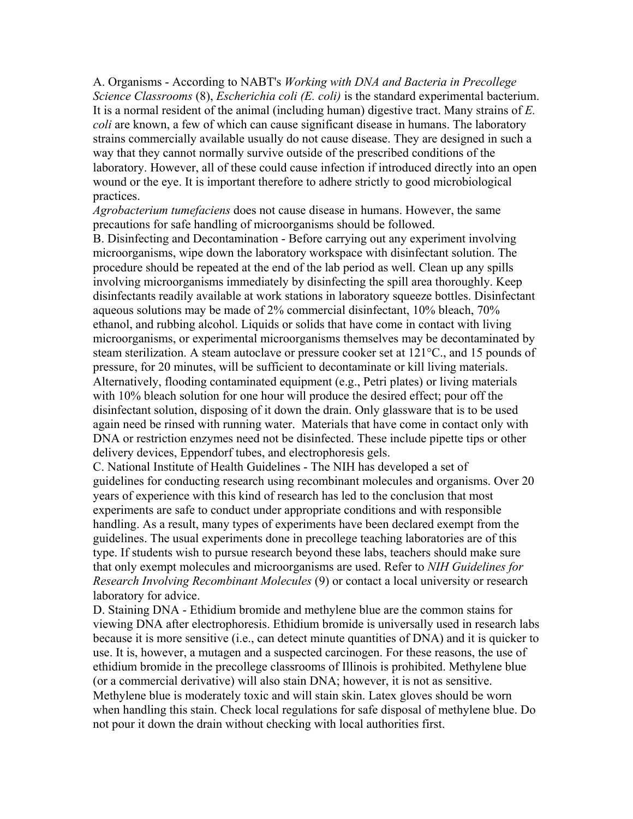A. Organisms - According to NABT's *Working with DNA and Bacteria in Precollege Science Classrooms* (8), *Escherichia coli (E. coli)* is the standard experimental bacterium. It is a normal resident of the animal (including human) digestive tract. Many strains of *E. coli* are known, a few of which can cause significant disease in humans. The laboratory strains commercially available usually do not cause disease. They are designed in such a way that they cannot normally survive outside of the prescribed conditions of the laboratory. However, all of these could cause infection if introduced directly into an open wound or the eye. It is important therefore to adhere strictly to good microbiological practices.

*Agrobacterium tumefaciens* does not cause disease in humans. However, the same precautions for safe handling of microorganisms should be followed.

B. Disinfecting and Decontamination - Before carrying out any experiment involving microorganisms, wipe down the laboratory workspace with disinfectant solution. The procedure should be repeated at the end of the lab period as well. Clean up any spills involving microorganisms immediately by disinfecting the spill area thoroughly. Keep disinfectants readily available at work stations in laboratory squeeze bottles. Disinfectant aqueous solutions may be made of 2% commercial disinfectant, 10% bleach, 70% ethanol, and rubbing alcohol. Liquids or solids that have come in contact with living microorganisms, or experimental microorganisms themselves may be decontaminated by steam sterilization. A steam autoclave or pressure cooker set at 121°C., and 15 pounds of pressure, for 20 minutes, will be sufficient to decontaminate or kill living materials. Alternatively, flooding contaminated equipment (e.g., Petri plates) or living materials with 10% bleach solution for one hour will produce the desired effect; pour off the disinfectant solution, disposing of it down the drain. Only glassware that is to be used again need be rinsed with running water. Materials that have come in contact only with DNA or restriction enzymes need not be disinfected. These include pipette tips or other delivery devices, Eppendorf tubes, and electrophoresis gels.

C. National Institute of Health Guidelines - The NIH has developed a set of guidelines for conducting research using recombinant molecules and organisms. Over 20 years of experience with this kind of research has led to the conclusion that most experiments are safe to conduct under appropriate conditions and with responsible handling. As a result, many types of experiments have been declared exempt from the guidelines. The usual experiments done in precollege teaching laboratories are of this type. If students wish to pursue research beyond these labs, teachers should make sure that only exempt molecules and microorganisms are used. Refer to *NIH Guidelines for Research Involving Recombinant Molecules* (9) or contact a local university or research laboratory for advice.

D. Staining DNA - Ethidium bromide and methylene blue are the common stains for viewing DNA after electrophoresis. Ethidium bromide is universally used in research labs because it is more sensitive (i.e., can detect minute quantities of DNA) and it is quicker to use. It is, however, a mutagen and a suspected carcinogen. For these reasons, the use of ethidium bromide in the precollege classrooms of Illinois is prohibited. Methylene blue (or a commercial derivative) will also stain DNA; however, it is not as sensitive. Methylene blue is moderately toxic and will stain skin. Latex gloves should be worn when handling this stain. Check local regulations for safe disposal of methylene blue. Do not pour it down the drain without checking with local authorities first.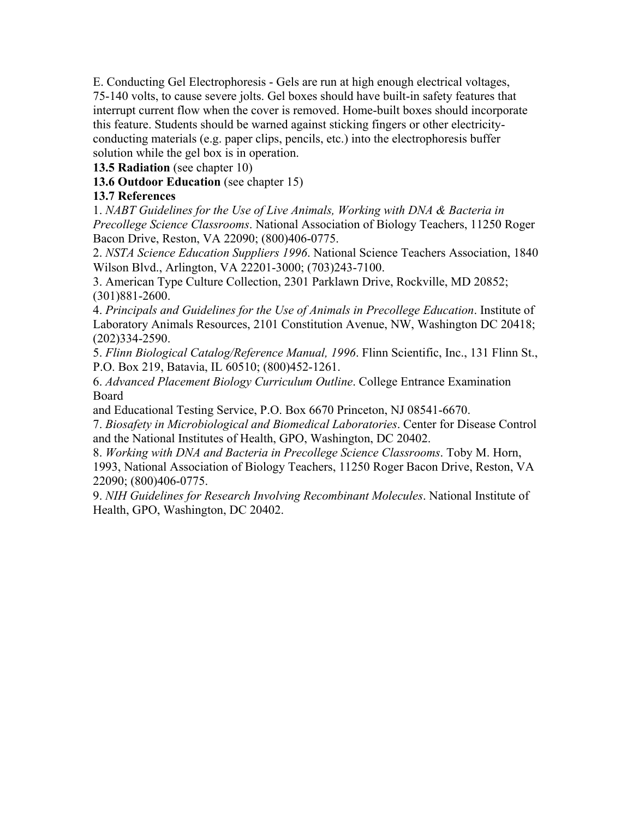E. Conducting Gel Electrophoresis - Gels are run at high enough electrical voltages, 75-140 volts, to cause severe jolts. Gel boxes should have built-in safety features that interrupt current flow when the cover is removed. Home-built boxes should incorporate this feature. Students should be warned against sticking fingers or other electricityconducting materials (e.g. paper clips, pencils, etc.) into the electrophoresis buffer solution while the gel box is in operation.

### **13.5 Radiation** (see chapter 10)

**13.6 Outdoor Education** (see chapter 15)

### **13.7 References**

1. *NABT Guidelines for the Use of Live Animals, Working with DNA & Bacteria in Precollege Science Classrooms*. National Association of Biology Teachers, 11250 Roger Bacon Drive, Reston, VA 22090; (800)406-0775.

2. *NSTA Science Education Suppliers 1996*. National Science Teachers Association, 1840 Wilson Blvd., Arlington, VA 22201-3000; (703)243-7100.

3. American Type Culture Collection, 2301 Parklawn Drive, Rockville, MD 20852; (301)881-2600.

4. *Principals and Guidelines for the Use of Animals in Precollege Education*. Institute of Laboratory Animals Resources, 2101 Constitution Avenue, NW, Washington DC 20418; (202)334-2590.

5. *Flinn Biological Catalog/Reference Manual, 1996*. Flinn Scientific, Inc., 131 Flinn St., P.O. Box 219, Batavia, IL 60510; (800)452-1261.

6. *Advanced Placement Biology Curriculum Outline*. College Entrance Examination Board

and Educational Testing Service, P.O. Box 6670 Princeton, NJ 08541-6670.

7. *Biosafety in Microbiological and Biomedical Laboratories*. Center for Disease Control and the National Institutes of Health, GPO, Washington, DC 20402.

8. *Working with DNA and Bacteria in Precollege Science Classrooms*. Toby M. Horn, 1993, National Association of Biology Teachers, 11250 Roger Bacon Drive, Reston, VA 22090; (800)406-0775.

9. *NIH Guidelines for Research Involving Recombinant Molecules*. National Institute of Health, GPO, Washington, DC 20402.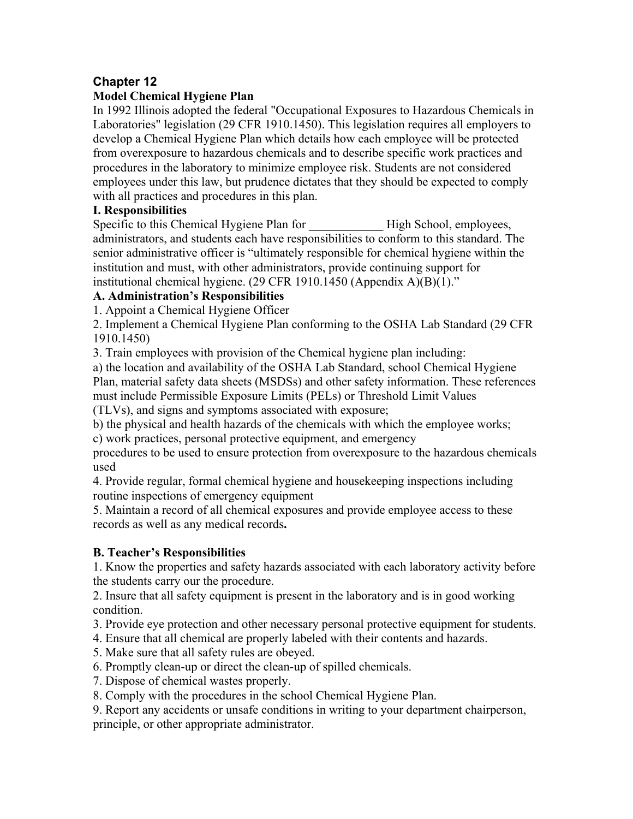# **Chapter 12**

### **Model Chemical Hygiene Plan**

In 1992 Illinois adopted the federal "Occupational Exposures to Hazardous Chemicals in Laboratories" legislation (29 CFR 1910.1450). This legislation requires all employers to develop a Chemical Hygiene Plan which details how each employee will be protected from overexposure to hazardous chemicals and to describe specific work practices and procedures in the laboratory to minimize employee risk. Students are not considered employees under this law, but prudence dictates that they should be expected to comply with all practices and procedures in this plan.

### **I. Responsibilities**

Specific to this Chemical Hygiene Plan for **High School, employees**, administrators, and students each have responsibilities to conform to this standard. The senior administrative officer is "ultimately responsible for chemical hygiene within the institution and must, with other administrators, provide continuing support for institutional chemical hygiene. (29 CFR 1910.1450 (Appendix A)(B)(1)."

### **A. Administration's Responsibilities**

1. Appoint a Chemical Hygiene Officer

2. Implement a Chemical Hygiene Plan conforming to the OSHA Lab Standard (29 CFR 1910.1450)

3. Train employees with provision of the Chemical hygiene plan including:

a) the location and availability of the OSHA Lab Standard, school Chemical Hygiene Plan, material safety data sheets (MSDSs) and other safety information. These references must include Permissible Exposure Limits (PELs) or Threshold Limit Values

(TLVs), and signs and symptoms associated with exposure;

b) the physical and health hazards of the chemicals with which the employee works;

c) work practices, personal protective equipment, and emergency

procedures to be used to ensure protection from overexposure to the hazardous chemicals used

4. Provide regular, formal chemical hygiene and housekeeping inspections including routine inspections of emergency equipment

5. Maintain a record of all chemical exposures and provide employee access to these records as well as any medical records**.** 

# **B. Teacher's Responsibilities**

1. Know the properties and safety hazards associated with each laboratory activity before the students carry our the procedure.

2. Insure that all safety equipment is present in the laboratory and is in good working condition.

3. Provide eye protection and other necessary personal protective equipment for students.

- 4. Ensure that all chemical are properly labeled with their contents and hazards.
- 5. Make sure that all safety rules are obeyed.
- 6. Promptly clean-up or direct the clean-up of spilled chemicals.
- 7. Dispose of chemical wastes properly.
- 8. Comply with the procedures in the school Chemical Hygiene Plan.

9. Report any accidents or unsafe conditions in writing to your department chairperson, principle, or other appropriate administrator.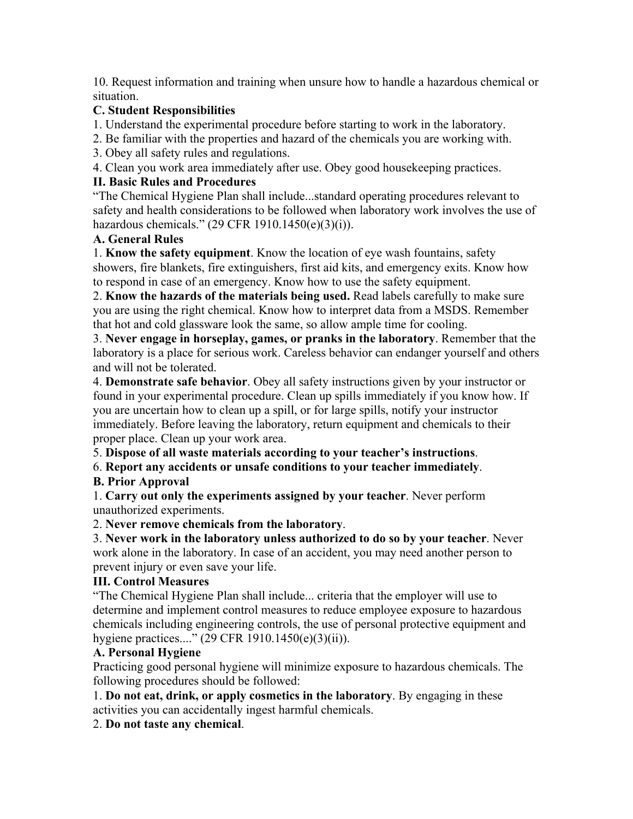10. Request information and training when unsure how to handle a hazardous chemical or situation.

### **C. Student Responsibilities**

1. Understand the experimental procedure before starting to work in the laboratory.

2. Be familiar with the properties and hazard of the chemicals you are working with.

3. Obey all safety rules and regulations.

4. Clean you work area immediately after use. Obey good housekeeping practices.

## **II. Basic Rules and Procedures**

"The Chemical Hygiene Plan shall include...standard operating procedures relevant to safety and health considerations to be followed when laboratory work involves the use of hazardous chemicals." (29 CFR 1910.1450(e)(3)(i)).

### **A. General Rules**

1. **Know the safety equipment**. Know the location of eye wash fountains, safety showers, fire blankets, fire extinguishers, first aid kits, and emergency exits. Know how to respond in case of an emergency. Know how to use the safety equipment.

2. **Know the hazards of the materials being used.** Read labels carefully to make sure you are using the right chemical. Know how to interpret data from a MSDS. Remember that hot and cold glassware look the same, so allow ample time for cooling.

3. **Never engage in horseplay, games, or pranks in the laboratory**. Remember that the laboratory is a place for serious work. Careless behavior can endanger yourself and others and will not be tolerated.

4. **Demonstrate safe behavior**. Obey all safety instructions given by your instructor or found in your experimental procedure. Clean up spills immediately if you know how. If you are uncertain how to clean up a spill, or for large spills, notify your instructor immediately. Before leaving the laboratory, return equipment and chemicals to their proper place. Clean up your work area.

5. **Dispose of all waste materials according to your teacher's instructions**.

6. **Report any accidents or unsafe conditions to your teacher immediately**.

# **B. Prior Approval**

1. **Carry out only the experiments assigned by your teacher**. Never perform unauthorized experiments.

2. **Never remove chemicals from the laboratory**.

3. **Never work in the laboratory unless authorized to do so by your teacher**. Never work alone in the laboratory. In case of an accident, you may need another person to prevent injury or even save your life.

### **III. Control Measures**

"The Chemical Hygiene Plan shall include... criteria that the employer will use to determine and implement control measures to reduce employee exposure to hazardous chemicals including engineering controls, the use of personal protective equipment and hygiene practices...." (29 CFR 1910.1450(e)(3)(ii)).

# **A. Personal Hygiene**

Practicing good personal hygiene will minimize exposure to hazardous chemicals. The following procedures should be followed:

1. **Do not eat, drink, or apply cosmetics in the laboratory**. By engaging in these activities you can accidentally ingest harmful chemicals.

2. **Do not taste any chemical**.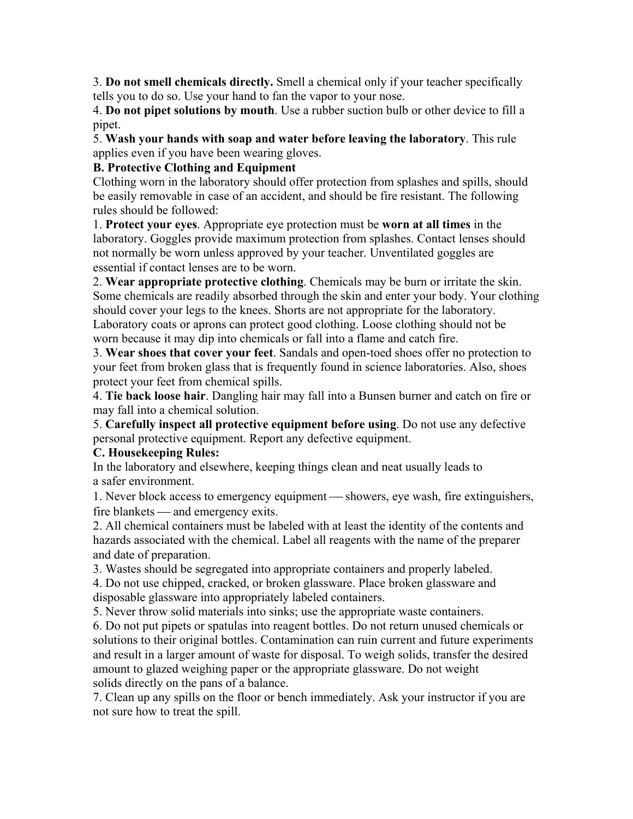3. **Do not smell chemicals directly.** Smell a chemical only if your teacher specifically tells you to do so. Use your hand to fan the vapor to your nose.

4. **Do not pipet solutions by mouth**. Use a rubber suction bulb or other device to fill a pipet.

5. **Wash your hands with soap and water before leaving the laboratory**. This rule applies even if you have been wearing gloves.

# **B. Protective Clothing and Equipment**

Clothing worn in the laboratory should offer protection from splashes and spills, should be easily removable in case of an accident, and should be fire resistant. The following rules should be followed:

1. **Protect your eyes**. Appropriate eye protection must be **worn at all times** in the laboratory. Goggles provide maximum protection from splashes. Contact lenses should not normally be worn unless approved by your teacher. Unventilated goggles are essential if contact lenses are to be worn.

2. **Wear appropriate protective clothing**. Chemicals may be burn or irritate the skin. Some chemicals are readily absorbed through the skin and enter your body. Your clothing should cover your legs to the knees. Shorts are not appropriate for the laboratory. Laboratory coats or aprons can protect good clothing. Loose clothing should not be worn because it may dip into chemicals or fall into a flame and catch fire.

3. **Wear shoes that cover your feet**. Sandals and open-toed shoes offer no protection to your feet from broken glass that is frequently found in science laboratories. Also, shoes protect your feet from chemical spills.

4. **Tie back loose hair**. Dangling hair may fall into a Bunsen burner and catch on fire or may fall into a chemical solution.

5. **Carefully inspect all protective equipment before using**. Do not use any defective personal protective equipment. Report any defective equipment.

# **C. Housekeeping Rules:**

In the laboratory and elsewhere, keeping things clean and neat usually leads to a safer environment.

1. Never block access to emergency equipment — showers, eye wash, fire extinguishers, fire blankets — and emergency exits.

2. All chemical containers must be labeled with at least the identity of the contents and hazards associated with the chemical. Label all reagents with the name of the preparer and date of preparation.

3. Wastes should be segregated into appropriate containers and properly labeled.

4. Do not use chipped, cracked, or broken glassware. Place broken glassware and disposable glassware into appropriately labeled containers.

5. Never throw solid materials into sinks; use the appropriate waste containers.

6. Do not put pipets or spatulas into reagent bottles. Do not return unused chemicals or solutions to their original bottles. Contamination can ruin current and future experiments and result in a larger amount of waste for disposal. To weigh solids, transfer the desired amount to glazed weighing paper or the appropriate glassware. Do not weight solids directly on the pans of a balance.

7. Clean up any spills on the floor or bench immediately. Ask your instructor if you are not sure how to treat the spill.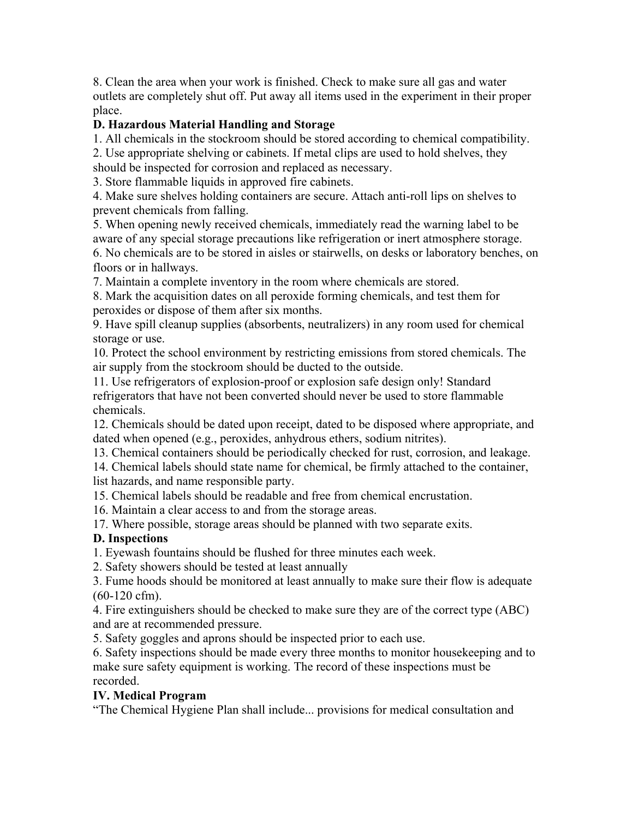8. Clean the area when your work is finished. Check to make sure all gas and water outlets are completely shut off. Put away all items used in the experiment in their proper place.

## **D. Hazardous Material Handling and Storage**

1. All chemicals in the stockroom should be stored according to chemical compatibility.

2. Use appropriate shelving or cabinets. If metal clips are used to hold shelves, they should be inspected for corrosion and replaced as necessary.

3. Store flammable liquids in approved fire cabinets.

4. Make sure shelves holding containers are secure. Attach anti-roll lips on shelves to prevent chemicals from falling.

5. When opening newly received chemicals, immediately read the warning label to be aware of any special storage precautions like refrigeration or inert atmosphere storage.

6. No chemicals are to be stored in aisles or stairwells, on desks or laboratory benches, on floors or in hallways.

7. Maintain a complete inventory in the room where chemicals are stored.

8. Mark the acquisition dates on all peroxide forming chemicals, and test them for peroxides or dispose of them after six months.

9. Have spill cleanup supplies (absorbents, neutralizers) in any room used for chemical storage or use.

10. Protect the school environment by restricting emissions from stored chemicals. The air supply from the stockroom should be ducted to the outside.

11. Use refrigerators of explosion-proof or explosion safe design only! Standard refrigerators that have not been converted should never be used to store flammable chemicals.

12. Chemicals should be dated upon receipt, dated to be disposed where appropriate, and dated when opened (e.g., peroxides, anhydrous ethers, sodium nitrites).

13. Chemical containers should be periodically checked for rust, corrosion, and leakage.

14. Chemical labels should state name for chemical, be firmly attached to the container, list hazards, and name responsible party.

15. Chemical labels should be readable and free from chemical encrustation.

16. Maintain a clear access to and from the storage areas.

17. Where possible, storage areas should be planned with two separate exits.

# **D. Inspections**

1. Eyewash fountains should be flushed for three minutes each week.

2. Safety showers should be tested at least annually

3. Fume hoods should be monitored at least annually to make sure their flow is adequate (60-120 cfm).

4. Fire extinguishers should be checked to make sure they are of the correct type (ABC) and are at recommended pressure.

5. Safety goggles and aprons should be inspected prior to each use.

6. Safety inspections should be made every three months to monitor housekeeping and to make sure safety equipment is working. The record of these inspections must be recorded.

# **IV. Medical Program**

"The Chemical Hygiene Plan shall include... provisions for medical consultation and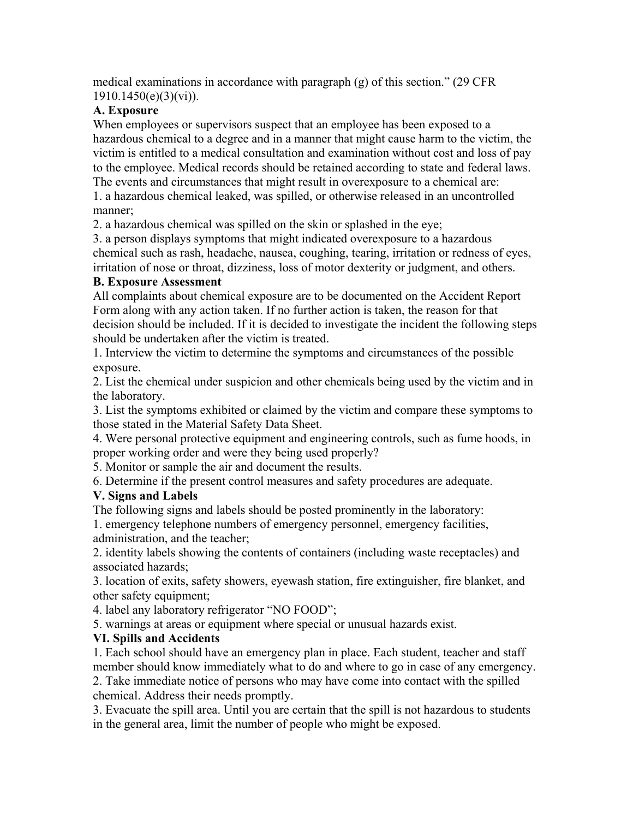medical examinations in accordance with paragraph (g) of this section." (29 CFR  $1910.1450(e)(3)(vi)$ .

### **A. Exposure**

When employees or supervisors suspect that an employee has been exposed to a hazardous chemical to a degree and in a manner that might cause harm to the victim, the victim is entitled to a medical consultation and examination without cost and loss of pay to the employee. Medical records should be retained according to state and federal laws. The events and circumstances that might result in overexposure to a chemical are:

1. a hazardous chemical leaked, was spilled, or otherwise released in an uncontrolled manner;

2. a hazardous chemical was spilled on the skin or splashed in the eye;

3. a person displays symptoms that might indicated overexposure to a hazardous chemical such as rash, headache, nausea, coughing, tearing, irritation or redness of eyes, irritation of nose or throat, dizziness, loss of motor dexterity or judgment, and others.

### **B. Exposure Assessment**

All complaints about chemical exposure are to be documented on the Accident Report Form along with any action taken. If no further action is taken, the reason for that decision should be included. If it is decided to investigate the incident the following steps should be undertaken after the victim is treated.

1. Interview the victim to determine the symptoms and circumstances of the possible exposure.

2. List the chemical under suspicion and other chemicals being used by the victim and in the laboratory.

3. List the symptoms exhibited or claimed by the victim and compare these symptoms to those stated in the Material Safety Data Sheet.

4. Were personal protective equipment and engineering controls, such as fume hoods, in proper working order and were they being used properly?

5. Monitor or sample the air and document the results.

6. Determine if the present control measures and safety procedures are adequate.

# **V. Signs and Labels**

The following signs and labels should be posted prominently in the laboratory:

1. emergency telephone numbers of emergency personnel, emergency facilities, administration, and the teacher;

2. identity labels showing the contents of containers (including waste receptacles) and associated hazards;

3. location of exits, safety showers, eyewash station, fire extinguisher, fire blanket, and other safety equipment;

4. label any laboratory refrigerator "NO FOOD";

5. warnings at areas or equipment where special or unusual hazards exist.

# **VI. Spills and Accidents**

1. Each school should have an emergency plan in place. Each student, teacher and staff member should know immediately what to do and where to go in case of any emergency. 2. Take immediate notice of persons who may have come into contact with the spilled

chemical. Address their needs promptly.

3. Evacuate the spill area. Until you are certain that the spill is not hazardous to students in the general area, limit the number of people who might be exposed.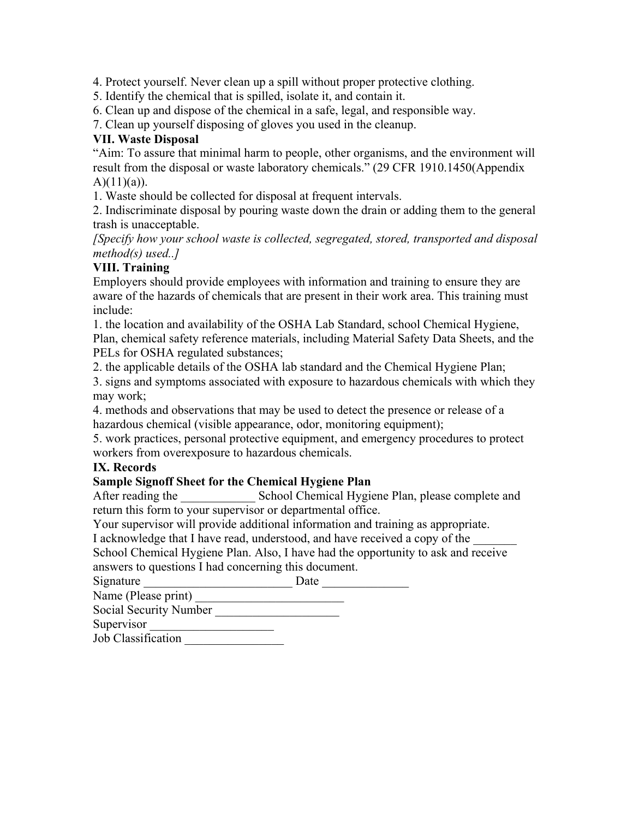4. Protect yourself. Never clean up a spill without proper protective clothing.

5. Identify the chemical that is spilled, isolate it, and contain it.

6. Clean up and dispose of the chemical in a safe, legal, and responsible way.

7. Clean up yourself disposing of gloves you used in the cleanup.

#### **VII. Waste Disposal**

"Aim: To assure that minimal harm to people, other organisms, and the environment will result from the disposal or waste laboratory chemicals." (29 CFR 1910.1450(Appendix  $A)(11)(a)$ .

1. Waste should be collected for disposal at frequent intervals.

2. Indiscriminate disposal by pouring waste down the drain or adding them to the general trash is unacceptable.

*[Specify how your school waste is collected, segregated, stored, transported and disposal method(s) used..]* 

### **VIII. Training**

Employers should provide employees with information and training to ensure they are aware of the hazards of chemicals that are present in their work area. This training must include:

1. the location and availability of the OSHA Lab Standard, school Chemical Hygiene, Plan, chemical safety reference materials, including Material Safety Data Sheets, and the PELs for OSHA regulated substances;

2. the applicable details of the OSHA lab standard and the Chemical Hygiene Plan;

3. signs and symptoms associated with exposure to hazardous chemicals with which they may work;

4. methods and observations that may be used to detect the presence or release of a hazardous chemical (visible appearance, odor, monitoring equipment);

5. work practices, personal protective equipment, and emergency procedures to protect workers from overexposure to hazardous chemicals.

#### **IX. Records**

### **Sample Signoff Sheet for the Chemical Hygiene Plan**

After reading the School Chemical Hygiene Plan, please complete and return this form to your supervisor or departmental office.

Your supervisor will provide additional information and training as appropriate.

I acknowledge that I have read, understood, and have received a copy of the

School Chemical Hygiene Plan. Also, I have had the opportunity to ask and receive answers to questions I had concerning this document.

Signature \_\_\_\_\_\_\_\_\_\_\_\_\_\_\_\_\_\_\_\_\_\_\_\_ Date \_\_\_\_\_\_\_\_\_\_\_\_\_\_

Name (Please print) \_\_\_\_\_\_\_\_\_\_\_\_\_\_\_\_\_\_\_\_\_\_\_\_ Social Security Number

Supervisor \_\_\_\_\_\_\_\_\_\_\_\_\_\_\_\_\_\_\_\_

Job Classification \_\_\_\_\_\_\_\_\_\_\_\_\_\_\_\_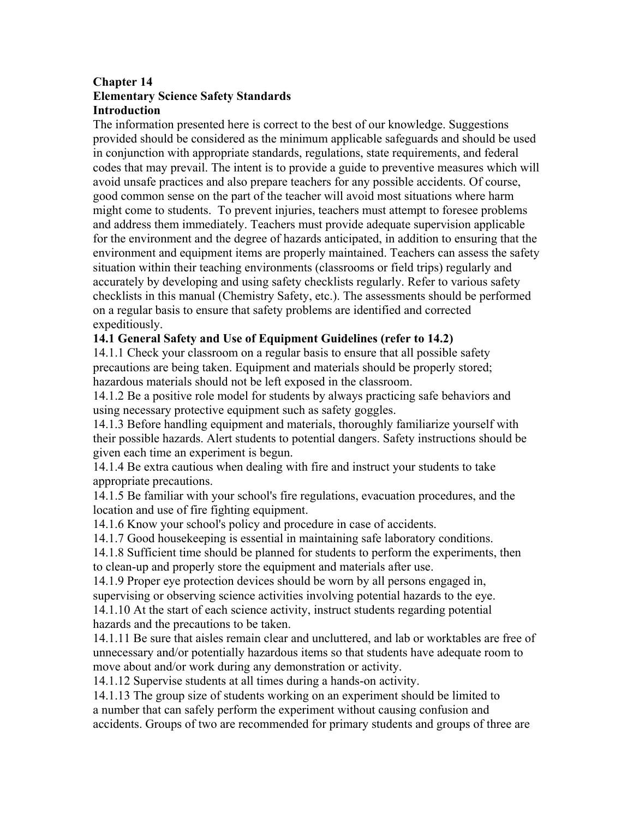### **Chapter 14 Elementary Science Safety Standards Introduction**

The information presented here is correct to the best of our knowledge. Suggestions provided should be considered as the minimum applicable safeguards and should be used in conjunction with appropriate standards, regulations, state requirements, and federal codes that may prevail. The intent is to provide a guide to preventive measures which will avoid unsafe practices and also prepare teachers for any possible accidents. Of course, good common sense on the part of the teacher will avoid most situations where harm might come to students. To prevent injuries, teachers must attempt to foresee problems and address them immediately. Teachers must provide adequate supervision applicable for the environment and the degree of hazards anticipated, in addition to ensuring that the environment and equipment items are properly maintained. Teachers can assess the safety situation within their teaching environments (classrooms or field trips) regularly and accurately by developing and using safety checklists regularly. Refer to various safety checklists in this manual (Chemistry Safety, etc.). The assessments should be performed on a regular basis to ensure that safety problems are identified and corrected expeditiously.

### **14.1 General Safety and Use of Equipment Guidelines (refer to 14.2)**

14.1.1 Check your classroom on a regular basis to ensure that all possible safety precautions are being taken. Equipment and materials should be properly stored; hazardous materials should not be left exposed in the classroom.

14.1.2 Be a positive role model for students by always practicing safe behaviors and using necessary protective equipment such as safety goggles.

14.1.3 Before handling equipment and materials, thoroughly familiarize yourself with their possible hazards. Alert students to potential dangers. Safety instructions should be given each time an experiment is begun.

14.1.4 Be extra cautious when dealing with fire and instruct your students to take appropriate precautions.

14.1.5 Be familiar with your school's fire regulations, evacuation procedures, and the location and use of fire fighting equipment.

14.1.6 Know your school's policy and procedure in case of accidents.

14.1.7 Good housekeeping is essential in maintaining safe laboratory conditions.

14.1.8 Sufficient time should be planned for students to perform the experiments, then to clean-up and properly store the equipment and materials after use.

14.1.9 Proper eye protection devices should be worn by all persons engaged in, supervising or observing science activities involving potential hazards to the eye. 14.1.10 At the start of each science activity, instruct students regarding potential hazards and the precautions to be taken.

14.1.11 Be sure that aisles remain clear and uncluttered, and lab or worktables are free of unnecessary and/or potentially hazardous items so that students have adequate room to move about and/or work during any demonstration or activity.

14.1.12 Supervise students at all times during a hands-on activity.

14.1.13 The group size of students working on an experiment should be limited to a number that can safely perform the experiment without causing confusion and accidents. Groups of two are recommended for primary students and groups of three are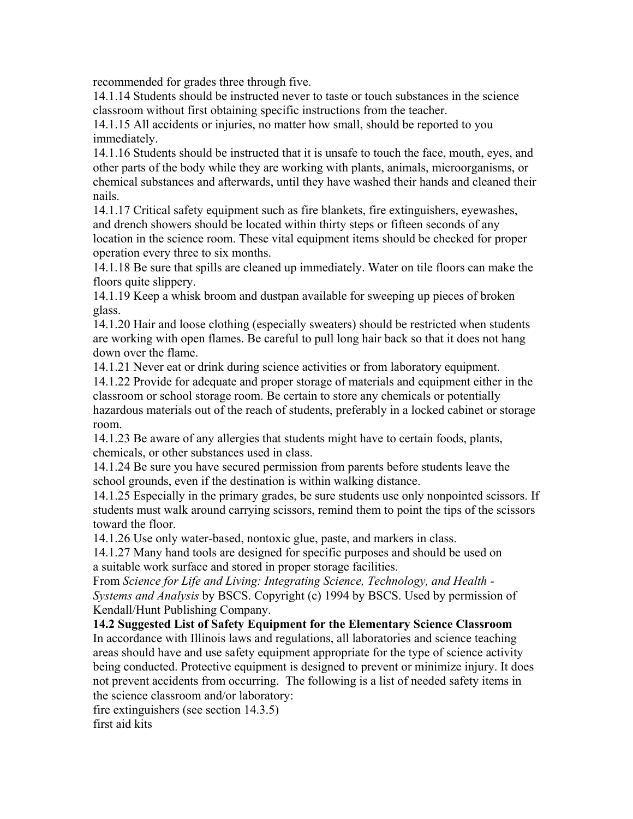recommended for grades three through five.

14.1.14 Students should be instructed never to taste or touch substances in the science classroom without first obtaining specific instructions from the teacher.

14.1.15 All accidents or injuries, no matter how small, should be reported to you immediately.

14.1.16 Students should be instructed that it is unsafe to touch the face, mouth, eyes, and other parts of the body while they are working with plants, animals, microorganisms, or chemical substances and afterwards, until they have washed their hands and cleaned their nails.

14.1.17 Critical safety equipment such as fire blankets, fire extinguishers, eyewashes, and drench showers should be located within thirty steps or fifteen seconds of any location in the science room. These vital equipment items should be checked for proper operation every three to six months.

14.1.18 Be sure that spills are cleaned up immediately. Water on tile floors can make the floors quite slippery.

14.1.19 Keep a whisk broom and dustpan available for sweeping up pieces of broken glass.

14.1.20 Hair and loose clothing (especially sweaters) should be restricted when students are working with open flames. Be careful to pull long hair back so that it does not hang down over the flame.

14.1.21 Never eat or drink during science activities or from laboratory equipment.

14.1.22 Provide for adequate and proper storage of materials and equipment either in the classroom or school storage room. Be certain to store any chemicals or potentially hazardous materials out of the reach of students, preferably in a locked cabinet or storage room.

14.1.23 Be aware of any allergies that students might have to certain foods, plants, chemicals, or other substances used in class.

14.1.24 Be sure you have secured permission from parents before students leave the school grounds, even if the destination is within walking distance.

14.1.25 Especially in the primary grades, be sure students use only nonpointed scissors. If students must walk around carrying scissors, remind them to point the tips of the scissors toward the floor.

14.1.26 Use only water-based, nontoxic glue, paste, and markers in class.

14.1.27 Many hand tools are designed for specific purposes and should be used on a suitable work surface and stored in proper storage facilities.

From *Science for Life and Living: Integrating Science, Technology, and Health - Systems and Analysis* by BSCS. Copyright (c) 1994 by BSCS. Used by permission of Kendall/Hunt Publishing Company.

**14.2 Suggested List of Safety Equipment for the Elementary Science Classroom**  In accordance with Illinois laws and regulations, all laboratories and science teaching areas should have and use safety equipment appropriate for the type of science activity being conducted. Protective equipment is designed to prevent or minimize injury. It does not prevent accidents from occurring. The following is a list of needed safety items in the science classroom and/or laboratory:

fire extinguishers (see section 14.3.5)

first aid kits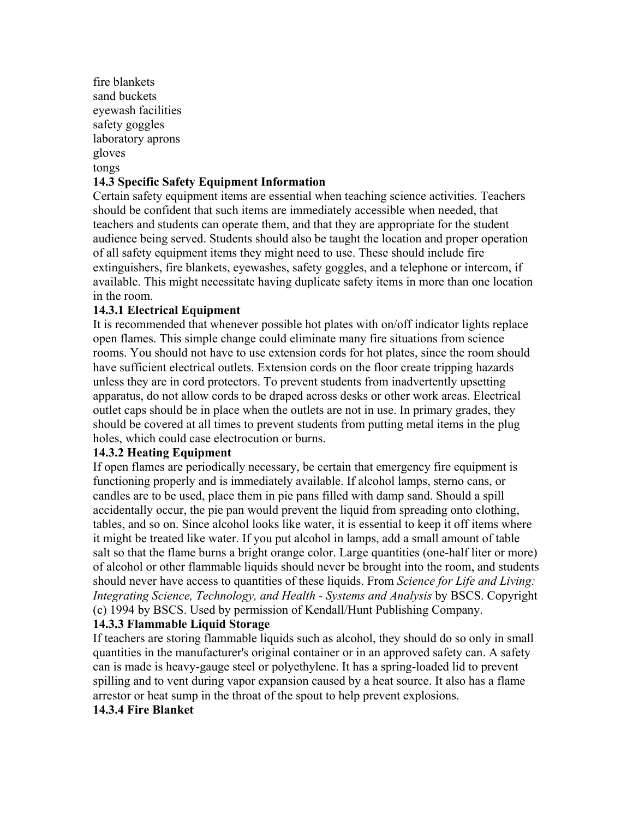fire blankets sand buckets eyewash facilities safety goggles laboratory aprons gloves tongs

#### **14.3 Specific Safety Equipment Information**

Certain safety equipment items are essential when teaching science activities. Teachers should be confident that such items are immediately accessible when needed, that teachers and students can operate them, and that they are appropriate for the student audience being served. Students should also be taught the location and proper operation of all safety equipment items they might need to use. These should include fire extinguishers, fire blankets, eyewashes, safety goggles, and a telephone or intercom, if available. This might necessitate having duplicate safety items in more than one location in the room.

#### **14.3.1 Electrical Equipment**

It is recommended that whenever possible hot plates with on/off indicator lights replace open flames. This simple change could eliminate many fire situations from science rooms. You should not have to use extension cords for hot plates, since the room should have sufficient electrical outlets. Extension cords on the floor create tripping hazards unless they are in cord protectors. To prevent students from inadvertently upsetting apparatus, do not allow cords to be draped across desks or other work areas. Electrical outlet caps should be in place when the outlets are not in use. In primary grades, they should be covered at all times to prevent students from putting metal items in the plug holes, which could case electrocution or burns.

#### **14.3.2 Heating Equipment**

If open flames are periodically necessary, be certain that emergency fire equipment is functioning properly and is immediately available. If alcohol lamps, sterno cans, or candles are to be used, place them in pie pans filled with damp sand. Should a spill accidentally occur, the pie pan would prevent the liquid from spreading onto clothing, tables, and so on. Since alcohol looks like water, it is essential to keep it off items where it might be treated like water. If you put alcohol in lamps, add a small amount of table salt so that the flame burns a bright orange color. Large quantities (one-half liter or more) of alcohol or other flammable liquids should never be brought into the room, and students should never have access to quantities of these liquids. From *Science for Life and Living: Integrating Science, Technology, and Health - Systems and Analysis* by BSCS. Copyright (c) 1994 by BSCS. Used by permission of Kendall/Hunt Publishing Company.

### **14.3.3 Flammable Liquid Storage**

If teachers are storing flammable liquids such as alcohol, they should do so only in small quantities in the manufacturer's original container or in an approved safety can. A safety can is made is heavy-gauge steel or polyethylene. It has a spring-loaded lid to prevent spilling and to vent during vapor expansion caused by a heat source. It also has a flame arrestor or heat sump in the throat of the spout to help prevent explosions.

#### **14.3.4 Fire Blanket**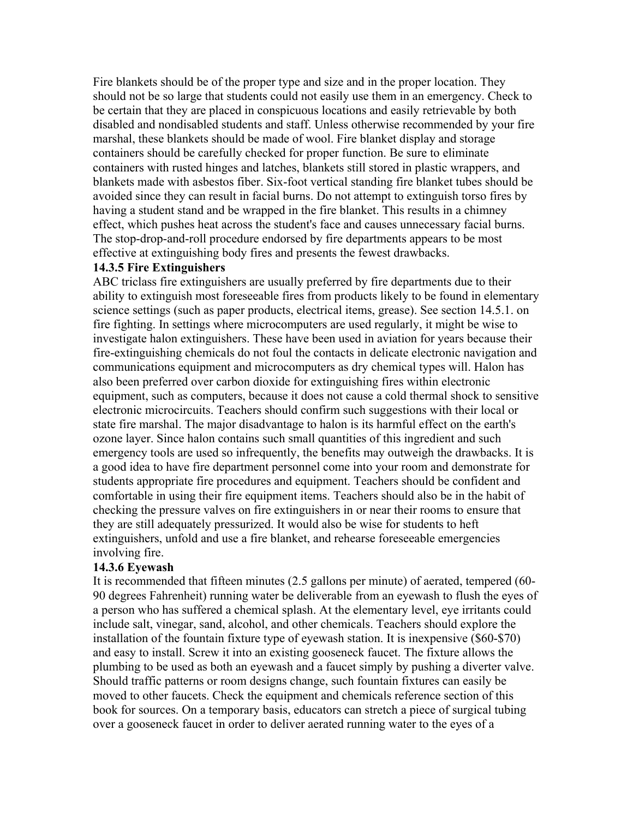Fire blankets should be of the proper type and size and in the proper location. They should not be so large that students could not easily use them in an emergency. Check to be certain that they are placed in conspicuous locations and easily retrievable by both disabled and nondisabled students and staff. Unless otherwise recommended by your fire marshal, these blankets should be made of wool. Fire blanket display and storage containers should be carefully checked for proper function. Be sure to eliminate containers with rusted hinges and latches, blankets still stored in plastic wrappers, and blankets made with asbestos fiber. Six-foot vertical standing fire blanket tubes should be avoided since they can result in facial burns. Do not attempt to extinguish torso fires by having a student stand and be wrapped in the fire blanket. This results in a chimney effect, which pushes heat across the student's face and causes unnecessary facial burns. The stop-drop-and-roll procedure endorsed by fire departments appears to be most effective at extinguishing body fires and presents the fewest drawbacks.

#### **14.3.5 Fire Extinguishers**

ABC triclass fire extinguishers are usually preferred by fire departments due to their ability to extinguish most foreseeable fires from products likely to be found in elementary science settings (such as paper products, electrical items, grease). See section 14.5.1. on fire fighting. In settings where microcomputers are used regularly, it might be wise to investigate halon extinguishers. These have been used in aviation for years because their fire-extinguishing chemicals do not foul the contacts in delicate electronic navigation and communications equipment and microcomputers as dry chemical types will. Halon has also been preferred over carbon dioxide for extinguishing fires within electronic equipment, such as computers, because it does not cause a cold thermal shock to sensitive electronic microcircuits. Teachers should confirm such suggestions with their local or state fire marshal. The major disadvantage to halon is its harmful effect on the earth's ozone layer. Since halon contains such small quantities of this ingredient and such emergency tools are used so infrequently, the benefits may outweigh the drawbacks. It is a good idea to have fire department personnel come into your room and demonstrate for students appropriate fire procedures and equipment. Teachers should be confident and comfortable in using their fire equipment items. Teachers should also be in the habit of checking the pressure valves on fire extinguishers in or near their rooms to ensure that they are still adequately pressurized. It would also be wise for students to heft extinguishers, unfold and use a fire blanket, and rehearse foreseeable emergencies involving fire.

#### **14.3.6 Eyewash**

It is recommended that fifteen minutes (2.5 gallons per minute) of aerated, tempered (60- 90 degrees Fahrenheit) running water be deliverable from an eyewash to flush the eyes of a person who has suffered a chemical splash. At the elementary level, eye irritants could include salt, vinegar, sand, alcohol, and other chemicals. Teachers should explore the installation of the fountain fixture type of eyewash station. It is inexpensive (\$60-\$70) and easy to install. Screw it into an existing gooseneck faucet. The fixture allows the plumbing to be used as both an eyewash and a faucet simply by pushing a diverter valve. Should traffic patterns or room designs change, such fountain fixtures can easily be moved to other faucets. Check the equipment and chemicals reference section of this book for sources. On a temporary basis, educators can stretch a piece of surgical tubing over a gooseneck faucet in order to deliver aerated running water to the eyes of a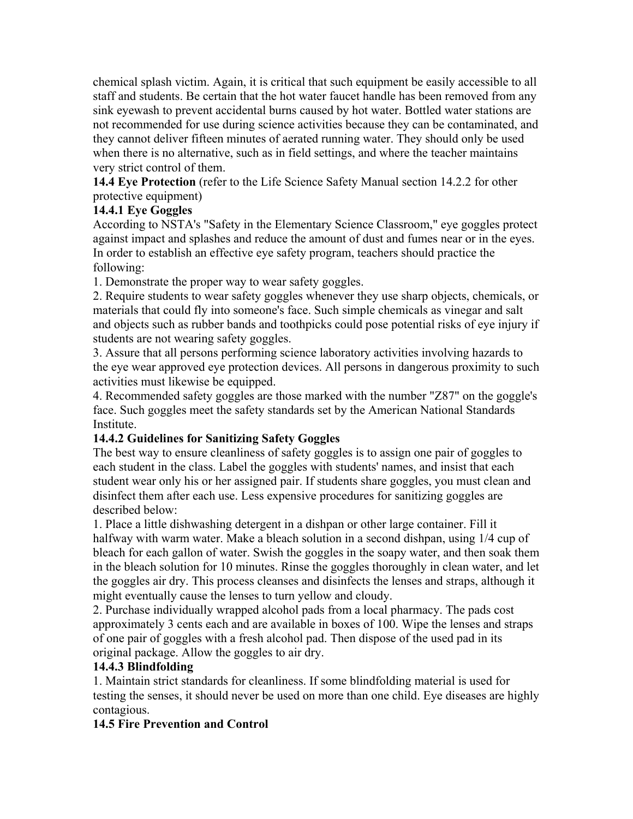chemical splash victim. Again, it is critical that such equipment be easily accessible to all staff and students. Be certain that the hot water faucet handle has been removed from any sink eyewash to prevent accidental burns caused by hot water. Bottled water stations are not recommended for use during science activities because they can be contaminated, and they cannot deliver fifteen minutes of aerated running water. They should only be used when there is no alternative, such as in field settings, and where the teacher maintains very strict control of them.

**14.4 Eye Protection** (refer to the Life Science Safety Manual section 14.2.2 for other protective equipment)

# **14.4.1 Eye Goggles**

According to NSTA's "Safety in the Elementary Science Classroom," eye goggles protect against impact and splashes and reduce the amount of dust and fumes near or in the eyes. In order to establish an effective eye safety program, teachers should practice the following:

1. Demonstrate the proper way to wear safety goggles.

2. Require students to wear safety goggles whenever they use sharp objects, chemicals, or materials that could fly into someone's face. Such simple chemicals as vinegar and salt and objects such as rubber bands and toothpicks could pose potential risks of eye injury if students are not wearing safety goggles.

3. Assure that all persons performing science laboratory activities involving hazards to the eye wear approved eye protection devices. All persons in dangerous proximity to such activities must likewise be equipped.

4. Recommended safety goggles are those marked with the number "Z87" on the goggle's face. Such goggles meet the safety standards set by the American National Standards Institute.

# **14.4.2 Guidelines for Sanitizing Safety Goggles**

The best way to ensure cleanliness of safety goggles is to assign one pair of goggles to each student in the class. Label the goggles with students' names, and insist that each student wear only his or her assigned pair. If students share goggles, you must clean and disinfect them after each use. Less expensive procedures for sanitizing goggles are described below:

1. Place a little dishwashing detergent in a dishpan or other large container. Fill it halfway with warm water. Make a bleach solution in a second dishpan, using 1/4 cup of bleach for each gallon of water. Swish the goggles in the soapy water, and then soak them in the bleach solution for 10 minutes. Rinse the goggles thoroughly in clean water, and let the goggles air dry. This process cleanses and disinfects the lenses and straps, although it might eventually cause the lenses to turn yellow and cloudy.

2. Purchase individually wrapped alcohol pads from a local pharmacy. The pads cost approximately 3 cents each and are available in boxes of 100. Wipe the lenses and straps of one pair of goggles with a fresh alcohol pad. Then dispose of the used pad in its original package. Allow the goggles to air dry.

# **14.4.3 Blindfolding**

1. Maintain strict standards for cleanliness. If some blindfolding material is used for testing the senses, it should never be used on more than one child. Eye diseases are highly contagious.

# **14.5 Fire Prevention and Control**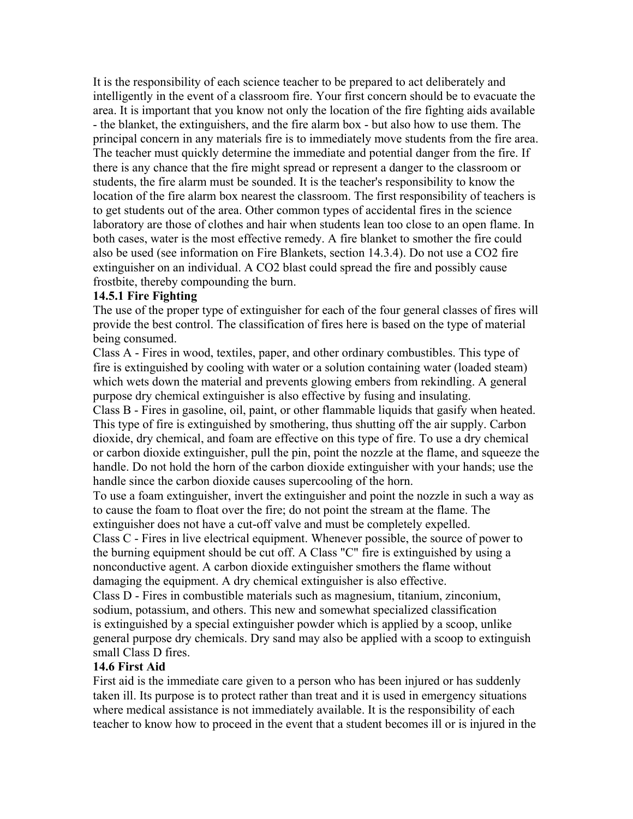It is the responsibility of each science teacher to be prepared to act deliberately and intelligently in the event of a classroom fire. Your first concern should be to evacuate the area. It is important that you know not only the location of the fire fighting aids available - the blanket, the extinguishers, and the fire alarm box - but also how to use them. The principal concern in any materials fire is to immediately move students from the fire area. The teacher must quickly determine the immediate and potential danger from the fire. If there is any chance that the fire might spread or represent a danger to the classroom or students, the fire alarm must be sounded. It is the teacher's responsibility to know the location of the fire alarm box nearest the classroom. The first responsibility of teachers is to get students out of the area. Other common types of accidental fires in the science laboratory are those of clothes and hair when students lean too close to an open flame. In both cases, water is the most effective remedy. A fire blanket to smother the fire could also be used (see information on Fire Blankets, section 14.3.4). Do not use a CO2 fire extinguisher on an individual. A CO2 blast could spread the fire and possibly cause frostbite, thereby compounding the burn.

#### **14.5.1 Fire Fighting**

The use of the proper type of extinguisher for each of the four general classes of fires will provide the best control. The classification of fires here is based on the type of material being consumed.

Class A - Fires in wood, textiles, paper, and other ordinary combustibles. This type of fire is extinguished by cooling with water or a solution containing water (loaded steam) which wets down the material and prevents glowing embers from rekindling. A general purpose dry chemical extinguisher is also effective by fusing and insulating.

Class B - Fires in gasoline, oil, paint, or other flammable liquids that gasify when heated. This type of fire is extinguished by smothering, thus shutting off the air supply. Carbon dioxide, dry chemical, and foam are effective on this type of fire. To use a dry chemical or carbon dioxide extinguisher, pull the pin, point the nozzle at the flame, and squeeze the handle. Do not hold the horn of the carbon dioxide extinguisher with your hands; use the handle since the carbon dioxide causes supercooling of the horn.

To use a foam extinguisher, invert the extinguisher and point the nozzle in such a way as to cause the foam to float over the fire; do not point the stream at the flame. The extinguisher does not have a cut-off valve and must be completely expelled.

Class C - Fires in live electrical equipment. Whenever possible, the source of power to the burning equipment should be cut off. A Class "C" fire is extinguished by using a nonconductive agent. A carbon dioxide extinguisher smothers the flame without damaging the equipment. A dry chemical extinguisher is also effective.

Class D - Fires in combustible materials such as magnesium, titanium, zinconium, sodium, potassium, and others. This new and somewhat specialized classification is extinguished by a special extinguisher powder which is applied by a scoop, unlike general purpose dry chemicals. Dry sand may also be applied with a scoop to extinguish small Class D fires.

#### **14.6 First Aid**

First aid is the immediate care given to a person who has been injured or has suddenly taken ill. Its purpose is to protect rather than treat and it is used in emergency situations where medical assistance is not immediately available. It is the responsibility of each teacher to know how to proceed in the event that a student becomes ill or is injured in the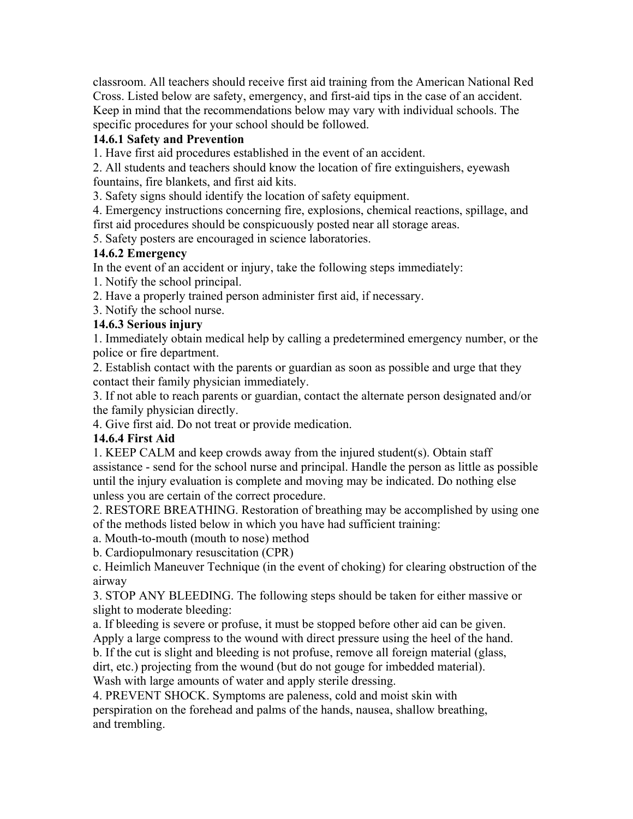classroom. All teachers should receive first aid training from the American National Red Cross. Listed below are safety, emergency, and first-aid tips in the case of an accident. Keep in mind that the recommendations below may vary with individual schools. The specific procedures for your school should be followed.

### **14.6.1 Safety and Prevention**

1. Have first aid procedures established in the event of an accident.

2. All students and teachers should know the location of fire extinguishers, eyewash fountains, fire blankets, and first aid kits.

3. Safety signs should identify the location of safety equipment.

4. Emergency instructions concerning fire, explosions, chemical reactions, spillage, and first aid procedures should be conspicuously posted near all storage areas.

5. Safety posters are encouraged in science laboratories.

### **14.6.2 Emergency**

In the event of an accident or injury, take the following steps immediately:

1. Notify the school principal.

2. Have a properly trained person administer first aid, if necessary.

3. Notify the school nurse.

# **14.6.3 Serious injury**

1. Immediately obtain medical help by calling a predetermined emergency number, or the police or fire department.

2. Establish contact with the parents or guardian as soon as possible and urge that they contact their family physician immediately.

3. If not able to reach parents or guardian, contact the alternate person designated and/or the family physician directly.

4. Give first aid. Do not treat or provide medication.

# **14.6.4 First Aid**

1. KEEP CALM and keep crowds away from the injured student(s). Obtain staff assistance - send for the school nurse and principal. Handle the person as little as possible until the injury evaluation is complete and moving may be indicated. Do nothing else unless you are certain of the correct procedure.

2. RESTORE BREATHING. Restoration of breathing may be accomplished by using one of the methods listed below in which you have had sufficient training:

a. Mouth-to-mouth (mouth to nose) method

b. Cardiopulmonary resuscitation (CPR)

c. Heimlich Maneuver Technique (in the event of choking) for clearing obstruction of the airway

3. STOP ANY BLEEDING. The following steps should be taken for either massive or slight to moderate bleeding:

a. If bleeding is severe or profuse, it must be stopped before other aid can be given. Apply a large compress to the wound with direct pressure using the heel of the hand.

b. If the cut is slight and bleeding is not profuse, remove all foreign material (glass,

dirt, etc.) projecting from the wound (but do not gouge for imbedded material).

Wash with large amounts of water and apply sterile dressing.

4. PREVENT SHOCK. Symptoms are paleness, cold and moist skin with perspiration on the forehead and palms of the hands, nausea, shallow breathing, and trembling.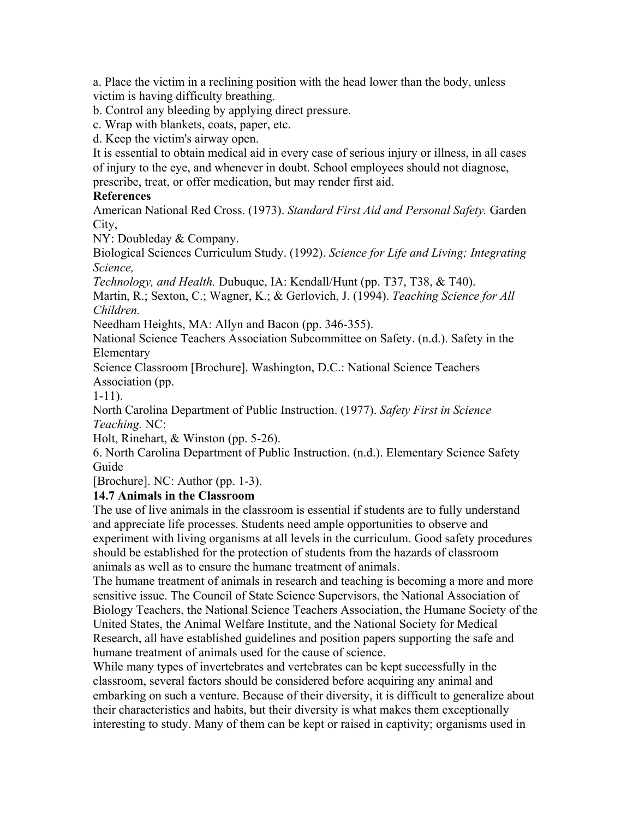a. Place the victim in a reclining position with the head lower than the body, unless victim is having difficulty breathing.

b. Control any bleeding by applying direct pressure.

c. Wrap with blankets, coats, paper, etc.

d. Keep the victim's airway open.

It is essential to obtain medical aid in every case of serious injury or illness, in all cases of injury to the eye, and whenever in doubt. School employees should not diagnose, prescribe, treat, or offer medication, but may render first aid.

#### **References**

American National Red Cross. (1973). *Standard First Aid and Personal Safety.* Garden City,

NY: Doubleday & Company.

Biological Sciences Curriculum Study. (1992). *Science for Life and Living; Integrating Science,* 

*Technology, and Health.* Dubuque, IA: Kendall/Hunt (pp. T37, T38, & T40).

Martin, R.; Sexton, C.; Wagner, K.; & Gerlovich, J. (1994). *Teaching Science for All Children.* 

Needham Heights, MA: Allyn and Bacon (pp. 346-355).

National Science Teachers Association Subcommittee on Safety. (n.d.). Safety in the Elementary

Science Classroom [Brochure]. Washington, D.C.: National Science Teachers Association (pp.

1-11).

North Carolina Department of Public Instruction. (1977). *Safety First in Science Teaching.* NC:

Holt, Rinehart, & Winston (pp. 5-26).

6. North Carolina Department of Public Instruction. (n.d.). Elementary Science Safety Guide

[Brochure]. NC: Author (pp. 1-3).

### **14.7 Animals in the Classroom**

The use of live animals in the classroom is essential if students are to fully understand and appreciate life processes. Students need ample opportunities to observe and experiment with living organisms at all levels in the curriculum. Good safety procedures should be established for the protection of students from the hazards of classroom animals as well as to ensure the humane treatment of animals.

The humane treatment of animals in research and teaching is becoming a more and more sensitive issue. The Council of State Science Supervisors, the National Association of Biology Teachers, the National Science Teachers Association, the Humane Society of the United States, the Animal Welfare Institute, and the National Society for Medical Research, all have established guidelines and position papers supporting the safe and humane treatment of animals used for the cause of science.

While many types of invertebrates and vertebrates can be kept successfully in the classroom, several factors should be considered before acquiring any animal and embarking on such a venture. Because of their diversity, it is difficult to generalize about their characteristics and habits, but their diversity is what makes them exceptionally interesting to study. Many of them can be kept or raised in captivity; organisms used in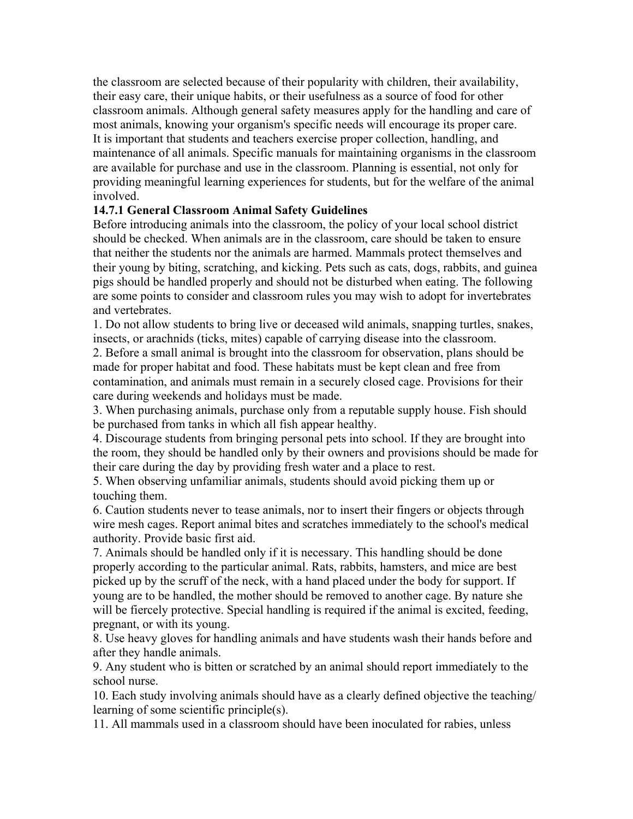the classroom are selected because of their popularity with children, their availability, their easy care, their unique habits, or their usefulness as a source of food for other classroom animals. Although general safety measures apply for the handling and care of most animals, knowing your organism's specific needs will encourage its proper care. It is important that students and teachers exercise proper collection, handling, and maintenance of all animals. Specific manuals for maintaining organisms in the classroom are available for purchase and use in the classroom. Planning is essential, not only for providing meaningful learning experiences for students, but for the welfare of the animal involved.

### **14.7.1 General Classroom Animal Safety Guidelines**

Before introducing animals into the classroom, the policy of your local school district should be checked. When animals are in the classroom, care should be taken to ensure that neither the students nor the animals are harmed. Mammals protect themselves and their young by biting, scratching, and kicking. Pets such as cats, dogs, rabbits, and guinea pigs should be handled properly and should not be disturbed when eating. The following are some points to consider and classroom rules you may wish to adopt for invertebrates and vertebrates.

1. Do not allow students to bring live or deceased wild animals, snapping turtles, snakes, insects, or arachnids (ticks, mites) capable of carrying disease into the classroom.

2. Before a small animal is brought into the classroom for observation, plans should be made for proper habitat and food. These habitats must be kept clean and free from contamination, and animals must remain in a securely closed cage. Provisions for their care during weekends and holidays must be made.

3. When purchasing animals, purchase only from a reputable supply house. Fish should be purchased from tanks in which all fish appear healthy.

4. Discourage students from bringing personal pets into school. If they are brought into the room, they should be handled only by their owners and provisions should be made for their care during the day by providing fresh water and a place to rest.

5. When observing unfamiliar animals, students should avoid picking them up or touching them.

6. Caution students never to tease animals, nor to insert their fingers or objects through wire mesh cages. Report animal bites and scratches immediately to the school's medical authority. Provide basic first aid.

7. Animals should be handled only if it is necessary. This handling should be done properly according to the particular animal. Rats, rabbits, hamsters, and mice are best picked up by the scruff of the neck, with a hand placed under the body for support. If young are to be handled, the mother should be removed to another cage. By nature she will be fiercely protective. Special handling is required if the animal is excited, feeding, pregnant, or with its young.

8. Use heavy gloves for handling animals and have students wash their hands before and after they handle animals.

9. Any student who is bitten or scratched by an animal should report immediately to the school nurse.

10. Each study involving animals should have as a clearly defined objective the teaching/ learning of some scientific principle(s).

11. All mammals used in a classroom should have been inoculated for rabies, unless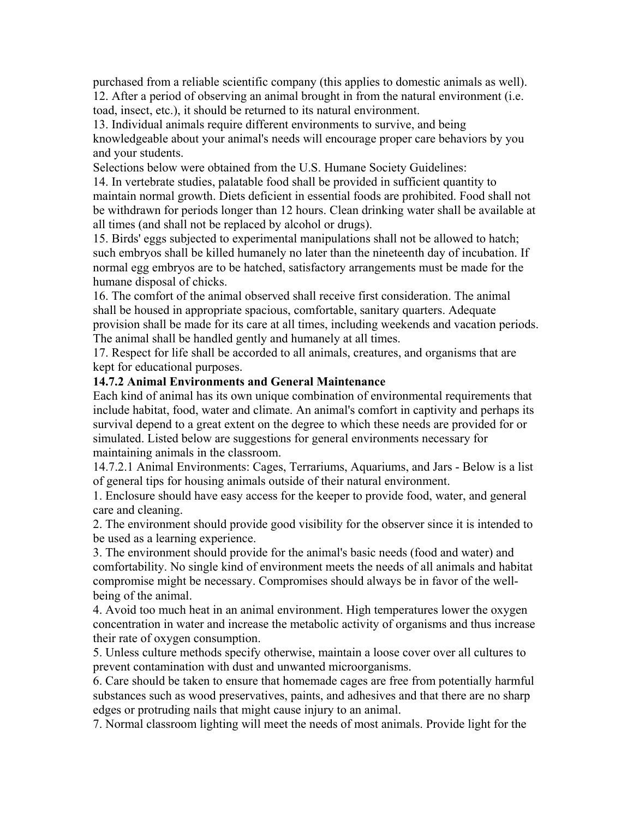purchased from a reliable scientific company (this applies to domestic animals as well). 12. After a period of observing an animal brought in from the natural environment (i.e. toad, insect, etc.), it should be returned to its natural environment.

13. Individual animals require different environments to survive, and being knowledgeable about your animal's needs will encourage proper care behaviors by you and your students.

Selections below were obtained from the U.S. Humane Society Guidelines:

14. In vertebrate studies, palatable food shall be provided in sufficient quantity to maintain normal growth. Diets deficient in essential foods are prohibited. Food shall not be withdrawn for periods longer than 12 hours. Clean drinking water shall be available at all times (and shall not be replaced by alcohol or drugs).

15. Birds' eggs subjected to experimental manipulations shall not be allowed to hatch; such embryos shall be killed humanely no later than the nineteenth day of incubation. If normal egg embryos are to be hatched, satisfactory arrangements must be made for the humane disposal of chicks.

16. The comfort of the animal observed shall receive first consideration. The animal shall be housed in appropriate spacious, comfortable, sanitary quarters. Adequate provision shall be made for its care at all times, including weekends and vacation periods. The animal shall be handled gently and humanely at all times.

17. Respect for life shall be accorded to all animals, creatures, and organisms that are kept for educational purposes.

#### **14.7.2 Animal Environments and General Maintenance**

Each kind of animal has its own unique combination of environmental requirements that include habitat, food, water and climate. An animal's comfort in captivity and perhaps its survival depend to a great extent on the degree to which these needs are provided for or simulated. Listed below are suggestions for general environments necessary for maintaining animals in the classroom.

14.7.2.1 Animal Environments: Cages, Terrariums, Aquariums, and Jars - Below is a list of general tips for housing animals outside of their natural environment.

1. Enclosure should have easy access for the keeper to provide food, water, and general care and cleaning.

2. The environment should provide good visibility for the observer since it is intended to be used as a learning experience.

3. The environment should provide for the animal's basic needs (food and water) and comfortability. No single kind of environment meets the needs of all animals and habitat compromise might be necessary. Compromises should always be in favor of the wellbeing of the animal.

4. Avoid too much heat in an animal environment. High temperatures lower the oxygen concentration in water and increase the metabolic activity of organisms and thus increase their rate of oxygen consumption.

5. Unless culture methods specify otherwise, maintain a loose cover over all cultures to prevent contamination with dust and unwanted microorganisms.

6. Care should be taken to ensure that homemade cages are free from potentially harmful substances such as wood preservatives, paints, and adhesives and that there are no sharp edges or protruding nails that might cause injury to an animal.

7. Normal classroom lighting will meet the needs of most animals. Provide light for the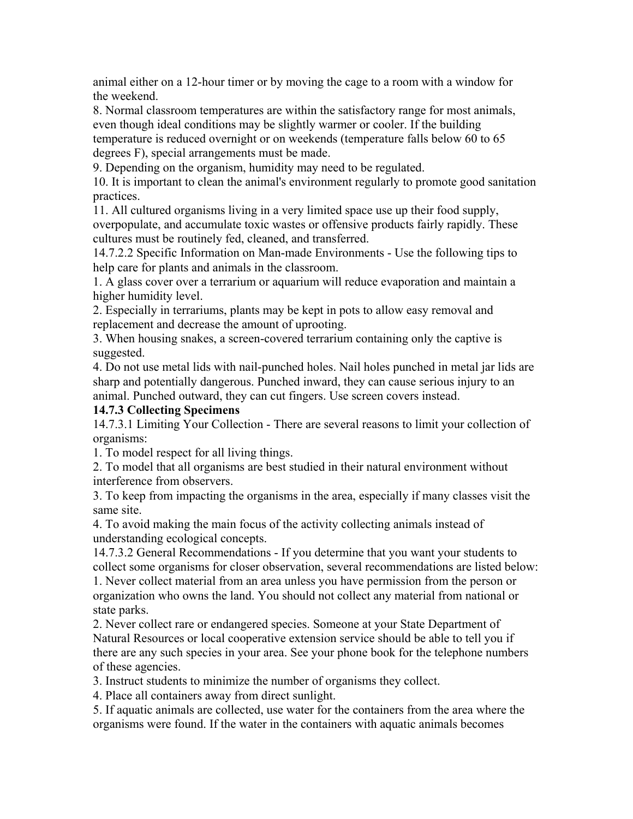animal either on a 12-hour timer or by moving the cage to a room with a window for the weekend.

8. Normal classroom temperatures are within the satisfactory range for most animals, even though ideal conditions may be slightly warmer or cooler. If the building temperature is reduced overnight or on weekends (temperature falls below 60 to 65

degrees F), special arrangements must be made.

9. Depending on the organism, humidity may need to be regulated.

10. It is important to clean the animal's environment regularly to promote good sanitation practices.

11. All cultured organisms living in a very limited space use up their food supply, overpopulate, and accumulate toxic wastes or offensive products fairly rapidly. These cultures must be routinely fed, cleaned, and transferred.

14.7.2.2 Specific Information on Man-made Environments - Use the following tips to help care for plants and animals in the classroom.

1. A glass cover over a terrarium or aquarium will reduce evaporation and maintain a higher humidity level.

2. Especially in terrariums, plants may be kept in pots to allow easy removal and replacement and decrease the amount of uprooting.

3. When housing snakes, a screen-covered terrarium containing only the captive is suggested.

4. Do not use metal lids with nail-punched holes. Nail holes punched in metal jar lids are sharp and potentially dangerous. Punched inward, they can cause serious injury to an animal. Punched outward, they can cut fingers. Use screen covers instead.

#### **14.7.3 Collecting Specimens**

14.7.3.1 Limiting Your Collection - There are several reasons to limit your collection of organisms:

1. To model respect for all living things.

2. To model that all organisms are best studied in their natural environment without interference from observers.

3. To keep from impacting the organisms in the area, especially if many classes visit the same site.

4. To avoid making the main focus of the activity collecting animals instead of understanding ecological concepts.

14.7.3.2 General Recommendations - If you determine that you want your students to collect some organisms for closer observation, several recommendations are listed below:

1. Never collect material from an area unless you have permission from the person or organization who owns the land. You should not collect any material from national or state parks.

2. Never collect rare or endangered species. Someone at your State Department of Natural Resources or local cooperative extension service should be able to tell you if there are any such species in your area. See your phone book for the telephone numbers of these agencies.

3. Instruct students to minimize the number of organisms they collect.

4. Place all containers away from direct sunlight.

5. If aquatic animals are collected, use water for the containers from the area where the organisms were found. If the water in the containers with aquatic animals becomes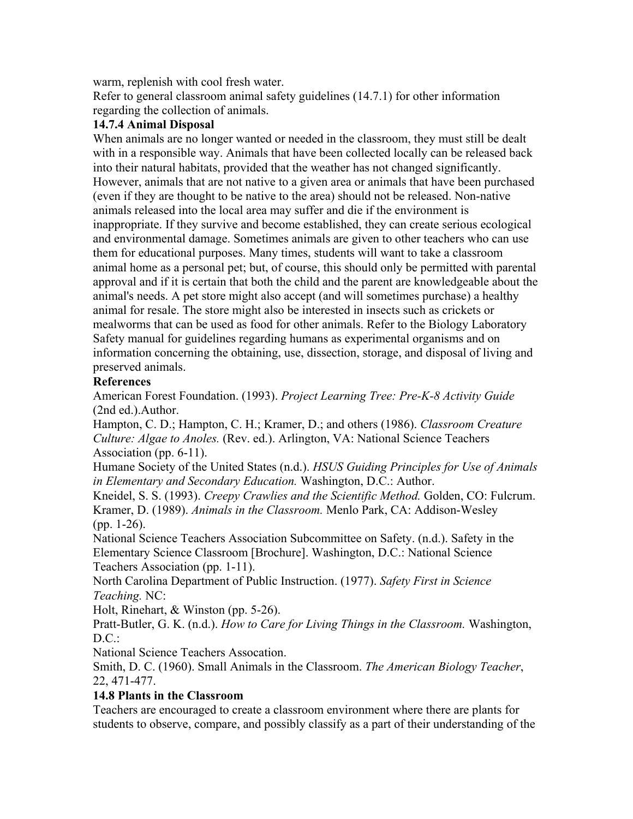warm, replenish with cool fresh water.

Refer to general classroom animal safety guidelines (14.7.1) for other information regarding the collection of animals.

### **14.7.4 Animal Disposal**

When animals are no longer wanted or needed in the classroom, they must still be dealt with in a responsible way. Animals that have been collected locally can be released back into their natural habitats, provided that the weather has not changed significantly. However, animals that are not native to a given area or animals that have been purchased (even if they are thought to be native to the area) should not be released. Non-native animals released into the local area may suffer and die if the environment is inappropriate. If they survive and become established, they can create serious ecological and environmental damage. Sometimes animals are given to other teachers who can use them for educational purposes. Many times, students will want to take a classroom animal home as a personal pet; but, of course, this should only be permitted with parental approval and if it is certain that both the child and the parent are knowledgeable about the animal's needs. A pet store might also accept (and will sometimes purchase) a healthy animal for resale. The store might also be interested in insects such as crickets or mealworms that can be used as food for other animals. Refer to the Biology Laboratory Safety manual for guidelines regarding humans as experimental organisms and on information concerning the obtaining, use, dissection, storage, and disposal of living and preserved animals.

### **References**

American Forest Foundation. (1993). *Project Learning Tree: Pre-K-8 Activity Guide*  (2nd ed.).Author.

Hampton, C. D.; Hampton, C. H.; Kramer, D.; and others (1986). *Classroom Creature Culture: Algae to Anoles.* (Rev. ed.). Arlington, VA: National Science Teachers Association (pp. 6-11).

Humane Society of the United States (n.d.). *HSUS Guiding Principles for Use of Animals in Elementary and Secondary Education.* Washington, D.C.: Author.

Kneidel, S. S. (1993). *Creepy Crawlies and the Scientific Method.* Golden, CO: Fulcrum. Kramer, D. (1989). *Animals in the Classroom.* Menlo Park, CA: Addison-Wesley (pp. 1-26).

National Science Teachers Association Subcommittee on Safety. (n.d.). Safety in the Elementary Science Classroom [Brochure]. Washington, D.C.: National Science Teachers Association (pp. 1-11).

North Carolina Department of Public Instruction. (1977). *Safety First in Science Teaching.* NC:

Holt, Rinehart, & Winston (pp. 5-26).

Pratt-Butler, G. K. (n.d.). *How to Care for Living Things in the Classroom.* Washington,  $D.C.:$ 

National Science Teachers Assocation.

Smith, D. C. (1960). Small Animals in the Classroom. *The American Biology Teacher*, 22, 471-477.

# **14.8 Plants in the Classroom**

Teachers are encouraged to create a classroom environment where there are plants for students to observe, compare, and possibly classify as a part of their understanding of the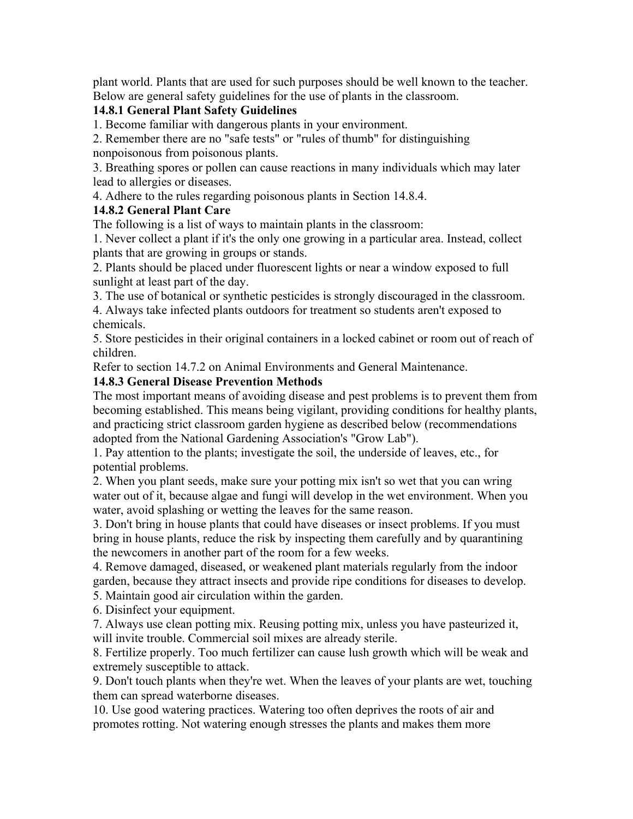plant world. Plants that are used for such purposes should be well known to the teacher. Below are general safety guidelines for the use of plants in the classroom.

### **14.8.1 General Plant Safety Guidelines**

1. Become familiar with dangerous plants in your environment.

2. Remember there are no "safe tests" or "rules of thumb" for distinguishing nonpoisonous from poisonous plants.

3. Breathing spores or pollen can cause reactions in many individuals which may later lead to allergies or diseases.

4. Adhere to the rules regarding poisonous plants in Section 14.8.4.

### **14.8.2 General Plant Care**

The following is a list of ways to maintain plants in the classroom:

1. Never collect a plant if it's the only one growing in a particular area. Instead, collect plants that are growing in groups or stands.

2. Plants should be placed under fluorescent lights or near a window exposed to full sunlight at least part of the day.

3. The use of botanical or synthetic pesticides is strongly discouraged in the classroom.

4. Always take infected plants outdoors for treatment so students aren't exposed to chemicals.

5. Store pesticides in their original containers in a locked cabinet or room out of reach of children.

Refer to section 14.7.2 on Animal Environments and General Maintenance.

### **14.8.3 General Disease Prevention Methods**

The most important means of avoiding disease and pest problems is to prevent them from becoming established. This means being vigilant, providing conditions for healthy plants, and practicing strict classroom garden hygiene as described below (recommendations adopted from the National Gardening Association's "Grow Lab").

1. Pay attention to the plants; investigate the soil, the underside of leaves, etc., for potential problems.

2. When you plant seeds, make sure your potting mix isn't so wet that you can wring water out of it, because algae and fungi will develop in the wet environment. When you water, avoid splashing or wetting the leaves for the same reason.

3. Don't bring in house plants that could have diseases or insect problems. If you must bring in house plants, reduce the risk by inspecting them carefully and by quarantining the newcomers in another part of the room for a few weeks.

4. Remove damaged, diseased, or weakened plant materials regularly from the indoor garden, because they attract insects and provide ripe conditions for diseases to develop. 5. Maintain good air circulation within the garden.

6. Disinfect your equipment.

7. Always use clean potting mix. Reusing potting mix, unless you have pasteurized it, will invite trouble. Commercial soil mixes are already sterile.

8. Fertilize properly. Too much fertilizer can cause lush growth which will be weak and extremely susceptible to attack.

9. Don't touch plants when they're wet. When the leaves of your plants are wet, touching them can spread waterborne diseases.

10. Use good watering practices. Watering too often deprives the roots of air and promotes rotting. Not watering enough stresses the plants and makes them more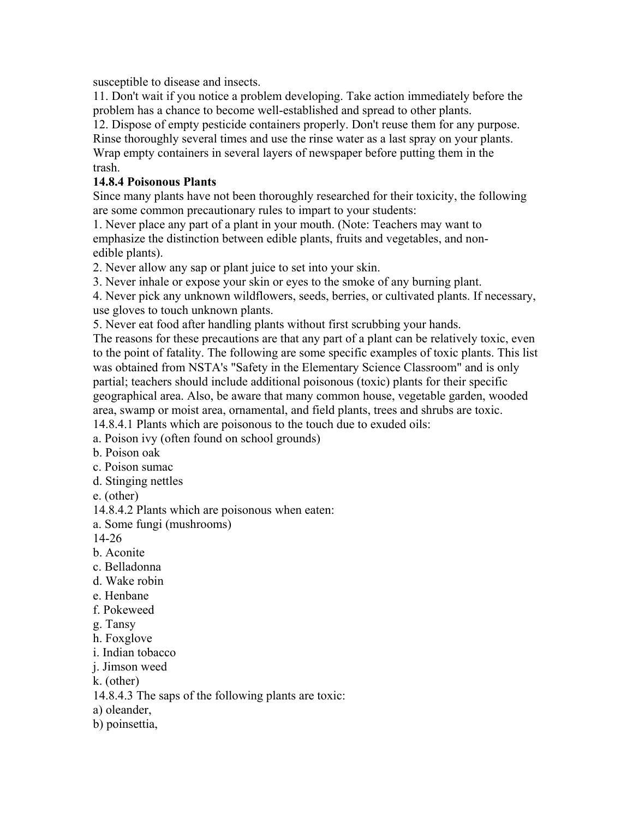susceptible to disease and insects.

11. Don't wait if you notice a problem developing. Take action immediately before the problem has a chance to become well-established and spread to other plants.

12. Dispose of empty pesticide containers properly. Don't reuse them for any purpose. Rinse thoroughly several times and use the rinse water as a last spray on your plants. Wrap empty containers in several layers of newspaper before putting them in the trash.

### **14.8.4 Poisonous Plants**

Since many plants have not been thoroughly researched for their toxicity, the following are some common precautionary rules to impart to your students:

1. Never place any part of a plant in your mouth. (Note: Teachers may want to emphasize the distinction between edible plants, fruits and vegetables, and nonedible plants).

2. Never allow any sap or plant juice to set into your skin.

3. Never inhale or expose your skin or eyes to the smoke of any burning plant.

4. Never pick any unknown wildflowers, seeds, berries, or cultivated plants. If necessary, use gloves to touch unknown plants.

5. Never eat food after handling plants without first scrubbing your hands.

The reasons for these precautions are that any part of a plant can be relatively toxic, even to the point of fatality. The following are some specific examples of toxic plants. This list was obtained from NSTA's "Safety in the Elementary Science Classroom" and is only partial; teachers should include additional poisonous (toxic) plants for their specific geographical area. Also, be aware that many common house, vegetable garden, wooded area, swamp or moist area, ornamental, and field plants, trees and shrubs are toxic. 14.8.4.1 Plants which are poisonous to the touch due to exuded oils:

a. Poison ivy (often found on school grounds)

b. Poison oak

c. Poison sumac

d. Stinging nettles

e. (other)

14.8.4.2 Plants which are poisonous when eaten:

a. Some fungi (mushrooms)

14-26

- b. Aconite
- c. Belladonna
- d. Wake robin
- e. Henbane
- f. Pokeweed
- g. Tansy
- h. Foxglove
- i. Indian tobacco
- j. Jimson weed
- k. (other)

14.8.4.3 The saps of the following plants are toxic:

- a) oleander,
- b) poinsettia,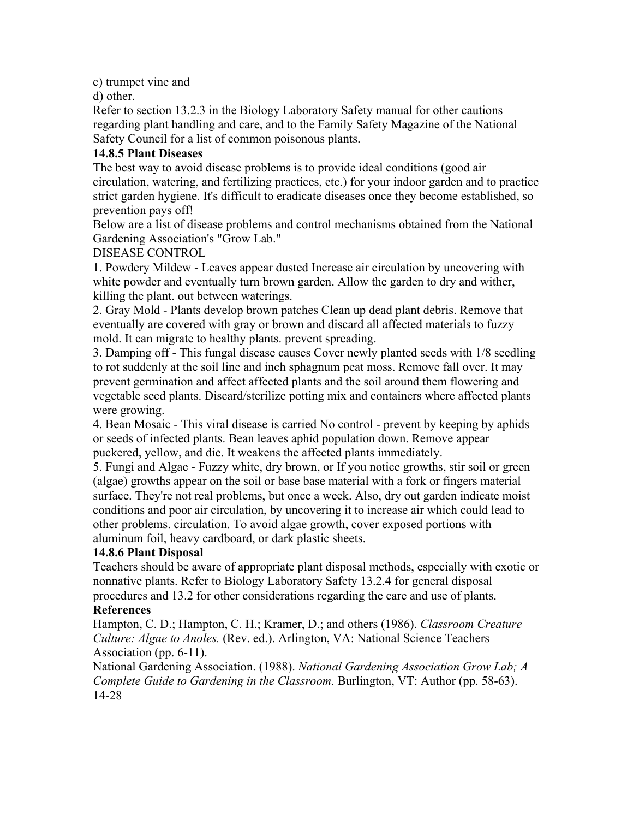c) trumpet vine and

d) other.

Refer to section 13.2.3 in the Biology Laboratory Safety manual for other cautions regarding plant handling and care, and to the Family Safety Magazine of the National Safety Council for a list of common poisonous plants.

#### **14.8.5 Plant Diseases**

The best way to avoid disease problems is to provide ideal conditions (good air circulation, watering, and fertilizing practices, etc.) for your indoor garden and to practice strict garden hygiene. It's difficult to eradicate diseases once they become established, so prevention pays off!

Below are a list of disease problems and control mechanisms obtained from the National Gardening Association's "Grow Lab."

#### DISEASE CONTROL

1. Powdery Mildew - Leaves appear dusted Increase air circulation by uncovering with white powder and eventually turn brown garden. Allow the garden to dry and wither, killing the plant. out between waterings.

2. Gray Mold - Plants develop brown patches Clean up dead plant debris. Remove that eventually are covered with gray or brown and discard all affected materials to fuzzy mold. It can migrate to healthy plants. prevent spreading.

3. Damping off - This fungal disease causes Cover newly planted seeds with 1/8 seedling to rot suddenly at the soil line and inch sphagnum peat moss. Remove fall over. It may prevent germination and affect affected plants and the soil around them flowering and vegetable seed plants. Discard/sterilize potting mix and containers where affected plants were growing.

4. Bean Mosaic - This viral disease is carried No control - prevent by keeping by aphids or seeds of infected plants. Bean leaves aphid population down. Remove appear puckered, yellow, and die. It weakens the affected plants immediately.

5. Fungi and Algae - Fuzzy white, dry brown, or If you notice growths, stir soil or green (algae) growths appear on the soil or base base material with a fork or fingers material surface. They're not real problems, but once a week. Also, dry out garden indicate moist conditions and poor air circulation, by uncovering it to increase air which could lead to other problems. circulation. To avoid algae growth, cover exposed portions with aluminum foil, heavy cardboard, or dark plastic sheets.

### **14.8.6 Plant Disposal**

Teachers should be aware of appropriate plant disposal methods, especially with exotic or nonnative plants. Refer to Biology Laboratory Safety 13.2.4 for general disposal procedures and 13.2 for other considerations regarding the care and use of plants.

#### **References**

Hampton, C. D.; Hampton, C. H.; Kramer, D.; and others (1986). *Classroom Creature Culture: Algae to Anoles.* (Rev. ed.). Arlington, VA: National Science Teachers Association (pp. 6-11).

National Gardening Association. (1988). *National Gardening Association Grow Lab; A Complete Guide to Gardening in the Classroom.* Burlington, VT: Author (pp. 58-63). 14-28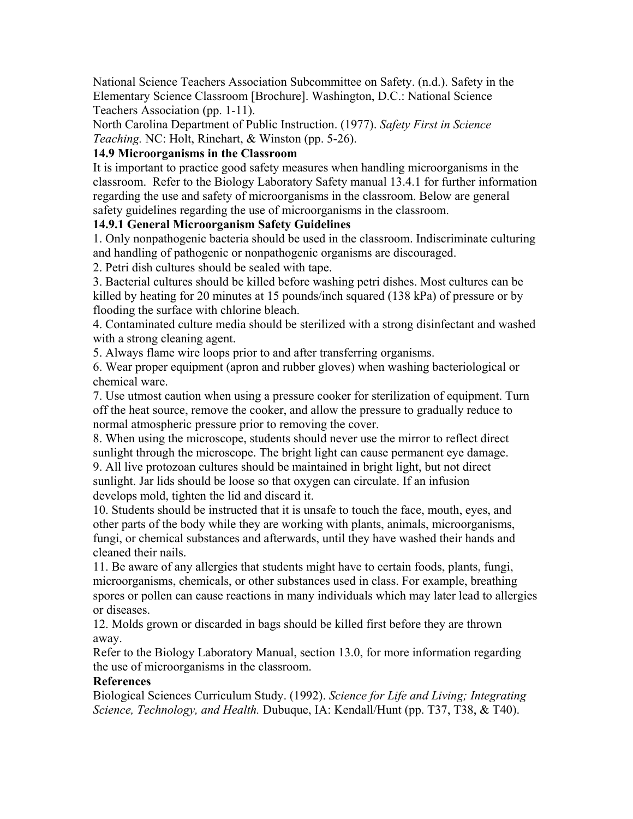National Science Teachers Association Subcommittee on Safety. (n.d.). Safety in the Elementary Science Classroom [Brochure]. Washington, D.C.: National Science Teachers Association (pp. 1-11).

North Carolina Department of Public Instruction. (1977). *Safety First in Science Teaching.* NC: Holt, Rinehart, & Winston (pp. 5-26).

#### **14.9 Microorganisms in the Classroom**

It is important to practice good safety measures when handling microorganisms in the classroom. Refer to the Biology Laboratory Safety manual 13.4.1 for further information regarding the use and safety of microorganisms in the classroom. Below are general safety guidelines regarding the use of microorganisms in the classroom.

#### **14.9.1 General Microorganism Safety Guidelines**

1. Only nonpathogenic bacteria should be used in the classroom. Indiscriminate culturing and handling of pathogenic or nonpathogenic organisms are discouraged.

2. Petri dish cultures should be sealed with tape.

3. Bacterial cultures should be killed before washing petri dishes. Most cultures can be killed by heating for 20 minutes at 15 pounds/inch squared (138 kPa) of pressure or by flooding the surface with chlorine bleach.

4. Contaminated culture media should be sterilized with a strong disinfectant and washed with a strong cleaning agent.

5. Always flame wire loops prior to and after transferring organisms.

6. Wear proper equipment (apron and rubber gloves) when washing bacteriological or chemical ware.

7. Use utmost caution when using a pressure cooker for sterilization of equipment. Turn off the heat source, remove the cooker, and allow the pressure to gradually reduce to normal atmospheric pressure prior to removing the cover.

8. When using the microscope, students should never use the mirror to reflect direct sunlight through the microscope. The bright light can cause permanent eye damage.

9. All live protozoan cultures should be maintained in bright light, but not direct sunlight. Jar lids should be loose so that oxygen can circulate. If an infusion develops mold, tighten the lid and discard it.

10. Students should be instructed that it is unsafe to touch the face, mouth, eyes, and other parts of the body while they are working with plants, animals, microorganisms, fungi, or chemical substances and afterwards, until they have washed their hands and cleaned their nails.

11. Be aware of any allergies that students might have to certain foods, plants, fungi, microorganisms, chemicals, or other substances used in class. For example, breathing spores or pollen can cause reactions in many individuals which may later lead to allergies or diseases.

12. Molds grown or discarded in bags should be killed first before they are thrown away.

Refer to the Biology Laboratory Manual, section 13.0, for more information regarding the use of microorganisms in the classroom.

#### **References**

Biological Sciences Curriculum Study. (1992). *Science for Life and Living; Integrating Science, Technology, and Health.* Dubuque, IA: Kendall/Hunt (pp. T37, T38, & T40).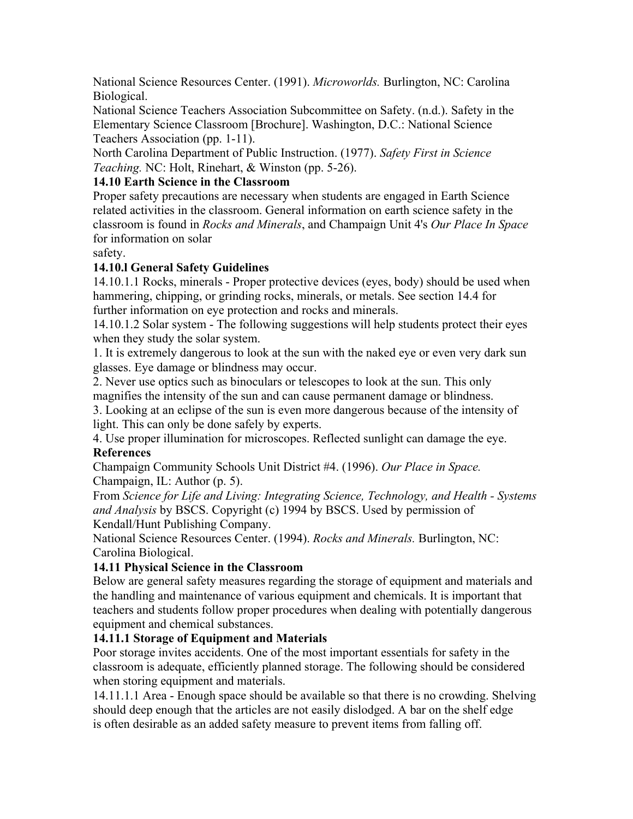National Science Resources Center. (1991). *Microworlds.* Burlington, NC: Carolina Biological.

National Science Teachers Association Subcommittee on Safety. (n.d.). Safety in the Elementary Science Classroom [Brochure]. Washington, D.C.: National Science Teachers Association (pp. 1-11).

North Carolina Department of Public Instruction. (1977). *Safety First in Science Teaching.* NC: Holt, Rinehart, & Winston (pp. 5-26).

# **14.10 Earth Science in the Classroom**

Proper safety precautions are necessary when students are engaged in Earth Science related activities in the classroom. General information on earth science safety in the classroom is found in *Rocks and Minerals*, and Champaign Unit 4's *Our Place In Space*  for information on solar

safety.

# **14.10.l General Safety Guidelines**

14.10.1.1 Rocks, minerals - Proper protective devices (eyes, body) should be used when hammering, chipping, or grinding rocks, minerals, or metals. See section 14.4 for further information on eye protection and rocks and minerals.

14.10.1.2 Solar system - The following suggestions will help students protect their eyes when they study the solar system.

1. It is extremely dangerous to look at the sun with the naked eye or even very dark sun glasses. Eye damage or blindness may occur.

2. Never use optics such as binoculars or telescopes to look at the sun. This only magnifies the intensity of the sun and can cause permanent damage or blindness.

3. Looking at an eclipse of the sun is even more dangerous because of the intensity of light. This can only be done safely by experts.

4. Use proper illumination for microscopes. Reflected sunlight can damage the eye. **References** 

Champaign Community Schools Unit District #4. (1996). *Our Place in Space.*  Champaign, IL: Author (p. 5).

From *Science for Life and Living: Integrating Science, Technology, and Health - Systems and Analysis* by BSCS. Copyright (c) 1994 by BSCS. Used by permission of Kendall/Hunt Publishing Company.

National Science Resources Center. (1994). *Rocks and Minerals.* Burlington, NC: Carolina Biological.

#### **14.11 Physical Science in the Classroom**

Below are general safety measures regarding the storage of equipment and materials and the handling and maintenance of various equipment and chemicals. It is important that teachers and students follow proper procedures when dealing with potentially dangerous equipment and chemical substances.

#### **14.11.1 Storage of Equipment and Materials**

Poor storage invites accidents. One of the most important essentials for safety in the classroom is adequate, efficiently planned storage. The following should be considered when storing equipment and materials.

14.11.1.1 Area - Enough space should be available so that there is no crowding. Shelving should deep enough that the articles are not easily dislodged. A bar on the shelf edge is often desirable as an added safety measure to prevent items from falling off.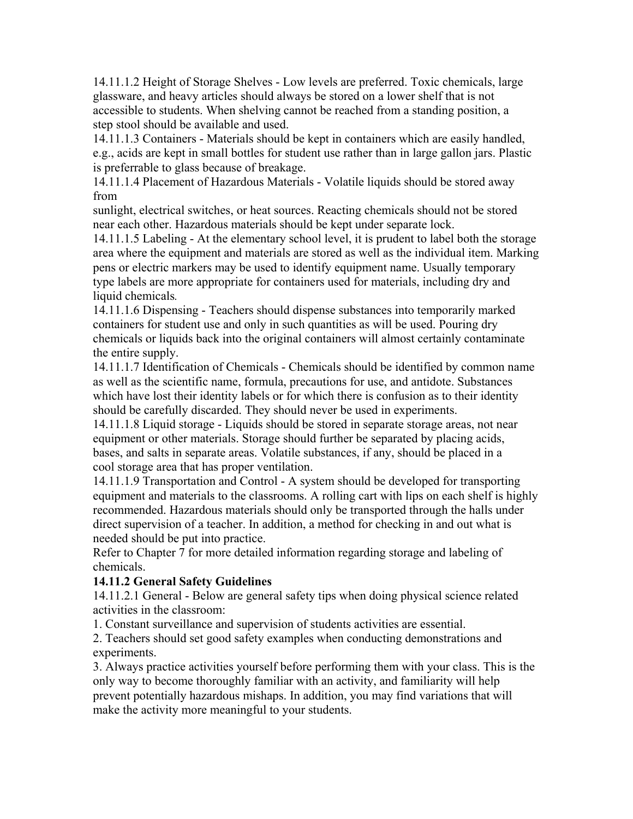14.11.1.2 Height of Storage Shelves - Low levels are preferred. Toxic chemicals, large glassware, and heavy articles should always be stored on a lower shelf that is not accessible to students. When shelving cannot be reached from a standing position, a step stool should be available and used.

14.11.1.3 Containers - Materials should be kept in containers which are easily handled, e.g., acids are kept in small bottles for student use rather than in large gallon jars. Plastic is preferrable to glass because of breakage.

14.11.1.4 Placement of Hazardous Materials - Volatile liquids should be stored away from

sunlight, electrical switches, or heat sources. Reacting chemicals should not be stored near each other. Hazardous materials should be kept under separate lock.

14.11.1.5 Labeling - At the elementary school level, it is prudent to label both the storage area where the equipment and materials are stored as well as the individual item. Marking pens or electric markers may be used to identify equipment name. Usually temporary type labels are more appropriate for containers used for materials, including dry and liquid chemicals*.* 

14.11.1.6 Dispensing - Teachers should dispense substances into temporarily marked containers for student use and only in such quantities as will be used. Pouring dry chemicals or liquids back into the original containers will almost certainly contaminate the entire supply.

14.11.1.7 Identification of Chemicals - Chemicals should be identified by common name as well as the scientific name, formula, precautions for use, and antidote. Substances which have lost their identity labels or for which there is confusion as to their identity should be carefully discarded. They should never be used in experiments.

14.11.1.8 Liquid storage - Liquids should be stored in separate storage areas, not near equipment or other materials. Storage should further be separated by placing acids, bases, and salts in separate areas. Volatile substances, if any, should be placed in a cool storage area that has proper ventilation.

14.11.1.9 Transportation and Control - A system should be developed for transporting equipment and materials to the classrooms. A rolling cart with lips on each shelf is highly recommended. Hazardous materials should only be transported through the halls under direct supervision of a teacher. In addition, a method for checking in and out what is needed should be put into practice.

Refer to Chapter 7 for more detailed information regarding storage and labeling of chemicals.

# **14.11.2 General Safety Guidelines**

14.11.2.1 General - Below are general safety tips when doing physical science related activities in the classroom:

1. Constant surveillance and supervision of students activities are essential.

2. Teachers should set good safety examples when conducting demonstrations and experiments.

3. Always practice activities yourself before performing them with your class. This is the only way to become thoroughly familiar with an activity, and familiarity will help prevent potentially hazardous mishaps. In addition, you may find variations that will make the activity more meaningful to your students.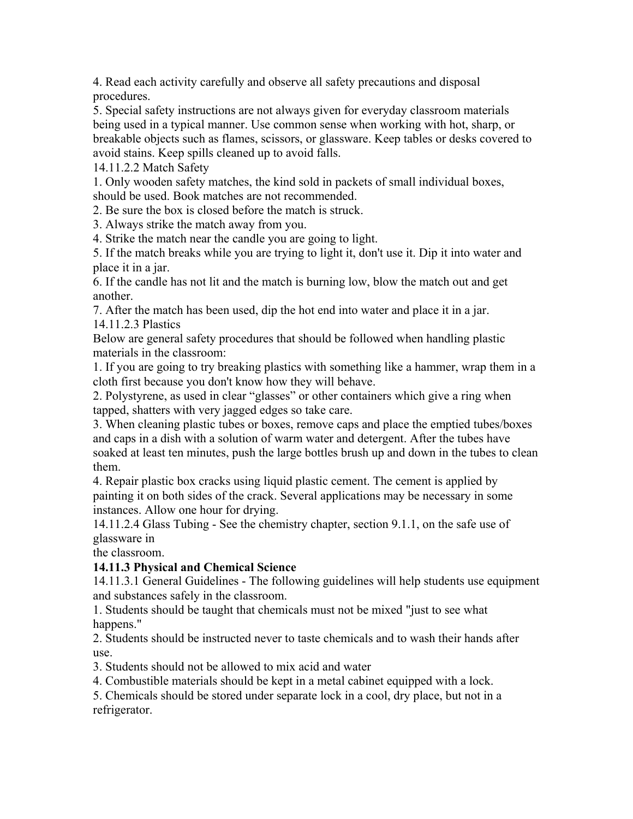4. Read each activity carefully and observe all safety precautions and disposal procedures.

5. Special safety instructions are not always given for everyday classroom materials being used in a typical manner. Use common sense when working with hot, sharp, or breakable objects such as flames, scissors, or glassware. Keep tables or desks covered to avoid stains. Keep spills cleaned up to avoid falls.

14.11.2.2 Match Safety

1. Only wooden safety matches, the kind sold in packets of small individual boxes, should be used. Book matches are not recommended.

2. Be sure the box is closed before the match is struck.

3. Always strike the match away from you.

4. Strike the match near the candle you are going to light.

5. If the match breaks while you are trying to light it, don't use it. Dip it into water and place it in a jar.

6. If the candle has not lit and the match is burning low, blow the match out and get another.

7. After the match has been used, dip the hot end into water and place it in a jar. 14.11.2.3 Plastics

Below are general safety procedures that should be followed when handling plastic materials in the classroom:

1. If you are going to try breaking plastics with something like a hammer, wrap them in a cloth first because you don't know how they will behave.

2. Polystyrene, as used in clear "glasses" or other containers which give a ring when tapped, shatters with very jagged edges so take care.

3. When cleaning plastic tubes or boxes, remove caps and place the emptied tubes/boxes and caps in a dish with a solution of warm water and detergent. After the tubes have soaked at least ten minutes, push the large bottles brush up and down in the tubes to clean them.

4. Repair plastic box cracks using liquid plastic cement. The cement is applied by painting it on both sides of the crack. Several applications may be necessary in some instances. Allow one hour for drying.

14.11.2.4 Glass Tubing - See the chemistry chapter, section 9.1.1, on the safe use of glassware in

the classroom.

# **14.11.3 Physical and Chemical Science**

14.11.3.1 General Guidelines - The following guidelines will help students use equipment and substances safely in the classroom.

1. Students should be taught that chemicals must not be mixed "just to see what happens."

2. Students should be instructed never to taste chemicals and to wash their hands after use.

3. Students should not be allowed to mix acid and water

4. Combustible materials should be kept in a metal cabinet equipped with a lock.

5. Chemicals should be stored under separate lock in a cool, dry place, but not in a refrigerator.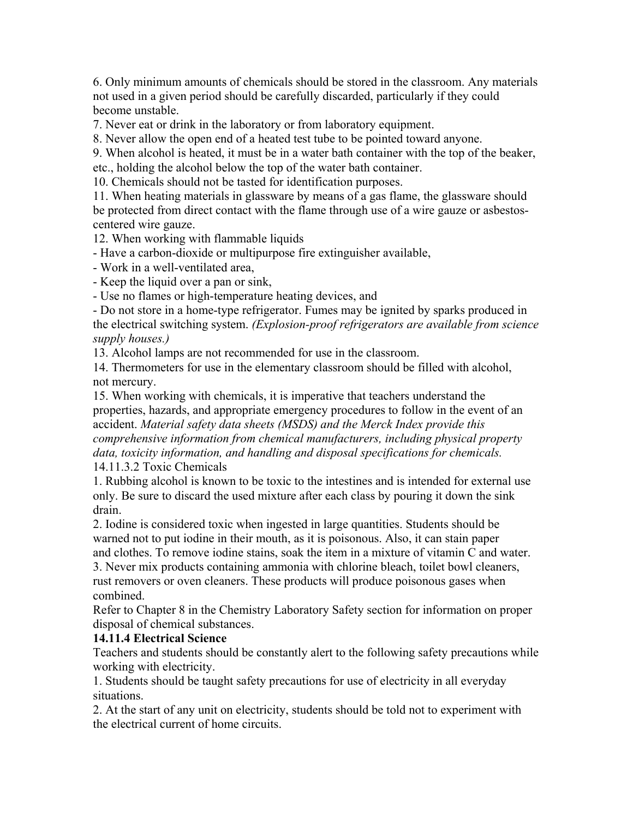6. Only minimum amounts of chemicals should be stored in the classroom. Any materials not used in a given period should be carefully discarded, particularly if they could become unstable.

7. Never eat or drink in the laboratory or from laboratory equipment.

8. Never allow the open end of a heated test tube to be pointed toward anyone.

9. When alcohol is heated, it must be in a water bath container with the top of the beaker, etc., holding the alcohol below the top of the water bath container.

10. Chemicals should not be tasted for identification purposes.

11. When heating materials in glassware by means of a gas flame, the glassware should be protected from direct contact with the flame through use of a wire gauze or asbestoscentered wire gauze.

12. When working with flammable liquids

- Have a carbon-dioxide or multipurpose fire extinguisher available,

- Work in a well-ventilated area,

- Keep the liquid over a pan or sink,

- Use no flames or high-temperature heating devices, and

- Do not store in a home-type refrigerator. Fumes may be ignited by sparks produced in the electrical switching system. *(Explosion-proof refrigerators are available from science supply houses.)* 

13. Alcohol lamps are not recommended for use in the classroom.

14. Thermometers for use in the elementary classroom should be filled with alcohol, not mercury.

15. When working with chemicals, it is imperative that teachers understand the properties, hazards, and appropriate emergency procedures to follow in the event of an accident. *Material safety data sheets (MSDS) and the Merck Index provide this comprehensive information from chemical manufacturers, including physical property data, toxicity information, and handling and disposal specifications for chemicals.*  14.11.3.2 Toxic Chemicals

1. Rubbing alcohol is known to be toxic to the intestines and is intended for external use only. Be sure to discard the used mixture after each class by pouring it down the sink drain.

2. Iodine is considered toxic when ingested in large quantities. Students should be warned not to put iodine in their mouth, as it is poisonous. Also, it can stain paper and clothes. To remove iodine stains, soak the item in a mixture of vitamin C and water.

3. Never mix products containing ammonia with chlorine bleach, toilet bowl cleaners, rust removers or oven cleaners. These products will produce poisonous gases when combined.

Refer to Chapter 8 in the Chemistry Laboratory Safety section for information on proper disposal of chemical substances.

# **14.11.4 Electrical Science**

Teachers and students should be constantly alert to the following safety precautions while working with electricity.

1. Students should be taught safety precautions for use of electricity in all everyday situations.

2. At the start of any unit on electricity, students should be told not to experiment with the electrical current of home circuits.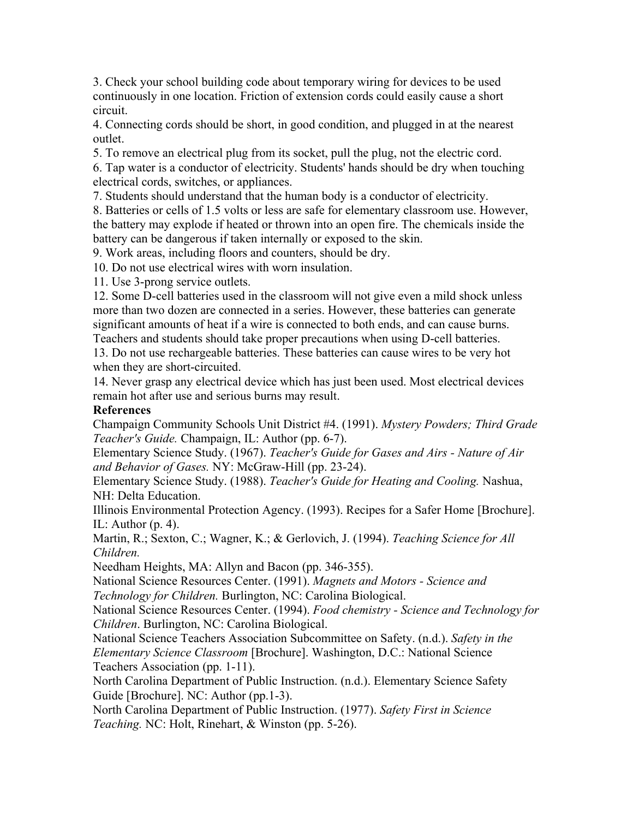3. Check your school building code about temporary wiring for devices to be used continuously in one location. Friction of extension cords could easily cause a short circuit.

4. Connecting cords should be short, in good condition, and plugged in at the nearest outlet.

5. To remove an electrical plug from its socket, pull the plug, not the electric cord.

6. Tap water is a conductor of electricity. Students' hands should be dry when touching electrical cords, switches, or appliances.

7. Students should understand that the human body is a conductor of electricity.

8. Batteries or cells of 1.5 volts or less are safe for elementary classroom use. However, the battery may explode if heated or thrown into an open fire. The chemicals inside the battery can be dangerous if taken internally or exposed to the skin.

9. Work areas, including floors and counters, should be dry.

10. Do not use electrical wires with worn insulation.

11. Use 3-prong service outlets.

12. Some D-cell batteries used in the classroom will not give even a mild shock unless more than two dozen are connected in a series. However, these batteries can generate significant amounts of heat if a wire is connected to both ends, and can cause burns. Teachers and students should take proper precautions when using D-cell batteries.

13. Do not use rechargeable batteries. These batteries can cause wires to be very hot when they are short-circuited.

14. Never grasp any electrical device which has just been used. Most electrical devices remain hot after use and serious burns may result.

# **References**

Champaign Community Schools Unit District #4. (1991). *Mystery Powders; Third Grade Teacher's Guide.* Champaign, IL: Author (pp. 6-7).

Elementary Science Study. (1967). *Teacher's Guide for Gases and Airs - Nature of Air and Behavior of Gases.* NY: McGraw-Hill (pp. 23-24).

Elementary Science Study. (1988). *Teacher's Guide for Heating and Cooling.* Nashua, NH: Delta Education.

Illinois Environmental Protection Agency. (1993). Recipes for a Safer Home [Brochure]. IL: Author  $(p. 4)$ .

Martin, R.; Sexton, C.; Wagner, K.; & Gerlovich, J. (1994). *Teaching Science for All Children.* 

Needham Heights, MA: Allyn and Bacon (pp. 346-355).

National Science Resources Center. (1991). *Magnets and Motors - Science and Technology for Children.* Burlington, NC: Carolina Biological.

National Science Resources Center. (1994). *Food chemistry - Science and Technology for Children*. Burlington, NC: Carolina Biological.

National Science Teachers Association Subcommittee on Safety. (n.d.). *Safety in the Elementary Science Classroom* [Brochure]. Washington, D.C.: National Science Teachers Association (pp. 1-11).

North Carolina Department of Public Instruction. (n.d.). Elementary Science Safety Guide [Brochure]. NC: Author (pp.1-3).

North Carolina Department of Public Instruction. (1977). *Safety First in Science Teaching.* NC: Holt, Rinehart, & Winston (pp. 5-26).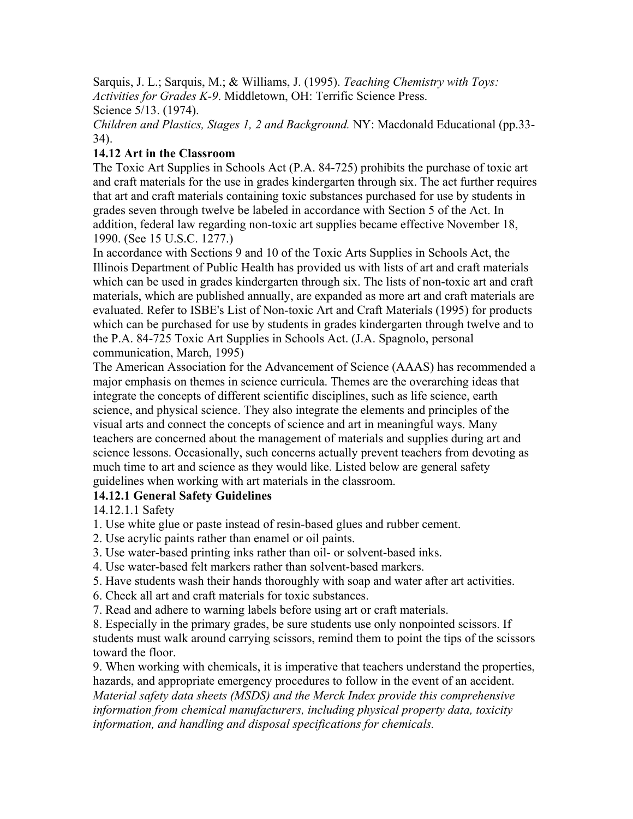Sarquis, J. L.; Sarquis, M.; & Williams, J. (1995). *Teaching Chemistry with Toys: Activities for Grades K-9*. Middletown, OH: Terrific Science Press. Science 5/13. (1974).

*Children and Plastics, Stages 1, 2 and Background.* NY: Macdonald Educational (pp.33- 34).

# **14.12 Art in the Classroom**

The Toxic Art Supplies in Schools Act (P.A. 84-725) prohibits the purchase of toxic art and craft materials for the use in grades kindergarten through six. The act further requires that art and craft materials containing toxic substances purchased for use by students in grades seven through twelve be labeled in accordance with Section 5 of the Act. In addition, federal law regarding non-toxic art supplies became effective November 18, 1990. (See 15 U.S.C. 1277.)

In accordance with Sections 9 and 10 of the Toxic Arts Supplies in Schools Act, the Illinois Department of Public Health has provided us with lists of art and craft materials which can be used in grades kindergarten through six. The lists of non-toxic art and craft materials, which are published annually, are expanded as more art and craft materials are evaluated. Refer to ISBE's List of Non-toxic Art and Craft Materials (1995) for products which can be purchased for use by students in grades kindergarten through twelve and to the P.A. 84-725 Toxic Art Supplies in Schools Act. (J.A. Spagnolo, personal communication, March, 1995)

The American Association for the Advancement of Science (AAAS) has recommended a major emphasis on themes in science curricula. Themes are the overarching ideas that integrate the concepts of different scientific disciplines, such as life science, earth science, and physical science. They also integrate the elements and principles of the visual arts and connect the concepts of science and art in meaningful ways. Many teachers are concerned about the management of materials and supplies during art and science lessons. Occasionally, such concerns actually prevent teachers from devoting as much time to art and science as they would like. Listed below are general safety guidelines when working with art materials in the classroom.

# **14.12.1 General Safety Guidelines**

14.12.1.1 Safety

- 1. Use white glue or paste instead of resin-based glues and rubber cement.
- 2. Use acrylic paints rather than enamel or oil paints.
- 3. Use water-based printing inks rather than oil- or solvent-based inks.
- 4. Use water-based felt markers rather than solvent-based markers.
- 5. Have students wash their hands thoroughly with soap and water after art activities.
- 6. Check all art and craft materials for toxic substances.
- 7. Read and adhere to warning labels before using art or craft materials.

8. Especially in the primary grades, be sure students use only nonpointed scissors. If students must walk around carrying scissors, remind them to point the tips of the scissors toward the floor.

9. When working with chemicals, it is imperative that teachers understand the properties, hazards, and appropriate emergency procedures to follow in the event of an accident. *Material safety data sheets (MSDS) and the Merck Index provide this comprehensive information from chemical manufacturers, including physical property data, toxicity information, and handling and disposal specifications for chemicals.*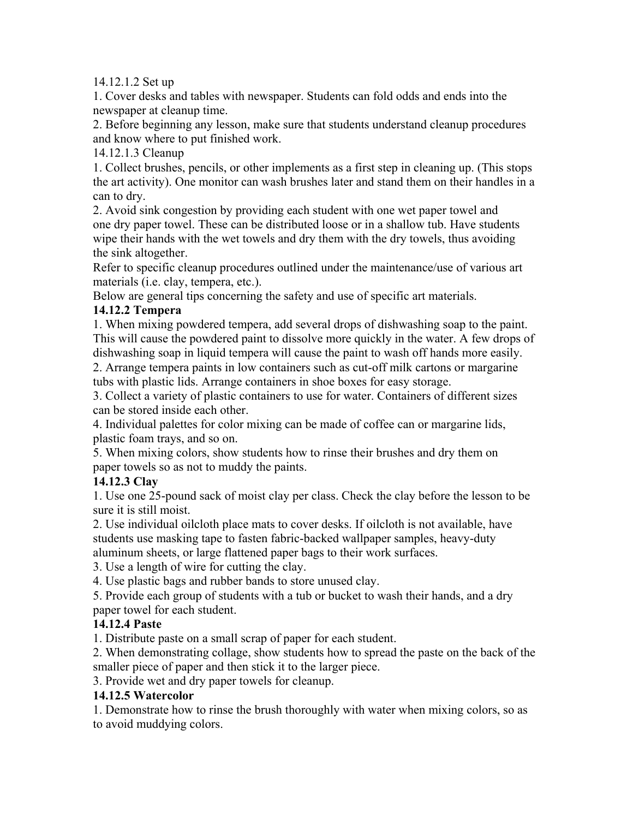#### 14.12.1.2 Set up

1. Cover desks and tables with newspaper. Students can fold odds and ends into the newspaper at cleanup time.

2. Before beginning any lesson, make sure that students understand cleanup procedures and know where to put finished work.

14.12.1.3 Cleanup

1. Collect brushes, pencils, or other implements as a first step in cleaning up. (This stops the art activity). One monitor can wash brushes later and stand them on their handles in a can to dry.

2. Avoid sink congestion by providing each student with one wet paper towel and one dry paper towel. These can be distributed loose or in a shallow tub. Have students wipe their hands with the wet towels and dry them with the dry towels, thus avoiding the sink altogether.

Refer to specific cleanup procedures outlined under the maintenance/use of various art materials (i.e. clay, tempera, etc.).

Below are general tips concerning the safety and use of specific art materials.

# **14.12.2 Tempera**

1. When mixing powdered tempera, add several drops of dishwashing soap to the paint. This will cause the powdered paint to dissolve more quickly in the water. A few drops of dishwashing soap in liquid tempera will cause the paint to wash off hands more easily.

2. Arrange tempera paints in low containers such as cut-off milk cartons or margarine tubs with plastic lids. Arrange containers in shoe boxes for easy storage.

3. Collect a variety of plastic containers to use for water. Containers of different sizes can be stored inside each other.

4. Individual palettes for color mixing can be made of coffee can or margarine lids, plastic foam trays, and so on.

5. When mixing colors, show students how to rinse their brushes and dry them on paper towels so as not to muddy the paints.

# **14.12.3 Clay**

1. Use one 25-pound sack of moist clay per class. Check the clay before the lesson to be sure it is still moist.

2. Use individual oilcloth place mats to cover desks. If oilcloth is not available, have students use masking tape to fasten fabric-backed wallpaper samples, heavy-duty aluminum sheets, or large flattened paper bags to their work surfaces.

3. Use a length of wire for cutting the clay.

4. Use plastic bags and rubber bands to store unused clay.

5. Provide each group of students with a tub or bucket to wash their hands, and a dry paper towel for each student.

# **14.12.4 Paste**

1. Distribute paste on a small scrap of paper for each student.

2. When demonstrating collage, show students how to spread the paste on the back of the smaller piece of paper and then stick it to the larger piece.

3. Provide wet and dry paper towels for cleanup.

# **14.12.5 Watercolor**

1. Demonstrate how to rinse the brush thoroughly with water when mixing colors, so as to avoid muddying colors.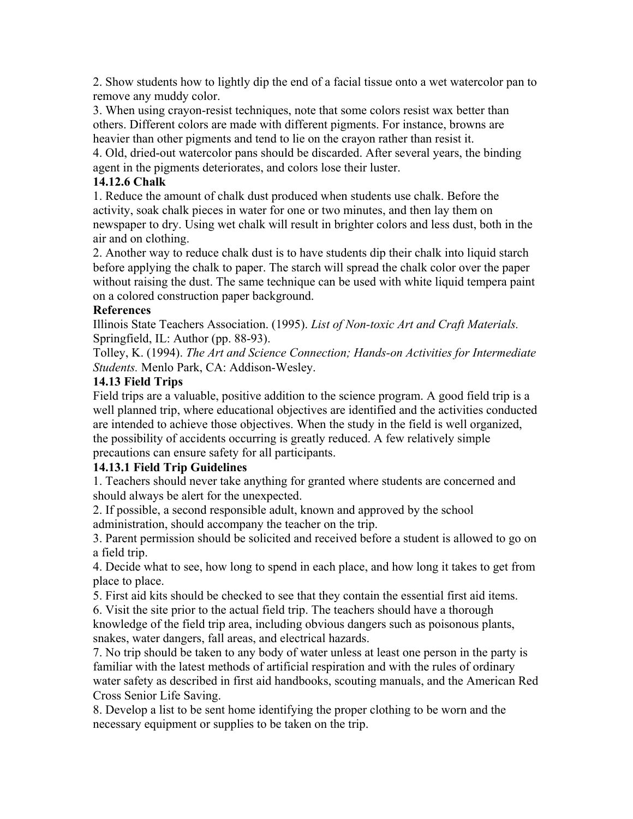2. Show students how to lightly dip the end of a facial tissue onto a wet watercolor pan to remove any muddy color.

3. When using crayon-resist techniques, note that some colors resist wax better than others. Different colors are made with different pigments. For instance, browns are heavier than other pigments and tend to lie on the crayon rather than resist it.

4. Old, dried-out watercolor pans should be discarded. After several years, the binding agent in the pigments deteriorates, and colors lose their luster.

#### **14.12.6 Chalk**

1. Reduce the amount of chalk dust produced when students use chalk. Before the activity, soak chalk pieces in water for one or two minutes, and then lay them on newspaper to dry. Using wet chalk will result in brighter colors and less dust, both in the air and on clothing.

2. Another way to reduce chalk dust is to have students dip their chalk into liquid starch before applying the chalk to paper. The starch will spread the chalk color over the paper without raising the dust. The same technique can be used with white liquid tempera paint on a colored construction paper background.

#### **References**

Illinois State Teachers Association. (1995). *List of Non-toxic Art and Craft Materials.*  Springfield, IL: Author (pp. 88-93).

Tolley, K. (1994). *The Art and Science Connection; Hands-on Activities for Intermediate Students.* Menlo Park, CA: Addison-Wesley.

# **14.13 Field Trips**

Field trips are a valuable, positive addition to the science program. A good field trip is a well planned trip, where educational objectives are identified and the activities conducted are intended to achieve those objectives. When the study in the field is well organized, the possibility of accidents occurring is greatly reduced. A few relatively simple precautions can ensure safety for all participants.

# **14.13.1 Field Trip Guidelines**

1. Teachers should never take anything for granted where students are concerned and should always be alert for the unexpected.

2. If possible, a second responsible adult, known and approved by the school administration, should accompany the teacher on the trip.

3. Parent permission should be solicited and received before a student is allowed to go on a field trip.

4. Decide what to see, how long to spend in each place, and how long it takes to get from place to place.

5. First aid kits should be checked to see that they contain the essential first aid items. 6. Visit the site prior to the actual field trip. The teachers should have a thorough

knowledge of the field trip area, including obvious dangers such as poisonous plants, snakes, water dangers, fall areas, and electrical hazards.

7. No trip should be taken to any body of water unless at least one person in the party is familiar with the latest methods of artificial respiration and with the rules of ordinary water safety as described in first aid handbooks, scouting manuals, and the American Red Cross Senior Life Saving.

8. Develop a list to be sent home identifying the proper clothing to be worn and the necessary equipment or supplies to be taken on the trip.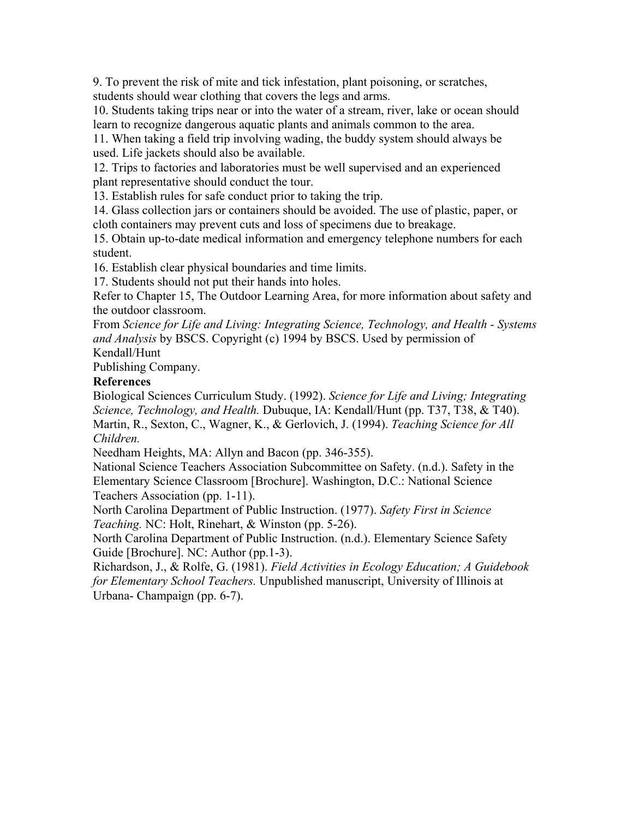9. To prevent the risk of mite and tick infestation, plant poisoning, or scratches, students should wear clothing that covers the legs and arms.

10. Students taking trips near or into the water of a stream, river, lake or ocean should learn to recognize dangerous aquatic plants and animals common to the area.

11. When taking a field trip involving wading, the buddy system should always be used. Life jackets should also be available.

12. Trips to factories and laboratories must be well supervised and an experienced plant representative should conduct the tour.

13. Establish rules for safe conduct prior to taking the trip.

14. Glass collection jars or containers should be avoided. The use of plastic, paper, or cloth containers may prevent cuts and loss of specimens due to breakage.

15. Obtain up-to-date medical information and emergency telephone numbers for each student.

16. Establish clear physical boundaries and time limits.

17. Students should not put their hands into holes.

Refer to Chapter 15, The Outdoor Learning Area, for more information about safety and the outdoor classroom.

From *Science for Life and Living: Integrating Science, Technology, and Health - Systems and Analysis* by BSCS. Copyright (c) 1994 by BSCS. Used by permission of Kendall/Hunt

Publishing Company.

# **References**

Biological Sciences Curriculum Study. (1992). *Science for Life and Living; Integrating Science, Technology, and Health.* Dubuque, IA: Kendall/Hunt (pp. T37, T38, & T40). Martin, R., Sexton, C., Wagner, K., & Gerlovich, J. (1994). *Teaching Science for All Children.* 

Needham Heights, MA: Allyn and Bacon (pp. 346-355).

National Science Teachers Association Subcommittee on Safety. (n.d.). Safety in the Elementary Science Classroom [Brochure]. Washington, D.C.: National Science Teachers Association (pp. 1-11).

North Carolina Department of Public Instruction. (1977). *Safety First in Science Teaching.* NC: Holt, Rinehart, & Winston (pp. 5-26).

North Carolina Department of Public Instruction. (n.d.). Elementary Science Safety Guide [Brochure]. NC: Author (pp.1-3).

Richardson, J., & Rolfe, G. (1981). *Field Activities in Ecology Education; A Guidebook for Elementary School Teachers.* Unpublished manuscript, University of Illinois at Urbana- Champaign (pp. 6-7).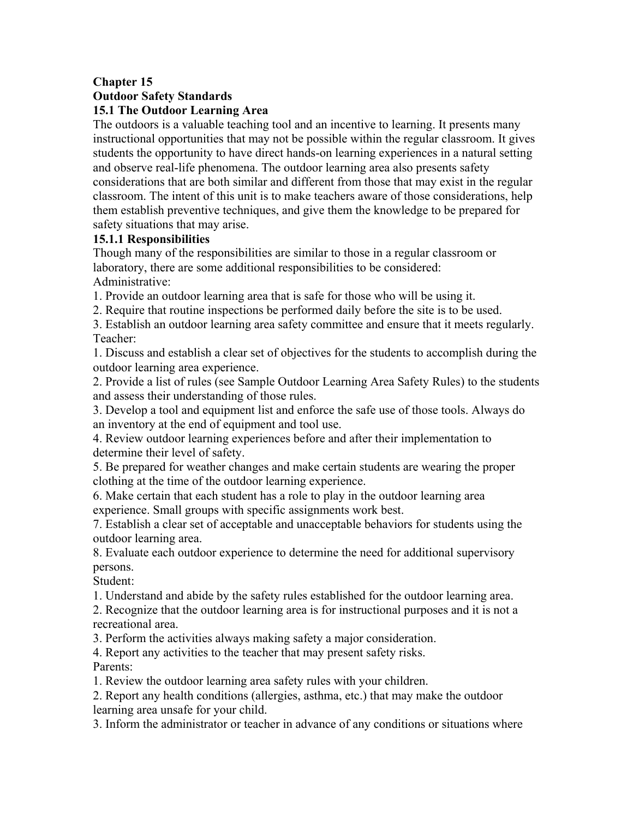# **Chapter 15 Outdoor Safety Standards**

#### **15.1 The Outdoor Learning Area**

The outdoors is a valuable teaching tool and an incentive to learning. It presents many instructional opportunities that may not be possible within the regular classroom. It gives students the opportunity to have direct hands-on learning experiences in a natural setting and observe real-life phenomena. The outdoor learning area also presents safety considerations that are both similar and different from those that may exist in the regular classroom. The intent of this unit is to make teachers aware of those considerations, help them establish preventive techniques, and give them the knowledge to be prepared for safety situations that may arise.

#### **15.1.1 Responsibilities**

Though many of the responsibilities are similar to those in a regular classroom or laboratory, there are some additional responsibilities to be considered: Administrative:

1. Provide an outdoor learning area that is safe for those who will be using it.

2. Require that routine inspections be performed daily before the site is to be used.

3. Establish an outdoor learning area safety committee and ensure that it meets regularly. Teacher:

1. Discuss and establish a clear set of objectives for the students to accomplish during the outdoor learning area experience.

2. Provide a list of rules (see Sample Outdoor Learning Area Safety Rules) to the students and assess their understanding of those rules.

3. Develop a tool and equipment list and enforce the safe use of those tools. Always do an inventory at the end of equipment and tool use.

4. Review outdoor learning experiences before and after their implementation to determine their level of safety.

5. Be prepared for weather changes and make certain students are wearing the proper clothing at the time of the outdoor learning experience.

6. Make certain that each student has a role to play in the outdoor learning area experience. Small groups with specific assignments work best.

7. Establish a clear set of acceptable and unacceptable behaviors for students using the outdoor learning area.

8. Evaluate each outdoor experience to determine the need for additional supervisory persons.

Student:

1. Understand and abide by the safety rules established for the outdoor learning area.

2. Recognize that the outdoor learning area is for instructional purposes and it is not a recreational area.

3. Perform the activities always making safety a major consideration.

4. Report any activities to the teacher that may present safety risks. Parents:

1. Review the outdoor learning area safety rules with your children.

2. Report any health conditions (allergies, asthma, etc.) that may make the outdoor learning area unsafe for your child.

3. Inform the administrator or teacher in advance of any conditions or situations where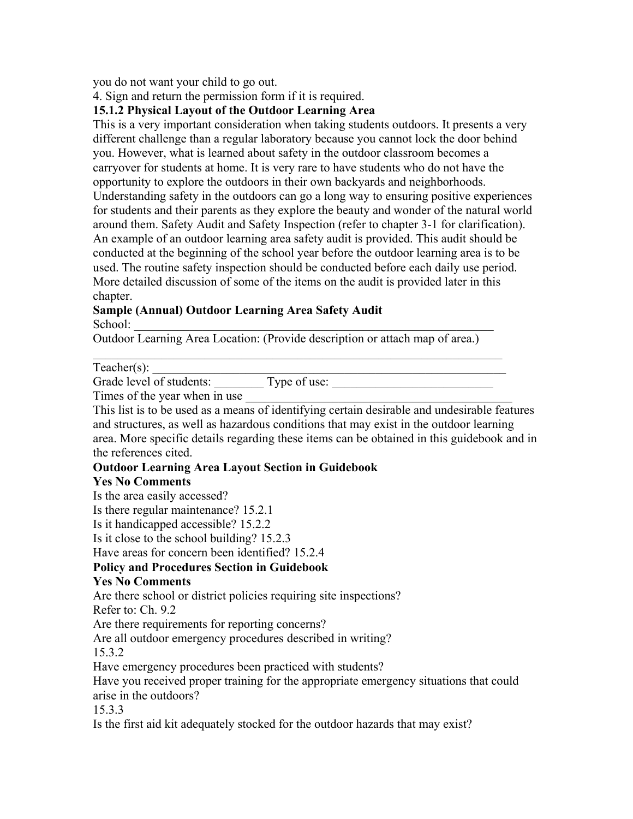you do not want your child to go out.

4. Sign and return the permission form if it is required.

#### **15.1.2 Physical Layout of the Outdoor Learning Area**

This is a very important consideration when taking students outdoors. It presents a very different challenge than a regular laboratory because you cannot lock the door behind you. However, what is learned about safety in the outdoor classroom becomes a carryover for students at home. It is very rare to have students who do not have the opportunity to explore the outdoors in their own backyards and neighborhoods. Understanding safety in the outdoors can go a long way to ensuring positive experiences for students and their parents as they explore the beauty and wonder of the natural world around them. Safety Audit and Safety Inspection (refer to chapter 3-1 for clarification). An example of an outdoor learning area safety audit is provided. This audit should be conducted at the beginning of the school year before the outdoor learning area is to be used. The routine safety inspection should be conducted before each daily use period. More detailed discussion of some of the items on the audit is provided later in this chapter.

# **Sample (Annual) Outdoor Learning Area Safety Audit**

School: \_\_\_\_\_\_\_\_\_\_\_\_\_\_\_\_\_\_\_\_\_\_\_\_\_\_\_\_\_\_\_\_\_\_\_\_\_\_\_\_\_\_\_\_\_\_\_\_\_\_\_\_\_\_\_\_\_\_

Outdoor Learning Area Location: (Provide description or attach map of area.)

 $Teacher(s):$ 

Grade level of students: Type of use:

 $\mathcal{L}_\text{max} = \mathcal{L}_\text{max} = \mathcal{L}_\text{max} = \mathcal{L}_\text{max} = \mathcal{L}_\text{max} = \mathcal{L}_\text{max} = \mathcal{L}_\text{max} = \mathcal{L}_\text{max} = \mathcal{L}_\text{max} = \mathcal{L}_\text{max} = \mathcal{L}_\text{max} = \mathcal{L}_\text{max} = \mathcal{L}_\text{max} = \mathcal{L}_\text{max} = \mathcal{L}_\text{max} = \mathcal{L}_\text{max} = \mathcal{L}_\text{max} = \mathcal{L}_\text{max} = \mathcal{$ 

Times of the year when in use

This list is to be used as a means of identifying certain desirable and undesirable features and structures, as well as hazardous conditions that may exist in the outdoor learning area. More specific details regarding these items can be obtained in this guidebook and in the references cited.

# **Outdoor Learning Area Layout Section in Guidebook**

#### **Yes No Comments**

Is the area easily accessed?

Is there regular maintenance? 15.2.1

Is it handicapped accessible? 15.2.2

Is it close to the school building? 15.2.3

Have areas for concern been identified? 15.2.4

#### **Policy and Procedures Section in Guidebook**

#### **Yes No Comments**

Are there school or district policies requiring site inspections?

Refer to: Ch. 9.2

Are there requirements for reporting concerns?

Are all outdoor emergency procedures described in writing?

15.3.2

Have emergency procedures been practiced with students?

Have you received proper training for the appropriate emergency situations that could arise in the outdoors?

15.3.3

Is the first aid kit adequately stocked for the outdoor hazards that may exist?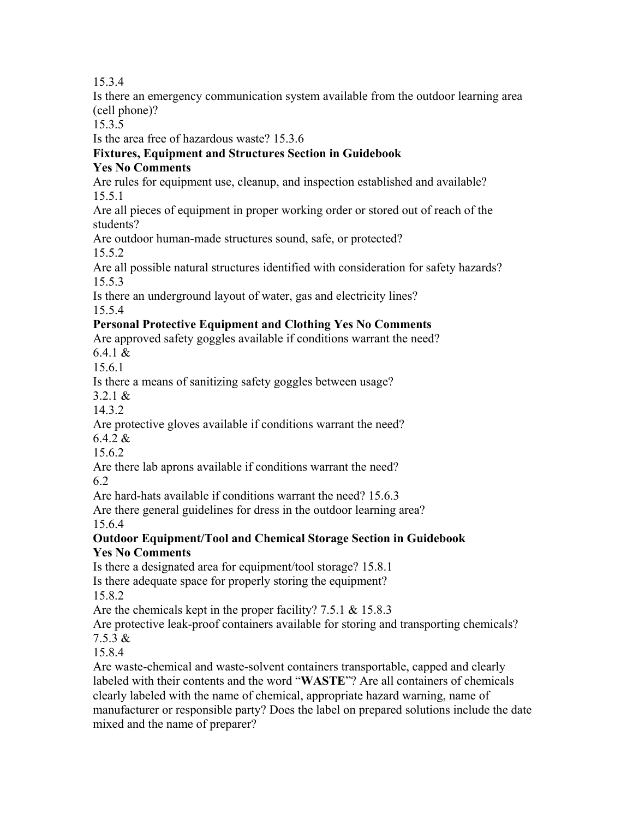15.3.4

Is there an emergency communication system available from the outdoor learning area (cell phone)?

15.3.5

Is the area free of hazardous waste? 15.3.6

# **Fixtures, Equipment and Structures Section in Guidebook**

# **Yes No Comments**

Are rules for equipment use, cleanup, and inspection established and available? 15.5.1

Are all pieces of equipment in proper working order or stored out of reach of the students?

Are outdoor human-made structures sound, safe, or protected? 15.5.2

Are all possible natural structures identified with consideration for safety hazards? 15.5.3

Is there an underground layout of water, gas and electricity lines? 15.5.4

# **Personal Protective Equipment and Clothing Yes No Comments**

Are approved safety goggles available if conditions warrant the need? 6.4.1 &

15.6.1

Is there a means of sanitizing safety goggles between usage?

3.2.1 &

14.3.2

Are protective gloves available if conditions warrant the need?

6.4.2 &

15.6.2

Are there lab aprons available if conditions warrant the need? 6.2

Are hard-hats available if conditions warrant the need? 15.6.3

Are there general guidelines for dress in the outdoor learning area? 15.6.4

# **Outdoor Equipment/Tool and Chemical Storage Section in Guidebook Yes No Comments**

Is there a designated area for equipment/tool storage? 15.8.1 Is there adequate space for properly storing the equipment? 15.8.2

Are the chemicals kept in the proper facility? 7.5.1 & 15.8.3

Are protective leak-proof containers available for storing and transporting chemicals? 7.5.3 &

15.8.4

Are waste-chemical and waste-solvent containers transportable, capped and clearly labeled with their contents and the word "**WASTE**"? Are all containers of chemicals clearly labeled with the name of chemical, appropriate hazard warning, name of manufacturer or responsible party? Does the label on prepared solutions include the date mixed and the name of preparer?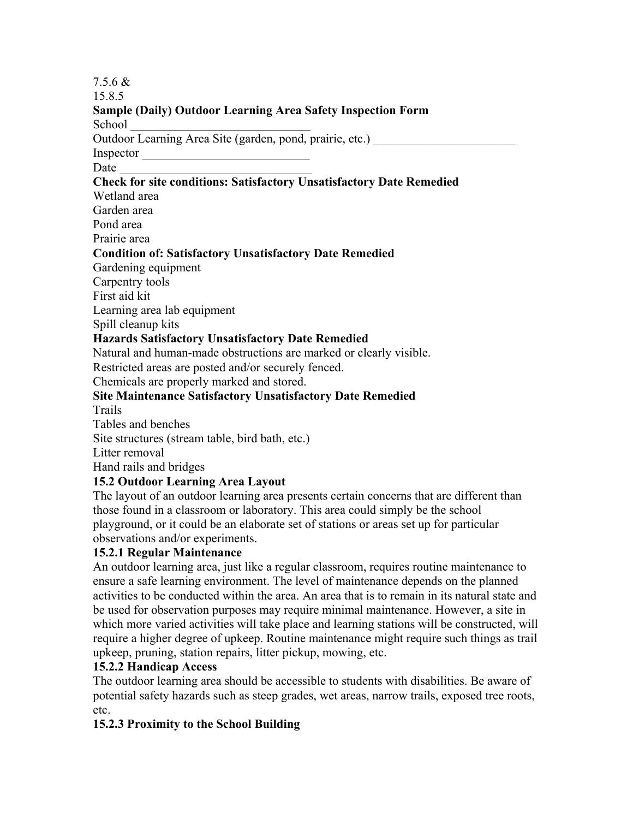7.5.6 &

15.8.5

# **Sample (Daily) Outdoor Learning Area Safety Inspection Form**

School

Outdoor Learning Area Site (garden, pond, prairie, etc.) \_\_\_\_\_\_\_\_\_\_\_\_\_\_\_\_\_\_\_\_\_\_\_

Inspector \_\_\_\_\_\_\_\_\_\_\_\_\_\_\_\_\_\_\_\_\_\_\_\_\_\_\_

Date

#### **Check for site conditions: Satisfactory Unsatisfactory Date Remedied**

Wetland area

Garden area

Pond area

Prairie area

# **Condition of: Satisfactory Unsatisfactory Date Remedied**

Gardening equipment

Carpentry tools

First aid kit

Learning area lab equipment

Spill cleanup kits

# **Hazards Satisfactory Unsatisfactory Date Remedied**

Natural and human-made obstructions are marked or clearly visible.

Restricted areas are posted and/or securely fenced.

Chemicals are properly marked and stored.

# **Site Maintenance Satisfactory Unsatisfactory Date Remedied**

**Trails** 

Tables and benches

Site structures (stream table, bird bath, etc.)

Litter removal

Hand rails and bridges

# **15.2 Outdoor Learning Area Layout**

The layout of an outdoor learning area presents certain concerns that are different than those found in a classroom or laboratory. This area could simply be the school playground, or it could be an elaborate set of stations or areas set up for particular observations and/or experiments.

#### **15.2.1 Regular Maintenance**

An outdoor learning area, just like a regular classroom, requires routine maintenance to ensure a safe learning environment. The level of maintenance depends on the planned activities to be conducted within the area. An area that is to remain in its natural state and be used for observation purposes may require minimal maintenance. However, a site in which more varied activities will take place and learning stations will be constructed, will require a higher degree of upkeep. Routine maintenance might require such things as trail upkeep, pruning, station repairs, litter pickup, mowing, etc.

#### **15.2.2 Handicap Access**

The outdoor learning area should be accessible to students with disabilities. Be aware of potential safety hazards such as steep grades, wet areas, narrow trails, exposed tree roots, etc.

# **15.2.3 Proximity to the School Building**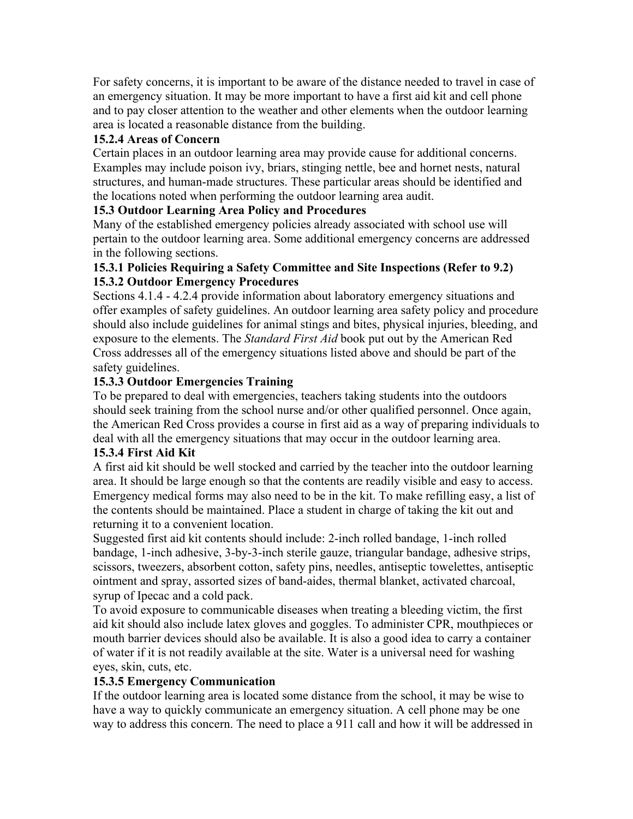For safety concerns, it is important to be aware of the distance needed to travel in case of an emergency situation. It may be more important to have a first aid kit and cell phone and to pay closer attention to the weather and other elements when the outdoor learning area is located a reasonable distance from the building.

#### **15.2.4 Areas of Concern**

Certain places in an outdoor learning area may provide cause for additional concerns. Examples may include poison ivy, briars, stinging nettle, bee and hornet nests, natural structures, and human-made structures. These particular areas should be identified and the locations noted when performing the outdoor learning area audit.

#### **15.3 Outdoor Learning Area Policy and Procedures**

Many of the established emergency policies already associated with school use will pertain to the outdoor learning area. Some additional emergency concerns are addressed in the following sections.

#### **15.3.1 Policies Requiring a Safety Committee and Site Inspections (Refer to 9.2) 15.3.2 Outdoor Emergency Procedures**

Sections 4.1.4 - 4.2.4 provide information about laboratory emergency situations and offer examples of safety guidelines. An outdoor learning area safety policy and procedure should also include guidelines for animal stings and bites, physical injuries, bleeding, and exposure to the elements. The *Standard First Aid* book put out by the American Red Cross addresses all of the emergency situations listed above and should be part of the safety guidelines.

#### **15.3.3 Outdoor Emergencies Training**

To be prepared to deal with emergencies, teachers taking students into the outdoors should seek training from the school nurse and/or other qualified personnel. Once again, the American Red Cross provides a course in first aid as a way of preparing individuals to deal with all the emergency situations that may occur in the outdoor learning area.

#### **15.3.4 First Aid Kit**

A first aid kit should be well stocked and carried by the teacher into the outdoor learning area. It should be large enough so that the contents are readily visible and easy to access. Emergency medical forms may also need to be in the kit. To make refilling easy, a list of the contents should be maintained. Place a student in charge of taking the kit out and returning it to a convenient location.

Suggested first aid kit contents should include: 2-inch rolled bandage, 1-inch rolled bandage, 1-inch adhesive, 3-by-3-inch sterile gauze, triangular bandage, adhesive strips, scissors, tweezers, absorbent cotton, safety pins, needles, antiseptic towelettes, antiseptic ointment and spray, assorted sizes of band-aides, thermal blanket, activated charcoal, syrup of Ipecac and a cold pack.

To avoid exposure to communicable diseases when treating a bleeding victim, the first aid kit should also include latex gloves and goggles. To administer CPR, mouthpieces or mouth barrier devices should also be available. It is also a good idea to carry a container of water if it is not readily available at the site. Water is a universal need for washing eyes, skin, cuts, etc.

#### **15.3.5 Emergency Communication**

If the outdoor learning area is located some distance from the school, it may be wise to have a way to quickly communicate an emergency situation. A cell phone may be one way to address this concern. The need to place a 911 call and how it will be addressed in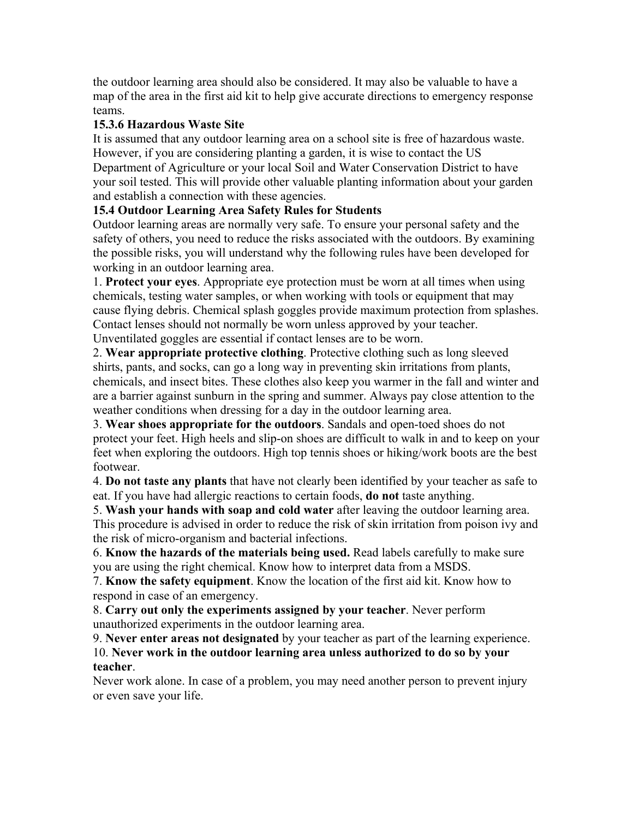the outdoor learning area should also be considered. It may also be valuable to have a map of the area in the first aid kit to help give accurate directions to emergency response teams.

# **15.3.6 Hazardous Waste Site**

It is assumed that any outdoor learning area on a school site is free of hazardous waste. However, if you are considering planting a garden, it is wise to contact the US Department of Agriculture or your local Soil and Water Conservation District to have your soil tested. This will provide other valuable planting information about your garden and establish a connection with these agencies.

# **15.4 Outdoor Learning Area Safety Rules for Students**

Outdoor learning areas are normally very safe. To ensure your personal safety and the safety of others, you need to reduce the risks associated with the outdoors. By examining the possible risks, you will understand why the following rules have been developed for working in an outdoor learning area.

1. **Protect your eyes**. Appropriate eye protection must be worn at all times when using chemicals, testing water samples, or when working with tools or equipment that may cause flying debris. Chemical splash goggles provide maximum protection from splashes. Contact lenses should not normally be worn unless approved by your teacher. Unventilated goggles are essential if contact lenses are to be worn.

2. **Wear appropriate protective clothing**. Protective clothing such as long sleeved shirts, pants, and socks, can go a long way in preventing skin irritations from plants, chemicals, and insect bites. These clothes also keep you warmer in the fall and winter and are a barrier against sunburn in the spring and summer. Always pay close attention to the weather conditions when dressing for a day in the outdoor learning area.

3. **Wear shoes appropriate for the outdoors**. Sandals and open-toed shoes do not protect your feet. High heels and slip-on shoes are difficult to walk in and to keep on your feet when exploring the outdoors. High top tennis shoes or hiking/work boots are the best footwear.

4. **Do not taste any plants** that have not clearly been identified by your teacher as safe to eat. If you have had allergic reactions to certain foods, **do not** taste anything.

5. **Wash your hands with soap and cold water** after leaving the outdoor learning area. This procedure is advised in order to reduce the risk of skin irritation from poison ivy and the risk of micro-organism and bacterial infections.

6. **Know the hazards of the materials being used.** Read labels carefully to make sure you are using the right chemical. Know how to interpret data from a MSDS.

7. **Know the safety equipment**. Know the location of the first aid kit. Know how to respond in case of an emergency.

8. **Carry out only the experiments assigned by your teacher**. Never perform unauthorized experiments in the outdoor learning area.

9. **Never enter areas not designated** by your teacher as part of the learning experience. 10. **Never work in the outdoor learning area unless authorized to do so by your teacher**.

Never work alone. In case of a problem, you may need another person to prevent injury or even save your life.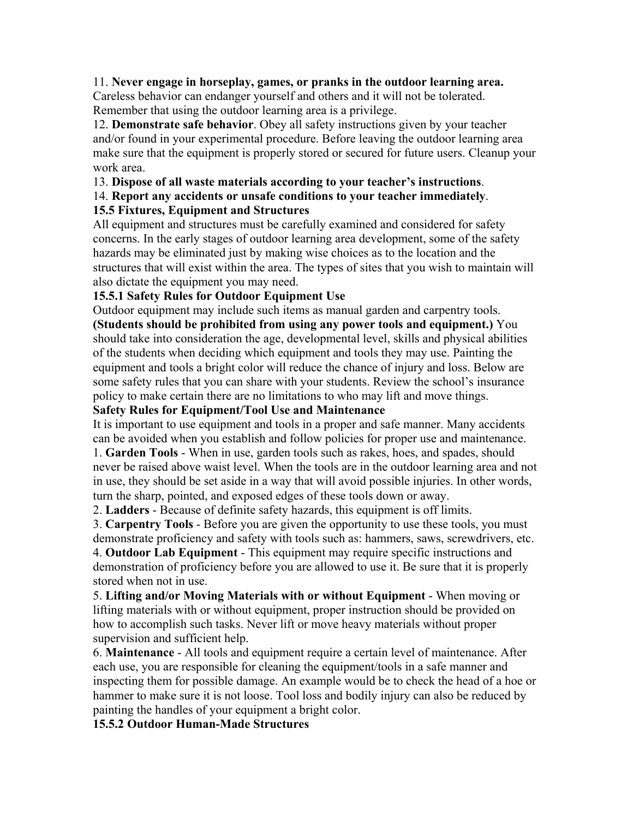#### 11. **Never engage in horseplay, games, or pranks in the outdoor learning area.**

Careless behavior can endanger yourself and others and it will not be tolerated. Remember that using the outdoor learning area is a privilege.

12. **Demonstrate safe behavior**. Obey all safety instructions given by your teacher and/or found in your experimental procedure. Before leaving the outdoor learning area make sure that the equipment is properly stored or secured for future users. Cleanup your work area.

#### 13. **Dispose of all waste materials according to your teacher's instructions**.

#### 14. **Report any accidents or unsafe conditions to your teacher immediately**.

#### **15.5 Fixtures, Equipment and Structures**

All equipment and structures must be carefully examined and considered for safety concerns. In the early stages of outdoor learning area development, some of the safety hazards may be eliminated just by making wise choices as to the location and the structures that will exist within the area. The types of sites that you wish to maintain will also dictate the equipment you may need.

#### **15.5.1 Safety Rules for Outdoor Equipment Use**

Outdoor equipment may include such items as manual garden and carpentry tools.

**(Students should be prohibited from using any power tools and equipment.)** You should take into consideration the age, developmental level, skills and physical abilities of the students when deciding which equipment and tools they may use. Painting the equipment and tools a bright color will reduce the chance of injury and loss. Below are some safety rules that you can share with your students. Review the school's insurance policy to make certain there are no limitations to who may lift and move things.

#### **Safety Rules for Equipment/Tool Use and Maintenance**

It is important to use equipment and tools in a proper and safe manner. Many accidents can be avoided when you establish and follow policies for proper use and maintenance.

1. **Garden Tools** - When in use, garden tools such as rakes, hoes, and spades, should never be raised above waist level. When the tools are in the outdoor learning area and not in use, they should be set aside in a way that will avoid possible injuries. In other words, turn the sharp, pointed, and exposed edges of these tools down or away.

2. **Ladders** - Because of definite safety hazards, this equipment is off limits.

3. **Carpentry Tools** - Before you are given the opportunity to use these tools, you must demonstrate proficiency and safety with tools such as: hammers, saws, screwdrivers, etc.

4. **Outdoor Lab Equipment** - This equipment may require specific instructions and demonstration of proficiency before you are allowed to use it. Be sure that it is properly stored when not in use.

5. **Lifting and/or Moving Materials with or without Equipment** - When moving or lifting materials with or without equipment, proper instruction should be provided on how to accomplish such tasks. Never lift or move heavy materials without proper supervision and sufficient help.

6. **Maintenance** - All tools and equipment require a certain level of maintenance. After each use, you are responsible for cleaning the equipment/tools in a safe manner and inspecting them for possible damage. An example would be to check the head of a hoe or hammer to make sure it is not loose. Tool loss and bodily injury can also be reduced by painting the handles of your equipment a bright color.

**15.5.2 Outdoor Human-Made Structures**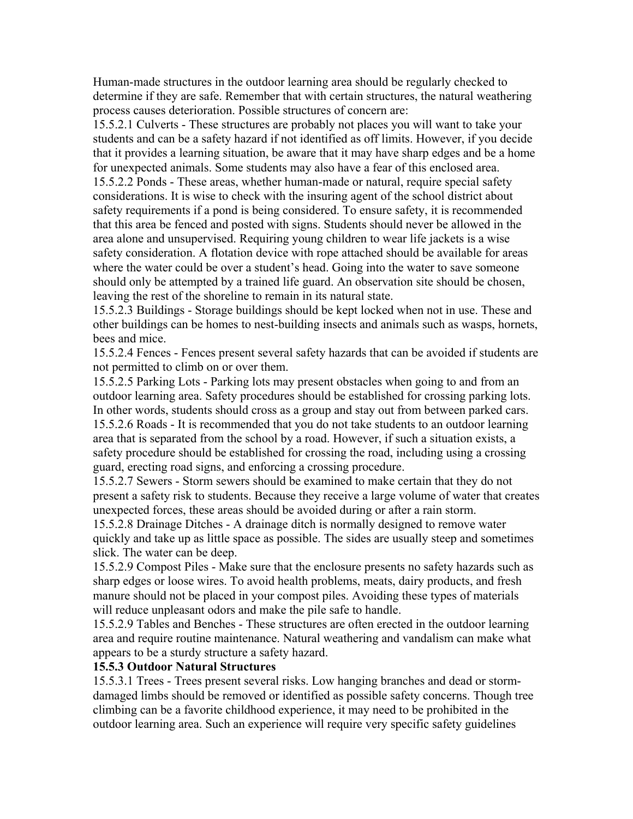Human-made structures in the outdoor learning area should be regularly checked to determine if they are safe. Remember that with certain structures, the natural weathering process causes deterioration. Possible structures of concern are:

15.5.2.1 Culverts - These structures are probably not places you will want to take your students and can be a safety hazard if not identified as off limits. However, if you decide that it provides a learning situation, be aware that it may have sharp edges and be a home for unexpected animals. Some students may also have a fear of this enclosed area. 15.5.2.2 Ponds - These areas, whether human-made or natural, require special safety considerations. It is wise to check with the insuring agent of the school district about safety requirements if a pond is being considered. To ensure safety, it is recommended that this area be fenced and posted with signs. Students should never be allowed in the area alone and unsupervised. Requiring young children to wear life jackets is a wise safety consideration. A flotation device with rope attached should be available for areas where the water could be over a student's head. Going into the water to save someone should only be attempted by a trained life guard. An observation site should be chosen, leaving the rest of the shoreline to remain in its natural state.

15.5.2.3 Buildings - Storage buildings should be kept locked when not in use. These and other buildings can be homes to nest-building insects and animals such as wasps, hornets, bees and mice.

15.5.2.4 Fences - Fences present several safety hazards that can be avoided if students are not permitted to climb on or over them.

15.5.2.5 Parking Lots - Parking lots may present obstacles when going to and from an outdoor learning area. Safety procedures should be established for crossing parking lots. In other words, students should cross as a group and stay out from between parked cars. 15.5.2.6 Roads - It is recommended that you do not take students to an outdoor learning area that is separated from the school by a road. However, if such a situation exists, a safety procedure should be established for crossing the road, including using a crossing guard, erecting road signs, and enforcing a crossing procedure.

15.5.2.7 Sewers - Storm sewers should be examined to make certain that they do not present a safety risk to students. Because they receive a large volume of water that creates unexpected forces, these areas should be avoided during or after a rain storm.

15.5.2.8 Drainage Ditches - A drainage ditch is normally designed to remove water quickly and take up as little space as possible. The sides are usually steep and sometimes slick. The water can be deep.

15.5.2.9 Compost Piles - Make sure that the enclosure presents no safety hazards such as sharp edges or loose wires. To avoid health problems, meats, dairy products, and fresh manure should not be placed in your compost piles. Avoiding these types of materials will reduce unpleasant odors and make the pile safe to handle.

15.5.2.9 Tables and Benches - These structures are often erected in the outdoor learning area and require routine maintenance. Natural weathering and vandalism can make what appears to be a sturdy structure a safety hazard.

#### **15.5.3 Outdoor Natural Structures**

15.5.3.1 Trees - Trees present several risks. Low hanging branches and dead or stormdamaged limbs should be removed or identified as possible safety concerns. Though tree climbing can be a favorite childhood experience, it may need to be prohibited in the outdoor learning area. Such an experience will require very specific safety guidelines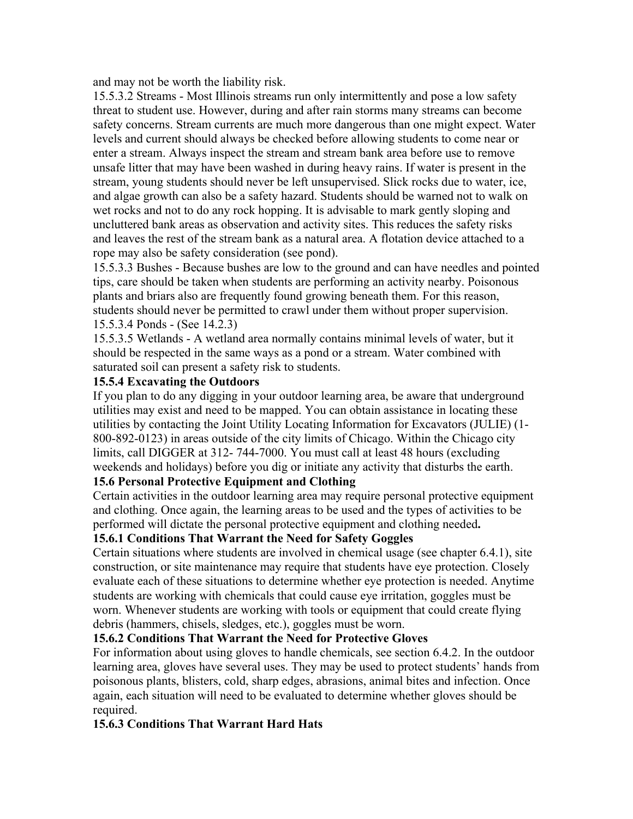and may not be worth the liability risk.

15.5.3.2 Streams - Most Illinois streams run only intermittently and pose a low safety threat to student use. However, during and after rain storms many streams can become safety concerns. Stream currents are much more dangerous than one might expect. Water levels and current should always be checked before allowing students to come near or enter a stream. Always inspect the stream and stream bank area before use to remove unsafe litter that may have been washed in during heavy rains. If water is present in the stream, young students should never be left unsupervised. Slick rocks due to water, ice, and algae growth can also be a safety hazard. Students should be warned not to walk on wet rocks and not to do any rock hopping. It is advisable to mark gently sloping and uncluttered bank areas as observation and activity sites. This reduces the safety risks and leaves the rest of the stream bank as a natural area. A flotation device attached to a rope may also be safety consideration (see pond).

15.5.3.3 Bushes - Because bushes are low to the ground and can have needles and pointed tips, care should be taken when students are performing an activity nearby. Poisonous plants and briars also are frequently found growing beneath them. For this reason, students should never be permitted to crawl under them without proper supervision. 15.5.3.4 Ponds - (See 14.2.3)

15.5.3.5 Wetlands - A wetland area normally contains minimal levels of water, but it should be respected in the same ways as a pond or a stream. Water combined with saturated soil can present a safety risk to students.

#### **15.5.4 Excavating the Outdoors**

If you plan to do any digging in your outdoor learning area, be aware that underground utilities may exist and need to be mapped. You can obtain assistance in locating these utilities by contacting the Joint Utility Locating Information for Excavators (JULIE) (1- 800-892-0123) in areas outside of the city limits of Chicago. Within the Chicago city limits, call DIGGER at 312- 744-7000. You must call at least 48 hours (excluding weekends and holidays) before you dig or initiate any activity that disturbs the earth.

#### **15.6 Personal Protective Equipment and Clothing**

Certain activities in the outdoor learning area may require personal protective equipment and clothing. Once again, the learning areas to be used and the types of activities to be performed will dictate the personal protective equipment and clothing needed**.** 

#### **15.6.1 Conditions That Warrant the Need for Safety Goggles**

Certain situations where students are involved in chemical usage (see chapter 6.4.1), site construction, or site maintenance may require that students have eye protection. Closely evaluate each of these situations to determine whether eye protection is needed. Anytime students are working with chemicals that could cause eye irritation, goggles must be worn. Whenever students are working with tools or equipment that could create flying debris (hammers, chisels, sledges, etc.), goggles must be worn.

#### **15.6.2 Conditions That Warrant the Need for Protective Gloves**

For information about using gloves to handle chemicals, see section 6.4.2. In the outdoor learning area, gloves have several uses. They may be used to protect students' hands from poisonous plants, blisters, cold, sharp edges, abrasions, animal bites and infection. Once again, each situation will need to be evaluated to determine whether gloves should be required.

#### **15.6.3 Conditions That Warrant Hard Hats**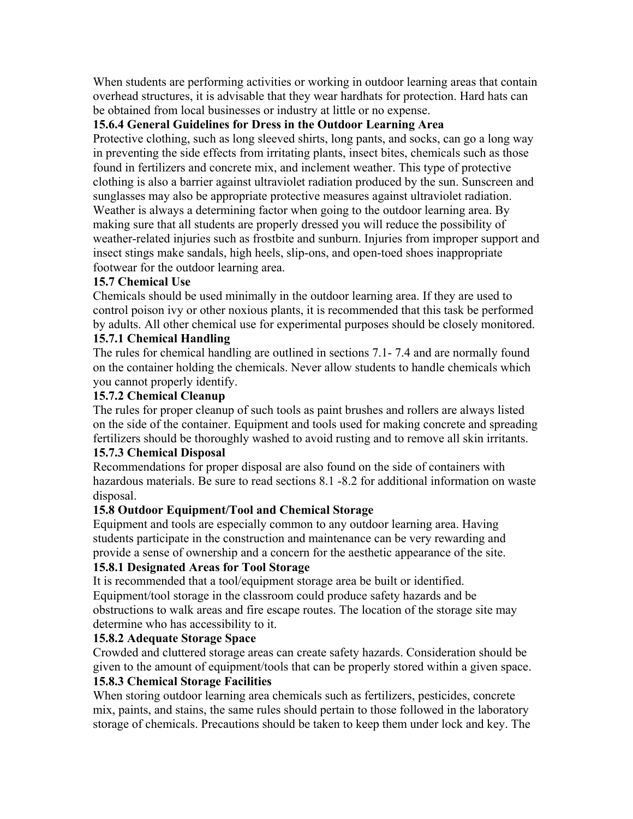When students are performing activities or working in outdoor learning areas that contain overhead structures, it is advisable that they wear hardhats for protection. Hard hats can be obtained from local businesses or industry at little or no expense.

#### **15.6.4 General Guidelines for Dress in the Outdoor Learning Area**

Protective clothing, such as long sleeved shirts, long pants, and socks, can go a long way in preventing the side effects from irritating plants, insect bites, chemicals such as those found in fertilizers and concrete mix, and inclement weather. This type of protective clothing is also a barrier against ultraviolet radiation produced by the sun. Sunscreen and sunglasses may also be appropriate protective measures against ultraviolet radiation. Weather is always a determining factor when going to the outdoor learning area. By making sure that all students are properly dressed you will reduce the possibility of weather-related injuries such as frostbite and sunburn. Injuries from improper support and insect stings make sandals, high heels, slip-ons, and open-toed shoes inappropriate footwear for the outdoor learning area.

#### **15.7 Chemical Use**

Chemicals should be used minimally in the outdoor learning area. If they are used to control poison ivy or other noxious plants, it is recommended that this task be performed by adults. All other chemical use for experimental purposes should be closely monitored.

# **15.7.1 Chemical Handling**

The rules for chemical handling are outlined in sections 7.1- 7.4 and are normally found on the container holding the chemicals. Never allow students to handle chemicals which you cannot properly identify.

#### **15.7.2 Chemical Cleanup**

The rules for proper cleanup of such tools as paint brushes and rollers are always listed on the side of the container. Equipment and tools used for making concrete and spreading fertilizers should be thoroughly washed to avoid rusting and to remove all skin irritants.

#### **15.7.3 Chemical Disposal**

Recommendations for proper disposal are also found on the side of containers with hazardous materials. Be sure to read sections 8.1 -8.2 for additional information on waste disposal.

# **15.8 Outdoor Equipment/Tool and Chemical Storage**

Equipment and tools are especially common to any outdoor learning area. Having students participate in the construction and maintenance can be very rewarding and provide a sense of ownership and a concern for the aesthetic appearance of the site.

#### **15.8.1 Designated Areas for Tool Storage**

It is recommended that a tool/equipment storage area be built or identified. Equipment/tool storage in the classroom could produce safety hazards and be obstructions to walk areas and fire escape routes. The location of the storage site may determine who has accessibility to it.

#### **15.8.2 Adequate Storage Space**

Crowded and cluttered storage areas can create safety hazards. Consideration should be given to the amount of equipment/tools that can be properly stored within a given space.

#### **15.8.3 Chemical Storage Facilities**

When storing outdoor learning area chemicals such as fertilizers, pesticides, concrete mix, paints, and stains, the same rules should pertain to those followed in the laboratory storage of chemicals. Precautions should be taken to keep them under lock and key. The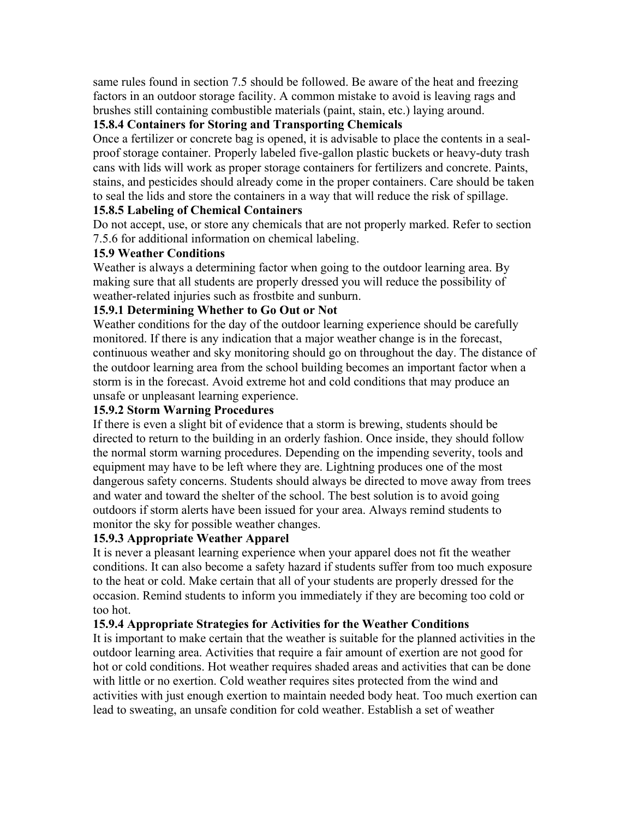same rules found in section 7.5 should be followed. Be aware of the heat and freezing factors in an outdoor storage facility. A common mistake to avoid is leaving rags and brushes still containing combustible materials (paint, stain, etc.) laying around.

#### **15.8.4 Containers for Storing and Transporting Chemicals**

Once a fertilizer or concrete bag is opened, it is advisable to place the contents in a sealproof storage container. Properly labeled five-gallon plastic buckets or heavy-duty trash cans with lids will work as proper storage containers for fertilizers and concrete. Paints, stains, and pesticides should already come in the proper containers. Care should be taken to seal the lids and store the containers in a way that will reduce the risk of spillage.

#### **15.8.5 Labeling of Chemical Containers**

Do not accept, use, or store any chemicals that are not properly marked. Refer to section 7.5.6 for additional information on chemical labeling.

#### **15.9 Weather Conditions**

Weather is always a determining factor when going to the outdoor learning area. By making sure that all students are properly dressed you will reduce the possibility of weather-related injuries such as frostbite and sunburn.

#### **15.9.1 Determining Whether to Go Out or Not**

Weather conditions for the day of the outdoor learning experience should be carefully monitored. If there is any indication that a major weather change is in the forecast, continuous weather and sky monitoring should go on throughout the day. The distance of the outdoor learning area from the school building becomes an important factor when a storm is in the forecast. Avoid extreme hot and cold conditions that may produce an unsafe or unpleasant learning experience.

#### **15.9.2 Storm Warning Procedures**

If there is even a slight bit of evidence that a storm is brewing, students should be directed to return to the building in an orderly fashion. Once inside, they should follow the normal storm warning procedures. Depending on the impending severity, tools and equipment may have to be left where they are. Lightning produces one of the most dangerous safety concerns. Students should always be directed to move away from trees and water and toward the shelter of the school. The best solution is to avoid going outdoors if storm alerts have been issued for your area. Always remind students to monitor the sky for possible weather changes.

#### **15.9.3 Appropriate Weather Apparel**

It is never a pleasant learning experience when your apparel does not fit the weather conditions. It can also become a safety hazard if students suffer from too much exposure to the heat or cold. Make certain that all of your students are properly dressed for the occasion. Remind students to inform you immediately if they are becoming too cold or too hot.

#### **15.9.4 Appropriate Strategies for Activities for the Weather Conditions**

It is important to make certain that the weather is suitable for the planned activities in the outdoor learning area. Activities that require a fair amount of exertion are not good for hot or cold conditions. Hot weather requires shaded areas and activities that can be done with little or no exertion. Cold weather requires sites protected from the wind and activities with just enough exertion to maintain needed body heat. Too much exertion can lead to sweating, an unsafe condition for cold weather. Establish a set of weather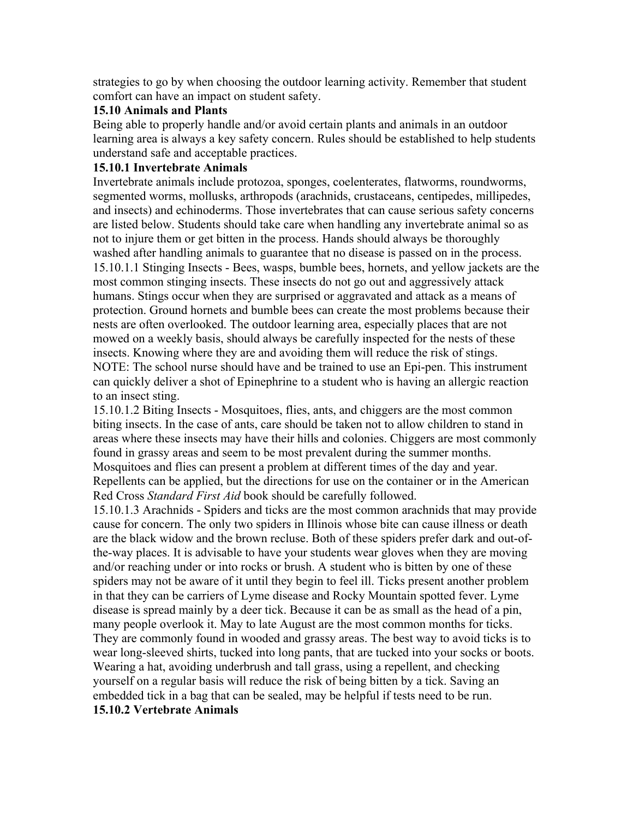strategies to go by when choosing the outdoor learning activity. Remember that student comfort can have an impact on student safety.

#### **15.10 Animals and Plants**

Being able to properly handle and/or avoid certain plants and animals in an outdoor learning area is always a key safety concern. Rules should be established to help students understand safe and acceptable practices.

#### **15.10.1 Invertebrate Animals**

Invertebrate animals include protozoa, sponges, coelenterates, flatworms, roundworms, segmented worms, mollusks, arthropods (arachnids, crustaceans, centipedes, millipedes, and insects) and echinoderms. Those invertebrates that can cause serious safety concerns are listed below. Students should take care when handling any invertebrate animal so as not to injure them or get bitten in the process. Hands should always be thoroughly washed after handling animals to guarantee that no disease is passed on in the process. 15.10.1.1 Stinging Insects - Bees, wasps, bumble bees, hornets, and yellow jackets are the most common stinging insects. These insects do not go out and aggressively attack humans. Stings occur when they are surprised or aggravated and attack as a means of protection. Ground hornets and bumble bees can create the most problems because their nests are often overlooked. The outdoor learning area, especially places that are not mowed on a weekly basis, should always be carefully inspected for the nests of these insects. Knowing where they are and avoiding them will reduce the risk of stings. NOTE: The school nurse should have and be trained to use an Epi-pen. This instrument can quickly deliver a shot of Epinephrine to a student who is having an allergic reaction to an insect sting.

15.10.1.2 Biting Insects - Mosquitoes, flies, ants, and chiggers are the most common biting insects. In the case of ants, care should be taken not to allow children to stand in areas where these insects may have their hills and colonies. Chiggers are most commonly found in grassy areas and seem to be most prevalent during the summer months. Mosquitoes and flies can present a problem at different times of the day and year. Repellents can be applied, but the directions for use on the container or in the American Red Cross *Standard First Aid* book should be carefully followed.

15.10.1.3 Arachnids - Spiders and ticks are the most common arachnids that may provide cause for concern. The only two spiders in Illinois whose bite can cause illness or death are the black widow and the brown recluse. Both of these spiders prefer dark and out-ofthe-way places. It is advisable to have your students wear gloves when they are moving and/or reaching under or into rocks or brush. A student who is bitten by one of these spiders may not be aware of it until they begin to feel ill. Ticks present another problem in that they can be carriers of Lyme disease and Rocky Mountain spotted fever. Lyme disease is spread mainly by a deer tick. Because it can be as small as the head of a pin, many people overlook it. May to late August are the most common months for ticks. They are commonly found in wooded and grassy areas. The best way to avoid ticks is to wear long-sleeved shirts, tucked into long pants, that are tucked into your socks or boots. Wearing a hat, avoiding underbrush and tall grass, using a repellent, and checking yourself on a regular basis will reduce the risk of being bitten by a tick. Saving an embedded tick in a bag that can be sealed, may be helpful if tests need to be run.

#### **15.10.2 Vertebrate Animals**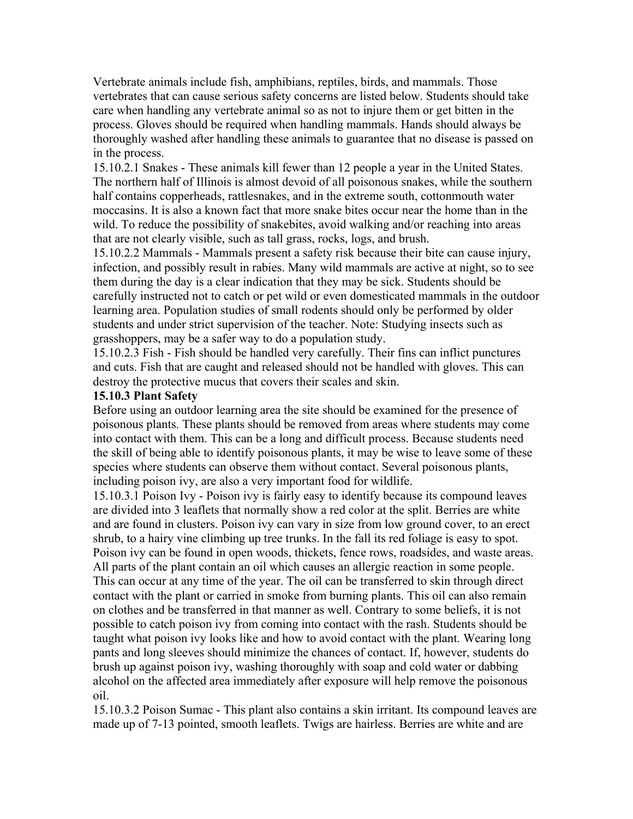Vertebrate animals include fish, amphibians, reptiles, birds, and mammals. Those vertebrates that can cause serious safety concerns are listed below. Students should take care when handling any vertebrate animal so as not to injure them or get bitten in the process. Gloves should be required when handling mammals. Hands should always be thoroughly washed after handling these animals to guarantee that no disease is passed on in the process.

15.10.2.1 Snakes - These animals kill fewer than 12 people a year in the United States. The northern half of Illinois is almost devoid of all poisonous snakes, while the southern half contains copperheads, rattlesnakes, and in the extreme south, cottonmouth water moccasins. It is also a known fact that more snake bites occur near the home than in the wild. To reduce the possibility of snakebites, avoid walking and/or reaching into areas that are not clearly visible, such as tall grass, rocks, logs, and brush.

15.10.2.2 Mammals - Mammals present a safety risk because their bite can cause injury, infection, and possibly result in rabies. Many wild mammals are active at night, so to see them during the day is a clear indication that they may be sick. Students should be carefully instructed not to catch or pet wild or even domesticated mammals in the outdoor learning area. Population studies of small rodents should only be performed by older students and under strict supervision of the teacher. Note: Studying insects such as grasshoppers, may be a safer way to do a population study.

15.10.2.3 Fish - Fish should be handled very carefully. Their fins can inflict punctures and cuts. Fish that are caught and released should not be handled with gloves. This can destroy the protective mucus that covers their scales and skin.

#### **15.10.3 Plant Safety**

Before using an outdoor learning area the site should be examined for the presence of poisonous plants. These plants should be removed from areas where students may come into contact with them. This can be a long and difficult process. Because students need the skill of being able to identify poisonous plants, it may be wise to leave some of these species where students can observe them without contact. Several poisonous plants, including poison ivy, are also a very important food for wildlife.

15.10.3.1 Poison Ivy - Poison ivy is fairly easy to identify because its compound leaves are divided into 3 leaflets that normally show a red color at the split. Berries are white and are found in clusters. Poison ivy can vary in size from low ground cover, to an erect shrub, to a hairy vine climbing up tree trunks. In the fall its red foliage is easy to spot. Poison ivy can be found in open woods, thickets, fence rows, roadsides, and waste areas. All parts of the plant contain an oil which causes an allergic reaction in some people. This can occur at any time of the year. The oil can be transferred to skin through direct contact with the plant or carried in smoke from burning plants. This oil can also remain on clothes and be transferred in that manner as well. Contrary to some beliefs, it is not possible to catch poison ivy from coming into contact with the rash. Students should be taught what poison ivy looks like and how to avoid contact with the plant. Wearing long pants and long sleeves should minimize the chances of contact. If, however, students do brush up against poison ivy, washing thoroughly with soap and cold water or dabbing alcohol on the affected area immediately after exposure will help remove the poisonous oil.

15.10.3.2 Poison Sumac - This plant also contains a skin irritant. Its compound leaves are made up of 7-13 pointed, smooth leaflets. Twigs are hairless. Berries are white and are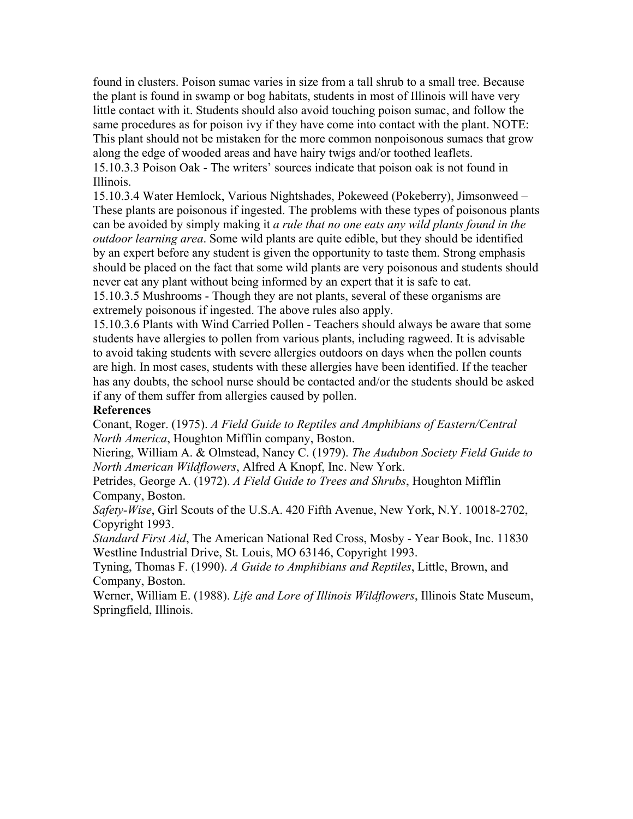found in clusters. Poison sumac varies in size from a tall shrub to a small tree. Because the plant is found in swamp or bog habitats, students in most of Illinois will have very little contact with it. Students should also avoid touching poison sumac, and follow the same procedures as for poison ivy if they have come into contact with the plant. NOTE: This plant should not be mistaken for the more common nonpoisonous sumacs that grow along the edge of wooded areas and have hairy twigs and/or toothed leaflets. 15.10.3.3 Poison Oak - The writers' sources indicate that poison oak is not found in Illinois.

15.10.3.4 Water Hemlock, Various Nightshades, Pokeweed (Pokeberry), Jimsonweed – These plants are poisonous if ingested. The problems with these types of poisonous plants can be avoided by simply making it *a rule that no one eats any wild plants found in the outdoor learning area*. Some wild plants are quite edible, but they should be identified by an expert before any student is given the opportunity to taste them. Strong emphasis should be placed on the fact that some wild plants are very poisonous and students should never eat any plant without being informed by an expert that it is safe to eat.

15.10.3.5 Mushrooms - Though they are not plants, several of these organisms are extremely poisonous if ingested. The above rules also apply.

15.10.3.6 Plants with Wind Carried Pollen - Teachers should always be aware that some students have allergies to pollen from various plants, including ragweed. It is advisable to avoid taking students with severe allergies outdoors on days when the pollen counts are high. In most cases, students with these allergies have been identified. If the teacher has any doubts, the school nurse should be contacted and/or the students should be asked if any of them suffer from allergies caused by pollen.

#### **References**

Conant, Roger. (1975). *A Field Guide to Reptiles and Amphibians of Eastern/Central North America*, Houghton Mifflin company, Boston.

Niering, William A. & Olmstead, Nancy C. (1979). *The Audubon Society Field Guide to North American Wildflowers*, Alfred A Knopf, Inc. New York.

Petrides, George A. (1972). *A Field Guide to Trees and Shrubs*, Houghton Mifflin Company, Boston.

*Safety-Wise*, Girl Scouts of the U.S.A. 420 Fifth Avenue, New York, N.Y. 10018-2702, Copyright 1993.

*Standard First Aid*, The American National Red Cross, Mosby - Year Book, Inc. 11830 Westline Industrial Drive, St. Louis, MO 63146, Copyright 1993.

Tyning, Thomas F. (1990). *A Guide to Amphibians and Reptiles*, Little, Brown, and Company, Boston.

Werner, William E. (1988). *Life and Lore of Illinois Wildflowers*, Illinois State Museum, Springfield, Illinois.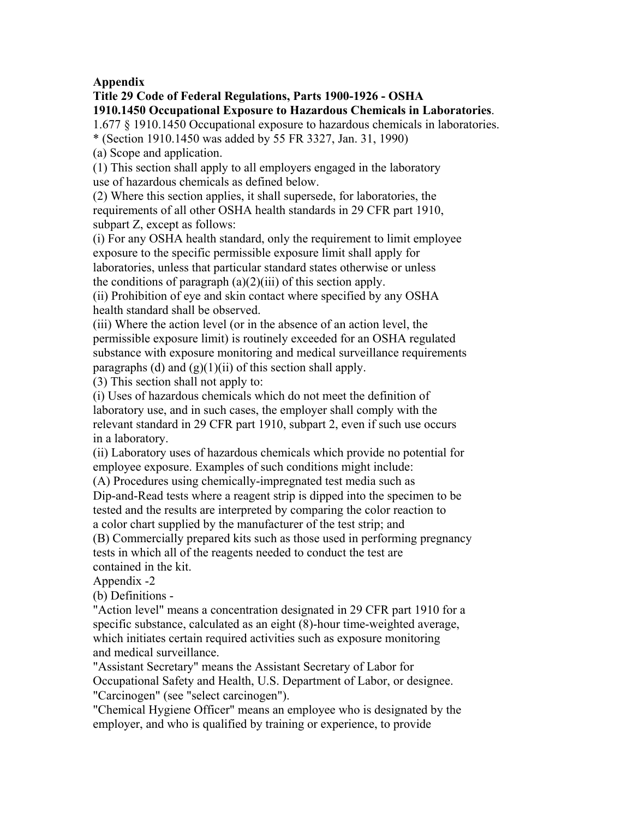#### **Appendix**

**Title 29 Code of Federal Regulations, Parts 1900-1926 - OSHA 1910.1450 Occupational Exposure to Hazardous Chemicals in Laboratories**.

1.677 § 1910.1450 Occupational exposure to hazardous chemicals in laboratories.

\* (Section 1910.1450 was added by 55 FR 3327, Jan. 31, 1990)

(a) Scope and application.

(1) This section shall apply to all employers engaged in the laboratory use of hazardous chemicals as defined below.

(2) Where this section applies, it shall supersede, for laboratories, the requirements of all other OSHA health standards in 29 CFR part 1910, subpart Z, except as follows:

(i) For any OSHA health standard, only the requirement to limit employee exposure to the specific permissible exposure limit shall apply for laboratories, unless that particular standard states otherwise or unless the conditions of paragraph  $(a)(2)(iii)$  of this section apply.

(ii) Prohibition of eye and skin contact where specified by any OSHA health standard shall be observed.

(iii) Where the action level (or in the absence of an action level, the permissible exposure limit) is routinely exceeded for an OSHA regulated substance with exposure monitoring and medical surveillance requirements paragraphs (d) and  $(g)(1)(ii)$  of this section shall apply.

(3) This section shall not apply to:

(i) Uses of hazardous chemicals which do not meet the definition of laboratory use, and in such cases, the employer shall comply with the relevant standard in 29 CFR part 1910, subpart 2, even if such use occurs in a laboratory.

(ii) Laboratory uses of hazardous chemicals which provide no potential for employee exposure. Examples of such conditions might include:

(A) Procedures using chemically-impregnated test media such as Dip-and-Read tests where a reagent strip is dipped into the specimen to be tested and the results are interpreted by comparing the color reaction to a color chart supplied by the manufacturer of the test strip; and

(B) Commercially prepared kits such as those used in performing pregnancy tests in which all of the reagents needed to conduct the test are contained in the kit.

Appendix -2

(b) Definitions -

"Action level" means a concentration designated in 29 CFR part 1910 for a specific substance, calculated as an eight (8)-hour time-weighted average, which initiates certain required activities such as exposure monitoring and medical surveillance.

"Assistant Secretary" means the Assistant Secretary of Labor for Occupational Safety and Health, U.S. Department of Labor, or designee. "Carcinogen" (see "select carcinogen").

"Chemical Hygiene Officer" means an employee who is designated by the employer, and who is qualified by training or experience, to provide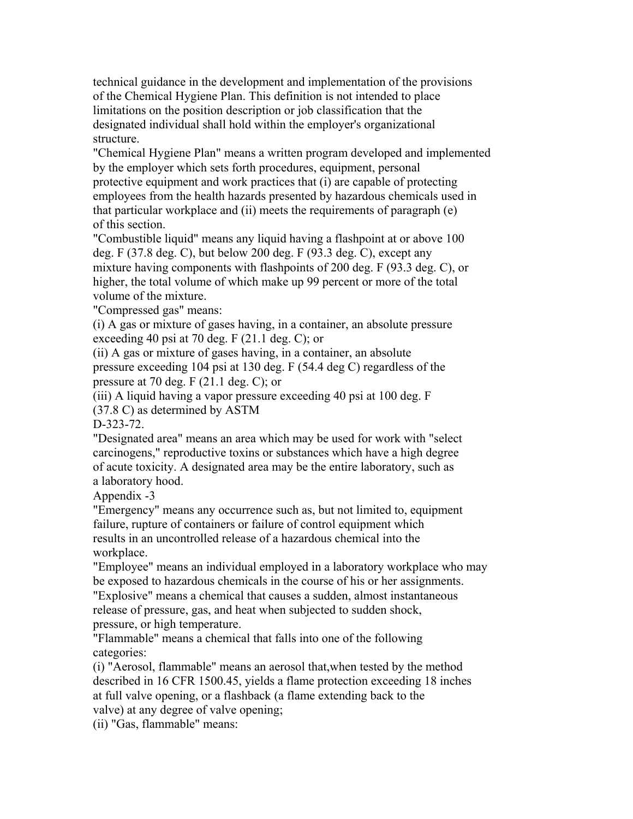technical guidance in the development and implementation of the provisions of the Chemical Hygiene Plan. This definition is not intended to place limitations on the position description or job classification that the designated individual shall hold within the employer's organizational structure.

"Chemical Hygiene Plan" means a written program developed and implemented by the employer which sets forth procedures, equipment, personal protective equipment and work practices that (i) are capable of protecting employees from the health hazards presented by hazardous chemicals used in that particular workplace and (ii) meets the requirements of paragraph (e) of this section.

"Combustible liquid" means any liquid having a flashpoint at or above 100 deg. F  $(37.8$  deg. C), but below 200 deg. F  $(93.3$  deg. C), except any mixture having components with flashpoints of 200 deg. F (93.3 deg. C), or higher, the total volume of which make up 99 percent or more of the total volume of the mixture.

"Compressed gas" means:

(i) A gas or mixture of gases having, in a container, an absolute pressure exceeding 40 psi at 70 deg. F (21.1 deg. C); or

(ii) A gas or mixture of gases having, in a container, an absolute pressure exceeding 104 psi at 130 deg. F (54.4 deg C) regardless of the pressure at 70 deg. F (21.1 deg. C); or

(iii) A liquid having a vapor pressure exceeding 40 psi at 100 deg. F

(37.8 C) as determined by ASTM

D-323-72.

"Designated area" means an area which may be used for work with "select carcinogens," reproductive toxins or substances which have a high degree of acute toxicity. A designated area may be the entire laboratory, such as a laboratory hood.

Appendix -3

"Emergency" means any occurrence such as, but not limited to, equipment failure, rupture of containers or failure of control equipment which results in an uncontrolled release of a hazardous chemical into the workplace.

"Employee" means an individual employed in a laboratory workplace who may be exposed to hazardous chemicals in the course of his or her assignments. "Explosive" means a chemical that causes a sudden, almost instantaneous release of pressure, gas, and heat when subjected to sudden shock, pressure, or high temperature.

"Flammable" means a chemical that falls into one of the following categories:

(i) "Aerosol, flammable" means an aerosol that,when tested by the method described in 16 CFR 1500.45, yields a flame protection exceeding 18 inches at full valve opening, or a flashback (a flame extending back to the valve) at any degree of valve opening;

(ii) "Gas, flammable" means: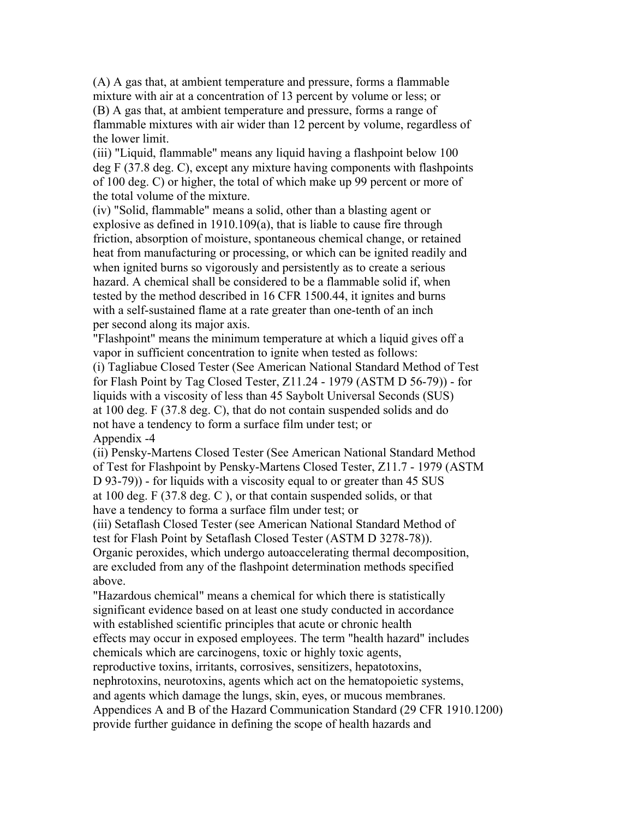(A) A gas that, at ambient temperature and pressure, forms a flammable mixture with air at a concentration of 13 percent by volume or less; or (B) A gas that, at ambient temperature and pressure, forms a range of flammable mixtures with air wider than 12 percent by volume, regardless of the lower limit.

(iii) "Liquid, flammable" means any liquid having a flashpoint below 100 deg F (37.8 deg. C), except any mixture having components with flashpoints of 100 deg. C) or higher, the total of which make up 99 percent or more of the total volume of the mixture.

(iv) "Solid, flammable" means a solid, other than a blasting agent or explosive as defined in 1910.109(a), that is liable to cause fire through friction, absorption of moisture, spontaneous chemical change, or retained heat from manufacturing or processing, or which can be ignited readily and when ignited burns so vigorously and persistently as to create a serious hazard. A chemical shall be considered to be a flammable solid if, when tested by the method described in 16 CFR 1500.44, it ignites and burns with a self-sustained flame at a rate greater than one-tenth of an inch per second along its major axis.

"Flashpoint" means the minimum temperature at which a liquid gives off a vapor in sufficient concentration to ignite when tested as follows:

(i) Tagliabue Closed Tester (See American National Standard Method of Test for Flash Point by Tag Closed Tester, Z11.24 - 1979 (ASTM D 56-79)) - for liquids with a viscosity of less than 45 Saybolt Universal Seconds (SUS) at 100 deg. F (37.8 deg. C), that do not contain suspended solids and do not have a tendency to form a surface film under test; or Appendix -4

(ii) Pensky-Martens Closed Tester (See American National Standard Method of Test for Flashpoint by Pensky-Martens Closed Tester, Z11.7 - 1979 (ASTM D 93-79)) - for liquids with a viscosity equal to or greater than 45 SUS at 100 deg. F (37.8 deg. C ), or that contain suspended solids, or that have a tendency to forma a surface film under test; or

(iii) Setaflash Closed Tester (see American National Standard Method of test for Flash Point by Setaflash Closed Tester (ASTM D 3278-78)). Organic peroxides, which undergo autoaccelerating thermal decomposition, are excluded from any of the flashpoint determination methods specified above.

"Hazardous chemical" means a chemical for which there is statistically significant evidence based on at least one study conducted in accordance with established scientific principles that acute or chronic health effects may occur in exposed employees. The term "health hazard" includes chemicals which are carcinogens, toxic or highly toxic agents, reproductive toxins, irritants, corrosives, sensitizers, hepatotoxins, nephrotoxins, neurotoxins, agents which act on the hematopoietic systems, and agents which damage the lungs, skin, eyes, or mucous membranes. Appendices A and B of the Hazard Communication Standard (29 CFR 1910.1200) provide further guidance in defining the scope of health hazards and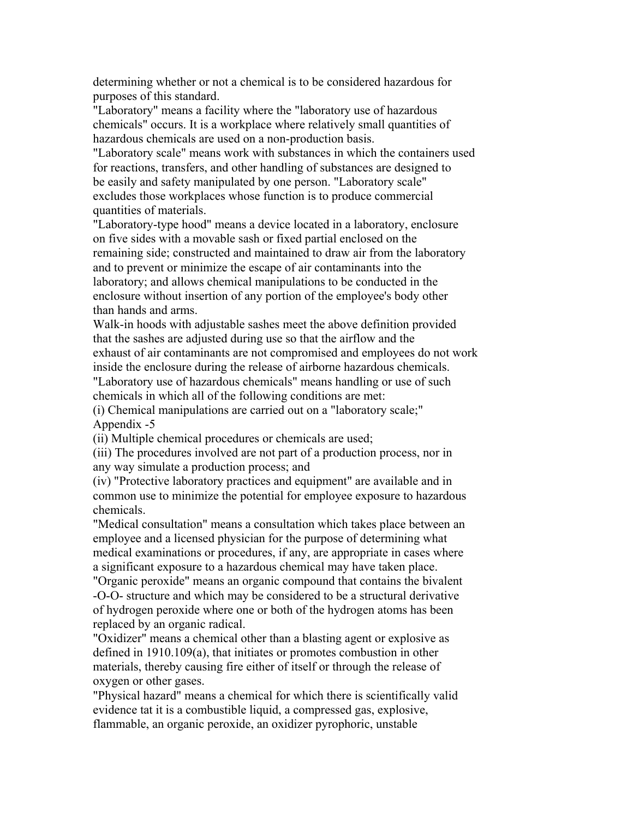determining whether or not a chemical is to be considered hazardous for purposes of this standard.

"Laboratory" means a facility where the "laboratory use of hazardous chemicals" occurs. It is a workplace where relatively small quantities of hazardous chemicals are used on a non-production basis.

"Laboratory scale" means work with substances in which the containers used for reactions, transfers, and other handling of substances are designed to be easily and safety manipulated by one person. "Laboratory scale" excludes those workplaces whose function is to produce commercial quantities of materials.

"Laboratory-type hood" means a device located in a laboratory, enclosure on five sides with a movable sash or fixed partial enclosed on the remaining side; constructed and maintained to draw air from the laboratory and to prevent or minimize the escape of air contaminants into the laboratory; and allows chemical manipulations to be conducted in the enclosure without insertion of any portion of the employee's body other than hands and arms.

Walk-in hoods with adjustable sashes meet the above definition provided that the sashes are adjusted during use so that the airflow and the exhaust of air contaminants are not compromised and employees do not work inside the enclosure during the release of airborne hazardous chemicals.

"Laboratory use of hazardous chemicals" means handling or use of such chemicals in which all of the following conditions are met:

(i) Chemical manipulations are carried out on a "laboratory scale;" Appendix -5

(ii) Multiple chemical procedures or chemicals are used;

(iii) The procedures involved are not part of a production process, nor in any way simulate a production process; and

(iv) "Protective laboratory practices and equipment" are available and in common use to minimize the potential for employee exposure to hazardous chemicals.

"Medical consultation" means a consultation which takes place between an employee and a licensed physician for the purpose of determining what medical examinations or procedures, if any, are appropriate in cases where a significant exposure to a hazardous chemical may have taken place.

"Organic peroxide" means an organic compound that contains the bivalent -O-O- structure and which may be considered to be a structural derivative of hydrogen peroxide where one or both of the hydrogen atoms has been replaced by an organic radical.

"Oxidizer" means a chemical other than a blasting agent or explosive as defined in 1910.109(a), that initiates or promotes combustion in other materials, thereby causing fire either of itself or through the release of oxygen or other gases.

"Physical hazard" means a chemical for which there is scientifically valid evidence tat it is a combustible liquid, a compressed gas, explosive, flammable, an organic peroxide, an oxidizer pyrophoric, unstable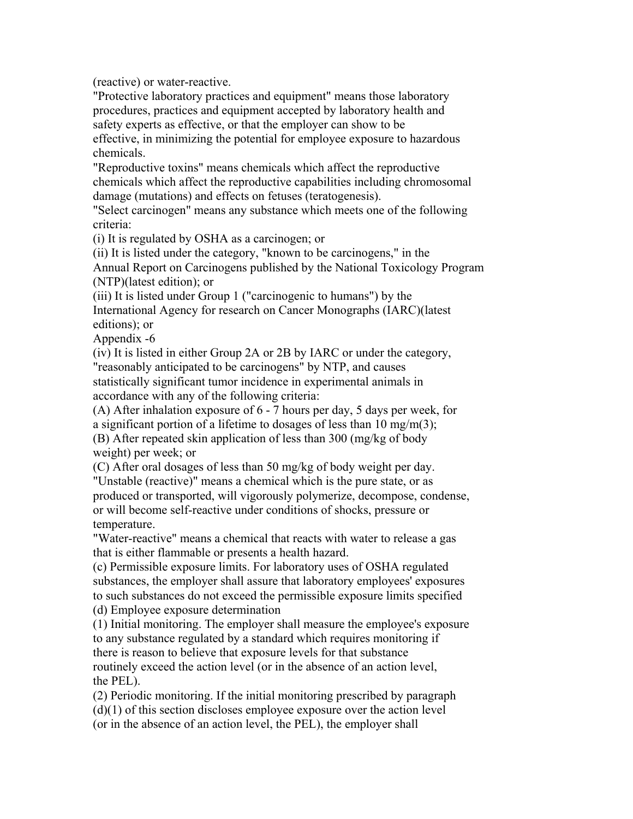(reactive) or water-reactive.

"Protective laboratory practices and equipment" means those laboratory procedures, practices and equipment accepted by laboratory health and safety experts as effective, or that the employer can show to be effective, in minimizing the potential for employee exposure to hazardous chemicals.

"Reproductive toxins" means chemicals which affect the reproductive chemicals which affect the reproductive capabilities including chromosomal damage (mutations) and effects on fetuses (teratogenesis).

"Select carcinogen" means any substance which meets one of the following criteria:

(i) It is regulated by OSHA as a carcinogen; or

(ii) It is listed under the category, "known to be carcinogens," in the Annual Report on Carcinogens published by the National Toxicology Program (NTP)(latest edition); or

(iii) It is listed under Group 1 ("carcinogenic to humans") by the International Agency for research on Cancer Monographs (IARC)(latest editions); or

Appendix -6

(iv) It is listed in either Group 2A or 2B by IARC or under the category, "reasonably anticipated to be carcinogens" by NTP, and causes statistically significant tumor incidence in experimental animals in accordance with any of the following criteria:

(A) After inhalation exposure of 6 - 7 hours per day, 5 days per week, for a significant portion of a lifetime to dosages of less than 10 mg/m(3); (B) After repeated skin application of less than 300 (mg/kg of body

weight) per week; or

(C) After oral dosages of less than 50 mg/kg of body weight per day.

"Unstable (reactive)" means a chemical which is the pure state, or as produced or transported, will vigorously polymerize, decompose, condense, or will become self-reactive under conditions of shocks, pressure or temperature.

"Water-reactive" means a chemical that reacts with water to release a gas that is either flammable or presents a health hazard.

(c) Permissible exposure limits. For laboratory uses of OSHA regulated substances, the employer shall assure that laboratory employees' exposures to such substances do not exceed the permissible exposure limits specified (d) Employee exposure determination

(1) Initial monitoring. The employer shall measure the employee's exposure to any substance regulated by a standard which requires monitoring if there is reason to believe that exposure levels for that substance routinely exceed the action level (or in the absence of an action level, the PEL).

(2) Periodic monitoring. If the initial monitoring prescribed by paragraph

 $(d)(1)$  of this section discloses employee exposure over the action level

(or in the absence of an action level, the PEL), the employer shall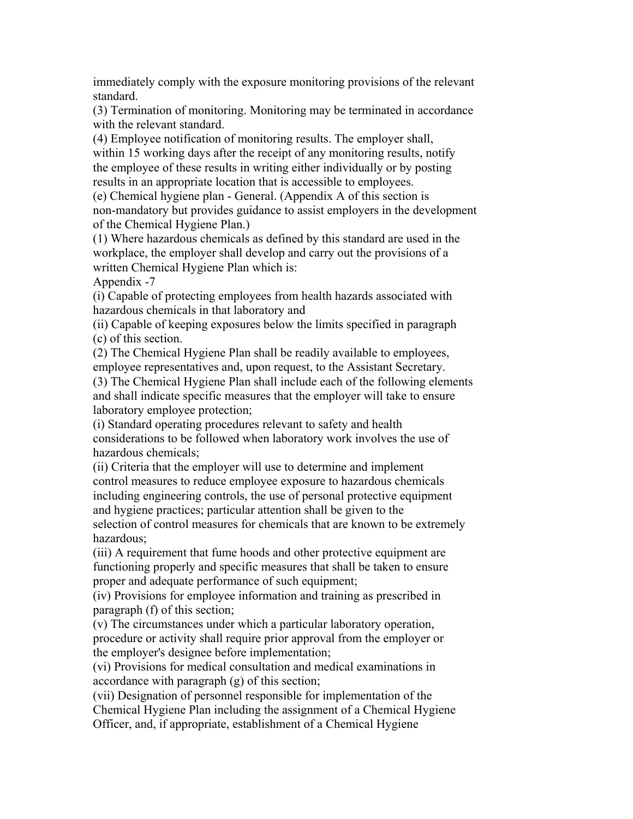immediately comply with the exposure monitoring provisions of the relevant standard.

(3) Termination of monitoring. Monitoring may be terminated in accordance with the relevant standard.

(4) Employee notification of monitoring results. The employer shall, within 15 working days after the receipt of any monitoring results, notify the employee of these results in writing either individually or by posting results in an appropriate location that is accessible to employees.

(e) Chemical hygiene plan - General. (Appendix A of this section is non-mandatory but provides guidance to assist employers in the development of the Chemical Hygiene Plan.)

(1) Where hazardous chemicals as defined by this standard are used in the workplace, the employer shall develop and carry out the provisions of a written Chemical Hygiene Plan which is:

Appendix -7

(i) Capable of protecting employees from health hazards associated with hazardous chemicals in that laboratory and

(ii) Capable of keeping exposures below the limits specified in paragraph (c) of this section.

(2) The Chemical Hygiene Plan shall be readily available to employees, employee representatives and, upon request, to the Assistant Secretary.

(3) The Chemical Hygiene Plan shall include each of the following elements and shall indicate specific measures that the employer will take to ensure laboratory employee protection;

(i) Standard operating procedures relevant to safety and health considerations to be followed when laboratory work involves the use of hazardous chemicals;

(ii) Criteria that the employer will use to determine and implement control measures to reduce employee exposure to hazardous chemicals including engineering controls, the use of personal protective equipment and hygiene practices; particular attention shall be given to the selection of control measures for chemicals that are known to be extremely hazardous;

(iii) A requirement that fume hoods and other protective equipment are functioning properly and specific measures that shall be taken to ensure proper and adequate performance of such equipment;

(iv) Provisions for employee information and training as prescribed in paragraph (f) of this section;

(v) The circumstances under which a particular laboratory operation, procedure or activity shall require prior approval from the employer or the employer's designee before implementation;

(vi) Provisions for medical consultation and medical examinations in accordance with paragraph (g) of this section;

(vii) Designation of personnel responsible for implementation of the Chemical Hygiene Plan including the assignment of a Chemical Hygiene Officer, and, if appropriate, establishment of a Chemical Hygiene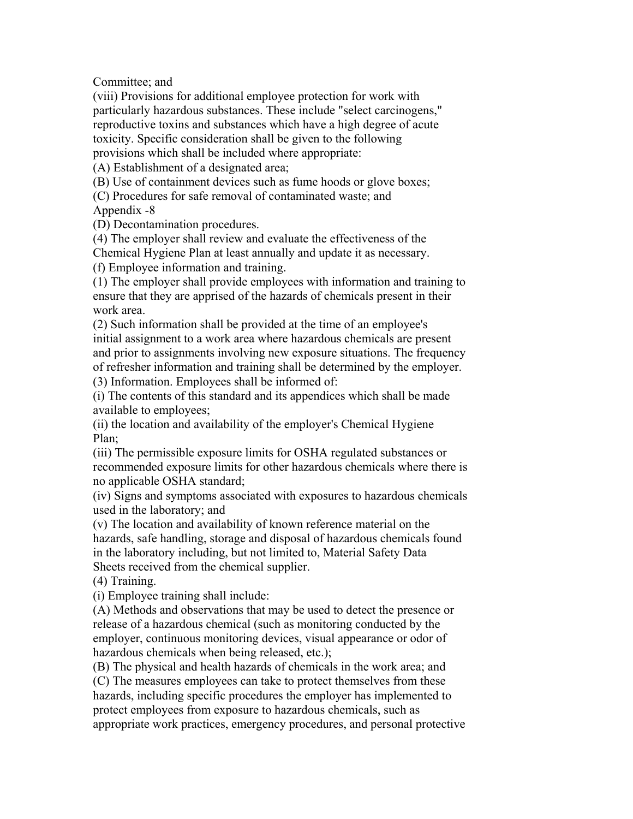Committee; and

(viii) Provisions for additional employee protection for work with particularly hazardous substances. These include "select carcinogens," reproductive toxins and substances which have a high degree of acute toxicity. Specific consideration shall be given to the following provisions which shall be included where appropriate:

(A) Establishment of a designated area;

(B) Use of containment devices such as fume hoods or glove boxes;

(C) Procedures for safe removal of contaminated waste; and

Appendix -8

(D) Decontamination procedures.

(4) The employer shall review and evaluate the effectiveness of the

Chemical Hygiene Plan at least annually and update it as necessary.

(f) Employee information and training.

(1) The employer shall provide employees with information and training to ensure that they are apprised of the hazards of chemicals present in their work area.

(2) Such information shall be provided at the time of an employee's initial assignment to a work area where hazardous chemicals are present and prior to assignments involving new exposure situations. The frequency of refresher information and training shall be determined by the employer.

(3) Information. Employees shall be informed of:

(i) The contents of this standard and its appendices which shall be made available to employees;

(ii) the location and availability of the employer's Chemical Hygiene Plan;

(iii) The permissible exposure limits for OSHA regulated substances or recommended exposure limits for other hazardous chemicals where there is no applicable OSHA standard;

(iv) Signs and symptoms associated with exposures to hazardous chemicals used in the laboratory; and

(v) The location and availability of known reference material on the hazards, safe handling, storage and disposal of hazardous chemicals found in the laboratory including, but not limited to, Material Safety Data Sheets received from the chemical supplier.

(4) Training.

(i) Employee training shall include:

(A) Methods and observations that may be used to detect the presence or release of a hazardous chemical (such as monitoring conducted by the employer, continuous monitoring devices, visual appearance or odor of hazardous chemicals when being released, etc.);

(B) The physical and health hazards of chemicals in the work area; and (C) The measures employees can take to protect themselves from these hazards, including specific procedures the employer has implemented to protect employees from exposure to hazardous chemicals, such as appropriate work practices, emergency procedures, and personal protective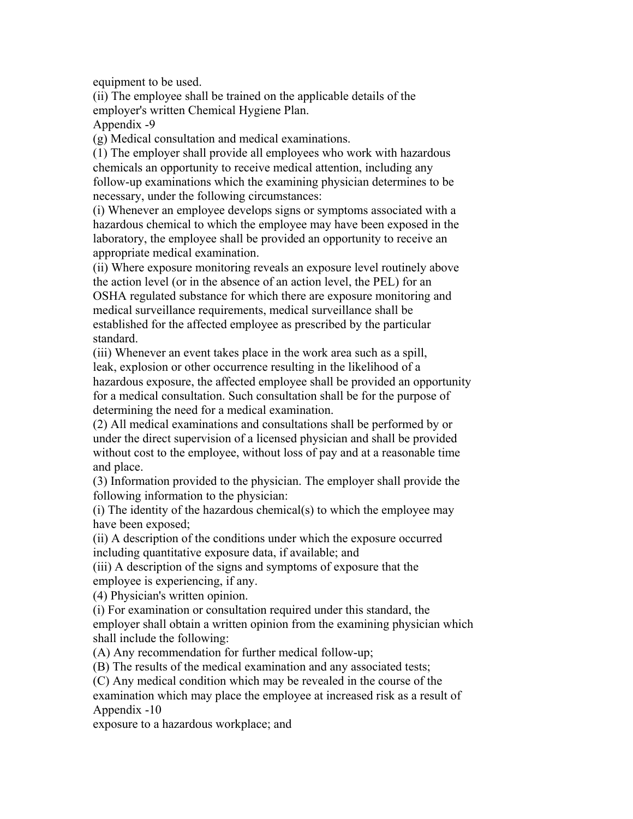equipment to be used.

(ii) The employee shall be trained on the applicable details of the employer's written Chemical Hygiene Plan.

Appendix -9

(g) Medical consultation and medical examinations.

(1) The employer shall provide all employees who work with hazardous chemicals an opportunity to receive medical attention, including any follow-up examinations which the examining physician determines to be necessary, under the following circumstances:

(i) Whenever an employee develops signs or symptoms associated with a hazardous chemical to which the employee may have been exposed in the laboratory, the employee shall be provided an opportunity to receive an appropriate medical examination.

(ii) Where exposure monitoring reveals an exposure level routinely above the action level (or in the absence of an action level, the PEL) for an OSHA regulated substance for which there are exposure monitoring and medical surveillance requirements, medical surveillance shall be established for the affected employee as prescribed by the particular standard.

(iii) Whenever an event takes place in the work area such as a spill, leak, explosion or other occurrence resulting in the likelihood of a hazardous exposure, the affected employee shall be provided an opportunity for a medical consultation. Such consultation shall be for the purpose of determining the need for a medical examination.

(2) All medical examinations and consultations shall be performed by or under the direct supervision of a licensed physician and shall be provided without cost to the employee, without loss of pay and at a reasonable time and place.

(3) Information provided to the physician. The employer shall provide the following information to the physician:

(i) The identity of the hazardous chemical(s) to which the employee may have been exposed;

(ii) A description of the conditions under which the exposure occurred including quantitative exposure data, if available; and

(iii) A description of the signs and symptoms of exposure that the employee is experiencing, if any.

(4) Physician's written opinion.

(i) For examination or consultation required under this standard, the employer shall obtain a written opinion from the examining physician which shall include the following:

(A) Any recommendation for further medical follow-up;

(B) The results of the medical examination and any associated tests;

(C) Any medical condition which may be revealed in the course of the

examination which may place the employee at increased risk as a result of Appendix -10

exposure to a hazardous workplace; and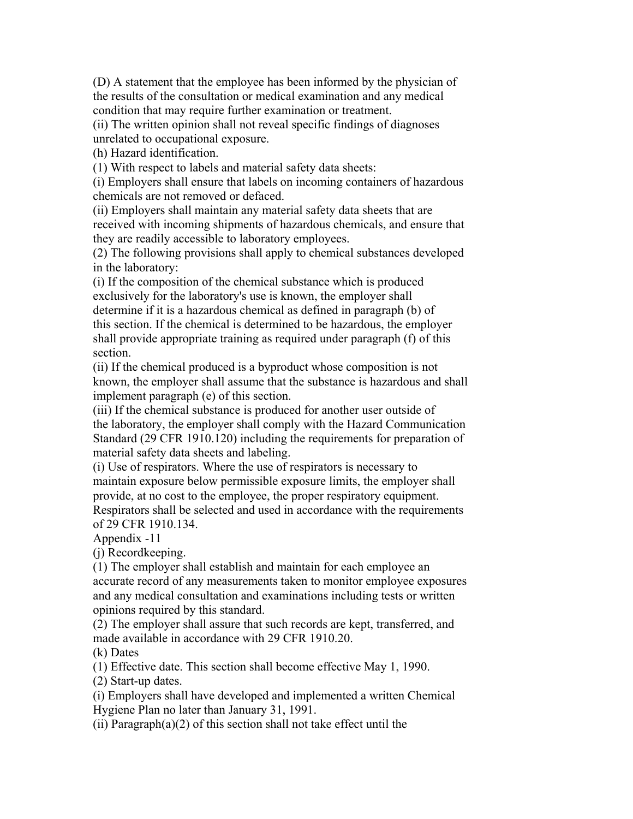(D) A statement that the employee has been informed by the physician of the results of the consultation or medical examination and any medical condition that may require further examination or treatment.

(ii) The written opinion shall not reveal specific findings of diagnoses unrelated to occupational exposure.

(h) Hazard identification.

(1) With respect to labels and material safety data sheets:

(i) Employers shall ensure that labels on incoming containers of hazardous chemicals are not removed or defaced.

(ii) Employers shall maintain any material safety data sheets that are received with incoming shipments of hazardous chemicals, and ensure that they are readily accessible to laboratory employees.

(2) The following provisions shall apply to chemical substances developed in the laboratory:

(i) If the composition of the chemical substance which is produced exclusively for the laboratory's use is known, the employer shall determine if it is a hazardous chemical as defined in paragraph (b) of this section. If the chemical is determined to be hazardous, the employer shall provide appropriate training as required under paragraph (f) of this section.

(ii) If the chemical produced is a byproduct whose composition is not known, the employer shall assume that the substance is hazardous and shall implement paragraph (e) of this section.

(iii) If the chemical substance is produced for another user outside of the laboratory, the employer shall comply with the Hazard Communication Standard (29 CFR 1910.120) including the requirements for preparation of material safety data sheets and labeling.

(i) Use of respirators. Where the use of respirators is necessary to maintain exposure below permissible exposure limits, the employer shall provide, at no cost to the employee, the proper respiratory equipment. Respirators shall be selected and used in accordance with the requirements of 29 CFR 1910.134.

Appendix -11

(j) Recordkeeping.

(1) The employer shall establish and maintain for each employee an accurate record of any measurements taken to monitor employee exposures and any medical consultation and examinations including tests or written opinions required by this standard.

(2) The employer shall assure that such records are kept, transferred, and made available in accordance with 29 CFR 1910.20.

(k) Dates

(1) Effective date. This section shall become effective May 1, 1990.

(2) Start-up dates.

(i) Employers shall have developed and implemented a written Chemical Hygiene Plan no later than January 31, 1991.

(ii) Paragraph $(a)(2)$  of this section shall not take effect until the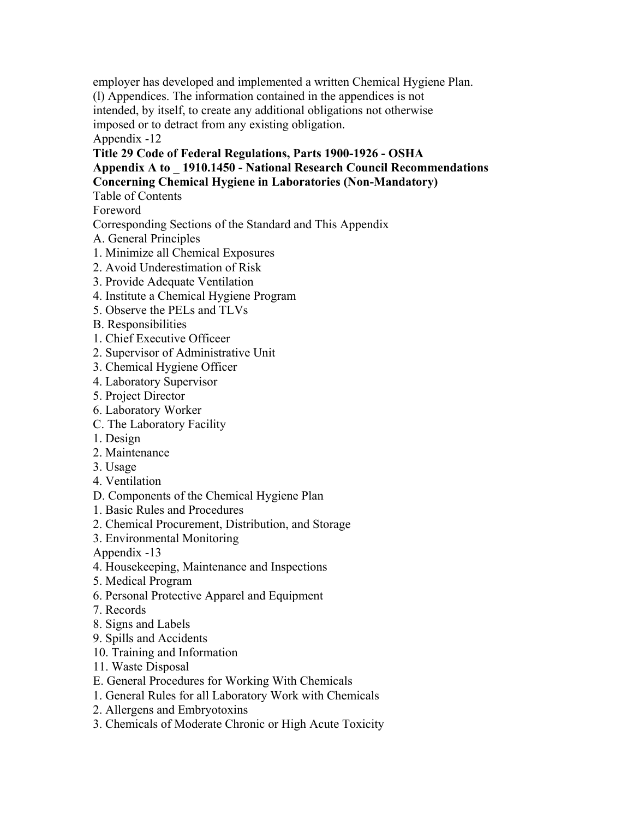employer has developed and implemented a written Chemical Hygiene Plan. (l) Appendices. The information contained in the appendices is not intended, by itself, to create any additional obligations not otherwise imposed or to detract from any existing obligation. Appendix -12

#### **Title 29 Code of Federal Regulations, Parts 1900-1926 - OSHA Appendix A to \_ 1910.1450 - National Research Council Recommendations Concerning Chemical Hygiene in Laboratories (Non-Mandatory)**

Table of Contents

Foreword

Corresponding Sections of the Standard and This Appendix

- A. General Principles
- 1. Minimize all Chemical Exposures
- 2. Avoid Underestimation of Risk
- 3. Provide Adequate Ventilation
- 4. Institute a Chemical Hygiene Program
- 5. Observe the PELs and TLVs
- B. Responsibilities
- 1. Chief Executive Officeer
- 2. Supervisor of Administrative Unit
- 3. Chemical Hygiene Officer
- 4. Laboratory Supervisor
- 5. Project Director
- 6. Laboratory Worker
- C. The Laboratory Facility
- 1. Design
- 2. Maintenance
- 3. Usage
- 4. Ventilation
- D. Components of the Chemical Hygiene Plan
- 1. Basic Rules and Procedures
- 2. Chemical Procurement, Distribution, and Storage
- 3. Environmental Monitoring
- Appendix -13
- 4. Housekeeping, Maintenance and Inspections
- 5. Medical Program
- 6. Personal Protective Apparel and Equipment
- 7. Records
- 8. Signs and Labels
- 9. Spills and Accidents
- 10. Training and Information
- 11. Waste Disposal
- E. General Procedures for Working With Chemicals
- 1. General Rules for all Laboratory Work with Chemicals
- 2. Allergens and Embryotoxins
- 3. Chemicals of Moderate Chronic or High Acute Toxicity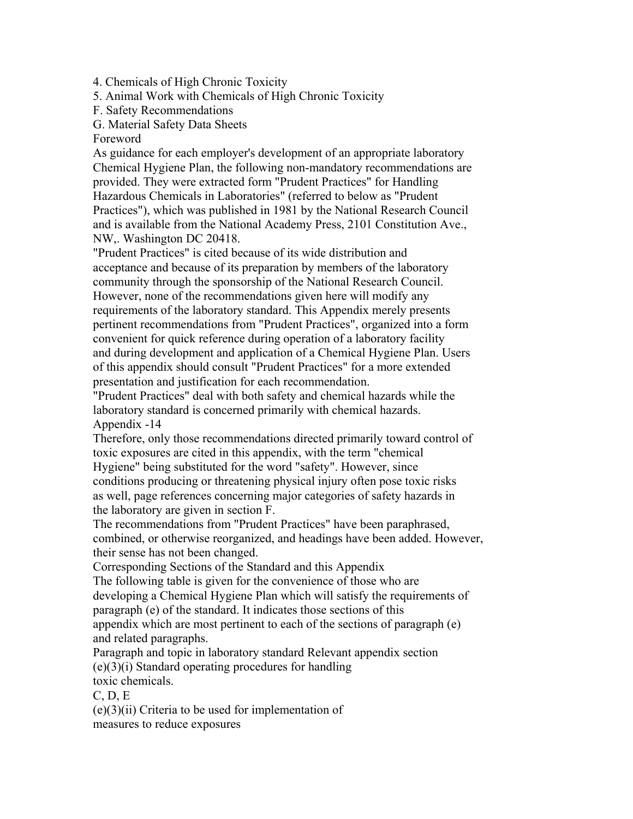4. Chemicals of High Chronic Toxicity

5. Animal Work with Chemicals of High Chronic Toxicity

F. Safety Recommendations

G. Material Safety Data Sheets

Foreword

As guidance for each employer's development of an appropriate laboratory Chemical Hygiene Plan, the following non-mandatory recommendations are provided. They were extracted form "Prudent Practices" for Handling Hazardous Chemicals in Laboratories" (referred to below as "Prudent Practices"), which was published in 1981 by the National Research Council and is available from the National Academy Press, 2101 Constitution Ave., NW,. Washington DC 20418.

"Prudent Practices" is cited because of its wide distribution and acceptance and because of its preparation by members of the laboratory community through the sponsorship of the National Research Council. However, none of the recommendations given here will modify any requirements of the laboratory standard. This Appendix merely presents pertinent recommendations from "Prudent Practices", organized into a form convenient for quick reference during operation of a laboratory facility and during development and application of a Chemical Hygiene Plan. Users of this appendix should consult "Prudent Practices" for a more extended presentation and justification for each recommendation.

"Prudent Practices" deal with both safety and chemical hazards while the laboratory standard is concerned primarily with chemical hazards. Appendix -14

Therefore, only those recommendations directed primarily toward control of toxic exposures are cited in this appendix, with the term "chemical Hygiene" being substituted for the word "safety". However, since conditions producing or threatening physical injury often pose toxic risks as well, page references concerning major categories of safety hazards in the laboratory are given in section F.

The recommendations from "Prudent Practices" have been paraphrased, combined, or otherwise reorganized, and headings have been added. However, their sense has not been changed.

Corresponding Sections of the Standard and this Appendix The following table is given for the convenience of those who are developing a Chemical Hygiene Plan which will satisfy the requirements of paragraph (e) of the standard. It indicates those sections of this appendix which are most pertinent to each of the sections of paragraph (e) and related paragraphs.

Paragraph and topic in laboratory standard Relevant appendix section (e)(3)(i) Standard operating procedures for handling toxic chemicals.

C, D, E

 $(e)(3)(ii)$  Criteria to be used for implementation of measures to reduce exposures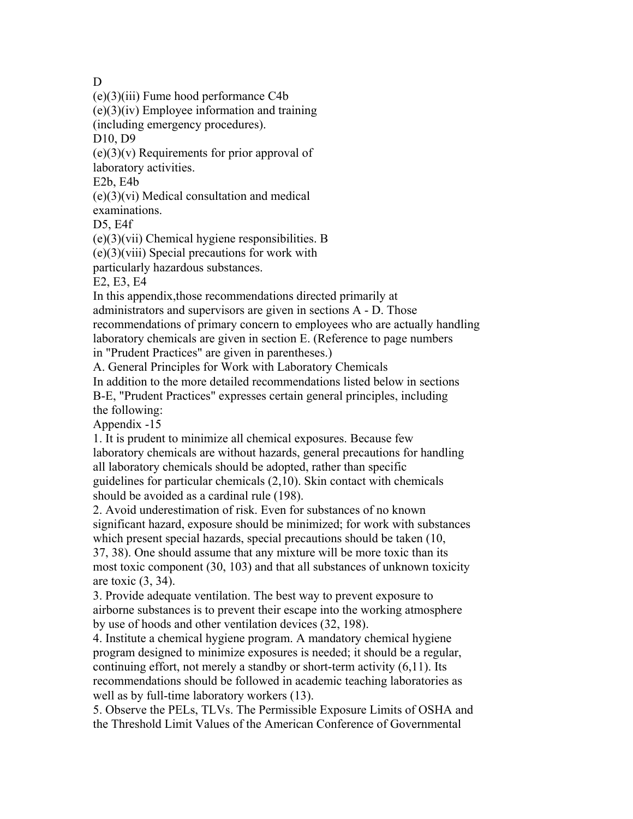D

(e)(3)(iii) Fume hood performance C4b (e)(3)(iv) Employee information and training (including emergency procedures). D10, D9  $(e)(3)(v)$  Requirements for prior approval of laboratory activities. E2b, E4b (e)(3)(vi) Medical consultation and medical examinations. D5, E4f (e)(3)(vii) Chemical hygiene responsibilities. B (e)(3)(viii) Special precautions for work with particularly hazardous substances. E2, E3, E4 In this appendix,those recommendations directed primarily at

administrators and supervisors are given in sections A - D. Those recommendations of primary concern to employees who are actually handling laboratory chemicals are given in section E. (Reference to page numbers in "Prudent Practices" are given in parentheses.)

A. General Principles for Work with Laboratory Chemicals In addition to the more detailed recommendations listed below in sections B-E, "Prudent Practices" expresses certain general principles, including the following:

Appendix -15

1. It is prudent to minimize all chemical exposures. Because few laboratory chemicals are without hazards, general precautions for handling all laboratory chemicals should be adopted, rather than specific guidelines for particular chemicals (2,10). Skin contact with chemicals should be avoided as a cardinal rule (198).

2. Avoid underestimation of risk. Even for substances of no known significant hazard, exposure should be minimized; for work with substances which present special hazards, special precautions should be taken (10, 37, 38). One should assume that any mixture will be more toxic than its most toxic component (30, 103) and that all substances of unknown toxicity are toxic (3, 34).

3. Provide adequate ventilation. The best way to prevent exposure to airborne substances is to prevent their escape into the working atmosphere by use of hoods and other ventilation devices (32, 198).

4. Institute a chemical hygiene program. A mandatory chemical hygiene program designed to minimize exposures is needed; it should be a regular, continuing effort, not merely a standby or short-term activity (6,11). Its recommendations should be followed in academic teaching laboratories as well as by full-time laboratory workers (13).

5. Observe the PELs, TLVs. The Permissible Exposure Limits of OSHA and the Threshold Limit Values of the American Conference of Governmental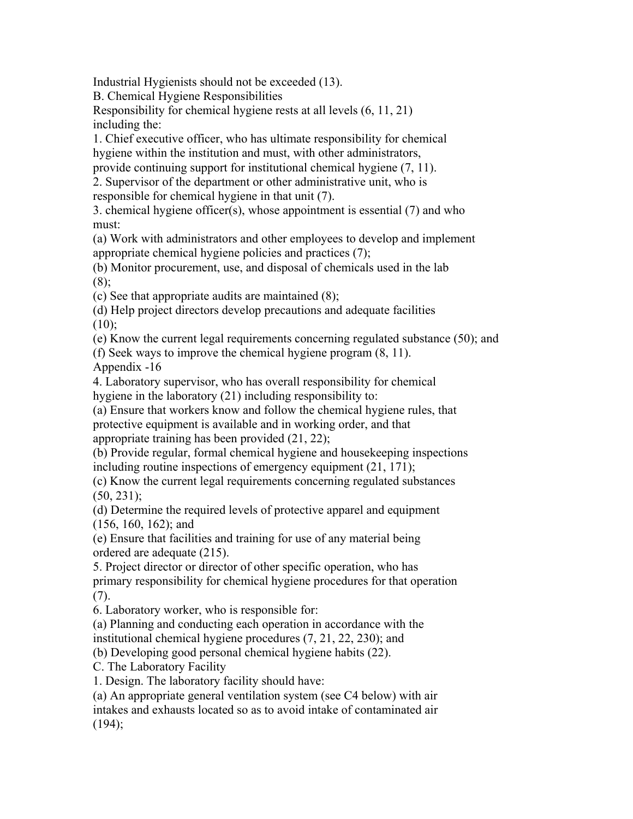Industrial Hygienists should not be exceeded (13).

B. Chemical Hygiene Responsibilities

Responsibility for chemical hygiene rests at all levels (6, 11, 21) including the:

1. Chief executive officer, who has ultimate responsibility for chemical hygiene within the institution and must, with other administrators,

provide continuing support for institutional chemical hygiene (7, 11). 2. Supervisor of the department or other administrative unit, who is

responsible for chemical hygiene in that unit (7).

3. chemical hygiene officer(s), whose appointment is essential (7) and who must:

(a) Work with administrators and other employees to develop and implement appropriate chemical hygiene policies and practices (7);

(b) Monitor procurement, use, and disposal of chemicals used in the lab (8);

(c) See that appropriate audits are maintained (8);

(d) Help project directors develop precautions and adequate facilities  $(10);$ 

(e) Know the current legal requirements concerning regulated substance (50); and

(f) Seek ways to improve the chemical hygiene program (8, 11).

Appendix -16

4. Laboratory supervisor, who has overall responsibility for chemical hygiene in the laboratory (21) including responsibility to:

(a) Ensure that workers know and follow the chemical hygiene rules, that protective equipment is available and in working order, and that

appropriate training has been provided (21, 22);

(b) Provide regular, formal chemical hygiene and housekeeping inspections including routine inspections of emergency equipment (21, 171);

(c) Know the current legal requirements concerning regulated substances  $(50, 231)$ ;

(d) Determine the required levels of protective apparel and equipment (156, 160, 162); and

(e) Ensure that facilities and training for use of any material being ordered are adequate (215).

5. Project director or director of other specific operation, who has primary responsibility for chemical hygiene procedures for that operation (7).

6. Laboratory worker, who is responsible for:

(a) Planning and conducting each operation in accordance with the institutional chemical hygiene procedures (7, 21, 22, 230); and

(b) Developing good personal chemical hygiene habits (22).

C. The Laboratory Facility

1. Design. The laboratory facility should have:

(a) An appropriate general ventilation system (see C4 below) with air intakes and exhausts located so as to avoid intake of contaminated air  $(194);$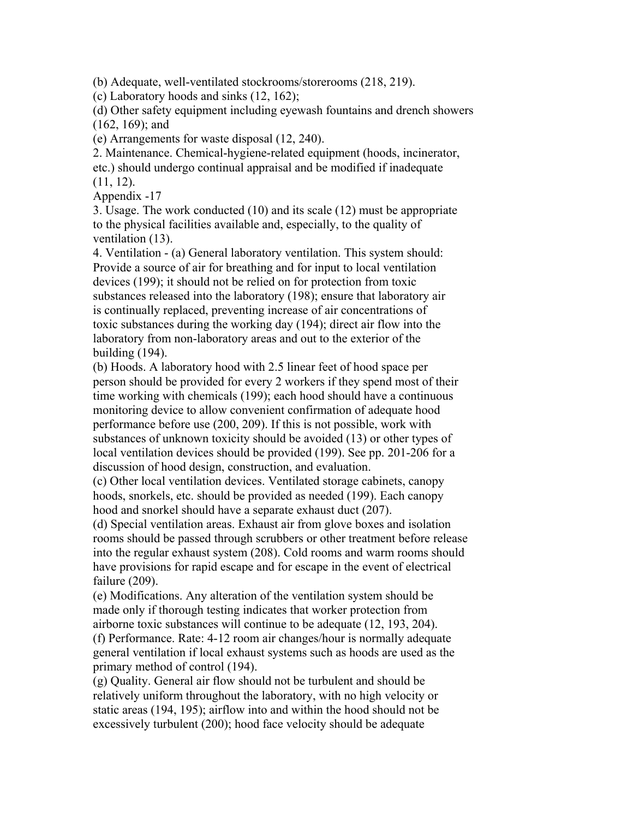(b) Adequate, well-ventilated stockrooms/storerooms (218, 219).

(c) Laboratory hoods and sinks (12, 162);

(d) Other safety equipment including eyewash fountains and drench showers (162, 169); and

(e) Arrangements for waste disposal (12, 240).

2. Maintenance. Chemical-hygiene-related equipment (hoods, incinerator, etc.) should undergo continual appraisal and be modified if inadequate (11, 12).

Appendix -17

3. Usage. The work conducted (10) and its scale (12) must be appropriate to the physical facilities available and, especially, to the quality of ventilation (13).

4. Ventilation - (a) General laboratory ventilation. This system should: Provide a source of air for breathing and for input to local ventilation devices (199); it should not be relied on for protection from toxic substances released into the laboratory (198); ensure that laboratory air is continually replaced, preventing increase of air concentrations of toxic substances during the working day (194); direct air flow into the laboratory from non-laboratory areas and out to the exterior of the building (194).

(b) Hoods. A laboratory hood with 2.5 linear feet of hood space per person should be provided for every 2 workers if they spend most of their time working with chemicals (199); each hood should have a continuous monitoring device to allow convenient confirmation of adequate hood performance before use (200, 209). If this is not possible, work with substances of unknown toxicity should be avoided (13) or other types of local ventilation devices should be provided (199). See pp. 201-206 for a discussion of hood design, construction, and evaluation.

(c) Other local ventilation devices. Ventilated storage cabinets, canopy hoods, snorkels, etc. should be provided as needed (199). Each canopy hood and snorkel should have a separate exhaust duct (207).

(d) Special ventilation areas. Exhaust air from glove boxes and isolation rooms should be passed through scrubbers or other treatment before release into the regular exhaust system (208). Cold rooms and warm rooms should have provisions for rapid escape and for escape in the event of electrical failure (209).

(e) Modifications. Any alteration of the ventilation system should be made only if thorough testing indicates that worker protection from airborne toxic substances will continue to be adequate (12, 193, 204). (f) Performance. Rate: 4-12 room air changes/hour is normally adequate general ventilation if local exhaust systems such as hoods are used as the primary method of control (194).

(g) Quality. General air flow should not be turbulent and should be relatively uniform throughout the laboratory, with no high velocity or static areas (194, 195); airflow into and within the hood should not be excessively turbulent (200); hood face velocity should be adequate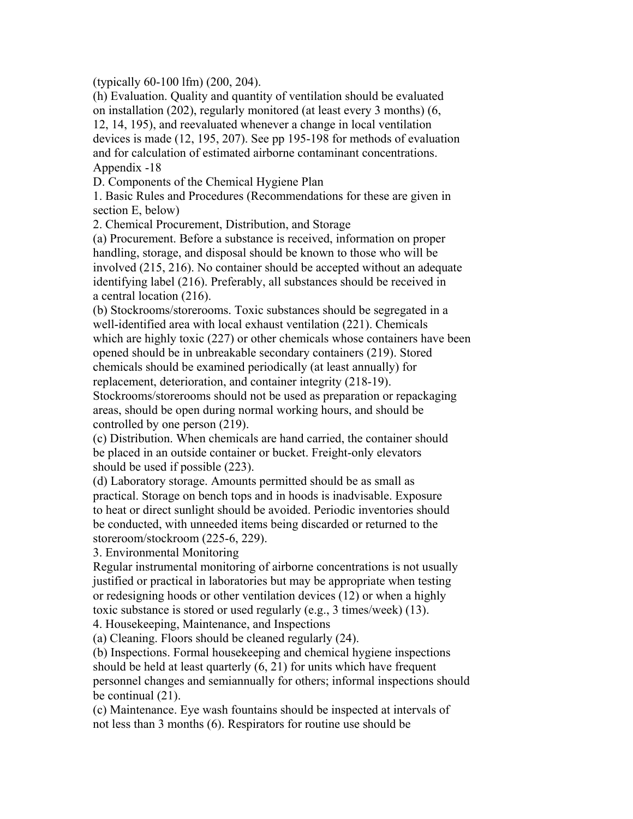(typically 60-100 lfm) (200, 204).

(h) Evaluation. Quality and quantity of ventilation should be evaluated on installation (202), regularly monitored (at least every 3 months) (6, 12, 14, 195), and reevaluated whenever a change in local ventilation devices is made (12, 195, 207). See pp 195-198 for methods of evaluation and for calculation of estimated airborne contaminant concentrations. Appendix -18

D. Components of the Chemical Hygiene Plan

1. Basic Rules and Procedures (Recommendations for these are given in section E, below)

2. Chemical Procurement, Distribution, and Storage

(a) Procurement. Before a substance is received, information on proper handling, storage, and disposal should be known to those who will be involved (215, 216). No container should be accepted without an adequate identifying label (216). Preferably, all substances should be received in a central location (216).

(b) Stockrooms/storerooms. Toxic substances should be segregated in a well-identified area with local exhaust ventilation (221). Chemicals which are highly toxic (227) or other chemicals whose containers have been opened should be in unbreakable secondary containers (219). Stored chemicals should be examined periodically (at least annually) for replacement, deterioration, and container integrity (218-19).

Stockrooms/storerooms should not be used as preparation or repackaging areas, should be open during normal working hours, and should be controlled by one person (219).

(c) Distribution. When chemicals are hand carried, the container should be placed in an outside container or bucket. Freight-only elevators should be used if possible (223).

(d) Laboratory storage. Amounts permitted should be as small as practical. Storage on bench tops and in hoods is inadvisable. Exposure to heat or direct sunlight should be avoided. Periodic inventories should be conducted, with unneeded items being discarded or returned to the storeroom/stockroom (225-6, 229).

3. Environmental Monitoring

Regular instrumental monitoring of airborne concentrations is not usually justified or practical in laboratories but may be appropriate when testing or redesigning hoods or other ventilation devices (12) or when a highly toxic substance is stored or used regularly (e.g., 3 times/week) (13).

4. Housekeeping, Maintenance, and Inspections

(a) Cleaning. Floors should be cleaned regularly (24).

(b) Inspections. Formal housekeeping and chemical hygiene inspections should be held at least quarterly (6, 21) for units which have frequent personnel changes and semiannually for others; informal inspections should be continual (21).

(c) Maintenance. Eye wash fountains should be inspected at intervals of not less than 3 months (6). Respirators for routine use should be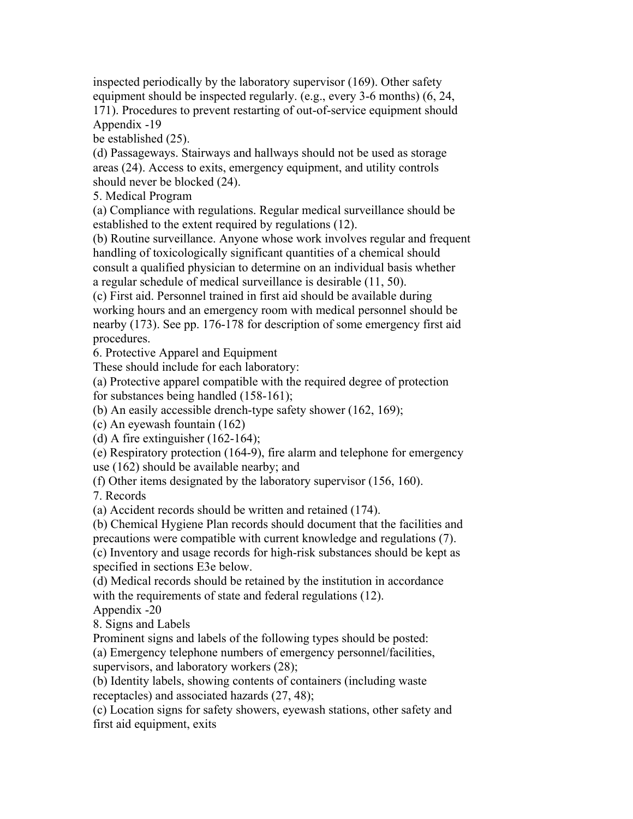inspected periodically by the laboratory supervisor (169). Other safety equipment should be inspected regularly. (e.g., every 3-6 months) (6, 24, 171). Procedures to prevent restarting of out-of-service equipment should Appendix -19

be established (25).

(d) Passageways. Stairways and hallways should not be used as storage areas (24). Access to exits, emergency equipment, and utility controls should never be blocked (24).

5. Medical Program

(a) Compliance with regulations. Regular medical surveillance should be established to the extent required by regulations (12).

(b) Routine surveillance. Anyone whose work involves regular and frequent handling of toxicologically significant quantities of a chemical should consult a qualified physician to determine on an individual basis whether a regular schedule of medical surveillance is desirable (11, 50).

(c) First aid. Personnel trained in first aid should be available during working hours and an emergency room with medical personnel should be nearby (173). See pp. 176-178 for description of some emergency first aid procedures.

6. Protective Apparel and Equipment

These should include for each laboratory:

(a) Protective apparel compatible with the required degree of protection

for substances being handled (158-161);

(b) An easily accessible drench-type safety shower (162, 169);

(c) An eyewash fountain (162)

(d) A fire extinguisher  $(162-164)$ ;

(e) Respiratory protection (164-9), fire alarm and telephone for emergency use (162) should be available nearby; and

(f) Other items designated by the laboratory supervisor (156, 160).

7. Records

(a) Accident records should be written and retained (174).

(b) Chemical Hygiene Plan records should document that the facilities and precautions were compatible with current knowledge and regulations (7).

(c) Inventory and usage records for high-risk substances should be kept as specified in sections E3e below.

(d) Medical records should be retained by the institution in accordance with the requirements of state and federal regulations (12).

Appendix -20

8. Signs and Labels

Prominent signs and labels of the following types should be posted:

(a) Emergency telephone numbers of emergency personnel/facilities, supervisors, and laboratory workers  $(28)$ ;

(b) Identity labels, showing contents of containers (including waste receptacles) and associated hazards (27, 48);

(c) Location signs for safety showers, eyewash stations, other safety and first aid equipment, exits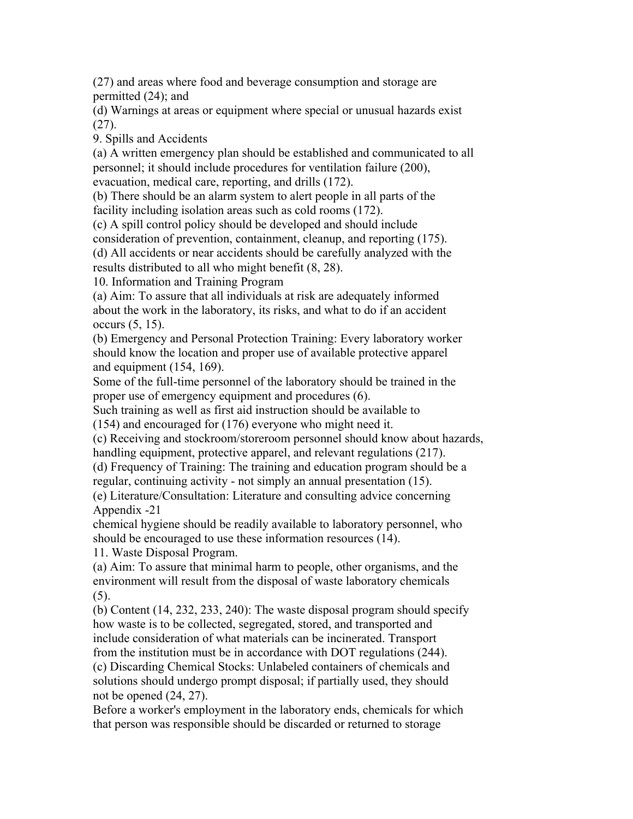(27) and areas where food and beverage consumption and storage are permitted (24); and

(d) Warnings at areas or equipment where special or unusual hazards exist (27).

9. Spills and Accidents

(a) A written emergency plan should be established and communicated to all personnel; it should include procedures for ventilation failure (200), evacuation, medical care, reporting, and drills (172).

(b) There should be an alarm system to alert people in all parts of the facility including isolation areas such as cold rooms (172).

(c) A spill control policy should be developed and should include

consideration of prevention, containment, cleanup, and reporting (175).

(d) All accidents or near accidents should be carefully analyzed with the results distributed to all who might benefit (8, 28).

10. Information and Training Program

(a) Aim: To assure that all individuals at risk are adequately informed about the work in the laboratory, its risks, and what to do if an accident occurs (5, 15).

(b) Emergency and Personal Protection Training: Every laboratory worker should know the location and proper use of available protective apparel and equipment (154, 169).

Some of the full-time personnel of the laboratory should be trained in the proper use of emergency equipment and procedures (6).

Such training as well as first aid instruction should be available to (154) and encouraged for (176) everyone who might need it.

(c) Receiving and stockroom/storeroom personnel should know about hazards, handling equipment, protective apparel, and relevant regulations (217).

(d) Frequency of Training: The training and education program should be a regular, continuing activity - not simply an annual presentation (15).

(e) Literature/Consultation: Literature and consulting advice concerning Appendix -21

chemical hygiene should be readily available to laboratory personnel, who should be encouraged to use these information resources (14).

11. Waste Disposal Program.

(a) Aim: To assure that minimal harm to people, other organisms, and the environment will result from the disposal of waste laboratory chemicals  $(5)$ .

(b) Content (14, 232, 233, 240): The waste disposal program should specify how waste is to be collected, segregated, stored, and transported and include consideration of what materials can be incinerated. Transport

from the institution must be in accordance with DOT regulations (244). (c) Discarding Chemical Stocks: Unlabeled containers of chemicals and solutions should undergo prompt disposal; if partially used, they should not be opened (24, 27).

Before a worker's employment in the laboratory ends, chemicals for which that person was responsible should be discarded or returned to storage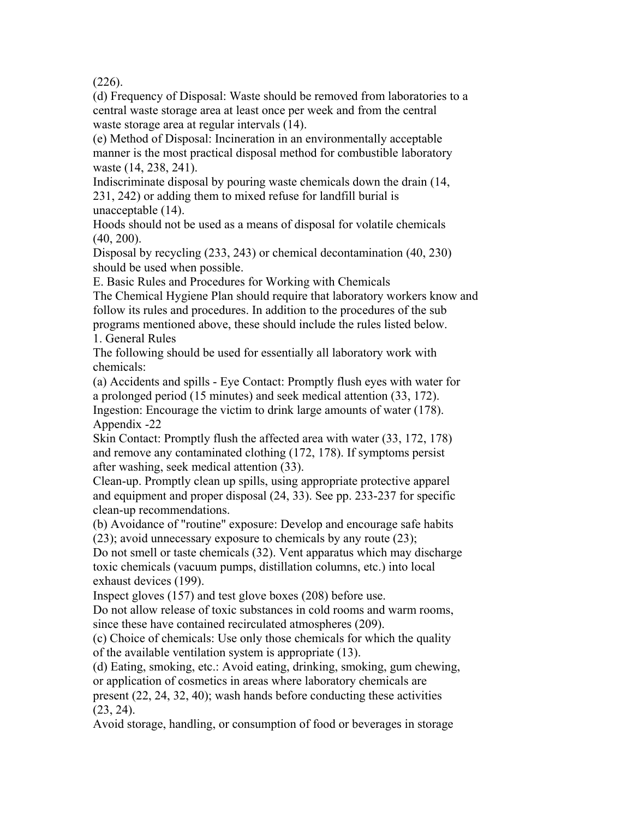(226).

(d) Frequency of Disposal: Waste should be removed from laboratories to a central waste storage area at least once per week and from the central waste storage area at regular intervals (14).

(e) Method of Disposal: Incineration in an environmentally acceptable manner is the most practical disposal method for combustible laboratory waste (14, 238, 241).

Indiscriminate disposal by pouring waste chemicals down the drain (14, 231, 242) or adding them to mixed refuse for landfill burial is unacceptable (14).

Hoods should not be used as a means of disposal for volatile chemicals (40, 200).

Disposal by recycling (233, 243) or chemical decontamination (40, 230) should be used when possible.

E. Basic Rules and Procedures for Working with Chemicals

The Chemical Hygiene Plan should require that laboratory workers know and follow its rules and procedures. In addition to the procedures of the sub programs mentioned above, these should include the rules listed below.

1. General Rules

The following should be used for essentially all laboratory work with chemicals:

(a) Accidents and spills - Eye Contact: Promptly flush eyes with water for a prolonged period (15 minutes) and seek medical attention (33, 172). Ingestion: Encourage the victim to drink large amounts of water (178). Appendix -22

Skin Contact: Promptly flush the affected area with water (33, 172, 178) and remove any contaminated clothing (172, 178). If symptoms persist after washing, seek medical attention (33).

Clean-up. Promptly clean up spills, using appropriate protective apparel and equipment and proper disposal (24, 33). See pp. 233-237 for specific clean-up recommendations.

(b) Avoidance of "routine" exposure: Develop and encourage safe habits (23); avoid unnecessary exposure to chemicals by any route (23);

Do not smell or taste chemicals (32). Vent apparatus which may discharge toxic chemicals (vacuum pumps, distillation columns, etc.) into local exhaust devices (199).

Inspect gloves (157) and test glove boxes (208) before use. Do not allow release of toxic substances in cold rooms and warm rooms, since these have contained recirculated atmospheres (209).

(c) Choice of chemicals: Use only those chemicals for which the quality of the available ventilation system is appropriate (13).

(d) Eating, smoking, etc.: Avoid eating, drinking, smoking, gum chewing, or application of cosmetics in areas where laboratory chemicals are present (22, 24, 32, 40); wash hands before conducting these activities (23, 24).

Avoid storage, handling, or consumption of food or beverages in storage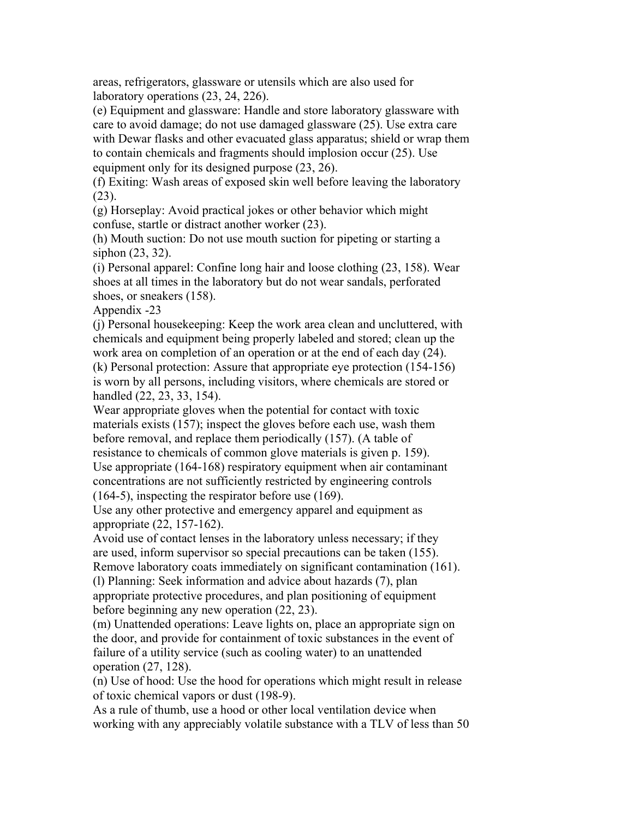areas, refrigerators, glassware or utensils which are also used for laboratory operations (23, 24, 226).

(e) Equipment and glassware: Handle and store laboratory glassware with care to avoid damage; do not use damaged glassware (25). Use extra care with Dewar flasks and other evacuated glass apparatus; shield or wrap them to contain chemicals and fragments should implosion occur (25). Use equipment only for its designed purpose (23, 26).

(f) Exiting: Wash areas of exposed skin well before leaving the laboratory (23).

(g) Horseplay: Avoid practical jokes or other behavior which might confuse, startle or distract another worker (23).

(h) Mouth suction: Do not use mouth suction for pipeting or starting a siphon (23, 32).

(i) Personal apparel: Confine long hair and loose clothing (23, 158). Wear shoes at all times in the laboratory but do not wear sandals, perforated shoes, or sneakers (158).

Appendix -23

(j) Personal housekeeping: Keep the work area clean and uncluttered, with chemicals and equipment being properly labeled and stored; clean up the work area on completion of an operation or at the end of each day (24). (k) Personal protection: Assure that appropriate eye protection (154-156) is worn by all persons, including visitors, where chemicals are stored or handled (22, 23, 33, 154).

Wear appropriate gloves when the potential for contact with toxic materials exists (157); inspect the gloves before each use, wash them before removal, and replace them periodically (157). (A table of resistance to chemicals of common glove materials is given p. 159). Use appropriate (164-168) respiratory equipment when air contaminant concentrations are not sufficiently restricted by engineering controls (164-5), inspecting the respirator before use (169).

Use any other protective and emergency apparel and equipment as appropriate (22, 157-162).

Avoid use of contact lenses in the laboratory unless necessary; if they are used, inform supervisor so special precautions can be taken (155). Remove laboratory coats immediately on significant contamination (161). (l) Planning: Seek information and advice about hazards (7), plan appropriate protective procedures, and plan positioning of equipment before beginning any new operation (22, 23).

(m) Unattended operations: Leave lights on, place an appropriate sign on the door, and provide for containment of toxic substances in the event of failure of a utility service (such as cooling water) to an unattended operation (27, 128).

(n) Use of hood: Use the hood for operations which might result in release of toxic chemical vapors or dust (198-9).

As a rule of thumb, use a hood or other local ventilation device when working with any appreciably volatile substance with a TLV of less than 50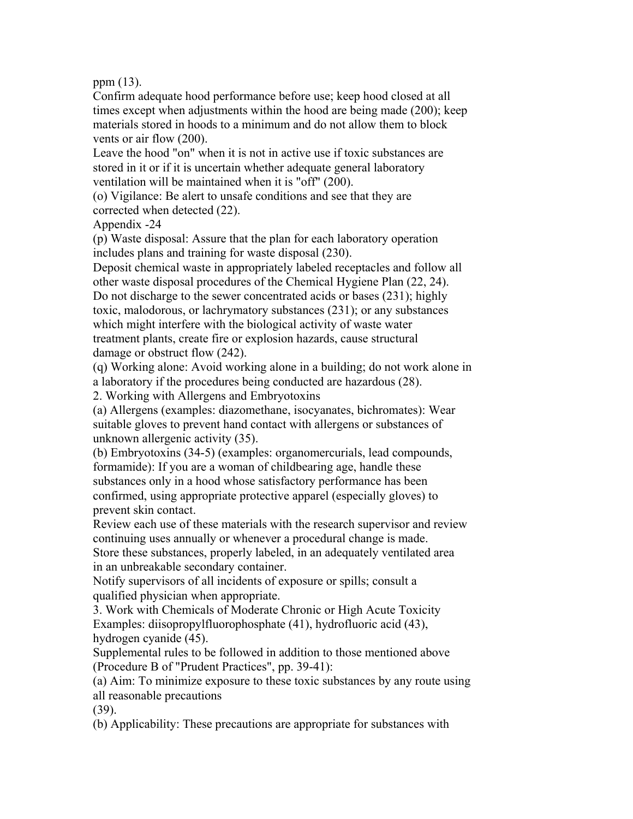ppm (13).

Confirm adequate hood performance before use; keep hood closed at all times except when adjustments within the hood are being made (200); keep materials stored in hoods to a minimum and do not allow them to block vents or air flow (200).

Leave the hood "on" when it is not in active use if toxic substances are stored in it or if it is uncertain whether adequate general laboratory ventilation will be maintained when it is "off" (200).

(o) Vigilance: Be alert to unsafe conditions and see that they are corrected when detected (22).

Appendix -24

(p) Waste disposal: Assure that the plan for each laboratory operation includes plans and training for waste disposal (230).

Deposit chemical waste in appropriately labeled receptacles and follow all other waste disposal procedures of the Chemical Hygiene Plan (22, 24). Do not discharge to the sewer concentrated acids or bases (231); highly toxic, malodorous, or lachrymatory substances (231); or any substances

which might interfere with the biological activity of waste water treatment plants, create fire or explosion hazards, cause structural damage or obstruct flow (242).

(q) Working alone: Avoid working alone in a building; do not work alone in a laboratory if the procedures being conducted are hazardous (28).

2. Working with Allergens and Embryotoxins

(a) Allergens (examples: diazomethane, isocyanates, bichromates): Wear suitable gloves to prevent hand contact with allergens or substances of unknown allergenic activity (35).

(b) Embryotoxins (34-5) (examples: organomercurials, lead compounds, formamide): If you are a woman of childbearing age, handle these substances only in a hood whose satisfactory performance has been confirmed, using appropriate protective apparel (especially gloves) to prevent skin contact.

Review each use of these materials with the research supervisor and review continuing uses annually or whenever a procedural change is made. Store these substances, properly labeled, in an adequately ventilated area in an unbreakable secondary container.

Notify supervisors of all incidents of exposure or spills; consult a qualified physician when appropriate.

3. Work with Chemicals of Moderate Chronic or High Acute Toxicity Examples: diisopropylfluorophosphate (41), hydrofluoric acid (43), hydrogen cyanide (45).

Supplemental rules to be followed in addition to those mentioned above (Procedure B of "Prudent Practices", pp. 39-41):

(a) Aim: To minimize exposure to these toxic substances by any route using all reasonable precautions

(39).

(b) Applicability: These precautions are appropriate for substances with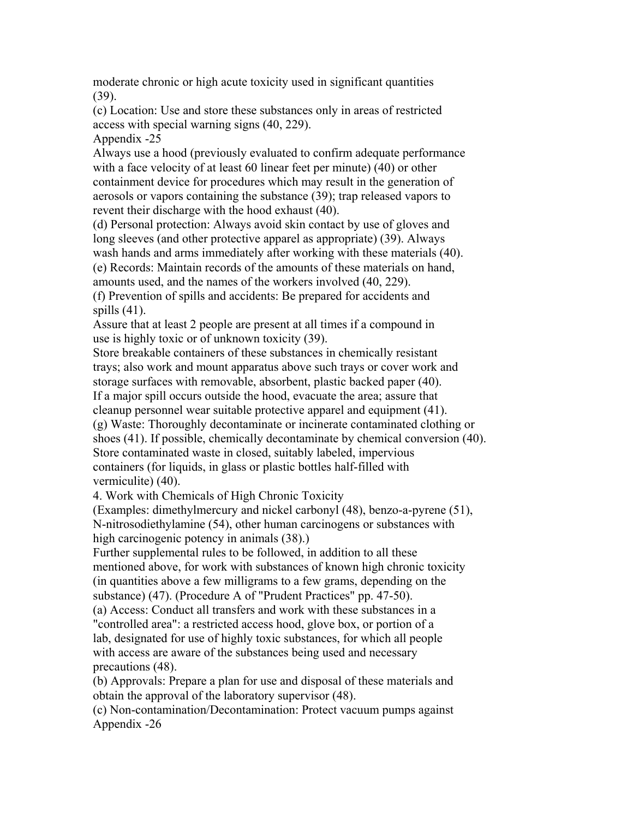moderate chronic or high acute toxicity used in significant quantities (39).

(c) Location: Use and store these substances only in areas of restricted access with special warning signs (40, 229).

Appendix -25

Always use a hood (previously evaluated to confirm adequate performance with a face velocity of at least 60 linear feet per minute) (40) or other containment device for procedures which may result in the generation of aerosols or vapors containing the substance (39); trap released vapors to revent their discharge with the hood exhaust (40).

(d) Personal protection: Always avoid skin contact by use of gloves and long sleeves (and other protective apparel as appropriate) (39). Always wash hands and arms immediately after working with these materials (40). (e) Records: Maintain records of the amounts of these materials on hand, amounts used, and the names of the workers involved (40, 229).

(f) Prevention of spills and accidents: Be prepared for accidents and spills  $(41)$ .

Assure that at least 2 people are present at all times if a compound in use is highly toxic or of unknown toxicity (39).

Store breakable containers of these substances in chemically resistant trays; also work and mount apparatus above such trays or cover work and storage surfaces with removable, absorbent, plastic backed paper (40). If a major spill occurs outside the hood, evacuate the area; assure that cleanup personnel wear suitable protective apparel and equipment (41). (g) Waste: Thoroughly decontaminate or incinerate contaminated clothing or shoes (41). If possible, chemically decontaminate by chemical conversion (40). Store contaminated waste in closed, suitably labeled, impervious containers (for liquids, in glass or plastic bottles half-filled with vermiculite) (40).

4. Work with Chemicals of High Chronic Toxicity

(Examples: dimethylmercury and nickel carbonyl (48), benzo-a-pyrene (51), N-nitrosodiethylamine (54), other human carcinogens or substances with high carcinogenic potency in animals  $(38)$ .)

Further supplemental rules to be followed, in addition to all these mentioned above, for work with substances of known high chronic toxicity (in quantities above a few milligrams to a few grams, depending on the substance) (47). (Procedure A of "Prudent Practices" pp. 47-50).

(a) Access: Conduct all transfers and work with these substances in a "controlled area": a restricted access hood, glove box, or portion of a lab, designated for use of highly toxic substances, for which all people with access are aware of the substances being used and necessary precautions (48).

(b) Approvals: Prepare a plan for use and disposal of these materials and obtain the approval of the laboratory supervisor (48).

(c) Non-contamination/Decontamination: Protect vacuum pumps against Appendix -26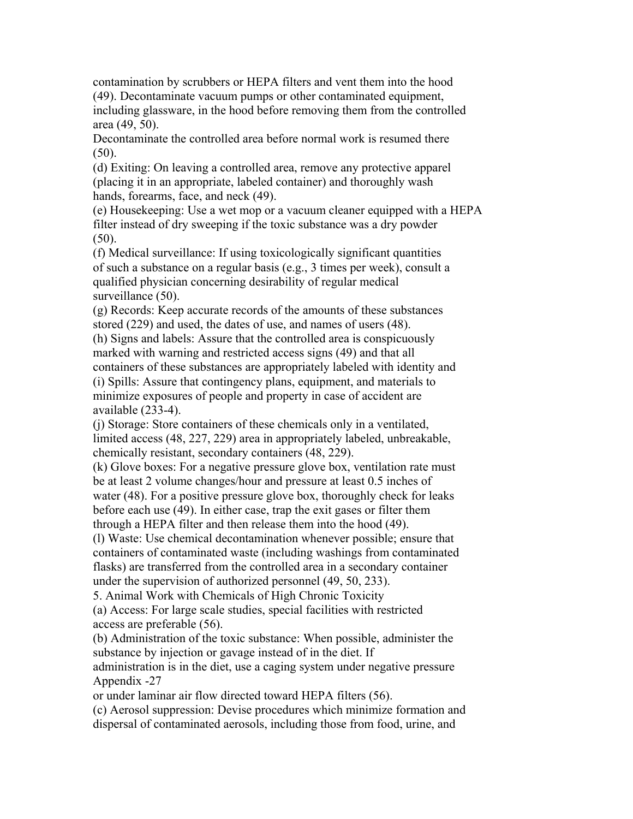contamination by scrubbers or HEPA filters and vent them into the hood (49). Decontaminate vacuum pumps or other contaminated equipment, including glassware, in the hood before removing them from the controlled area (49, 50).

Decontaminate the controlled area before normal work is resumed there (50).

(d) Exiting: On leaving a controlled area, remove any protective apparel (placing it in an appropriate, labeled container) and thoroughly wash hands, forearms, face, and neck (49).

(e) Housekeeping: Use a wet mop or a vacuum cleaner equipped with a HEPA filter instead of dry sweeping if the toxic substance was a dry powder (50).

(f) Medical surveillance: If using toxicologically significant quantities of such a substance on a regular basis (e.g., 3 times per week), consult a qualified physician concerning desirability of regular medical surveillance (50).

(g) Records: Keep accurate records of the amounts of these substances stored (229) and used, the dates of use, and names of users (48). (h) Signs and labels: Assure that the controlled area is conspicuously marked with warning and restricted access signs (49) and that all containers of these substances are appropriately labeled with identity and (i) Spills: Assure that contingency plans, equipment, and materials to minimize exposures of people and property in case of accident are available (233-4).

(j) Storage: Store containers of these chemicals only in a ventilated, limited access (48, 227, 229) area in appropriately labeled, unbreakable, chemically resistant, secondary containers (48, 229).

(k) Glove boxes: For a negative pressure glove box, ventilation rate must be at least 2 volume changes/hour and pressure at least 0.5 inches of water (48). For a positive pressure glove box, thoroughly check for leaks before each use (49). In either case, trap the exit gases or filter them through a HEPA filter and then release them into the hood (49).

(l) Waste: Use chemical decontamination whenever possible; ensure that containers of contaminated waste (including washings from contaminated flasks) are transferred from the controlled area in a secondary container under the supervision of authorized personnel (49, 50, 233).

5. Animal Work with Chemicals of High Chronic Toxicity

(a) Access: For large scale studies, special facilities with restricted access are preferable (56).

(b) Administration of the toxic substance: When possible, administer the substance by injection or gavage instead of in the diet. If

administration is in the diet, use a caging system under negative pressure Appendix -27

or under laminar air flow directed toward HEPA filters (56).

(c) Aerosol suppression: Devise procedures which minimize formation and dispersal of contaminated aerosols, including those from food, urine, and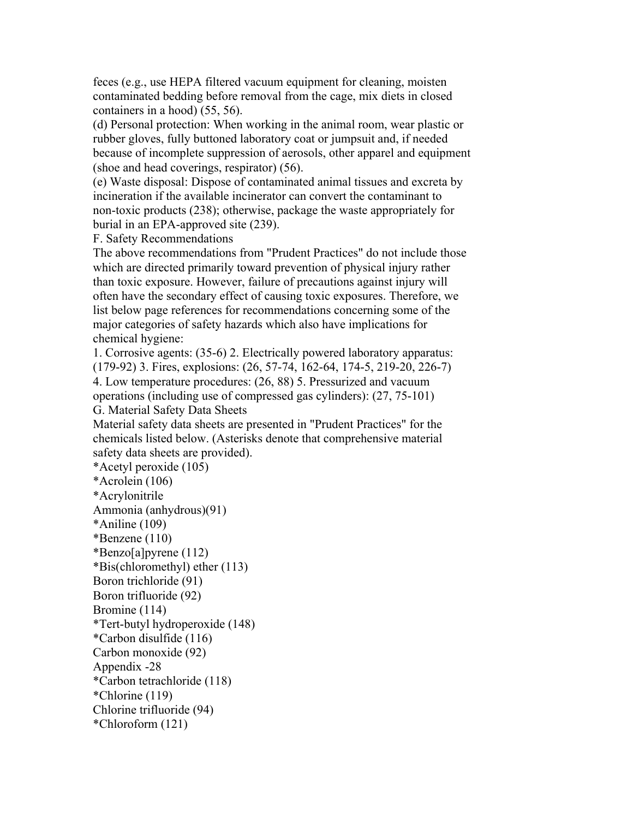feces (e.g., use HEPA filtered vacuum equipment for cleaning, moisten contaminated bedding before removal from the cage, mix diets in closed containers in a hood) (55, 56).

(d) Personal protection: When working in the animal room, wear plastic or rubber gloves, fully buttoned laboratory coat or jumpsuit and, if needed because of incomplete suppression of aerosols, other apparel and equipment (shoe and head coverings, respirator) (56).

(e) Waste disposal: Dispose of contaminated animal tissues and excreta by incineration if the available incinerator can convert the contaminant to non-toxic products (238); otherwise, package the waste appropriately for burial in an EPA-approved site (239).

F. Safety Recommendations

The above recommendations from "Prudent Practices" do not include those which are directed primarily toward prevention of physical injury rather than toxic exposure. However, failure of precautions against injury will often have the secondary effect of causing toxic exposures. Therefore, we list below page references for recommendations concerning some of the major categories of safety hazards which also have implications for chemical hygiene:

1. Corrosive agents: (35-6) 2. Electrically powered laboratory apparatus: (179-92) 3. Fires, explosions: (26, 57-74, 162-64, 174-5, 219-20, 226-7) 4. Low temperature procedures: (26, 88) 5. Pressurized and vacuum

operations (including use of compressed gas cylinders): (27, 75-101) G. Material Safety Data Sheets

Material safety data sheets are presented in "Prudent Practices" for the chemicals listed below. (Asterisks denote that comprehensive material safety data sheets are provided).

```
*Acetyl peroxide (105) 
*Acrolein (106) 
*Acrylonitrile 
Ammonia (anhydrous)(91) 
*Aniline (109) 
*Benzene (110) 
*Benzo[a]pyrene (112) 
*Bis(chloromethyl) ether (113) 
Boron trichloride (91) 
Boron trifluoride (92) 
Bromine (114) 
*Tert-butyl hydroperoxide (148) 
*Carbon disulfide (116) 
Carbon monoxide (92) 
Appendix -28 
*Carbon tetrachloride (118) 
*Chlorine (119) 
Chlorine trifluoride (94) 
*Chloroform (121)
```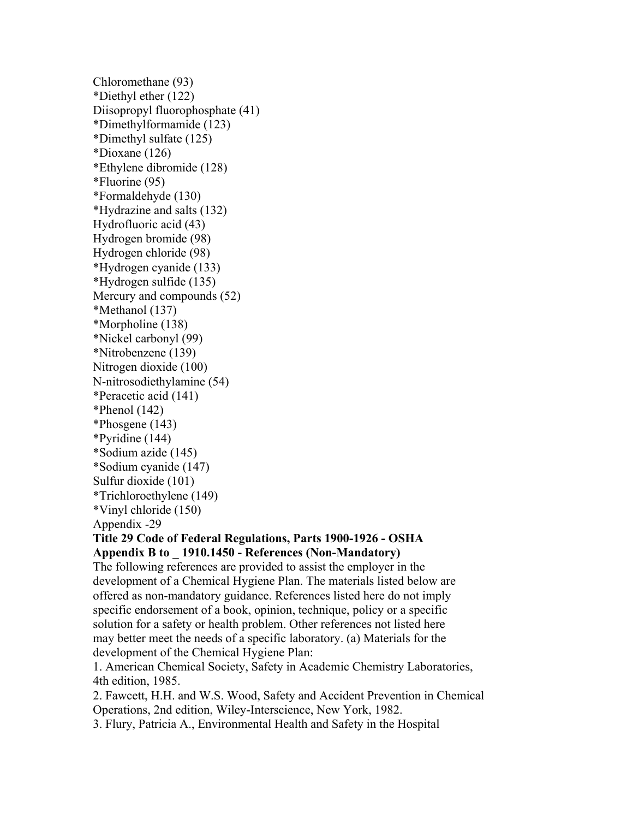```
Chloromethane (93) 
*Diethyl ether (122) 
Diisopropyl fluorophosphate (41) 
*Dimethylformamide (123) 
*Dimethyl sulfate (125) 
*Dioxane (126) 
*Ethylene dibromide (128) 
*Fluorine (95) 
*Formaldehyde (130) 
*Hydrazine and salts (132) 
Hydrofluoric acid (43) 
Hydrogen bromide (98) 
Hydrogen chloride (98) 
*Hydrogen cyanide (133) 
*Hydrogen sulfide (135) 
Mercury and compounds (52) 
*Methanol (137) 
*Morpholine (138) 
*Nickel carbonyl (99) 
*Nitrobenzene (139) 
Nitrogen dioxide (100) 
N-nitrosodiethylamine (54) 
*Peracetic acid (141) 
*Phenol(142)*Phosgene (143) 
*Pyridine (144) 
*Sodium azide (145) 
*Sodium cyanide (147) 
Sulfur dioxide (101) 
*Trichloroethylene (149) 
*Vinyl chloride (150) 
Appendix -29
```
## **Title 29 Code of Federal Regulations, Parts 1900-1926 - OSHA Appendix B to \_ 1910.1450 - References (Non-Mandatory)**

The following references are provided to assist the employer in the development of a Chemical Hygiene Plan. The materials listed below are offered as non-mandatory guidance. References listed here do not imply specific endorsement of a book, opinion, technique, policy or a specific solution for a safety or health problem. Other references not listed here may better meet the needs of a specific laboratory. (a) Materials for the development of the Chemical Hygiene Plan:

1. American Chemical Society, Safety in Academic Chemistry Laboratories, 4th edition, 1985.

2. Fawcett, H.H. and W.S. Wood, Safety and Accident Prevention in Chemical Operations, 2nd edition, Wiley-Interscience, New York, 1982.

3. Flury, Patricia A., Environmental Health and Safety in the Hospital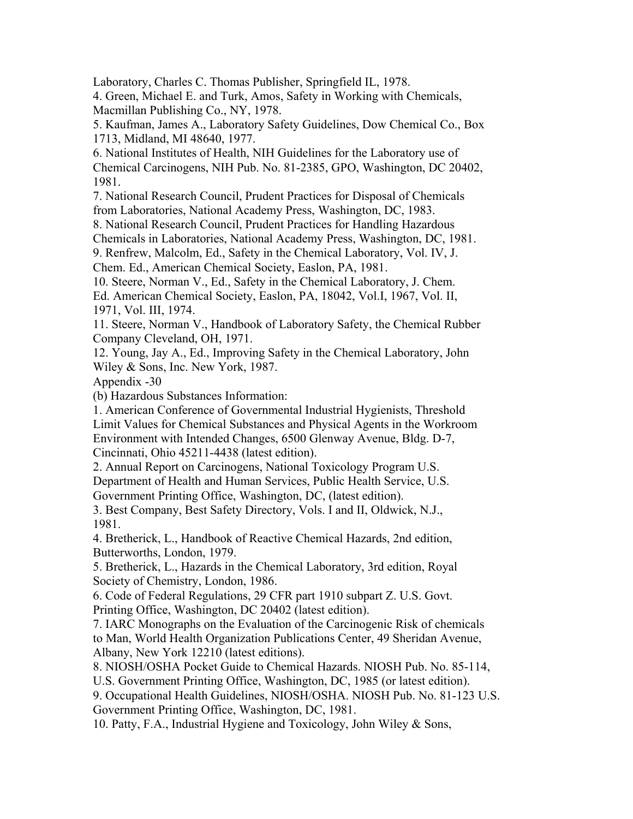Laboratory, Charles C. Thomas Publisher, Springfield IL, 1978.

4. Green, Michael E. and Turk, Amos, Safety in Working with Chemicals, Macmillan Publishing Co., NY, 1978.

5. Kaufman, James A., Laboratory Safety Guidelines, Dow Chemical Co., Box 1713, Midland, MI 48640, 1977.

6. National Institutes of Health, NIH Guidelines for the Laboratory use of Chemical Carcinogens, NIH Pub. No. 81-2385, GPO, Washington, DC 20402, 1981.

7. National Research Council, Prudent Practices for Disposal of Chemicals from Laboratories, National Academy Press, Washington, DC, 1983.

8. National Research Council, Prudent Practices for Handling Hazardous

Chemicals in Laboratories, National Academy Press, Washington, DC, 1981.

9. Renfrew, Malcolm, Ed., Safety in the Chemical Laboratory, Vol. IV, J.

Chem. Ed., American Chemical Society, Easlon, PA, 1981.

10. Steere, Norman V., Ed., Safety in the Chemical Laboratory, J. Chem. Ed. American Chemical Society, Easlon, PA, 18042, Vol.I, 1967, Vol. II,

1971, Vol. III, 1974.

11. Steere, Norman V., Handbook of Laboratory Safety, the Chemical Rubber Company Cleveland, OH, 1971.

12. Young, Jay A., Ed., Improving Safety in the Chemical Laboratory, John Wiley & Sons, Inc. New York, 1987.

Appendix -30

(b) Hazardous Substances Information:

1. American Conference of Governmental Industrial Hygienists, Threshold Limit Values for Chemical Substances and Physical Agents in the Workroom Environment with Intended Changes, 6500 Glenway Avenue, Bldg. D-7, Cincinnati, Ohio 45211-4438 (latest edition).

2. Annual Report on Carcinogens, National Toxicology Program U.S.

Department of Health and Human Services, Public Health Service, U.S.

Government Printing Office, Washington, DC, (latest edition).

3. Best Company, Best Safety Directory, Vols. I and II, Oldwick, N.J., 1981.

4. Bretherick, L., Handbook of Reactive Chemical Hazards, 2nd edition, Butterworths, London, 1979.

5. Bretherick, L., Hazards in the Chemical Laboratory, 3rd edition, Royal Society of Chemistry, London, 1986.

6. Code of Federal Regulations, 29 CFR part 1910 subpart Z. U.S. Govt. Printing Office, Washington, DC 20402 (latest edition).

7. IARC Monographs on the Evaluation of the Carcinogenic Risk of chemicals to Man, World Health Organization Publications Center, 49 Sheridan Avenue, Albany, New York 12210 (latest editions).

8. NIOSH/OSHA Pocket Guide to Chemical Hazards. NIOSH Pub. No. 85-114,

U.S. Government Printing Office, Washington, DC, 1985 (or latest edition).

9. Occupational Health Guidelines, NIOSH/OSHA. NIOSH Pub. No. 81-123 U.S. Government Printing Office, Washington, DC, 1981.

10. Patty, F.A., Industrial Hygiene and Toxicology, John Wiley & Sons,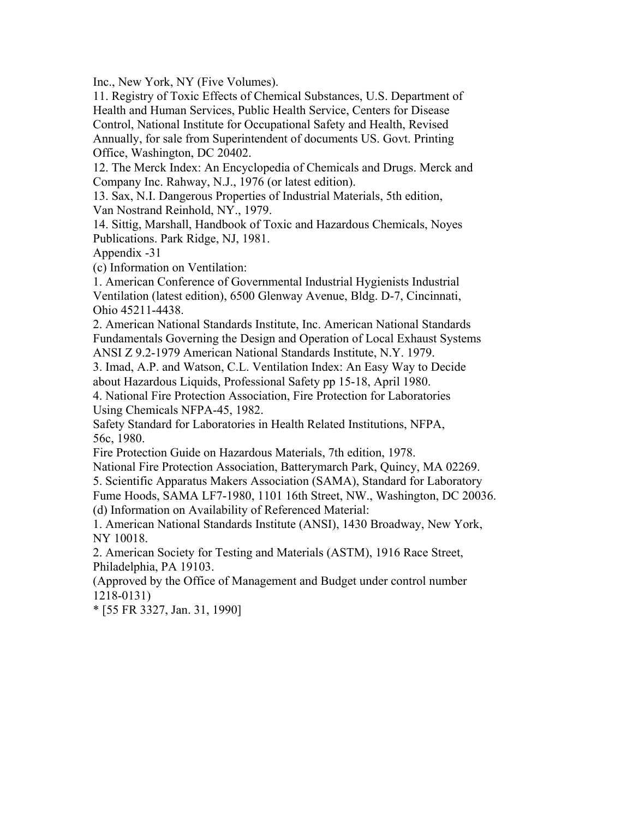Inc., New York, NY (Five Volumes).

11. Registry of Toxic Effects of Chemical Substances, U.S. Department of Health and Human Services, Public Health Service, Centers for Disease Control, National Institute for Occupational Safety and Health, Revised Annually, for sale from Superintendent of documents US. Govt. Printing Office, Washington, DC 20402.

12. The Merck Index: An Encyclopedia of Chemicals and Drugs. Merck and Company Inc. Rahway, N.J., 1976 (or latest edition).

13. Sax, N.I. Dangerous Properties of Industrial Materials, 5th edition, Van Nostrand Reinhold, NY., 1979.

14. Sittig, Marshall, Handbook of Toxic and Hazardous Chemicals, Noyes Publications. Park Ridge, NJ, 1981.

Appendix -31

(c) Information on Ventilation:

1. American Conference of Governmental Industrial Hygienists Industrial Ventilation (latest edition), 6500 Glenway Avenue, Bldg. D-7, Cincinnati, Ohio 45211-4438.

2. American National Standards Institute, Inc. American National Standards Fundamentals Governing the Design and Operation of Local Exhaust Systems ANSI Z 9.2-1979 American National Standards Institute, N.Y. 1979.

3. Imad, A.P. and Watson, C.L. Ventilation Index: An Easy Way to Decide about Hazardous Liquids, Professional Safety pp 15-18, April 1980.

4. National Fire Protection Association, Fire Protection for Laboratories Using Chemicals NFPA-45, 1982.

Safety Standard for Laboratories in Health Related Institutions, NFPA, 56c, 1980.

Fire Protection Guide on Hazardous Materials, 7th edition, 1978.

National Fire Protection Association, Batterymarch Park, Quincy, MA 02269.

5. Scientific Apparatus Makers Association (SAMA), Standard for Laboratory Fume Hoods, SAMA LF7-1980, 1101 16th Street, NW., Washington, DC 20036. (d) Information on Availability of Referenced Material:

1. American National Standards Institute (ANSI), 1430 Broadway, New York, NY 10018.

2. American Society for Testing and Materials (ASTM), 1916 Race Street, Philadelphia, PA 19103.

(Approved by the Office of Management and Budget under control number 1218-0131)

\* [55 FR 3327, Jan. 31, 1990]